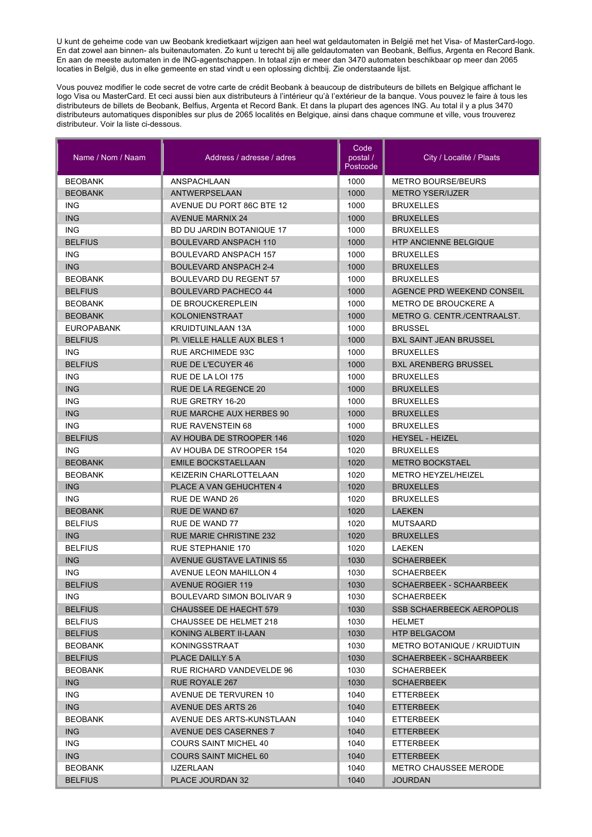U kunt de geheime code van uw Beobank kredietkaart wijzigen aan heel wat geldautomaten in België met het Visa- of MasterCard-logo. En dat zowel aan binnen- als buitenautomaten. Zo kunt u terecht bij alle geldautomaten van Beobank, Belfius, Argenta en Record Bank. En aan de meeste automaten in de ING-agentschappen. In totaal zijn er meer dan 3470 automaten beschikbaar op meer dan 2065 locaties in België, dus in elke gemeente en stad vindt u een oplossing dichtbij. Zie onderstaande lijst.

Vous pouvez modifier le code secret de votre carte de crédit Beobank à beaucoup de distributeurs de billets en Belgique affichant le logo Visa ou MasterCard. Et ceci aussi bien aux distributeurs à l'intérieur qu'à l'extérieur de la banque. Vous pouvez le faire à tous les distributeurs de billets de Beobank, Belfius, Argenta et Record Bank. Et dans la plupart des agences ING. Au total il y a plus 3470 distributeurs automatiques disponibles sur plus de 2065 localités en Belgique, ainsi dans chaque commune et ville, vous trouverez distributeur. Voir la liste ci-dessous.

| Name / Nom / Naam | Address / adresse / adres        | Code<br>postal /<br>Postcode | City / Localité / Plaats         |
|-------------------|----------------------------------|------------------------------|----------------------------------|
| <b>BEOBANK</b>    | ANSPACHLAAN                      | 1000                         | <b>METRO BOURSE/BEURS</b>        |
| <b>BEOBANK</b>    | <b>ANTWERPSELAAN</b>             | 1000                         | <b>METRO YSER/IJZER</b>          |
| <b>ING</b>        | AVENUE DU PORT 86C BTE 12        | 1000                         | <b>BRUXELLES</b>                 |
| <b>ING</b>        | <b>AVENUE MARNIX 24</b>          | 1000                         | <b>BRUXELLES</b>                 |
| <b>ING</b>        | BD DU JARDIN BOTANIQUE 17        | 1000                         | <b>BRUXELLES</b>                 |
| <b>BELFIUS</b>    | <b>BOULEVARD ANSPACH 110</b>     | 1000                         | <b>HTP ANCIENNE BELGIQUE</b>     |
| ING.              | <b>BOULEVARD ANSPACH 157</b>     | 1000                         | <b>BRUXELLES</b>                 |
| <b>ING</b>        | <b>BOULEVARD ANSPACH 2-4</b>     | 1000                         | <b>BRUXELLES</b>                 |
| <b>BEOBANK</b>    | <b>BOULEVARD DU REGENT 57</b>    | 1000                         | <b>BRUXELLES</b>                 |
| <b>BELFIUS</b>    | <b>BOULEVARD PACHECO 44</b>      | 1000                         | AGENCE PRD WEEKEND CONSEIL       |
| <b>BEOBANK</b>    | DE BROUCKEREPLEIN                | 1000                         | <b>METRO DE BROUCKERE A</b>      |
| <b>BEOBANK</b>    | <b>KOLONIENSTRAAT</b>            | 1000                         | METRO G. CENTR./CENTRAALST.      |
| <b>EUROPABANK</b> | KRUIDTUINLAAN 13A                | 1000                         | <b>BRUSSEL</b>                   |
| <b>BELFIUS</b>    | PI. VIELLE HALLE AUX BLES 1      | 1000                         | <b>BXL SAINT JEAN BRUSSEL</b>    |
| ING.              | <b>RUE ARCHIMEDE 93C</b>         | 1000                         | <b>BRUXELLES</b>                 |
| <b>BELFIUS</b>    | <b>RUE DE L'ECUYER 46</b>        | 1000                         | <b>BXL ARENBERG BRUSSEL</b>      |
| <b>ING</b>        | RUE DE LA LOI 175                | 1000                         | <b>BRUXELLES</b>                 |
| <b>ING</b>        | RUE DE LA REGENCE 20             | 1000                         | <b>BRUXELLES</b>                 |
| <b>ING</b>        | RUE GRETRY 16-20                 | 1000                         | <b>BRUXELLES</b>                 |
| <b>ING</b>        | <b>RUE MARCHE AUX HERBES 90</b>  | 1000                         | <b>BRUXELLES</b>                 |
| <b>ING</b>        | <b>RUE RAVENSTEIN 68</b>         | 1000                         | <b>BRUXELLES</b>                 |
| <b>BELFIUS</b>    | AV HOUBA DE STROOPER 146         | 1020                         | <b>HEYSEL - HEIZEL</b>           |
| <b>ING</b>        | AV HOUBA DE STROOPER 154         | 1020                         | <b>BRUXELLES</b>                 |
| <b>BEOBANK</b>    | <b>EMILE BOCKSTAELLAAN</b>       | 1020                         | <b>METRO BOCKSTAEL</b>           |
| <b>BEOBANK</b>    | KEIZERIN CHARLOTTELAAN           | 1020                         | <b>METRO HEYZEL/HEIZEL</b>       |
| <b>ING</b>        | PLACE A VAN GEHUCHTEN 4          | 1020                         | <b>BRUXELLES</b>                 |
| ING.              | RUE DE WAND 26                   | 1020                         | <b>BRUXELLES</b>                 |
| <b>BEOBANK</b>    | RUE DE WAND 67                   | 1020                         | <b>LAEKEN</b>                    |
| <b>BELFIUS</b>    | <b>RUE DE WAND 77</b>            | 1020                         | <b>MUTSAARD</b>                  |
| <b>ING</b>        | <b>RUE MARIE CHRISTINE 232</b>   | 1020                         | <b>BRUXELLES</b>                 |
| <b>BELFIUS</b>    | <b>RUE STEPHANIE 170</b>         | 1020                         | LAEKEN                           |
| <b>ING</b>        | <b>AVENUE GUSTAVE LATINIS 55</b> | 1030                         | <b>SCHAERBEEK</b>                |
| <b>ING</b>        | <b>AVENUE LEON MAHILLON 4</b>    | 1030                         | <b>SCHAERBEEK</b>                |
| <b>BELFIUS</b>    | <b>AVENUE ROGIER 119</b>         | 1030                         | SCHAERBEEK - SCHAARBEEK          |
| ING.              | BOULEVARD SIMON BOLIVAR 9        | 1030                         | SCHAERBEEK                       |
| <b>BELFIUS</b>    | <b>CHAUSSEE DE HAECHT 579</b>    | 1030                         | <b>SSB SCHAERBEECK AEROPOLIS</b> |
| <b>BELFIUS</b>    | CHAUSSEE DE HELMET 218           | 1030                         | <b>HELMET</b>                    |
| <b>BELFIUS</b>    | KONING ALBERT II-LAAN            | 1030                         | <b>HTP BELGACOM</b>              |
| <b>BEOBANK</b>    | KONINGSSTRAAT                    | 1030                         | METRO BOTANIQUE / KRUIDTUIN      |
| <b>BELFIUS</b>    | PLACE DAILLY 5 A                 | 1030                         | <b>SCHAERBEEK - SCHAARBEEK</b>   |
| <b>BEOBANK</b>    | RUE RICHARD VANDEVELDE 96        | 1030                         | <b>SCHAERBEEK</b>                |
| ING               | RUE ROYALE 267                   | 1030                         | <b>SCHAERBEEK</b>                |
| ING.              | AVENUE DE TERVUREN 10            | 1040                         | ETTERBEEK                        |
| <b>ING</b>        | <b>AVENUE DES ARTS 26</b>        | 1040                         | <b>ETTERBEEK</b>                 |
| <b>BEOBANK</b>    | AVENUE DES ARTS-KUNSTLAAN        | 1040                         | ETTERBEEK                        |
| ING.              | <b>AVENUE DES CASERNES 7</b>     | 1040                         | <b>ETTERBEEK</b>                 |
| ING.              | COURS SAINT MICHEL 40            | 1040                         | ETTERBEEK                        |
| ING.              | <b>COURS SAINT MICHEL 60</b>     | 1040                         | ETTERBEEK                        |
| <b>BEOBANK</b>    | IJZERLAAN                        | 1040                         | <b>METRO CHAUSSEE MERODE</b>     |
| <b>BELFIUS</b>    | PLACE JOURDAN 32                 | 1040                         | <b>JOURDAN</b>                   |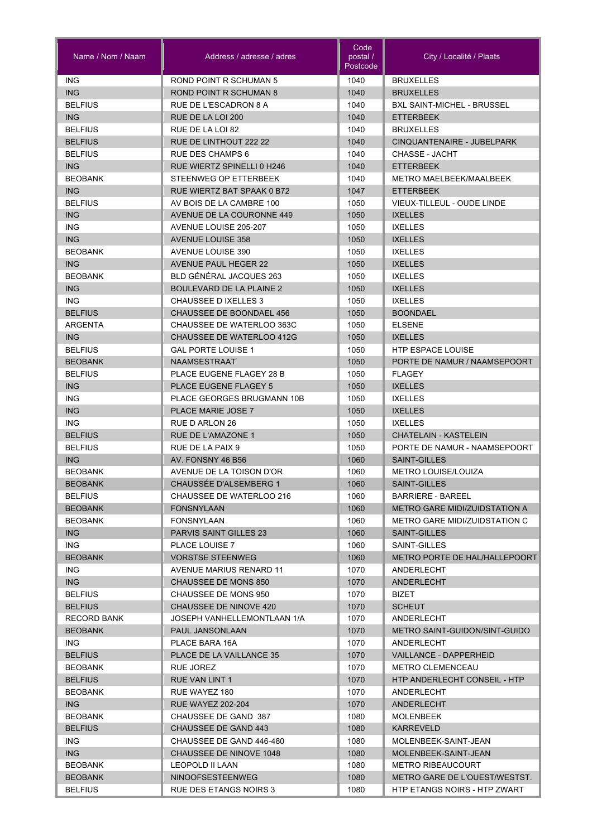| Name / Nom / Naam                | Address / adresse / adres                     | Code<br>postal /<br>Postcode | City / Localité / Plaats                   |
|----------------------------------|-----------------------------------------------|------------------------------|--------------------------------------------|
| <b>ING</b>                       | <b>ROND POINT R SCHUMAN 5</b>                 | 1040                         | <b>BRUXELLES</b>                           |
| <b>ING</b>                       | ROND POINT R SCHUMAN 8                        | 1040                         | <b>BRUXELLES</b>                           |
| <b>BELFIUS</b>                   | RUE DE L'ESCADRON 8 A                         | 1040                         | <b>BXL SAINT-MICHEL - BRUSSEL</b>          |
| <b>ING</b>                       | RUE DE LA LOI 200                             | 1040                         | <b>ETTERBEEK</b>                           |
| <b>BELFIUS</b>                   | RUE DE LA LOI 82                              | 1040                         | <b>BRUXELLES</b>                           |
| <b>BELFIUS</b>                   | RUE DE LINTHOUT 222 22                        | 1040                         | CINQUANTENAIRE - JUBELPARK                 |
| <b>BELFIUS</b>                   | <b>RUE DES CHAMPS 6</b>                       | 1040                         | CHASSE - JACHT                             |
| <b>ING</b>                       | RUE WIERTZ SPINELLI 0 H246                    | 1040                         | <b>ETTERBEEK</b>                           |
| <b>BEOBANK</b>                   | STEENWEG OP ETTERBEEK                         | 1040                         | METRO MAELBEEK/MAALBEEK                    |
| <b>ING</b>                       | RUE WIERTZ BAT SPAAK 0 B72                    | 1047                         | <b>ETTERBEEK</b>                           |
| <b>BELFIUS</b>                   | AV BOIS DE LA CAMBRE 100                      | 1050                         | VIEUX-TILLEUL - OUDE LINDE                 |
| <b>ING</b>                       | AVENUE DE LA COURONNE 449                     | 1050                         | <b>IXELLES</b>                             |
| <b>ING</b>                       | AVENUE LOUISE 205-207                         | 1050                         | <b>IXELLES</b>                             |
| <b>ING</b>                       | <b>AVENUE LOUISE 358</b>                      | 1050                         | <b>IXELLES</b>                             |
| <b>BEOBANK</b>                   | AVENUE LOUISE 390                             | 1050                         | <b>IXELLES</b>                             |
| <b>ING</b>                       | <b>AVENUE PAUL HEGER 22</b>                   | 1050                         | <b>IXELLES</b>                             |
| <b>BEOBANK</b>                   | BLD GÉNÉRAL JACQUES 263                       | 1050                         | <b>IXELLES</b>                             |
| <b>ING</b>                       | <b>BOULEVARD DE LA PLAINE 2</b>               | 1050                         | <b>IXELLES</b>                             |
| <b>ING</b>                       | CHAUSSEE D IXELLES 3                          | 1050                         | <b>IXELLES</b>                             |
| <b>BELFIUS</b>                   | <b>CHAUSSEE DE BOONDAEL 456</b>               | 1050                         | <b>BOONDAEL</b>                            |
| ARGENTA                          | CHAUSSEE DE WATERLOO 363C                     | 1050                         | <b>ELSENE</b>                              |
| <b>ING</b>                       | CHAUSSEE DE WATERLOO 412G                     | 1050                         | <b>IXELLES</b>                             |
| <b>BELFIUS</b>                   | <b>GAL PORTE LOUISE 1</b>                     | 1050                         | <b>HTP ESPACE LOUISE</b>                   |
| <b>BEOBANK</b>                   | <b>NAAMSESTRAAT</b>                           | 1050                         | PORTE DE NAMUR / NAAMSEPOORT               |
| <b>BELFIUS</b>                   | PLACE EUGENE FLAGEY 28 B                      | 1050                         | <b>FLAGEY</b>                              |
| <b>ING</b>                       | <b>PLACE EUGENE FLAGEY 5</b>                  | 1050                         | <b>IXELLES</b>                             |
| <b>ING</b>                       | <b>PLACE GEORGES BRUGMANN 10B</b>             | 1050                         | <b>IXELLES</b>                             |
| <b>ING</b>                       | <b>PLACE MARIE JOSE 7</b>                     | 1050                         | <b>IXELLES</b>                             |
| <b>ING</b>                       | RUE D ARLON 26                                | 1050                         | <b>IXELLES</b>                             |
| <b>BELFIUS</b>                   | RUE DE L'AMAZONE 1                            | 1050                         | CHATELAIN - KASTELEIN                      |
| <b>BELFIUS</b>                   | RUE DE LA PAIX 9                              | 1050                         | PORTE DE NAMUR - NAAMSEPOORT               |
| <b>ING</b><br><b>BEOBANK</b>     | AV. FONSNY 46 B56<br>AVENUE DE LA TOISON D'OR | 1060<br>1060                 | SAINT-GILLES<br><b>METRO LOUISE/LOUIZA</b> |
|                                  | CHAUSSÉE D'ALSEMBERG 1                        |                              | <b>SAINT-GILLES</b>                        |
| <b>BEOBANK</b><br><b>BELFIUS</b> | CHAUSSEE DE WATERLOO 216                      | 1060<br>1060                 | <b>BARRIERE - BAREEL</b>                   |
| <b>BEOBANK</b>                   | <b>FONSNYLAAN</b>                             | 1060                         | <b>METRO GARE MIDI/ZUIDSTATION A</b>       |
| <b>BEOBANK</b>                   | FONSNYLAAN                                    | 1060                         | METRO GARE MIDI/ZUIDSTATION C              |
| <b>ING</b>                       | <b>PARVIS SAINT GILLES 23</b>                 | 1060                         | <b>SAINT-GILLES</b>                        |
| ING.                             | PLACE LOUISE 7                                | 1060                         | SAINT-GILLES                               |
| <b>BEOBANK</b>                   | <b>VORSTSE STEENWEG</b>                       | 1060                         | <b>METRO PORTE DE HAL/HALLEPOORT</b>       |
| ING.                             | AVENUE MARIUS RENARD 11                       | 1070                         | ANDERLECHT                                 |
| ING                              | CHAUSSEE DE MONS 850                          | 1070                         | ANDERLECHT                                 |
| <b>BELFIUS</b>                   | CHAUSSEE DE MONS 950                          | 1070                         | <b>BIZET</b>                               |
| <b>BELFIUS</b>                   | CHAUSSEE DE NINOVE 420                        | 1070                         | <b>SCHEUT</b>                              |
| <b>RECORD BANK</b>               | JOSEPH VANHELLEMONTLAAN 1/A                   | 1070                         | ANDERLECHT                                 |
| <b>BEOBANK</b>                   | PAUL JANSONLAAN                               | 1070                         | METRO SAINT-GUIDON/SINT-GUIDO              |
| ING.                             | PLACE BARA 16A                                | 1070                         | ANDERLECHT                                 |
| <b>BELFIUS</b>                   | PLACE DE LA VAILLANCE 35                      | 1070                         | <b>VAILLANCE - DAPPERHEID</b>              |
| <b>BEOBANK</b>                   | <b>RUE JOREZ</b>                              | 1070                         | <b>METRO CLEMENCEAU</b>                    |
| <b>BELFIUS</b>                   | <b>RUE VAN LINT 1</b>                         | 1070                         | HTP ANDERLECHT CONSEIL - HTP               |
| <b>BEOBANK</b>                   | RUE WAYEZ 180                                 | 1070                         | ANDERLECHT                                 |
| ING                              | <b>RUE WAYEZ 202-204</b>                      | 1070                         | <b>ANDERLECHT</b>                          |
| <b>BEOBANK</b>                   | CHAUSSEE DE GAND 387                          | 1080                         | MOLENBEEK                                  |
| <b>BELFIUS</b>                   | CHAUSSEE DE GAND 443                          | 1080                         | <b>KARREVELD</b>                           |
| ING.                             | CHAUSSEE DE GAND 446-480                      | 1080                         | MOLENBEEK-SAINT-JEAN                       |
| ING                              | CHAUSSEE DE NINOVE 1048                       | 1080                         | MOLENBEEK-SAINT-JEAN                       |
| <b>BEOBANK</b>                   | LEOPOLD II LAAN                               | 1080                         | <b>METRO RIBEAUCOURT</b>                   |
| <b>BEOBANK</b>                   | <b>NINOOFSESTEENWEG</b>                       | 1080                         | METRO GARE DE L'OUEST/WESTST.              |
| <b>BELFIUS</b>                   | RUE DES ETANGS NOIRS 3                        | 1080                         | HTP ETANGS NOIRS - HTP ZWART               |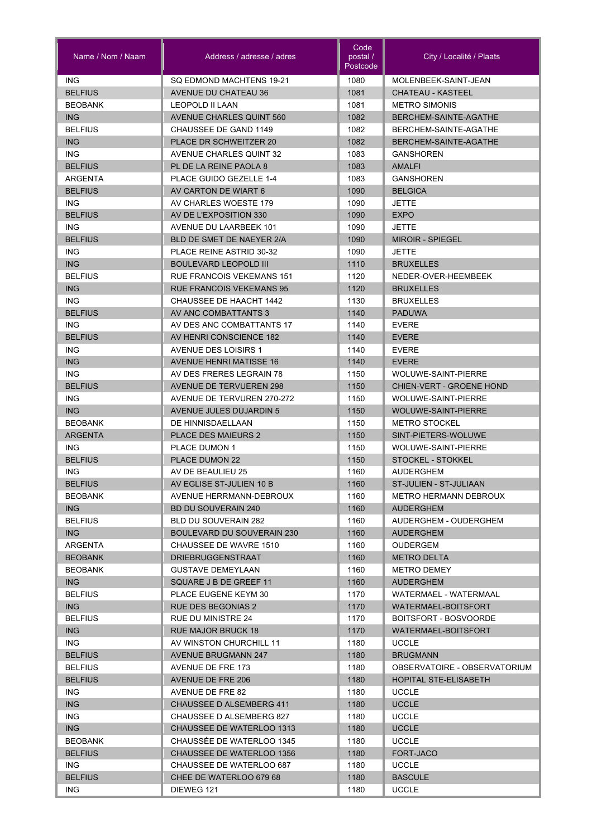| Name / Nom / Naam                | Address / adresse / adres                            | Code<br>postal /<br>Postcode | City / Localité / Plaats                        |
|----------------------------------|------------------------------------------------------|------------------------------|-------------------------------------------------|
| <b>ING</b>                       | SQ EDMOND MACHTENS 19-21                             | 1080                         | MOLENBEEK-SAINT-JEAN                            |
| <b>BELFIUS</b>                   | <b>AVENUE DU CHATEAU 36</b>                          | 1081                         | CHATEAU - KASTEEL                               |
| <b>BEOBANK</b>                   | <b>LEOPOLD II LAAN</b>                               | 1081                         | <b>METRO SIMONIS</b>                            |
| <b>ING</b>                       | <b>AVENUE CHARLES QUINT 560</b>                      | 1082                         | BERCHEM-SAINTE-AGATHE                           |
| <b>BELFIUS</b>                   | CHAUSSEE DE GAND 1149                                | 1082                         | BERCHEM-SAINTE-AGATHE                           |
| <b>ING</b>                       | PLACE DR SCHWEITZER 20                               | 1082                         | BERCHEM-SAINTE-AGATHE                           |
| <b>ING</b>                       | <b>AVENUE CHARLES QUINT 32</b>                       | 1083                         | <b>GANSHOREN</b>                                |
| <b>BELFIUS</b>                   | PL DE LA REINE PAOLA 8                               | 1083                         | <b>AMALFI</b>                                   |
| ARGENTA                          | PLACE GUIDO GEZELLE 1-4                              | 1083                         | <b>GANSHOREN</b>                                |
| <b>BELFIUS</b>                   | AV CARTON DE WIART 6                                 | 1090                         | <b>BELGICA</b>                                  |
| <b>ING</b>                       | AV CHARLES WOESTE 179                                | 1090                         | <b>JETTE</b>                                    |
| <b>BELFIUS</b>                   | AV DE L'EXPOSITION 330                               | 1090                         | <b>EXPO</b>                                     |
| <b>ING</b>                       | <b>AVENUE DU LAARBEEK 101</b>                        | 1090                         | <b>JETTE</b>                                    |
| <b>BELFIUS</b>                   | BLD DE SMET DE NAEYER 2/A                            | 1090                         | <b>MIROIR - SPIEGEL</b>                         |
| <b>ING</b>                       | PLACE REINE ASTRID 30-32                             | 1090                         | <b>JETTE</b>                                    |
| <b>ING</b>                       | <b>BOULEVARD LEOPOLD III</b>                         | 1110                         | <b>BRUXELLES</b>                                |
| <b>BELFIUS</b>                   | RUE FRANCOIS VEKEMANS 151                            | 1120                         | NEDER-OVER-HEEMBEEK                             |
| <b>ING</b>                       | <b>RUE FRANCOIS VEKEMANS 95</b>                      | 1120                         | <b>BRUXELLES</b>                                |
| <b>ING</b>                       | CHAUSSEE DE HAACHT 1442                              | 1130                         | <b>BRUXELLES</b>                                |
| <b>BELFIUS</b>                   | AV ANC COMBATTANTS 3                                 | 1140                         | <b>PADUWA</b>                                   |
| ING.<br><b>BELFIUS</b>           | AV DES ANC COMBATTANTS 17<br>AV HENRI CONSCIENCE 182 | 1140<br>1140                 | <b>EVERE</b><br><b>EVERE</b>                    |
| <b>ING</b>                       | <b>AVENUE DES LOISIRS 1</b>                          | 1140                         | <b>EVERE</b>                                    |
| <b>ING</b>                       | <b>AVENUE HENRI MATISSE 16</b>                       | 1140                         | <b>EVERE</b>                                    |
| <b>ING</b>                       | AV DES FRERES LEGRAIN 78                             | 1150                         | WOLUWE-SAINT-PIERRE                             |
| <b>BELFIUS</b>                   | <b>AVENUE DE TERVUEREN 298</b>                       | 1150                         | CHIEN-VERT - GROENE HOND                        |
| <b>ING</b>                       | AVENUE DE TERVUREN 270-272                           | 1150                         | <b>WOLUWE-SAINT-PIERRE</b>                      |
| <b>ING</b>                       | <b>AVENUE JULES DUJARDIN 5</b>                       | 1150                         | <b>WOLUWE-SAINT-PIERRE</b>                      |
| <b>BEOBANK</b>                   | DE HINNISDAELLAAN                                    | 1150                         | <b>METRO STOCKEL</b>                            |
| <b>ARGENTA</b>                   | <b>PLACE DES MAIEURS 2</b>                           | 1150                         | SINT-PIETERS-WOLUWE                             |
| <b>ING</b>                       | <b>PLACE DUMON 1</b>                                 | 1150                         | WOLUWE-SAINT-PIERRE                             |
| <b>BELFIUS</b>                   | PLACE DUMON 22                                       | 1150                         | <b>STOCKEL - STOKKEL</b>                        |
| ING                              | AV DE BEAULIEU 25                                    | 1160                         | <b>AUDERGHEM</b>                                |
| <b>BELFIUS</b>                   | AV EGLISE ST-JULIEN 10 B                             | 1160                         | ST-JULIEN - ST-JULIAAN                          |
| <b>BEOBANK</b>                   | AVENUE HERRMANN-DEBROUX                              | 1160                         | METRO HERMANN DEBROUX                           |
| ING                              | <b>BD DU SOUVERAIN 240</b>                           | 1160                         | <b>AUDERGHEM</b>                                |
| <b>BELFIUS</b>                   | BLD DU SOUVERAIN 282                                 | 1160                         | AUDERGHEM - OUDERGHEM                           |
| ING                              | <b>BOULEVARD DU SOUVERAIN 230</b>                    | 1160                         | <b>AUDERGHEM</b>                                |
| ARGENTA                          | CHAUSSEE DE WAVRE 1510                               | 1160                         | OUDERGEM                                        |
| <b>BEOBANK</b>                   | <b>DRIEBRUGGENSTRAAT</b>                             | 1160                         | <b>METRO DELTA</b>                              |
| <b>BEOBANK</b>                   | <b>GUSTAVE DEMEYLAAN</b>                             | 1160                         | <b>METRO DEMEY</b>                              |
| <b>ING</b>                       | SQUARE J B DE GREEF 11                               | 1160                         | <b>AUDERGHEM</b>                                |
| <b>BELFIUS</b>                   | PLACE EUGENE KEYM 30                                 | 1170                         | WATERMAEL - WATERMAAL                           |
| <b>ING</b>                       | <b>RUE DES BEGONIAS 2</b>                            | 1170                         | WATERMAEL-BOITSFORT                             |
| <b>BELFIUS</b>                   | RUE DU MINISTRE 24                                   | 1170                         | BOITSFORT - BOSVOORDE                           |
| <b>ING</b>                       | <b>RUE MAJOR BRUCK 18</b>                            | 1170                         | WATERMAEL-BOITSFORT                             |
| ING.                             | AV WINSTON CHURCHILL 11                              | 1180                         | <b>UCCLE</b>                                    |
| <b>BELFIUS</b>                   | <b>AVENUE BRUGMANN 247</b>                           | 1180<br>1180                 | <b>BRUGMANN</b><br>OBSERVATOIRE - OBSERVATORIUM |
| <b>BELFIUS</b><br><b>BELFIUS</b> | AVENUE DE FRE 173<br>AVENUE DE FRE 206               | 1180                         | HOPITAL STE-ELISABETH                           |
| ING.                             | AVENUE DE FRE 82                                     | 1180                         | <b>UCCLE</b>                                    |
| <b>ING</b>                       | <b>CHAUSSEE D ALSEMBERG 411</b>                      | 1180                         | <b>UCCLE</b>                                    |
| ING.                             | CHAUSSEE D ALSEMBERG 827                             | 1180                         | <b>UCCLE</b>                                    |
| <b>ING</b>                       | <b>CHAUSSEE DE WATERLOO 1313</b>                     | 1180                         | <b>UCCLE</b>                                    |
| <b>BEOBANK</b>                   | CHAUSSÉE DE WATERLOO 1345                            | 1180                         | <b>UCCLE</b>                                    |
| <b>BELFIUS</b>                   | <b>CHAUSSEE DE WATERLOO 1356</b>                     | 1180                         | FORT-JACO                                       |
| ING.                             | CHAUSSEE DE WATERLOO 687                             | 1180                         | <b>UCCLE</b>                                    |
| <b>BELFIUS</b>                   | CHEE DE WATERLOO 679 68                              | 1180                         | <b>BASCULE</b>                                  |
| ING.                             | DIEWEG 121                                           | 1180                         | <b>UCCLE</b>                                    |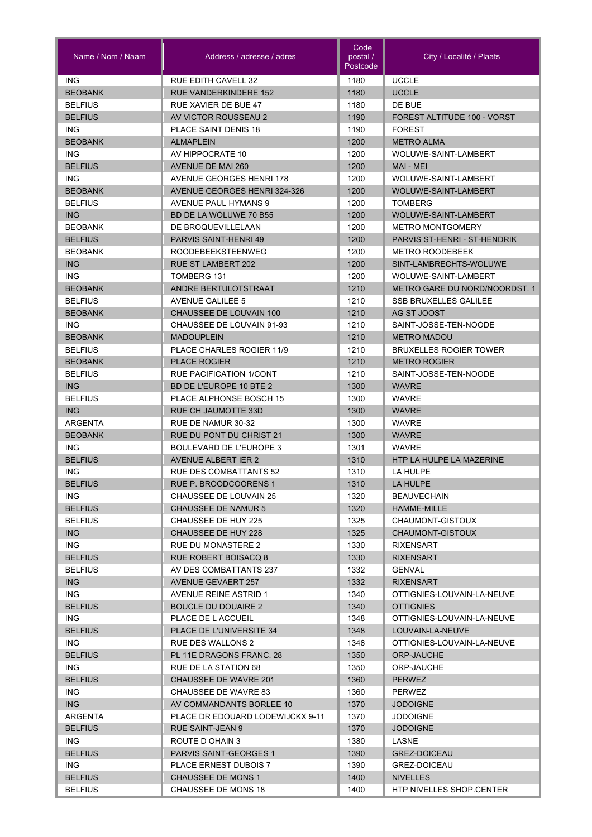| Name / Nom / Naam            | Address / adresse / adres                                 | Code<br>postal /<br>Postcode | City / Localité / Plaats                                             |
|------------------------------|-----------------------------------------------------------|------------------------------|----------------------------------------------------------------------|
| <b>ING</b>                   | <b>RUE EDITH CAVELL 32</b>                                | 1180                         | <b>UCCLE</b>                                                         |
| <b>BEOBANK</b>               | <b>RUE VANDERKINDERE 152</b>                              | 1180                         | <b>UCCLE</b>                                                         |
| <b>BELFIUS</b>               | RUE XAVIER DE BUE 47                                      | 1180                         | DE BUE                                                               |
| <b>BELFIUS</b>               | AV VICTOR ROUSSEAU 2                                      | 1190                         | FOREST ALTITUDE 100 - VORST                                          |
| ING.                         | <b>PLACE SAINT DENIS 18</b>                               | 1190                         | <b>FOREST</b>                                                        |
| <b>BEOBANK</b>               | <b>ALMAPLEIN</b>                                          | 1200                         | <b>METRO ALMA</b>                                                    |
| <b>ING</b>                   | AV HIPPOCRATE 10                                          | 1200                         | WOLUWE-SAINT-LAMBERT                                                 |
| <b>BELFIUS</b>               | AVENUE DE MAI 260                                         | 1200                         | MAI - MEI                                                            |
| <b>ING</b>                   | AVENUE GEORGES HENRI 178                                  | 1200                         | WOLUWE-SAINT-LAMBERT                                                 |
| <b>BEOBANK</b>               | <b>AVENUE GEORGES HENRI 324-326</b>                       | 1200                         | WOLUWE-SAINT-LAMBERT                                                 |
| <b>BELFIUS</b>               | AVENUE PAUL HYMANS 9                                      | 1200                         | <b>TOMBERG</b>                                                       |
| <b>ING</b>                   | BD DE LA WOLUWE 70 B55                                    | 1200                         | WOLUWE-SAINT-LAMBERT                                                 |
| <b>BEOBANK</b>               | DE BROQUEVILLELAAN                                        | 1200                         | <b>METRO MONTGOMERY</b>                                              |
| <b>BELFIUS</b>               | <b>PARVIS SAINT-HENRI 49</b>                              | 1200                         | PARVIS ST-HENRI - ST-HENDRIK                                         |
| <b>BEOBANK</b>               | <b>ROODEBEEKSTEENWEG</b>                                  | 1200                         | <b>METRO ROODEBEEK</b>                                               |
| <b>ING</b>                   | <b>RUE ST LAMBERT 202</b>                                 | 1200                         | SINT-LAMBRECHTS-WOLUWE                                               |
| <b>ING</b><br><b>BEOBANK</b> | TOMBERG 131                                               | 1200                         | WOLUWE-SAINT-LAMBERT                                                 |
| <b>BELFIUS</b>               | ANDRE BERTULOTSTRAAT                                      | 1210                         | <b>METRO GARE DU NORD/NOORDST. 1</b><br><b>SSB BRUXELLES GALILEE</b> |
|                              | <b>AVENUE GALILEE 5</b><br><b>CHAUSSEE DE LOUVAIN 100</b> | 1210                         |                                                                      |
| <b>BEOBANK</b><br>ING.       | CHAUSSEE DE LOUVAIN 91-93                                 | 1210<br>1210                 | AG ST JOOST<br>SAINT-JOSSE-TEN-NOODE                                 |
| <b>BEOBANK</b>               | <b>MADOUPLEIN</b>                                         | 1210                         | <b>METRO MADOU</b>                                                   |
| <b>BELFIUS</b>               | PLACE CHARLES ROGIER 11/9                                 | 1210                         | <b>BRUXELLES ROGIER TOWER</b>                                        |
| <b>BEOBANK</b>               | <b>PLACE ROGIER</b>                                       | 1210                         | <b>METRO ROGIER</b>                                                  |
| <b>BELFIUS</b>               | <b>RUE PACIFICATION 1/CONT</b>                            | 1210                         | SAINT-JOSSE-TEN-NOODE                                                |
| <b>ING</b>                   | BD DE L'EUROPE 10 BTE 2                                   | 1300                         | <b>WAVRE</b>                                                         |
| <b>BELFIUS</b>               | PLACE ALPHONSE BOSCH 15                                   | 1300                         | <b>WAVRE</b>                                                         |
| <b>ING</b>                   | <b>RUE CH JAUMOTTE 33D</b>                                | 1300                         | <b>WAVRE</b>                                                         |
| ARGENTA                      | RUE DE NAMUR 30-32                                        | 1300                         | <b>WAVRE</b>                                                         |
| <b>BEOBANK</b>               | RUE DU PONT DU CHRIST 21                                  | 1300                         | <b>WAVRE</b>                                                         |
| <b>ING</b>                   | <b>BOULEVARD DE L'EUROPE 3</b>                            | 1301                         | <b>WAVRE</b>                                                         |
| <b>BELFIUS</b>               | AVENUE ALBERT IER 2                                       | 1310                         | HTP LA HULPE LA MAZERINE                                             |
| <b>ING</b>                   | <b>RUE DES COMBATTANTS 52</b>                             | 1310                         | LA HULPE                                                             |
| <b>BELFIUS</b>               | RUE P. BROODCOORENS 1                                     | 1310                         | <b>LA HULPE</b>                                                      |
| ING.                         | CHAUSSEE DE LOUVAIN 25                                    | 1320                         | <b>BEAUVECHAIN</b>                                                   |
| <b>BELFIUS</b>               | <b>CHAUSSEE DE NAMUR 5</b>                                | 1320                         | HAMME-MILLE                                                          |
| <b>BELFIUS</b>               | CHAUSSEE DE HUY 225                                       | 1325                         | CHAUMONT-GISTOUX                                                     |
| ING                          | CHAUSSEE DE HUY 228                                       | 1325                         | CHAUMONT-GISTOUX                                                     |
| ING.                         | RUE DU MONASTERE 2                                        | 1330                         | <b>RIXENSART</b>                                                     |
| <b>BELFIUS</b>               | <b>RUE ROBERT BOISACQ 8</b>                               | 1330                         | <b>RIXENSART</b>                                                     |
| <b>BELFIUS</b>               | AV DES COMBATTANTS 237                                    | 1332                         | <b>GENVAL</b>                                                        |
| <b>ING</b>                   | AVENUE GEVAERT 257                                        | 1332                         | <b>RIXENSART</b>                                                     |
| ING.                         | <b>AVENUE REINE ASTRID 1</b>                              | 1340                         | OTTIGNIES-LOUVAIN-LA-NEUVE                                           |
| <b>BELFIUS</b>               | <b>BOUCLE DU DOUAIRE 2</b>                                | 1340                         | <b>OTTIGNIES</b>                                                     |
| ING.                         | PLACE DE L ACCUEIL                                        | 1348                         | OTTIGNIES-LOUVAIN-LA-NEUVE                                           |
| <b>BELFIUS</b>               | PLACE DE L'UNIVERSITE 34                                  | 1348                         | LOUVAIN-LA-NEUVE                                                     |
| ING.                         | <b>RUE DES WALLONS 2</b>                                  | 1348                         | OTTIGNIES-LOUVAIN-LA-NEUVE                                           |
| <b>BELFIUS</b>               | PL 11E DRAGONS FRANC. 28                                  | 1350                         | ORP-JAUCHE                                                           |
| ING.                         | RUE DE LA STATION 68                                      | 1350                         | ORP-JAUCHE                                                           |
| <b>BELFIUS</b>               | <b>CHAUSSEE DE WAVRE 201</b>                              | 1360                         | <b>PERWEZ</b>                                                        |
| ING.                         | <b>CHAUSSEE DE WAVRE 83</b>                               | 1360                         | <b>PERWEZ</b>                                                        |
| ING                          | AV COMMANDANTS BORLEE 10                                  | 1370                         | <b>JODOIGNE</b>                                                      |
| <b>ARGENTA</b>               | PLACE DR EDOUARD LODEWIJCKX 9-11                          | 1370                         | <b>JODOIGNE</b>                                                      |
| <b>BELFIUS</b>               | RUE SAINT-JEAN 9                                          | 1370                         | <b>JODOIGNE</b>                                                      |
| ING.                         | ROUTE D OHAIN 3                                           | 1380                         | LASNE                                                                |
| <b>BELFIUS</b>               | <b>PARVIS SAINT-GEORGES 1</b>                             | 1390                         | <b>GREZ-DOICEAU</b>                                                  |
| ING.                         | PLACE ERNEST DUBOIS 7                                     | 1390                         | GREZ-DOICEAU                                                         |
| <b>BELFIUS</b>               | <b>CHAUSSEE DE MONS 1</b>                                 | 1400                         | <b>NIVELLES</b>                                                      |
| <b>BELFIUS</b>               | CHAUSSEE DE MONS 18                                       | 1400                         | HTP NIVELLES SHOP.CENTER                                             |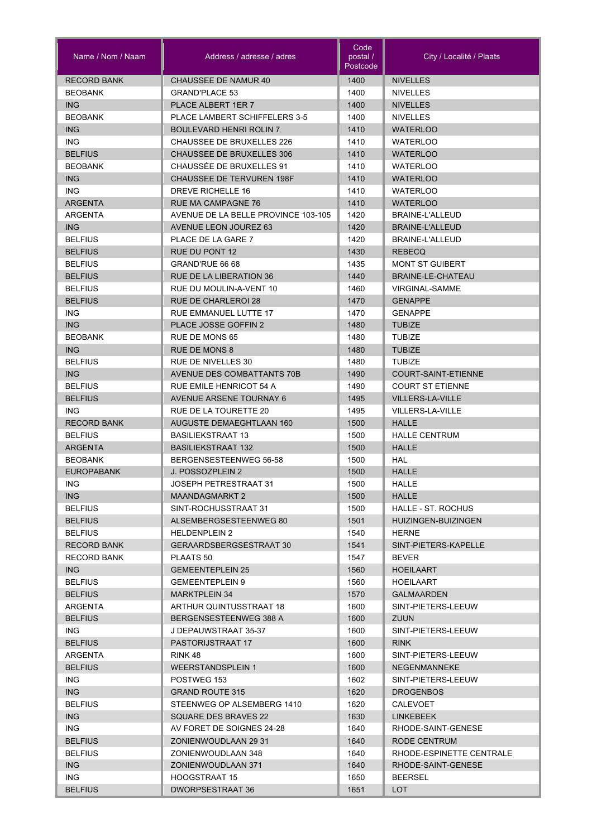| Name / Nom / Naam                | Address / adresse / adres                      | Code<br>postal /<br>Postcode | City / Localité / Plaats                  |
|----------------------------------|------------------------------------------------|------------------------------|-------------------------------------------|
| <b>RECORD BANK</b>               | CHAUSSEE DE NAMUR 40                           | 1400                         | <b>NIVELLES</b>                           |
| <b>BEOBANK</b>                   | <b>GRAND'PLACE 53</b>                          | 1400                         | <b>NIVELLES</b>                           |
| <b>ING</b>                       | PLACE ALBERT 1ER 7                             | 1400                         | <b>NIVELLES</b>                           |
| <b>BEOBANK</b>                   | PLACE LAMBERT SCHIFFELERS 3-5                  | 1400                         | <b>NIVELLES</b>                           |
| <b>ING</b>                       | <b>BOULEVARD HENRI ROLIN 7</b>                 | 1410                         | <b>WATERLOO</b>                           |
| <b>ING</b>                       | <b>CHAUSSEE DE BRUXELLES 226</b>               | 1410                         | <b>WATERLOO</b>                           |
| <b>BELFIUS</b>                   | <b>CHAUSSEE DE BRUXELLES 306</b>               | 1410                         | <b>WATERLOO</b>                           |
| <b>BEOBANK</b>                   | CHAUSSÉE DE BRUXELLES 91                       | 1410                         | <b>WATERLOO</b>                           |
| <b>ING</b>                       | <b>CHAUSSEE DE TERVUREN 198F</b>               | 1410                         | <b>WATERLOO</b>                           |
| <b>ING</b>                       | <b>DREVE RICHELLE 16</b>                       | 1410                         | <b>WATERLOO</b>                           |
| <b>ARGENTA</b>                   | <b>RUE MA CAMPAGNE 76</b>                      | 1410                         | <b>WATERLOO</b>                           |
| <b>ARGENTA</b>                   | AVENUE DE LA BELLE PROVINCE 103-105            | 1420                         | BRAINE-L'ALLEUD                           |
| <b>ING</b>                       | AVENUE LEON JOUREZ 63                          | 1420                         | <b>BRAINE-L'ALLEUD</b>                    |
| <b>BELFIUS</b>                   | PLACE DE LA GARE 7                             | 1420                         | BRAINE-L'ALLEUD                           |
| <b>BELFIUS</b>                   | RUE DU PONT 12                                 | 1430                         | <b>REBECQ</b>                             |
| <b>BELFIUS</b>                   | GRAND'RUE 66 68                                | 1435                         | <b>MONT ST GUIBERT</b>                    |
| <b>BELFIUS</b>                   | <b>RUE DE LA LIBERATION 36</b>                 | 1440                         | BRAINE-LE-CHATEAU                         |
| <b>BELFIUS</b>                   | RUE DU MOULIN-A-VENT 10                        | 1460                         | <b>VIRGINAL-SAMME</b>                     |
| <b>BELFIUS</b>                   | <b>RUE DE CHARLEROI 28</b>                     | 1470                         | <b>GENAPPE</b>                            |
| <b>ING</b>                       | RUE EMMANUEL LUTTE 17                          | 1470                         | <b>GENAPPE</b>                            |
| <b>ING</b>                       | PLACE JOSSE GOFFIN 2                           | 1480                         | <b>TUBIZE</b>                             |
| <b>BEOBANK</b>                   | RUE DE MONS 65                                 | 1480                         | <b>TUBIZE</b>                             |
| <b>ING</b>                       | <b>RUE DE MONS 8</b>                           | 1480                         | <b>TUBIZE</b>                             |
| <b>BELFIUS</b>                   | <b>RUE DE NIVELLES 30</b>                      | 1480                         | <b>TUBIZE</b>                             |
| <b>ING</b>                       | AVENUE DES COMBATTANTS 70B                     | 1490                         | COURT-SAINT-ETIENNE                       |
| <b>BELFIUS</b>                   | RUE EMILE HENRICOT 54 A                        | 1490                         | <b>COURT ST ETIENNE</b>                   |
| <b>BELFIUS</b>                   | <b>AVENUE ARSENE TOURNAY 6</b>                 | 1495                         | <b>VILLERS-LA-VILLE</b>                   |
| ING.                             | RUE DE LA TOURETTE 20                          | 1495                         | VILLERS-LA-VILLE                          |
| <b>RECORD BANK</b>               | <b>AUGUSTE DEMAEGHTLAAN 160</b>                | 1500                         | <b>HALLE</b>                              |
| <b>BELFIUS</b>                   | <b>BASILIEKSTRAAT 13</b>                       | 1500                         | <b>HALLE CENTRUM</b>                      |
| <b>ARGENTA</b>                   | <b>BASILIEKSTRAAT 132</b>                      | 1500                         | <b>HALLE</b>                              |
| <b>BEOBANK</b>                   | BERGENSESTEENWEG 56-58                         | 1500                         | <b>HAL</b>                                |
| <b>EUROPABANK</b>                | J. POSSOZPLEIN 2                               | 1500                         | <b>HALLE</b>                              |
| <b>ING</b>                       | JOSEPH PETRESTRAAT 31                          | 1500                         | <b>HALLE</b>                              |
| ING                              | MAANDAGMARKT 2                                 | 1500                         | HALLE                                     |
| <b>BELFIUS</b><br><b>BELFIUS</b> | SINT-ROCHUSSTRAAT 31<br>ALSEMBERGSESTEENWEG 80 | 1500<br>1501                 | HALLE - ST. ROCHUS<br>HUIZINGEN-BUIZINGEN |
| <b>BELFIUS</b>                   | <b>HELDENPLEIN 2</b>                           | 1540                         | <b>HERNE</b>                              |
| <b>RECORD BANK</b>               | GERAARDSBERGSESTRAAT 30                        | 1541                         | SINT-PIETERS-KAPELLE                      |
| <b>RECORD BANK</b>               | PLAATS 50                                      | 1547                         | BEVER                                     |
| ING                              | <b>GEMEENTEPLEIN 25</b>                        | 1560                         | <b>HOEILAART</b>                          |
| <b>BELFIUS</b>                   | <b>GEMEENTEPLEIN 9</b>                         | 1560                         | HOEILAART                                 |
| <b>BELFIUS</b>                   | <b>MARKTPLEIN 34</b>                           | 1570                         | <b>GALMAARDEN</b>                         |
| ARGENTA                          | ARTHUR QUINTUSSTRAAT 18                        | 1600                         | SINT-PIETERS-LEEUW                        |
| <b>BELFIUS</b>                   | BERGENSESTEENWEG 388 A                         | 1600                         | ZUUN                                      |
| ING                              | J DEPAUWSTRAAT 35-37                           | 1600                         | SINT-PIETERS-LEEUW                        |
| <b>BELFIUS</b>                   | <b>PASTORIJSTRAAT 17</b>                       | 1600                         | <b>RINK</b>                               |
| ARGENTA                          | RINK 48                                        | 1600                         | SINT-PIETERS-LEEUW                        |
| <b>BELFIUS</b>                   | <b>WEERSTANDSPLEIN 1</b>                       | 1600                         | <b>NEGENMANNEKE</b>                       |
| ING.                             | POSTWEG 153                                    | 1602                         | SINT-PIETERS-LEEUW                        |
| ING                              | <b>GRAND ROUTE 315</b>                         | 1620                         | <b>DROGENBOS</b>                          |
| <b>BELFIUS</b>                   | STEENWEG OP ALSEMBERG 1410                     | 1620                         | <b>CALEVOET</b>                           |
| <b>ING</b>                       | SQUARE DES BRAVES 22                           | 1630                         | LINKEBEEK                                 |
| ING.                             | AV FORET DE SOIGNES 24-28                      | 1640                         | RHODE-SAINT-GENESE                        |
| <b>BELFIUS</b>                   | ZONIENWOUDLAAN 29 31                           | 1640                         | RODE CENTRUM                              |
| <b>BELFIUS</b>                   | ZONIENWOUDLAAN 348                             | 1640                         | RHODE-ESPINETTE CENTRALE                  |
| ING                              | <b>ZONIENWOUDLAAN 371</b>                      | 1640                         | RHODE-SAINT-GENESE                        |
| ING.                             | <b>HOOGSTRAAT 15</b>                           | 1650                         | <b>BEERSEL</b>                            |
| <b>BELFIUS</b>                   | DWORPSESTRAAT 36                               | 1651                         | LOT                                       |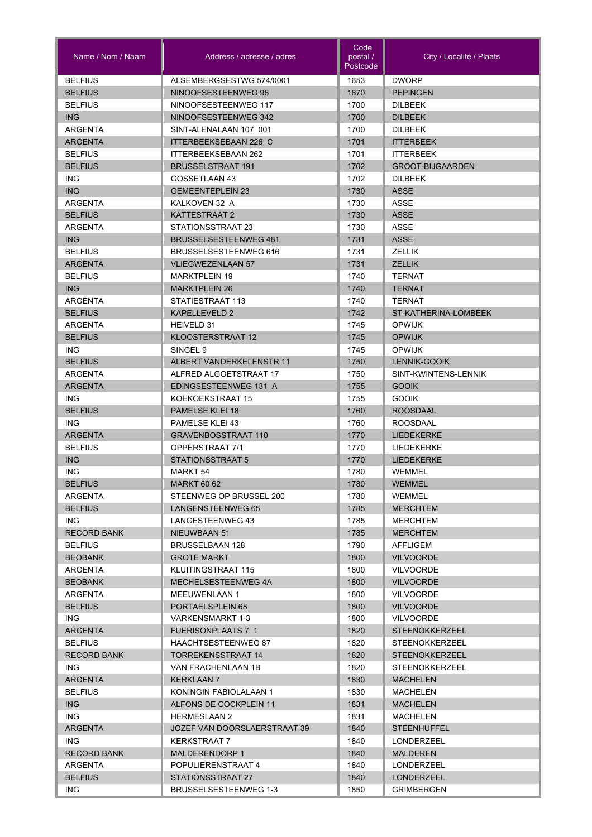| Name / Nom / Naam                    | Address / adresse / adres                               | Code<br>postal /<br>Postcode | City / Localité / Plaats                       |
|--------------------------------------|---------------------------------------------------------|------------------------------|------------------------------------------------|
| <b>BELFIUS</b>                       | ALSEMBERGSESTWG 574/0001                                | 1653                         | <b>DWORP</b>                                   |
| <b>BELFIUS</b>                       | NINOOFSESTEENWEG 96                                     | 1670                         | <b>PEPINGEN</b>                                |
| <b>BELFIUS</b>                       | NINOOFSESTEENWEG 117                                    | 1700                         | <b>DILBEEK</b>                                 |
| <b>ING</b>                           | NINOOFSESTEENWEG 342                                    | 1700                         | <b>DILBEEK</b>                                 |
| <b>ARGENTA</b>                       | SINT-ALENALAAN 107 001                                  | 1700                         | <b>DILBEEK</b>                                 |
| <b>ARGENTA</b>                       | ITTERBEEKSEBAAN 226 C                                   | 1701                         | <b>ITTERBEEK</b>                               |
| <b>BELFIUS</b>                       | <b>ITTERBEEKSEBAAN 262</b>                              | 1701                         | <b>ITTERBEEK</b>                               |
| <b>BELFIUS</b>                       | <b>BRUSSELSTRAAT 191</b>                                | 1702                         | <b>GROOT-BIJGAARDEN</b>                        |
| <b>ING</b>                           | GOSSETLAAN 43                                           | 1702                         | <b>DILBEEK</b>                                 |
| <b>ING</b>                           | <b>GEMEENTEPLEIN 23</b>                                 | 1730                         | <b>ASSE</b>                                    |
| <b>ARGENTA</b>                       | KALKOVEN 32 A                                           | 1730                         | <b>ASSE</b>                                    |
| <b>BELFIUS</b>                       | <b>KATTESTRAAT 2</b>                                    | 1730                         | <b>ASSE</b>                                    |
| ARGENTA                              | STATIONSSTRAAT 23                                       | 1730                         | <b>ASSE</b>                                    |
| <b>ING</b>                           | <b>BRUSSELSESTEENWEG 481</b>                            | 1731                         | <b>ASSE</b>                                    |
| <b>BELFIUS</b>                       | BRUSSELSESTEENWEG 616                                   | 1731                         | <b>ZELLIK</b>                                  |
| <b>ARGENTA</b>                       | <b>VLIEGWEZENLAAN 57</b>                                | 1731                         | <b>ZELLIK</b>                                  |
| <b>BELFIUS</b>                       | <b>MARKTPLEIN 19</b>                                    | 1740                         | <b>TERNAT</b>                                  |
| <b>ING</b>                           | <b>MARKTPLEIN 26</b>                                    | 1740                         | <b>TERNAT</b>                                  |
| ARGENTA                              | STATIESTRAAT 113                                        | 1740                         | <b>TERNAT</b>                                  |
| <b>BELFIUS</b>                       | KAPELLEVELD 2                                           | 1742                         | ST-KATHERINA-LOMBEEK                           |
| ARGENTA                              | HEIVELD 31                                              | 1745                         | OPWIJK                                         |
| <b>BELFIUS</b>                       | KLOOSTERSTRAAT 12                                       | 1745                         | <b>OPWIJK</b>                                  |
| <b>ING</b>                           | SINGEL <sub>9</sub>                                     | 1745                         | <b>OPWIJK</b>                                  |
| <b>BELFIUS</b>                       | ALBERT VANDERKELENSTR 11                                | 1750                         | LENNIK-GOOIK                                   |
| ARGENTA                              | ALFRED ALGOETSTRAAT 17                                  | 1750                         | SINT-KWINTENS-LENNIK                           |
| <b>ARGENTA</b>                       | EDINGSESTEENWEG 131 A                                   | 1755                         | <b>GOOIK</b>                                   |
| <b>ING</b>                           | KOEKOEKSTRAAT 15                                        | 1755                         | <b>GOOIK</b>                                   |
| <b>BELFIUS</b>                       | <b>PAMELSE KLEI 18</b>                                  | 1760                         | <b>ROOSDAAL</b>                                |
| <b>ING</b>                           | <b>PAMELSE KLEI 43</b>                                  | 1760                         | <b>ROOSDAAL</b>                                |
| <b>ARGENTA</b>                       | <b>GRAVENBOSSTRAAT 110</b>                              | 1770                         | <b>LIEDEKERKE</b>                              |
| <b>BELFIUS</b>                       | OPPERSTRAAT 7/1                                         | 1770                         | <b>LIEDEKERKE</b>                              |
| <b>ING</b>                           | <b>STATIONSSTRAAT 5</b>                                 | 1770                         | <b>LIEDEKERKE</b>                              |
| <b>ING</b>                           | <b>MARKT 54</b>                                         | 1780                         | <b>WEMMEL</b>                                  |
| <b>BELFIUS</b>                       | <b>MARKT 60 62</b>                                      | 1780                         | WEMMEL                                         |
| <b>ARGENTA</b>                       | STEENWEG OP BRUSSEL 200                                 | 1780                         | <b>WEMMEL</b>                                  |
| <b>BELFIUS</b>                       | LANGENSTEENWEG 65                                       | 1785                         | <b>MERCHTEM</b>                                |
| ING.                                 | LANGESTEENWEG 43                                        | 1785                         | MERCHTEM                                       |
| <b>RECORD BANK</b>                   | NIEUWBAAN 51                                            | 1785                         | <b>MERCHTEM</b>                                |
| <b>BELFIUS</b>                       | BRUSSELBAAN 128                                         | 1790                         | AFFLIGEM                                       |
| <b>BEOBANK</b>                       | <b>GROTE MARKT</b>                                      | 1800                         | <b>VILVOORDE</b>                               |
| ARGENTA                              | KLUITINGSTRAAT 115                                      | 1800                         | <b>VILVOORDE</b>                               |
| <b>BEOBANK</b>                       | MECHELSESTEENWEG 4A                                     | 1800                         | <b>VILVOORDE</b>                               |
| ARGENTA                              | <b>MEEUWENLAAN 1</b>                                    | 1800                         | <b>VILVOORDE</b>                               |
| <b>BELFIUS</b>                       | PORTAELSPLEIN 68                                        | 1800                         | <b>VILVOORDE</b>                               |
| ING                                  | <b>VARKENSMARKT 1-3</b>                                 | 1800                         | <b>VILVOORDE</b>                               |
| <b>ARGENTA</b>                       | <b>FUERISONPLAATS 7 1</b>                               | 1820                         | <b>STEENOKKERZEEL</b>                          |
| <b>BELFIUS</b><br><b>RECORD BANK</b> | <b>HAACHTSESTEENWEG 87</b><br><b>TORREKENSSTRAAT 14</b> | 1820<br>1820                 | <b>STEENOKKERZEEL</b><br><b>STEENOKKERZEEL</b> |
| ING.                                 |                                                         | 1820                         |                                                |
| <b>ARGENTA</b>                       | VAN FRACHENLAAN 1B                                      | 1830                         | <b>STEENOKKERZEEL</b>                          |
|                                      | <b>KERKLAAN 7</b><br>KONINGIN FABIOLALAAN 1             |                              | <b>MACHELEN</b>                                |
| <b>BELFIUS</b><br><b>ING</b>         | ALFONS DE COCKPLEIN 11                                  | 1830<br>1831                 | MACHELEN<br><b>MACHELEN</b>                    |
| ING.                                 | <b>HERMESLAAN 2</b>                                     | 1831                         | MACHELEN                                       |
| <b>ARGENTA</b>                       | JOZEF VAN DOORSLAERSTRAAT 39                            | 1840                         | <b>STEENHUFFEL</b>                             |
| ING.                                 | <b>KERKSTRAAT 7</b>                                     | 1840                         | LONDERZEEL                                     |
| <b>RECORD BANK</b>                   | <b>MALDERENDORP 1</b>                                   | 1840                         | <b>MALDEREN</b>                                |
| ARGENTA                              | POPULIERENSTRAAT 4                                      | 1840                         | LONDERZEEL                                     |
| <b>BELFIUS</b>                       | STATIONSSTRAAT 27                                       | 1840                         | LONDERZEEL                                     |
| ING                                  | BRUSSELSESTEENWEG 1-3                                   | 1850                         | GRIMBERGEN                                     |
|                                      |                                                         |                              |                                                |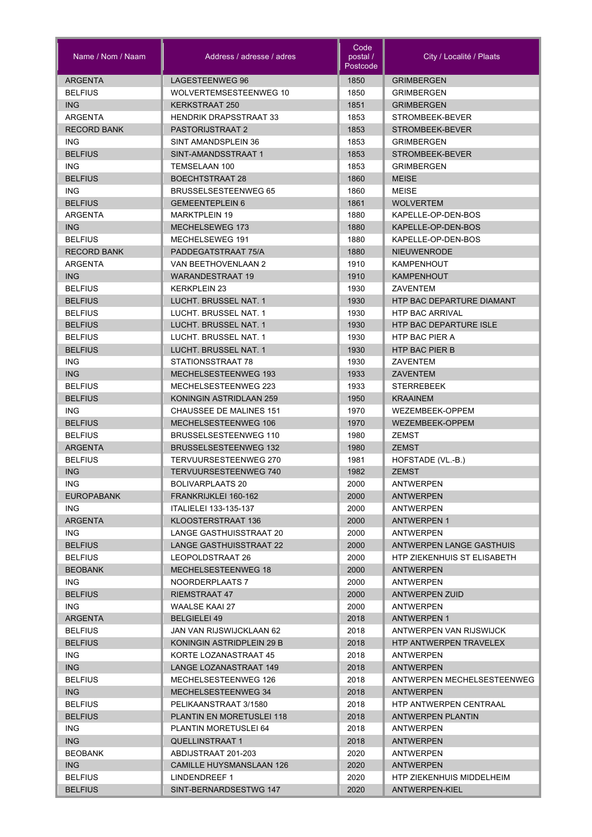| Name / Nom / Naam  | Address / adresse / adres       | Code<br>postal /<br>Postcode | City / Localité / Plaats           |
|--------------------|---------------------------------|------------------------------|------------------------------------|
| ARGENTA            | LAGESTEENWEG 96                 | 1850                         | <b>GRIMBERGEN</b>                  |
| <b>BELFIUS</b>     | WOLVERTEMSESTEENWEG 10          | 1850                         | <b>GRIMBERGEN</b>                  |
| <b>ING</b>         | <b>KERKSTRAAT 250</b>           | 1851                         | <b>GRIMBERGEN</b>                  |
| <b>ARGENTA</b>     | <b>HENDRIK DRAPSSTRAAT 33</b>   | 1853                         | STROMBEEK-BEVER                    |
| <b>RECORD BANK</b> | PASTORIJSTRAAT 2                | 1853                         | STROMBEEK-BEVER                    |
| <b>ING</b>         | SINT AMANDSPLEIN 36             | 1853                         | <b>GRIMBERGEN</b>                  |
| <b>BELFIUS</b>     | SINT-AMANDSSTRAAT 1             | 1853                         | STROMBEEK-BEVER                    |
| <b>ING</b>         | TEMSELAAN 100                   | 1853                         | <b>GRIMBERGEN</b>                  |
| <b>BELFIUS</b>     | <b>BOECHTSTRAAT 28</b>          | 1860                         | <b>MEISE</b>                       |
| <b>ING</b>         | <b>BRUSSELSESTEENWEG 65</b>     | 1860                         | <b>MEISE</b>                       |
| <b>BELFIUS</b>     | <b>GEMEENTEPLEIN 6</b>          | 1861                         | <b>WOLVERTEM</b>                   |
| <b>ARGENTA</b>     | <b>MARKTPLEIN 19</b>            | 1880                         | KAPELLE-OP-DEN-BOS                 |
| ING                | MECHELSEWEG 173                 | 1880                         | KAPELLE-OP-DEN-BOS                 |
| <b>BELFIUS</b>     | MECHELSEWEG 191                 | 1880                         | KAPELLE-OP-DEN-BOS                 |
| <b>RECORD BANK</b> | PADDEGATSTRAAT 75/A             | 1880                         | <b>NIEUWENRODE</b>                 |
| ARGENTA            | VAN BEETHOVENLAAN 2             | 1910                         | <b>KAMPENHOUT</b>                  |
| <b>ING</b>         | <b>WARANDESTRAAT 19</b>         | 1910                         | <b>KAMPENHOUT</b>                  |
| <b>BELFIUS</b>     | <b>KERKPLEIN 23</b>             | 1930                         | ZAVENTEM                           |
| <b>BELFIUS</b>     | LUCHT. BRUSSEL NAT. 1           | 1930                         | HTP BAC DEPARTURE DIAMANT          |
| <b>BELFIUS</b>     | LUCHT. BRUSSEL NAT. 1           | 1930                         | <b>HTP BAC ARRIVAL</b>             |
| <b>BELFIUS</b>     | LUCHT. BRUSSEL NAT. 1           | 1930                         | HTP BAC DEPARTURE ISLE             |
| <b>BELFIUS</b>     | LUCHT. BRUSSEL NAT. 1           | 1930                         | <b>HTP BAC PIER A</b>              |
| <b>BELFIUS</b>     | LUCHT. BRUSSEL NAT. 1           | 1930                         | <b>HTP BAC PIER B</b>              |
| <b>ING</b>         | STATIONSSTRAAT 78               | 1930                         | ZAVENTEM                           |
| <b>ING</b>         | MECHELSESTEENWEG 193            | 1933                         | <b>ZAVENTEM</b>                    |
| <b>BELFIUS</b>     | MECHELSESTEENWEG 223            | 1933                         | <b>STERREBEEK</b>                  |
| <b>BELFIUS</b>     | KONINGIN ASTRIDLAAN 259         | 1950                         | <b>KRAAINEM</b>                    |
| <b>ING</b>         | <b>CHAUSSEE DE MALINES 151</b>  | 1970                         | WEZEMBEEK-OPPEM                    |
| <b>BELFIUS</b>     | MECHELSESTEENWEG 106            | 1970                         | WEZEMBEEK-OPPEM                    |
| <b>BELFIUS</b>     | <b>BRUSSELSESTEENWEG 110</b>    | 1980                         | <b>ZEMST</b>                       |
| <b>ARGENTA</b>     | <b>BRUSSELSESTEENWEG 132</b>    | 1980                         | <b>ZEMST</b>                       |
| <b>BELFIUS</b>     | TERVUURSESTEENWEG 270           | 1981                         | HOFSTADE (VL.-B.)                  |
| <b>ING</b>         | <b>TERVUURSESTEENWEG 740</b>    | 1982                         | <b>ZEMST</b>                       |
| <b>ING</b>         | BOLIVARPLAATS 20                | 2000                         | <b>ANTWERPEN</b>                   |
| <b>EUROPABANK</b>  | FRANKRIJKLEI 160-162            | 2000                         | <b>ANTWERPEN</b>                   |
| ING.               | ITALIELEI 133-135-137           | 2000                         | ANTWERPEN                          |
| <b>ARGENTA</b>     | KLOOSTERSTRAAT 136              | 2000                         | <b>ANTWERPEN 1</b>                 |
| ING.               | LANGE GASTHUISSTRAAT 20         | 2000                         | ANTWERPEN                          |
| <b>BELFIUS</b>     | LANGE GASTHUISSTRAAT 22         | 2000                         | ANTWERPEN LANGE GASTHUIS           |
| <b>BELFIUS</b>     | LEOPOLDSTRAAT 26                | 2000                         | <b>HTP ZIEKENHUIS ST ELISABETH</b> |
| <b>BEOBANK</b>     | MECHELSESTEENWEG 18             | 2000                         | <b>ANTWERPEN</b>                   |
| ING.               | NOORDERPLAATS 7                 | 2000                         | ANTWERPEN                          |
| <b>BELFIUS</b>     | <b>RIEMSTRAAT 47</b>            | 2000                         | <b>ANTWERPEN ZUID</b>              |
| <b>ING</b>         | WAALSE KAAI 27                  | 2000                         | ANTWERPEN                          |
| <b>ARGENTA</b>     | <b>BELGIELEI 49</b>             | 2018                         | <b>ANTWERPEN 1</b>                 |
| <b>BELFIUS</b>     | JAN VAN RIJSWIJCKLAAN 62        | 2018                         | ANTWERPEN VAN RIJSWIJCK            |
| <b>BELFIUS</b>     | KONINGIN ASTRIDPLEIN 29 B       | 2018                         | HTP ANTWERPEN TRAVELEX             |
| ING.               | KORTE LOZANASTRAAT 45           | 2018                         | ANTWERPEN                          |
| ING                | LANGE LOZANASTRAAT 149          | 2018                         | <b>ANTWERPEN</b>                   |
| <b>BELFIUS</b>     | MECHELSESTEENWEG 126            | 2018                         | ANTWERPEN MECHELSESTEENWEG         |
| ING                | MECHELSESTEENWEG 34             | 2018                         | <b>ANTWERPEN</b>                   |
| <b>BELFIUS</b>     | PELIKAANSTRAAT 3/1580           | 2018                         | HTP ANTWERPEN CENTRAAL             |
| <b>BELFIUS</b>     | PLANTIN EN MORETUSLEI 118       | 2018                         | <b>ANTWERPEN PLANTIN</b>           |
| ING.               | PLANTIN MORETUSLEI 64           | 2018                         | ANTWERPEN                          |
| ING                | <b>QUELLINSTRAAT 1</b>          | 2018                         | <b>ANTWERPEN</b>                   |
| <b>BEOBANK</b>     | ABDIJSTRAAT 201-203             | 2020                         | <b>ANTWERPEN</b>                   |
| ING                | <b>CAMILLE HUYSMANSLAAN 126</b> | 2020                         | <b>ANTWERPEN</b>                   |
| <b>BELFIUS</b>     | LINDENDREEF 1                   | 2020                         | HTP ZIEKENHUIS MIDDELHEIM          |
| <b>BELFIUS</b>     | SINT-BERNARDSESTWG 147          | 2020                         | ANTWERPEN-KIEL                     |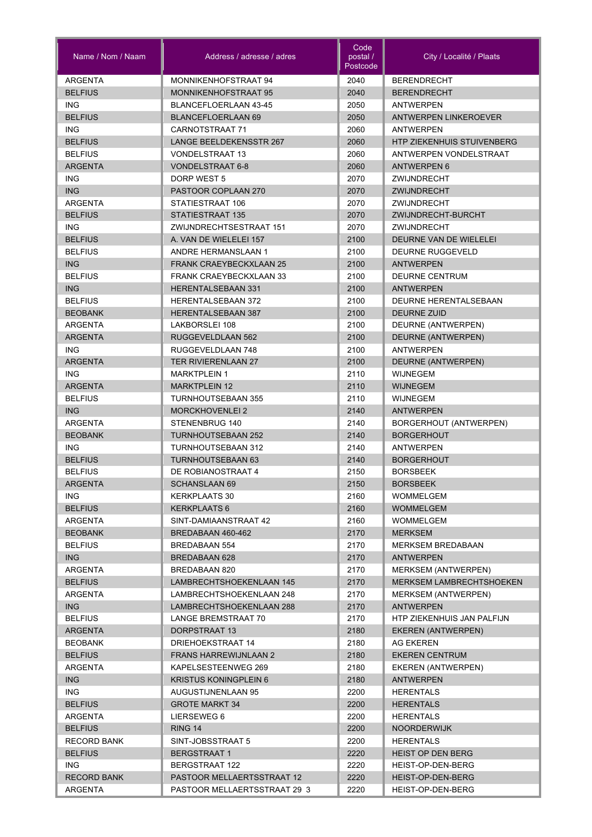| Name / Nom / Naam  | Address / adresse / adres      | Code<br>postal /<br>Postcode | City / Localité / Plaats          |
|--------------------|--------------------------------|------------------------------|-----------------------------------|
| <b>ARGENTA</b>     | MONNIKENHOFSTRAAT 94           | 2040                         | <b>BERENDRECHT</b>                |
| <b>BELFIUS</b>     | <b>MONNIKENHOFSTRAAT 95</b>    | 2040                         | <b>BERENDRECHT</b>                |
| <b>ING</b>         | BLANCEFLOERLAAN 43-45          | 2050                         | <b>ANTWERPEN</b>                  |
| <b>BELFIUS</b>     | <b>BLANCEFLOERLAAN 69</b>      | 2050                         | <b>ANTWERPEN LINKEROEVER</b>      |
| <b>ING</b>         | CARNOTSTRAAT 71                | 2060                         | ANTWERPEN                         |
| <b>BELFIUS</b>     | <b>LANGE BEELDEKENSSTR 267</b> | 2060                         | <b>HTP ZIEKENHUIS STUIVENBERG</b> |
| <b>BELFIUS</b>     | <b>VONDELSTRAAT 13</b>         | 2060                         | ANTWERPEN VONDELSTRAAT            |
| <b>ARGENTA</b>     | <b>VONDELSTRAAT 6-8</b>        | 2060                         | <b>ANTWERPEN 6</b>                |
| <b>ING</b>         | DORP WEST 5                    | 2070                         | ZWIJNDRECHT                       |
| <b>ING</b>         | PASTOOR COPLAAN 270            | 2070                         | ZWIJNDRECHT                       |
| <b>ARGENTA</b>     | STATIESTRAAT 106               | 2070                         | ZWIJNDRECHT                       |
| <b>BELFIUS</b>     | STATIESTRAAT 135               | 2070                         | ZWIJNDRECHT-BURCHT                |
| <b>ING</b>         | ZWIJNDRECHTSESTRAAT 151        | 2070                         | ZWIJNDRECHT                       |
| <b>BELFIUS</b>     | A. VAN DE WIELELEI 157         | 2100                         | DEURNE VAN DE WIELELEI            |
| <b>BELFIUS</b>     | <b>ANDRE HERMANSLAAN 1</b>     | 2100                         | <b>DEURNE RUGGEVELD</b>           |
| <b>ING</b>         | <b>FRANK CRAEYBECKXLAAN 25</b> | 2100                         | <b>ANTWERPEN</b>                  |
| <b>BELFIUS</b>     | FRANK CRAEYBECKXLAAN 33        | 2100                         | <b>DEURNE CENTRUM</b>             |
| <b>ING</b>         | <b>HERENTALSEBAAN 331</b>      | 2100                         | <b>ANTWERPEN</b>                  |
| <b>BELFIUS</b>     | <b>HERENTALSEBAAN 372</b>      | 2100                         | DEURNE HERENTALSEBAAN             |
| <b>BEOBANK</b>     | <b>HERENTALSEBAAN 387</b>      | 2100                         | DEURNE ZUID                       |
| ARGENTA            | LAKBORSLEI 108                 | 2100                         | DEURNE (ANTWERPEN)                |
| <b>ARGENTA</b>     | RUGGEVELDLAAN 562              | 2100                         | DEURNE (ANTWERPEN)                |
| ING.               | RUGGEVELDLAAN 748              | 2100                         | <b>ANTWERPEN</b>                  |
| <b>ARGENTA</b>     | <b>TER RIVIERENLAAN 27</b>     | 2100                         | DEURNE (ANTWERPEN)                |
| <b>ING</b>         | <b>MARKTPLEIN 1</b>            | 2110                         | WIJNEGEM                          |
| <b>ARGENTA</b>     | <b>MARKTPLEIN 12</b>           | 2110                         | <b>WIJNEGEM</b>                   |
| <b>BELFIUS</b>     | TURNHOUTSEBAAN 355             | 2110                         | <b>WIJNEGEM</b>                   |
| <b>ING</b>         | <b>MORCKHOVENLEI 2</b>         | 2140                         | <b>ANTWERPEN</b>                  |
| <b>ARGENTA</b>     | STENENBRUG 140                 | 2140                         | BORGERHOUT (ANTWERPEN)            |
| <b>BEOBANK</b>     | <b>TURNHOUTSEBAAN 252</b>      | 2140                         | <b>BORGERHOUT</b>                 |
| <b>ING</b>         | <b>TURNHOUTSEBAAN 312</b>      | 2140                         | <b>ANTWERPEN</b>                  |
| <b>BELFIUS</b>     | <b>TURNHOUTSEBAAN 63</b>       | 2140                         | <b>BORGERHOUT</b>                 |
| <b>BELFIUS</b>     | DE ROBIANOSTRAAT 4             | 2150                         | <b>BORSBEEK</b>                   |
| <b>ARGENTA</b>     | <b>SCHANSLAAN 69</b>           | 2150                         | <b>BORSBEEK</b>                   |
| ING.               | <b>KERKPLAATS 30</b>           | 2160                         | WOMMELGEM                         |
| <b>BELFIUS</b>     | <b>KERKPLAATS 6</b>            | 2160                         | <b>WOMMELGEM</b>                  |
| ARGENTA            | SINT-DAMIAANSTRAAT 42          | 2160                         | <b>WOMMELGEM</b>                  |
| <b>BEOBANK</b>     | BREDABAAN 460-462              | 2170                         | <b>MERKSEM</b>                    |
| <b>BELFIUS</b>     | <b>BREDABAAN 554</b>           | 2170                         | <b>MERKSEM BREDABAAN</b>          |
| ING                | BREDABAAN 628                  | 2170                         | <b>ANTWERPEN</b>                  |
| <b>ARGENTA</b>     | BREDABAAN 820                  | 2170                         | <b>MERKSEM (ANTWERPEN)</b>        |
| <b>BELFIUS</b>     | LAMBRECHTSHOEKENLAAN 145       | 2170                         | <b>MERKSEM LAMBRECHTSHOEKEN</b>   |
| ARGENTA            | LAMBRECHTSHOEKENLAAN 248       | 2170                         | MERKSEM (ANTWERPEN)               |
| ING                | LAMBRECHTSHOEKENLAAN 288       | 2170                         | <b>ANTWERPEN</b>                  |
| <b>BELFIUS</b>     | LANGE BREMSTRAAT 70            | 2170                         | HTP ZIEKENHUIS JAN PALFIJN        |
| <b>ARGENTA</b>     | DORPSTRAAT 13                  | 2180                         | <b>EKEREN (ANTWERPEN)</b>         |
| <b>BEOBANK</b>     | DRIEHOEKSTRAAT 14              | 2180                         | AG EKEREN                         |
| <b>BELFIUS</b>     | <b>FRANS HARREWIJNLAAN 2</b>   | 2180                         | <b>EKEREN CENTRUM</b>             |
| ARGENTA            | KAPELSESTEENWEG 269            | 2180                         | EKEREN (ANTWERPEN)                |
| ING                | <b>KRISTUS KONINGPLEIN 6</b>   | 2180                         | <b>ANTWERPEN</b>                  |
| ING.               | AUGUSTIJNENLAAN 95             | 2200                         | <b>HERENTALS</b>                  |
| <b>BELFIUS</b>     | <b>GROTE MARKT 34</b>          | 2200                         | <b>HERENTALS</b>                  |
| ARGENTA            | LIERSEWEG 6                    | 2200                         | <b>HERENTALS</b>                  |
| <b>BELFIUS</b>     | RING 14                        | 2200                         | <b>NOORDERWIJK</b>                |
| <b>RECORD BANK</b> | SINT-JOBSSTRAAT 5              | 2200                         | <b>HERENTALS</b>                  |
| <b>BELFIUS</b>     | <b>BERGSTRAAT 1</b>            | 2220                         | <b>HEIST OP DEN BERG</b>          |
| ING.               | BERGSTRAAT 122                 | 2220                         | HEIST-OP-DEN-BERG                 |
| <b>RECORD BANK</b> | PASTOOR MELLAERTSSTRAAT 12     | 2220                         | HEIST-OP-DEN-BERG                 |
| ARGENTA            | PASTOOR MELLAERTSSTRAAT 29 3   | 2220                         | HEIST-OP-DEN-BERG                 |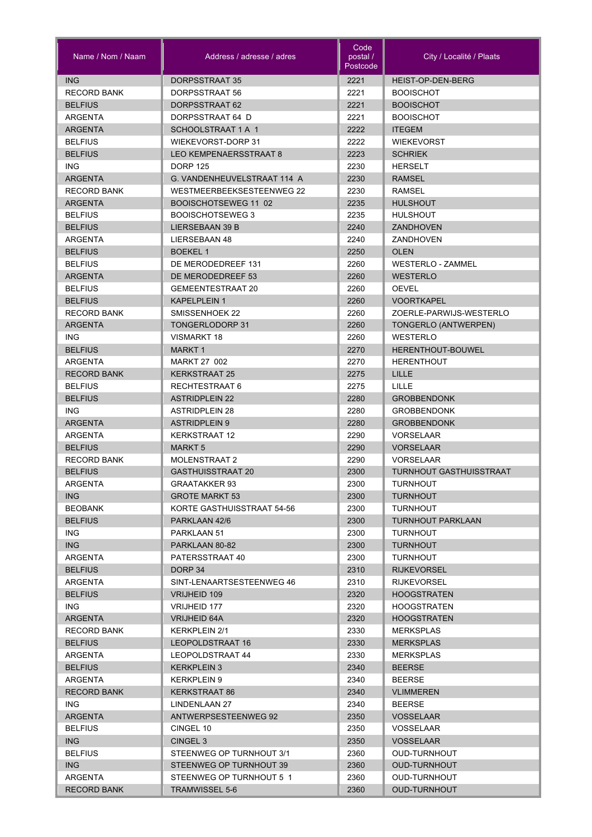| Name / Nom / Naam         | Address / adresse / adres            | Code<br>postal /<br>Postcode | City / Localité / Plaats                 |
|---------------------------|--------------------------------------|------------------------------|------------------------------------------|
| <b>ING</b>                | DORPSSTRAAT 35                       | 2221                         | HEIST-OP-DEN-BERG                        |
| <b>RECORD BANK</b>        | DORPSSTRAAT 56                       | 2221                         | <b>BOOISCHOT</b>                         |
| <b>BELFIUS</b>            | DORPSSTRAAT 62                       | 2221                         | <b>BOOISCHOT</b>                         |
| ARGENTA                   | DORPSSTRAAT 64 D                     | 2221                         | <b>BOOISCHOT</b>                         |
| <b>ARGENTA</b>            | SCHOOLSTRAAT 1 A 1                   | 2222                         | <b>ITEGEM</b>                            |
| <b>BELFIUS</b>            | <b>WIEKEVORST-DORP 31</b>            | 2222                         | <b>WIEKEVORST</b>                        |
| <b>BELFIUS</b>            | <b>LEO KEMPENAERSSTRAAT 8</b>        | 2223                         | <b>SCHRIEK</b>                           |
| <b>ING</b>                | <b>DORP 125</b>                      | 2230                         | <b>HERSELT</b>                           |
| <b>ARGENTA</b>            | G. VANDENHEUVELSTRAAT 114 A          | 2230                         | <b>RAMSEL</b>                            |
| <b>RECORD BANK</b>        | WESTMEERBEEKSESTEENWEG 22            | 2230                         | RAMSEL                                   |
| <b>ARGENTA</b>            | BOOISCHOTSEWEG 11 02                 | 2235                         | <b>HULSHOUT</b>                          |
| <b>BELFIUS</b>            | <b>BOOISCHOTSEWEG 3</b>              | 2235                         | <b>HULSHOUT</b>                          |
| <b>BELFIUS</b>            | LIERSEBAAN 39 B                      | 2240                         | ZANDHOVEN                                |
| <b>ARGENTA</b>            | LIERSEBAAN 48                        | 2240                         | ZANDHOVEN                                |
| <b>BELFIUS</b>            | <b>BOEKEL1</b>                       | 2250                         | <b>OLEN</b>                              |
| <b>BELFIUS</b>            | DE MERODEDREEF 131                   | 2260                         | <b>WESTERLO - ZAMMEL</b>                 |
| <b>ARGENTA</b>            | DE MERODEDREEF 53                    | 2260                         | <b>WESTERLO</b>                          |
| <b>BELFIUS</b>            | GEMEENTESTRAAT 20                    | 2260                         | <b>OEVEL</b>                             |
| <b>BELFIUS</b>            | <b>KAPELPLEIN 1</b>                  | 2260                         | <b>VOORTKAPEL</b>                        |
| <b>RECORD BANK</b>        | SMISSENHOEK 22                       | 2260                         | ZOERLE-PARWIJS-WESTERLO                  |
| <b>ARGENTA</b>            | <b>TONGERLODORP31</b>                | 2260                         | TONGERLO (ANTWERPEN)                     |
| <b>ING</b>                | VISMARKT 18                          | 2260                         | WESTERLO                                 |
| <b>BELFIUS</b>            | <b>MARKT1</b>                        | 2270                         | HERENTHOUT-BOUWEL                        |
| ARGENTA                   | MARKT 27 002                         | 2270                         | <b>HERENTHOUT</b>                        |
| <b>RECORD BANK</b>        | <b>KERKSTRAAT 25</b>                 | 2275                         | LILLE                                    |
| <b>BELFIUS</b>            | RECHTESTRAAT 6                       | 2275                         | LILLE                                    |
| <b>BELFIUS</b>            | <b>ASTRIDPLEIN 22</b>                | 2280                         | <b>GROBBENDONK</b>                       |
| <b>ING</b>                | <b>ASTRIDPLEIN 28</b>                | 2280                         | <b>GROBBENDONK</b>                       |
| <b>ARGENTA</b>            | <b>ASTRIDPLEIN 9</b>                 | 2280                         | <b>GROBBENDONK</b>                       |
| ARGENTA                   | <b>KERKSTRAAT 12</b>                 | 2290                         | <b>VORSELAAR</b>                         |
| <b>BELFIUS</b>            | <b>MARKT 5</b>                       | 2290                         | <b>VORSELAAR</b>                         |
| <b>RECORD BANK</b>        | <b>MOLENSTRAAT 2</b>                 | 2290                         | <b>VORSELAAR</b>                         |
| <b>BELFIUS</b>            | <b>GASTHUISSTRAAT 20</b>             | 2300                         | TURNHOUT GASTHUISSTRAAT                  |
| ARGENTA                   | <b>GRAATAKKER 93</b>                 | 2300                         | <b>TURNHOUT</b>                          |
| ING                       | <b>GROTE MARKT 53</b>                | 2300                         | <b>TURNHOUT</b>                          |
| <b>BEOBANK</b>            | KORTE GASTHUISSTRAAT 54-56           | 2300                         | <b>TURNHOUT</b>                          |
| <b>BELFIUS</b>            | PARKLAAN 42/6                        | 2300                         | <b>TURNHOUT PARKLAAN</b>                 |
| ING.                      | PARKLAAN 51                          | 2300                         | <b>TURNHOUT</b>                          |
| ING                       | PARKLAAN 80-82                       | 2300                         | <b>TURNHOUT</b>                          |
| ARGENTA                   | PATERSSTRAAT 40                      | 2300                         | <b>TURNHOUT</b>                          |
| <b>BELFIUS</b><br>ARGENTA | DORP 34<br>SINT-LENAARTSESTEENWEG 46 | 2310                         | <b>RIJKEVORSEL</b><br><b>RIJKEVORSEL</b> |
|                           | VRIJHEID 109                         | 2310                         | <b>HOOGSTRATEN</b>                       |
| <b>BELFIUS</b><br>ING.    | VRIJHEID 177                         | 2320<br>2320                 | <b>HOOGSTRATEN</b>                       |
| ARGENTA                   | <b>VRIJHEID 64A</b>                  | 2320                         | <b>HOOGSTRATEN</b>                       |
| <b>RECORD BANK</b>        | <b>KERKPLEIN 2/1</b>                 | 2330                         | <b>MERKSPLAS</b>                         |
| <b>BELFIUS</b>            | LEOPOLDSTRAAT 16                     | 2330                         | <b>MERKSPLAS</b>                         |
| ARGENTA                   | LEOPOLDSTRAAT 44                     | 2330                         | <b>MERKSPLAS</b>                         |
| <b>BELFIUS</b>            | KERKPLEIN 3                          | 2340                         | <b>BEERSE</b>                            |
| ARGENTA                   | KERKPLEIN 9                          | 2340                         | <b>BEERSE</b>                            |
| <b>RECORD BANK</b>        | KERKSTRAAT 86                        | 2340                         | <b>VLIMMEREN</b>                         |
| ING.                      | LINDENLAAN 27                        | 2340                         | <b>BEERSE</b>                            |
| <b>ARGENTA</b>            | ANTWERPSESTEENWEG 92                 | 2350                         | <b>VOSSELAAR</b>                         |
| <b>BELFIUS</b>            | CINGEL 10                            | 2350                         | VOSSELAAR                                |
| ING                       | CINGEL 3                             | 2350                         | <b>VOSSELAAR</b>                         |
| <b>BELFIUS</b>            | STEENWEG OP TURNHOUT 3/1             | 2360                         | OUD-TURNHOUT                             |
| ING                       | STEENWEG OP TURNHOUT 39              | 2360                         | <b>OUD-TURNHOUT</b>                      |
| ARGENTA                   | STEENWEG OP TURNHOUT 5 1             | 2360                         | <b>OUD-TURNHOUT</b>                      |
| <b>RECORD BANK</b>        | <b>TRAMWISSEL 5-6</b>                | 2360                         | <b>OUD-TURNHOUT</b>                      |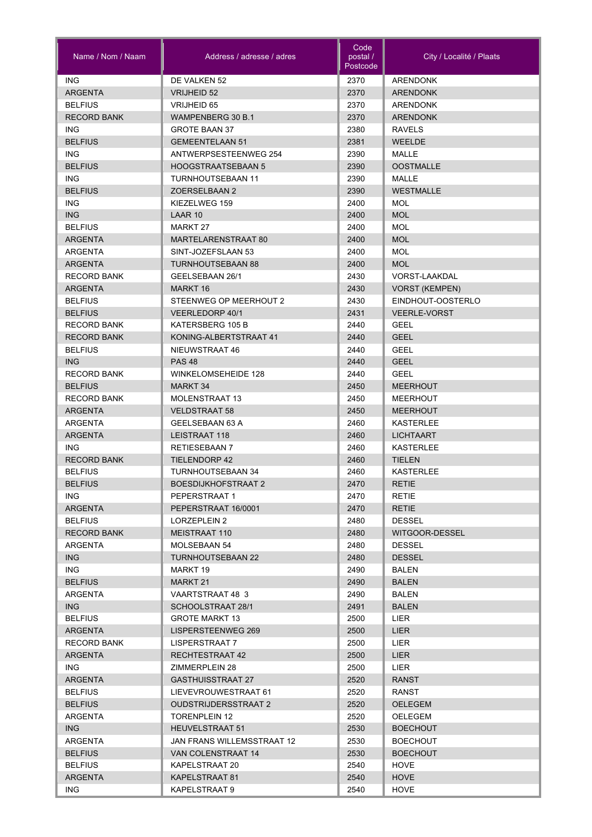| <b>ING</b><br>DE VALKEN 52<br><b>ARENDONK</b><br>2370<br><b>ARGENTA</b><br>2370<br><b>VRIJHEID 52</b><br><b>ARENDONK</b><br><b>BELFIUS</b><br>2370<br>VRIJHEID 65<br><b>ARENDONK</b><br><b>RECORD BANK</b><br>WAMPENBERG 30 B.1<br>2370<br><b>ARENDONK</b><br><b>ING</b><br>2380<br><b>RAVELS</b><br><b>GROTE BAAN 37</b><br><b>BELFIUS</b><br><b>GEMEENTELAAN 51</b><br>2381<br><b>WEELDE</b><br>2390<br>ING.<br>ANTWERPSESTEENWEG 254<br>MALLE<br><b>BELFIUS</b><br>2390<br><b>OOSTMALLE</b><br><b>HOOGSTRAATSEBAAN 5</b><br><b>ING</b><br><b>TURNHOUTSEBAAN 11</b><br>2390<br><b>MALLE</b><br><b>BELFIUS</b><br>2390<br><b>WESTMALLE</b><br><b>ZOERSELBAAN 2</b><br><b>ING</b><br>2400<br><b>MOL</b><br>KIEZELWEG 159<br><b>ING</b><br><b>MOL</b><br>LAAR 10<br>2400<br><b>BELFIUS</b><br>2400<br><b>MOL</b><br>MARKT 27<br><b>MOL</b><br><b>ARGENTA</b><br>MARTELARENSTRAAT 80<br>2400<br><b>ARGENTA</b><br>SINT-JOZEFSLAAN 53<br><b>MOL</b><br>2400<br><b>MOL</b><br>ARGENTA<br><b>TURNHOUTSEBAAN 88</b><br>2400<br><b>RECORD BANK</b><br>GEELSEBAAN 26/1<br>2430<br>VORST-LAAKDAL<br><b>VORST (KEMPEN)</b><br>ARGENTA<br>MARKT 16<br>2430<br><b>BELFIUS</b><br>STEENWEG OP MEERHOUT 2<br>2430<br>EINDHOUT-OOSTERLO<br><b>BELFIUS</b><br><b>VEERLEDORP 40/1</b><br>2431<br><b>VEERLE-VORST</b><br>2440<br><b>RECORD BANK</b><br>KATERSBERG 105 B<br>GEEL<br><b>RECORD BANK</b><br>KONING-ALBERTSTRAAT 41<br>2440<br><b>GEEL</b><br><b>BELFIUS</b><br>NIEUWSTRAAT 46<br>2440<br><b>GEEL</b><br><b>ING</b><br>2440<br><b>GEEL</b><br><b>PAS 48</b><br><b>WINKELOMSEHEIDE 128</b><br>2440<br><b>GEEL</b><br><b>RECORD BANK</b><br><b>MARKT 34</b><br>2450<br><b>BELFIUS</b><br><b>MEERHOUT</b><br><b>RECORD BANK</b><br><b>MOLENSTRAAT 13</b><br>2450<br><b>MEERHOUT</b><br><b>ARGENTA</b><br><b>VELDSTRAAT 58</b><br>2450<br><b>MEERHOUT</b><br><b>ARGENTA</b><br>GEELSEBAAN 63 A<br>2460<br><b>KASTERLEE</b><br><b>LICHTAART</b><br><b>ARGENTA</b><br>LEISTRAAT 118<br>2460<br><b>ING</b><br><b>RETIESEBAAN 7</b><br>2460<br><b>KASTERLEE</b><br><b>RECORD BANK</b><br><b>TIELENDORP 42</b><br>2460<br><b>TIELEN</b><br><b>BELFIUS</b><br><b>TURNHOUTSEBAAN 34</b><br>2460<br><b>KASTERLEE</b><br><b>BELFIUS</b><br><b>BOESDIJKHOFSTRAAT 2</b><br>2470<br><b>RETIE</b><br>ING.<br>PEPERSTRAAT 1<br>2470<br>RETIE<br>ARGENTA<br>PEPERSTRAAT 16/0001<br>2470<br><b>RETIE</b><br><b>BELFIUS</b><br><b>DESSEL</b><br>LORZEPLEIN 2<br>2480<br><b>RECORD BANK</b><br>MEISTRAAT 110<br>2480<br>WITGOOR-DESSEL<br>ARGENTA<br>MOLSEBAAN 54<br>2480<br><b>DESSEL</b><br>ING<br>TURNHOUTSEBAAN 22<br>2480<br><b>DESSEL</b><br>ING.<br>2490<br>MARKT 19<br>BALEN<br><b>BELFIUS</b><br>MARKT 21<br>2490<br><b>BALEN</b><br><b>ARGENTA</b><br>VAARTSTRAAT 48 3<br>2490<br><b>BALEN</b><br><b>ING</b><br>SCHOOLSTRAAT 28/1<br>2491<br><b>BALEN</b><br><b>BELFIUS</b><br>2500<br><b>GROTE MARKT 13</b><br>LIER<br>LISPERSTEENWEG 269<br>2500<br><b>LIER</b><br>ARGENTA<br>LISPERSTRAAT 7<br>2500<br><b>LIER</b><br><b>RECORD BANK</b><br><b>ARGENTA</b><br>RECHTESTRAAT 42<br>2500<br><b>LIER</b><br>ING.<br>2500<br><b>LIER</b><br>ZIMMERPLEIN 28<br><b>ARGENTA</b><br><b>GASTHUISSTRAAT 27</b><br>2520<br><b>RANST</b><br><b>BELFIUS</b><br>LIEVEVROUWESTRAAT 61<br>2520<br><b>RANST</b><br><b>BELFIUS</b><br><b>OUDSTRIJDERSSTRAAT 2</b><br>2520<br>OELEGEM<br>2520<br>ARGENTA<br><b>TORENPLEIN 12</b><br>OELEGEM<br>ING<br><b>HEUVELSTRAAT 51</b><br>2530<br><b>BOECHOUT</b><br><b>ARGENTA</b><br>2530<br>JAN FRANS WILLEMSSTRAAT 12<br><b>BOECHOUT</b><br><b>BELFIUS</b><br>VAN COLENSTRAAT 14<br>2530<br><b>BOECHOUT</b><br>2540<br><b>BELFIUS</b><br>KAPELSTRAAT 20<br>HOVE<br>2540<br>ARGENTA<br>KAPELSTRAAT 81<br><b>HOVE</b><br>ING.<br>KAPELSTRAAT 9<br>2540<br><b>HOVE</b> | Name / Nom / Naam | Address / adresse / adres | Code<br>postal /<br>Postcode | City / Localité / Plaats |
|----------------------------------------------------------------------------------------------------------------------------------------------------------------------------------------------------------------------------------------------------------------------------------------------------------------------------------------------------------------------------------------------------------------------------------------------------------------------------------------------------------------------------------------------------------------------------------------------------------------------------------------------------------------------------------------------------------------------------------------------------------------------------------------------------------------------------------------------------------------------------------------------------------------------------------------------------------------------------------------------------------------------------------------------------------------------------------------------------------------------------------------------------------------------------------------------------------------------------------------------------------------------------------------------------------------------------------------------------------------------------------------------------------------------------------------------------------------------------------------------------------------------------------------------------------------------------------------------------------------------------------------------------------------------------------------------------------------------------------------------------------------------------------------------------------------------------------------------------------------------------------------------------------------------------------------------------------------------------------------------------------------------------------------------------------------------------------------------------------------------------------------------------------------------------------------------------------------------------------------------------------------------------------------------------------------------------------------------------------------------------------------------------------------------------------------------------------------------------------------------------------------------------------------------------------------------------------------------------------------------------------------------------------------------------------------------------------------------------------------------------------------------------------------------------------------------------------------------------------------------------------------------------------------------------------------------------------------------------------------------------------------------------------------------------------------------------------------------------------------------------------------------------------------------------------------------------------------------------------------------------------------------------------------------------------------------------------------------------------------------------------------------------------------------------------------------------------------------------------------------------------------------------------------------------------------------------------------------------------------------------------------------------------------------------------------------------------------------------------------------------------------------------|-------------------|---------------------------|------------------------------|--------------------------|
|                                                                                                                                                                                                                                                                                                                                                                                                                                                                                                                                                                                                                                                                                                                                                                                                                                                                                                                                                                                                                                                                                                                                                                                                                                                                                                                                                                                                                                                                                                                                                                                                                                                                                                                                                                                                                                                                                                                                                                                                                                                                                                                                                                                                                                                                                                                                                                                                                                                                                                                                                                                                                                                                                                                                                                                                                                                                                                                                                                                                                                                                                                                                                                                                                                                                                                                                                                                                                                                                                                                                                                                                                                                                                                                                                                            |                   |                           |                              |                          |
|                                                                                                                                                                                                                                                                                                                                                                                                                                                                                                                                                                                                                                                                                                                                                                                                                                                                                                                                                                                                                                                                                                                                                                                                                                                                                                                                                                                                                                                                                                                                                                                                                                                                                                                                                                                                                                                                                                                                                                                                                                                                                                                                                                                                                                                                                                                                                                                                                                                                                                                                                                                                                                                                                                                                                                                                                                                                                                                                                                                                                                                                                                                                                                                                                                                                                                                                                                                                                                                                                                                                                                                                                                                                                                                                                                            |                   |                           |                              |                          |
|                                                                                                                                                                                                                                                                                                                                                                                                                                                                                                                                                                                                                                                                                                                                                                                                                                                                                                                                                                                                                                                                                                                                                                                                                                                                                                                                                                                                                                                                                                                                                                                                                                                                                                                                                                                                                                                                                                                                                                                                                                                                                                                                                                                                                                                                                                                                                                                                                                                                                                                                                                                                                                                                                                                                                                                                                                                                                                                                                                                                                                                                                                                                                                                                                                                                                                                                                                                                                                                                                                                                                                                                                                                                                                                                                                            |                   |                           |                              |                          |
|                                                                                                                                                                                                                                                                                                                                                                                                                                                                                                                                                                                                                                                                                                                                                                                                                                                                                                                                                                                                                                                                                                                                                                                                                                                                                                                                                                                                                                                                                                                                                                                                                                                                                                                                                                                                                                                                                                                                                                                                                                                                                                                                                                                                                                                                                                                                                                                                                                                                                                                                                                                                                                                                                                                                                                                                                                                                                                                                                                                                                                                                                                                                                                                                                                                                                                                                                                                                                                                                                                                                                                                                                                                                                                                                                                            |                   |                           |                              |                          |
|                                                                                                                                                                                                                                                                                                                                                                                                                                                                                                                                                                                                                                                                                                                                                                                                                                                                                                                                                                                                                                                                                                                                                                                                                                                                                                                                                                                                                                                                                                                                                                                                                                                                                                                                                                                                                                                                                                                                                                                                                                                                                                                                                                                                                                                                                                                                                                                                                                                                                                                                                                                                                                                                                                                                                                                                                                                                                                                                                                                                                                                                                                                                                                                                                                                                                                                                                                                                                                                                                                                                                                                                                                                                                                                                                                            |                   |                           |                              |                          |
|                                                                                                                                                                                                                                                                                                                                                                                                                                                                                                                                                                                                                                                                                                                                                                                                                                                                                                                                                                                                                                                                                                                                                                                                                                                                                                                                                                                                                                                                                                                                                                                                                                                                                                                                                                                                                                                                                                                                                                                                                                                                                                                                                                                                                                                                                                                                                                                                                                                                                                                                                                                                                                                                                                                                                                                                                                                                                                                                                                                                                                                                                                                                                                                                                                                                                                                                                                                                                                                                                                                                                                                                                                                                                                                                                                            |                   |                           |                              |                          |
|                                                                                                                                                                                                                                                                                                                                                                                                                                                                                                                                                                                                                                                                                                                                                                                                                                                                                                                                                                                                                                                                                                                                                                                                                                                                                                                                                                                                                                                                                                                                                                                                                                                                                                                                                                                                                                                                                                                                                                                                                                                                                                                                                                                                                                                                                                                                                                                                                                                                                                                                                                                                                                                                                                                                                                                                                                                                                                                                                                                                                                                                                                                                                                                                                                                                                                                                                                                                                                                                                                                                                                                                                                                                                                                                                                            |                   |                           |                              |                          |
|                                                                                                                                                                                                                                                                                                                                                                                                                                                                                                                                                                                                                                                                                                                                                                                                                                                                                                                                                                                                                                                                                                                                                                                                                                                                                                                                                                                                                                                                                                                                                                                                                                                                                                                                                                                                                                                                                                                                                                                                                                                                                                                                                                                                                                                                                                                                                                                                                                                                                                                                                                                                                                                                                                                                                                                                                                                                                                                                                                                                                                                                                                                                                                                                                                                                                                                                                                                                                                                                                                                                                                                                                                                                                                                                                                            |                   |                           |                              |                          |
|                                                                                                                                                                                                                                                                                                                                                                                                                                                                                                                                                                                                                                                                                                                                                                                                                                                                                                                                                                                                                                                                                                                                                                                                                                                                                                                                                                                                                                                                                                                                                                                                                                                                                                                                                                                                                                                                                                                                                                                                                                                                                                                                                                                                                                                                                                                                                                                                                                                                                                                                                                                                                                                                                                                                                                                                                                                                                                                                                                                                                                                                                                                                                                                                                                                                                                                                                                                                                                                                                                                                                                                                                                                                                                                                                                            |                   |                           |                              |                          |
|                                                                                                                                                                                                                                                                                                                                                                                                                                                                                                                                                                                                                                                                                                                                                                                                                                                                                                                                                                                                                                                                                                                                                                                                                                                                                                                                                                                                                                                                                                                                                                                                                                                                                                                                                                                                                                                                                                                                                                                                                                                                                                                                                                                                                                                                                                                                                                                                                                                                                                                                                                                                                                                                                                                                                                                                                                                                                                                                                                                                                                                                                                                                                                                                                                                                                                                                                                                                                                                                                                                                                                                                                                                                                                                                                                            |                   |                           |                              |                          |
|                                                                                                                                                                                                                                                                                                                                                                                                                                                                                                                                                                                                                                                                                                                                                                                                                                                                                                                                                                                                                                                                                                                                                                                                                                                                                                                                                                                                                                                                                                                                                                                                                                                                                                                                                                                                                                                                                                                                                                                                                                                                                                                                                                                                                                                                                                                                                                                                                                                                                                                                                                                                                                                                                                                                                                                                                                                                                                                                                                                                                                                                                                                                                                                                                                                                                                                                                                                                                                                                                                                                                                                                                                                                                                                                                                            |                   |                           |                              |                          |
|                                                                                                                                                                                                                                                                                                                                                                                                                                                                                                                                                                                                                                                                                                                                                                                                                                                                                                                                                                                                                                                                                                                                                                                                                                                                                                                                                                                                                                                                                                                                                                                                                                                                                                                                                                                                                                                                                                                                                                                                                                                                                                                                                                                                                                                                                                                                                                                                                                                                                                                                                                                                                                                                                                                                                                                                                                                                                                                                                                                                                                                                                                                                                                                                                                                                                                                                                                                                                                                                                                                                                                                                                                                                                                                                                                            |                   |                           |                              |                          |
|                                                                                                                                                                                                                                                                                                                                                                                                                                                                                                                                                                                                                                                                                                                                                                                                                                                                                                                                                                                                                                                                                                                                                                                                                                                                                                                                                                                                                                                                                                                                                                                                                                                                                                                                                                                                                                                                                                                                                                                                                                                                                                                                                                                                                                                                                                                                                                                                                                                                                                                                                                                                                                                                                                                                                                                                                                                                                                                                                                                                                                                                                                                                                                                                                                                                                                                                                                                                                                                                                                                                                                                                                                                                                                                                                                            |                   |                           |                              |                          |
|                                                                                                                                                                                                                                                                                                                                                                                                                                                                                                                                                                                                                                                                                                                                                                                                                                                                                                                                                                                                                                                                                                                                                                                                                                                                                                                                                                                                                                                                                                                                                                                                                                                                                                                                                                                                                                                                                                                                                                                                                                                                                                                                                                                                                                                                                                                                                                                                                                                                                                                                                                                                                                                                                                                                                                                                                                                                                                                                                                                                                                                                                                                                                                                                                                                                                                                                                                                                                                                                                                                                                                                                                                                                                                                                                                            |                   |                           |                              |                          |
|                                                                                                                                                                                                                                                                                                                                                                                                                                                                                                                                                                                                                                                                                                                                                                                                                                                                                                                                                                                                                                                                                                                                                                                                                                                                                                                                                                                                                                                                                                                                                                                                                                                                                                                                                                                                                                                                                                                                                                                                                                                                                                                                                                                                                                                                                                                                                                                                                                                                                                                                                                                                                                                                                                                                                                                                                                                                                                                                                                                                                                                                                                                                                                                                                                                                                                                                                                                                                                                                                                                                                                                                                                                                                                                                                                            |                   |                           |                              |                          |
|                                                                                                                                                                                                                                                                                                                                                                                                                                                                                                                                                                                                                                                                                                                                                                                                                                                                                                                                                                                                                                                                                                                                                                                                                                                                                                                                                                                                                                                                                                                                                                                                                                                                                                                                                                                                                                                                                                                                                                                                                                                                                                                                                                                                                                                                                                                                                                                                                                                                                                                                                                                                                                                                                                                                                                                                                                                                                                                                                                                                                                                                                                                                                                                                                                                                                                                                                                                                                                                                                                                                                                                                                                                                                                                                                                            |                   |                           |                              |                          |
|                                                                                                                                                                                                                                                                                                                                                                                                                                                                                                                                                                                                                                                                                                                                                                                                                                                                                                                                                                                                                                                                                                                                                                                                                                                                                                                                                                                                                                                                                                                                                                                                                                                                                                                                                                                                                                                                                                                                                                                                                                                                                                                                                                                                                                                                                                                                                                                                                                                                                                                                                                                                                                                                                                                                                                                                                                                                                                                                                                                                                                                                                                                                                                                                                                                                                                                                                                                                                                                                                                                                                                                                                                                                                                                                                                            |                   |                           |                              |                          |
|                                                                                                                                                                                                                                                                                                                                                                                                                                                                                                                                                                                                                                                                                                                                                                                                                                                                                                                                                                                                                                                                                                                                                                                                                                                                                                                                                                                                                                                                                                                                                                                                                                                                                                                                                                                                                                                                                                                                                                                                                                                                                                                                                                                                                                                                                                                                                                                                                                                                                                                                                                                                                                                                                                                                                                                                                                                                                                                                                                                                                                                                                                                                                                                                                                                                                                                                                                                                                                                                                                                                                                                                                                                                                                                                                                            |                   |                           |                              |                          |
|                                                                                                                                                                                                                                                                                                                                                                                                                                                                                                                                                                                                                                                                                                                                                                                                                                                                                                                                                                                                                                                                                                                                                                                                                                                                                                                                                                                                                                                                                                                                                                                                                                                                                                                                                                                                                                                                                                                                                                                                                                                                                                                                                                                                                                                                                                                                                                                                                                                                                                                                                                                                                                                                                                                                                                                                                                                                                                                                                                                                                                                                                                                                                                                                                                                                                                                                                                                                                                                                                                                                                                                                                                                                                                                                                                            |                   |                           |                              |                          |
|                                                                                                                                                                                                                                                                                                                                                                                                                                                                                                                                                                                                                                                                                                                                                                                                                                                                                                                                                                                                                                                                                                                                                                                                                                                                                                                                                                                                                                                                                                                                                                                                                                                                                                                                                                                                                                                                                                                                                                                                                                                                                                                                                                                                                                                                                                                                                                                                                                                                                                                                                                                                                                                                                                                                                                                                                                                                                                                                                                                                                                                                                                                                                                                                                                                                                                                                                                                                                                                                                                                                                                                                                                                                                                                                                                            |                   |                           |                              |                          |
|                                                                                                                                                                                                                                                                                                                                                                                                                                                                                                                                                                                                                                                                                                                                                                                                                                                                                                                                                                                                                                                                                                                                                                                                                                                                                                                                                                                                                                                                                                                                                                                                                                                                                                                                                                                                                                                                                                                                                                                                                                                                                                                                                                                                                                                                                                                                                                                                                                                                                                                                                                                                                                                                                                                                                                                                                                                                                                                                                                                                                                                                                                                                                                                                                                                                                                                                                                                                                                                                                                                                                                                                                                                                                                                                                                            |                   |                           |                              |                          |
|                                                                                                                                                                                                                                                                                                                                                                                                                                                                                                                                                                                                                                                                                                                                                                                                                                                                                                                                                                                                                                                                                                                                                                                                                                                                                                                                                                                                                                                                                                                                                                                                                                                                                                                                                                                                                                                                                                                                                                                                                                                                                                                                                                                                                                                                                                                                                                                                                                                                                                                                                                                                                                                                                                                                                                                                                                                                                                                                                                                                                                                                                                                                                                                                                                                                                                                                                                                                                                                                                                                                                                                                                                                                                                                                                                            |                   |                           |                              |                          |
|                                                                                                                                                                                                                                                                                                                                                                                                                                                                                                                                                                                                                                                                                                                                                                                                                                                                                                                                                                                                                                                                                                                                                                                                                                                                                                                                                                                                                                                                                                                                                                                                                                                                                                                                                                                                                                                                                                                                                                                                                                                                                                                                                                                                                                                                                                                                                                                                                                                                                                                                                                                                                                                                                                                                                                                                                                                                                                                                                                                                                                                                                                                                                                                                                                                                                                                                                                                                                                                                                                                                                                                                                                                                                                                                                                            |                   |                           |                              |                          |
|                                                                                                                                                                                                                                                                                                                                                                                                                                                                                                                                                                                                                                                                                                                                                                                                                                                                                                                                                                                                                                                                                                                                                                                                                                                                                                                                                                                                                                                                                                                                                                                                                                                                                                                                                                                                                                                                                                                                                                                                                                                                                                                                                                                                                                                                                                                                                                                                                                                                                                                                                                                                                                                                                                                                                                                                                                                                                                                                                                                                                                                                                                                                                                                                                                                                                                                                                                                                                                                                                                                                                                                                                                                                                                                                                                            |                   |                           |                              |                          |
|                                                                                                                                                                                                                                                                                                                                                                                                                                                                                                                                                                                                                                                                                                                                                                                                                                                                                                                                                                                                                                                                                                                                                                                                                                                                                                                                                                                                                                                                                                                                                                                                                                                                                                                                                                                                                                                                                                                                                                                                                                                                                                                                                                                                                                                                                                                                                                                                                                                                                                                                                                                                                                                                                                                                                                                                                                                                                                                                                                                                                                                                                                                                                                                                                                                                                                                                                                                                                                                                                                                                                                                                                                                                                                                                                                            |                   |                           |                              |                          |
|                                                                                                                                                                                                                                                                                                                                                                                                                                                                                                                                                                                                                                                                                                                                                                                                                                                                                                                                                                                                                                                                                                                                                                                                                                                                                                                                                                                                                                                                                                                                                                                                                                                                                                                                                                                                                                                                                                                                                                                                                                                                                                                                                                                                                                                                                                                                                                                                                                                                                                                                                                                                                                                                                                                                                                                                                                                                                                                                                                                                                                                                                                                                                                                                                                                                                                                                                                                                                                                                                                                                                                                                                                                                                                                                                                            |                   |                           |                              |                          |
|                                                                                                                                                                                                                                                                                                                                                                                                                                                                                                                                                                                                                                                                                                                                                                                                                                                                                                                                                                                                                                                                                                                                                                                                                                                                                                                                                                                                                                                                                                                                                                                                                                                                                                                                                                                                                                                                                                                                                                                                                                                                                                                                                                                                                                                                                                                                                                                                                                                                                                                                                                                                                                                                                                                                                                                                                                                                                                                                                                                                                                                                                                                                                                                                                                                                                                                                                                                                                                                                                                                                                                                                                                                                                                                                                                            |                   |                           |                              |                          |
|                                                                                                                                                                                                                                                                                                                                                                                                                                                                                                                                                                                                                                                                                                                                                                                                                                                                                                                                                                                                                                                                                                                                                                                                                                                                                                                                                                                                                                                                                                                                                                                                                                                                                                                                                                                                                                                                                                                                                                                                                                                                                                                                                                                                                                                                                                                                                                                                                                                                                                                                                                                                                                                                                                                                                                                                                                                                                                                                                                                                                                                                                                                                                                                                                                                                                                                                                                                                                                                                                                                                                                                                                                                                                                                                                                            |                   |                           |                              |                          |
|                                                                                                                                                                                                                                                                                                                                                                                                                                                                                                                                                                                                                                                                                                                                                                                                                                                                                                                                                                                                                                                                                                                                                                                                                                                                                                                                                                                                                                                                                                                                                                                                                                                                                                                                                                                                                                                                                                                                                                                                                                                                                                                                                                                                                                                                                                                                                                                                                                                                                                                                                                                                                                                                                                                                                                                                                                                                                                                                                                                                                                                                                                                                                                                                                                                                                                                                                                                                                                                                                                                                                                                                                                                                                                                                                                            |                   |                           |                              |                          |
|                                                                                                                                                                                                                                                                                                                                                                                                                                                                                                                                                                                                                                                                                                                                                                                                                                                                                                                                                                                                                                                                                                                                                                                                                                                                                                                                                                                                                                                                                                                                                                                                                                                                                                                                                                                                                                                                                                                                                                                                                                                                                                                                                                                                                                                                                                                                                                                                                                                                                                                                                                                                                                                                                                                                                                                                                                                                                                                                                                                                                                                                                                                                                                                                                                                                                                                                                                                                                                                                                                                                                                                                                                                                                                                                                                            |                   |                           |                              |                          |
|                                                                                                                                                                                                                                                                                                                                                                                                                                                                                                                                                                                                                                                                                                                                                                                                                                                                                                                                                                                                                                                                                                                                                                                                                                                                                                                                                                                                                                                                                                                                                                                                                                                                                                                                                                                                                                                                                                                                                                                                                                                                                                                                                                                                                                                                                                                                                                                                                                                                                                                                                                                                                                                                                                                                                                                                                                                                                                                                                                                                                                                                                                                                                                                                                                                                                                                                                                                                                                                                                                                                                                                                                                                                                                                                                                            |                   |                           |                              |                          |
|                                                                                                                                                                                                                                                                                                                                                                                                                                                                                                                                                                                                                                                                                                                                                                                                                                                                                                                                                                                                                                                                                                                                                                                                                                                                                                                                                                                                                                                                                                                                                                                                                                                                                                                                                                                                                                                                                                                                                                                                                                                                                                                                                                                                                                                                                                                                                                                                                                                                                                                                                                                                                                                                                                                                                                                                                                                                                                                                                                                                                                                                                                                                                                                                                                                                                                                                                                                                                                                                                                                                                                                                                                                                                                                                                                            |                   |                           |                              |                          |
|                                                                                                                                                                                                                                                                                                                                                                                                                                                                                                                                                                                                                                                                                                                                                                                                                                                                                                                                                                                                                                                                                                                                                                                                                                                                                                                                                                                                                                                                                                                                                                                                                                                                                                                                                                                                                                                                                                                                                                                                                                                                                                                                                                                                                                                                                                                                                                                                                                                                                                                                                                                                                                                                                                                                                                                                                                                                                                                                                                                                                                                                                                                                                                                                                                                                                                                                                                                                                                                                                                                                                                                                                                                                                                                                                                            |                   |                           |                              |                          |
|                                                                                                                                                                                                                                                                                                                                                                                                                                                                                                                                                                                                                                                                                                                                                                                                                                                                                                                                                                                                                                                                                                                                                                                                                                                                                                                                                                                                                                                                                                                                                                                                                                                                                                                                                                                                                                                                                                                                                                                                                                                                                                                                                                                                                                                                                                                                                                                                                                                                                                                                                                                                                                                                                                                                                                                                                                                                                                                                                                                                                                                                                                                                                                                                                                                                                                                                                                                                                                                                                                                                                                                                                                                                                                                                                                            |                   |                           |                              |                          |
|                                                                                                                                                                                                                                                                                                                                                                                                                                                                                                                                                                                                                                                                                                                                                                                                                                                                                                                                                                                                                                                                                                                                                                                                                                                                                                                                                                                                                                                                                                                                                                                                                                                                                                                                                                                                                                                                                                                                                                                                                                                                                                                                                                                                                                                                                                                                                                                                                                                                                                                                                                                                                                                                                                                                                                                                                                                                                                                                                                                                                                                                                                                                                                                                                                                                                                                                                                                                                                                                                                                                                                                                                                                                                                                                                                            |                   |                           |                              |                          |
|                                                                                                                                                                                                                                                                                                                                                                                                                                                                                                                                                                                                                                                                                                                                                                                                                                                                                                                                                                                                                                                                                                                                                                                                                                                                                                                                                                                                                                                                                                                                                                                                                                                                                                                                                                                                                                                                                                                                                                                                                                                                                                                                                                                                                                                                                                                                                                                                                                                                                                                                                                                                                                                                                                                                                                                                                                                                                                                                                                                                                                                                                                                                                                                                                                                                                                                                                                                                                                                                                                                                                                                                                                                                                                                                                                            |                   |                           |                              |                          |
|                                                                                                                                                                                                                                                                                                                                                                                                                                                                                                                                                                                                                                                                                                                                                                                                                                                                                                                                                                                                                                                                                                                                                                                                                                                                                                                                                                                                                                                                                                                                                                                                                                                                                                                                                                                                                                                                                                                                                                                                                                                                                                                                                                                                                                                                                                                                                                                                                                                                                                                                                                                                                                                                                                                                                                                                                                                                                                                                                                                                                                                                                                                                                                                                                                                                                                                                                                                                                                                                                                                                                                                                                                                                                                                                                                            |                   |                           |                              |                          |
|                                                                                                                                                                                                                                                                                                                                                                                                                                                                                                                                                                                                                                                                                                                                                                                                                                                                                                                                                                                                                                                                                                                                                                                                                                                                                                                                                                                                                                                                                                                                                                                                                                                                                                                                                                                                                                                                                                                                                                                                                                                                                                                                                                                                                                                                                                                                                                                                                                                                                                                                                                                                                                                                                                                                                                                                                                                                                                                                                                                                                                                                                                                                                                                                                                                                                                                                                                                                                                                                                                                                                                                                                                                                                                                                                                            |                   |                           |                              |                          |
|                                                                                                                                                                                                                                                                                                                                                                                                                                                                                                                                                                                                                                                                                                                                                                                                                                                                                                                                                                                                                                                                                                                                                                                                                                                                                                                                                                                                                                                                                                                                                                                                                                                                                                                                                                                                                                                                                                                                                                                                                                                                                                                                                                                                                                                                                                                                                                                                                                                                                                                                                                                                                                                                                                                                                                                                                                                                                                                                                                                                                                                                                                                                                                                                                                                                                                                                                                                                                                                                                                                                                                                                                                                                                                                                                                            |                   |                           |                              |                          |
|                                                                                                                                                                                                                                                                                                                                                                                                                                                                                                                                                                                                                                                                                                                                                                                                                                                                                                                                                                                                                                                                                                                                                                                                                                                                                                                                                                                                                                                                                                                                                                                                                                                                                                                                                                                                                                                                                                                                                                                                                                                                                                                                                                                                                                                                                                                                                                                                                                                                                                                                                                                                                                                                                                                                                                                                                                                                                                                                                                                                                                                                                                                                                                                                                                                                                                                                                                                                                                                                                                                                                                                                                                                                                                                                                                            |                   |                           |                              |                          |
|                                                                                                                                                                                                                                                                                                                                                                                                                                                                                                                                                                                                                                                                                                                                                                                                                                                                                                                                                                                                                                                                                                                                                                                                                                                                                                                                                                                                                                                                                                                                                                                                                                                                                                                                                                                                                                                                                                                                                                                                                                                                                                                                                                                                                                                                                                                                                                                                                                                                                                                                                                                                                                                                                                                                                                                                                                                                                                                                                                                                                                                                                                                                                                                                                                                                                                                                                                                                                                                                                                                                                                                                                                                                                                                                                                            |                   |                           |                              |                          |
|                                                                                                                                                                                                                                                                                                                                                                                                                                                                                                                                                                                                                                                                                                                                                                                                                                                                                                                                                                                                                                                                                                                                                                                                                                                                                                                                                                                                                                                                                                                                                                                                                                                                                                                                                                                                                                                                                                                                                                                                                                                                                                                                                                                                                                                                                                                                                                                                                                                                                                                                                                                                                                                                                                                                                                                                                                                                                                                                                                                                                                                                                                                                                                                                                                                                                                                                                                                                                                                                                                                                                                                                                                                                                                                                                                            |                   |                           |                              |                          |
|                                                                                                                                                                                                                                                                                                                                                                                                                                                                                                                                                                                                                                                                                                                                                                                                                                                                                                                                                                                                                                                                                                                                                                                                                                                                                                                                                                                                                                                                                                                                                                                                                                                                                                                                                                                                                                                                                                                                                                                                                                                                                                                                                                                                                                                                                                                                                                                                                                                                                                                                                                                                                                                                                                                                                                                                                                                                                                                                                                                                                                                                                                                                                                                                                                                                                                                                                                                                                                                                                                                                                                                                                                                                                                                                                                            |                   |                           |                              |                          |
|                                                                                                                                                                                                                                                                                                                                                                                                                                                                                                                                                                                                                                                                                                                                                                                                                                                                                                                                                                                                                                                                                                                                                                                                                                                                                                                                                                                                                                                                                                                                                                                                                                                                                                                                                                                                                                                                                                                                                                                                                                                                                                                                                                                                                                                                                                                                                                                                                                                                                                                                                                                                                                                                                                                                                                                                                                                                                                                                                                                                                                                                                                                                                                                                                                                                                                                                                                                                                                                                                                                                                                                                                                                                                                                                                                            |                   |                           |                              |                          |
|                                                                                                                                                                                                                                                                                                                                                                                                                                                                                                                                                                                                                                                                                                                                                                                                                                                                                                                                                                                                                                                                                                                                                                                                                                                                                                                                                                                                                                                                                                                                                                                                                                                                                                                                                                                                                                                                                                                                                                                                                                                                                                                                                                                                                                                                                                                                                                                                                                                                                                                                                                                                                                                                                                                                                                                                                                                                                                                                                                                                                                                                                                                                                                                                                                                                                                                                                                                                                                                                                                                                                                                                                                                                                                                                                                            |                   |                           |                              |                          |
|                                                                                                                                                                                                                                                                                                                                                                                                                                                                                                                                                                                                                                                                                                                                                                                                                                                                                                                                                                                                                                                                                                                                                                                                                                                                                                                                                                                                                                                                                                                                                                                                                                                                                                                                                                                                                                                                                                                                                                                                                                                                                                                                                                                                                                                                                                                                                                                                                                                                                                                                                                                                                                                                                                                                                                                                                                                                                                                                                                                                                                                                                                                                                                                                                                                                                                                                                                                                                                                                                                                                                                                                                                                                                                                                                                            |                   |                           |                              |                          |
|                                                                                                                                                                                                                                                                                                                                                                                                                                                                                                                                                                                                                                                                                                                                                                                                                                                                                                                                                                                                                                                                                                                                                                                                                                                                                                                                                                                                                                                                                                                                                                                                                                                                                                                                                                                                                                                                                                                                                                                                                                                                                                                                                                                                                                                                                                                                                                                                                                                                                                                                                                                                                                                                                                                                                                                                                                                                                                                                                                                                                                                                                                                                                                                                                                                                                                                                                                                                                                                                                                                                                                                                                                                                                                                                                                            |                   |                           |                              |                          |
|                                                                                                                                                                                                                                                                                                                                                                                                                                                                                                                                                                                                                                                                                                                                                                                                                                                                                                                                                                                                                                                                                                                                                                                                                                                                                                                                                                                                                                                                                                                                                                                                                                                                                                                                                                                                                                                                                                                                                                                                                                                                                                                                                                                                                                                                                                                                                                                                                                                                                                                                                                                                                                                                                                                                                                                                                                                                                                                                                                                                                                                                                                                                                                                                                                                                                                                                                                                                                                                                                                                                                                                                                                                                                                                                                                            |                   |                           |                              |                          |
|                                                                                                                                                                                                                                                                                                                                                                                                                                                                                                                                                                                                                                                                                                                                                                                                                                                                                                                                                                                                                                                                                                                                                                                                                                                                                                                                                                                                                                                                                                                                                                                                                                                                                                                                                                                                                                                                                                                                                                                                                                                                                                                                                                                                                                                                                                                                                                                                                                                                                                                                                                                                                                                                                                                                                                                                                                                                                                                                                                                                                                                                                                                                                                                                                                                                                                                                                                                                                                                                                                                                                                                                                                                                                                                                                                            |                   |                           |                              |                          |
|                                                                                                                                                                                                                                                                                                                                                                                                                                                                                                                                                                                                                                                                                                                                                                                                                                                                                                                                                                                                                                                                                                                                                                                                                                                                                                                                                                                                                                                                                                                                                                                                                                                                                                                                                                                                                                                                                                                                                                                                                                                                                                                                                                                                                                                                                                                                                                                                                                                                                                                                                                                                                                                                                                                                                                                                                                                                                                                                                                                                                                                                                                                                                                                                                                                                                                                                                                                                                                                                                                                                                                                                                                                                                                                                                                            |                   |                           |                              |                          |
|                                                                                                                                                                                                                                                                                                                                                                                                                                                                                                                                                                                                                                                                                                                                                                                                                                                                                                                                                                                                                                                                                                                                                                                                                                                                                                                                                                                                                                                                                                                                                                                                                                                                                                                                                                                                                                                                                                                                                                                                                                                                                                                                                                                                                                                                                                                                                                                                                                                                                                                                                                                                                                                                                                                                                                                                                                                                                                                                                                                                                                                                                                                                                                                                                                                                                                                                                                                                                                                                                                                                                                                                                                                                                                                                                                            |                   |                           |                              |                          |
|                                                                                                                                                                                                                                                                                                                                                                                                                                                                                                                                                                                                                                                                                                                                                                                                                                                                                                                                                                                                                                                                                                                                                                                                                                                                                                                                                                                                                                                                                                                                                                                                                                                                                                                                                                                                                                                                                                                                                                                                                                                                                                                                                                                                                                                                                                                                                                                                                                                                                                                                                                                                                                                                                                                                                                                                                                                                                                                                                                                                                                                                                                                                                                                                                                                                                                                                                                                                                                                                                                                                                                                                                                                                                                                                                                            |                   |                           |                              |                          |
|                                                                                                                                                                                                                                                                                                                                                                                                                                                                                                                                                                                                                                                                                                                                                                                                                                                                                                                                                                                                                                                                                                                                                                                                                                                                                                                                                                                                                                                                                                                                                                                                                                                                                                                                                                                                                                                                                                                                                                                                                                                                                                                                                                                                                                                                                                                                                                                                                                                                                                                                                                                                                                                                                                                                                                                                                                                                                                                                                                                                                                                                                                                                                                                                                                                                                                                                                                                                                                                                                                                                                                                                                                                                                                                                                                            |                   |                           |                              |                          |
|                                                                                                                                                                                                                                                                                                                                                                                                                                                                                                                                                                                                                                                                                                                                                                                                                                                                                                                                                                                                                                                                                                                                                                                                                                                                                                                                                                                                                                                                                                                                                                                                                                                                                                                                                                                                                                                                                                                                                                                                                                                                                                                                                                                                                                                                                                                                                                                                                                                                                                                                                                                                                                                                                                                                                                                                                                                                                                                                                                                                                                                                                                                                                                                                                                                                                                                                                                                                                                                                                                                                                                                                                                                                                                                                                                            |                   |                           |                              |                          |
|                                                                                                                                                                                                                                                                                                                                                                                                                                                                                                                                                                                                                                                                                                                                                                                                                                                                                                                                                                                                                                                                                                                                                                                                                                                                                                                                                                                                                                                                                                                                                                                                                                                                                                                                                                                                                                                                                                                                                                                                                                                                                                                                                                                                                                                                                                                                                                                                                                                                                                                                                                                                                                                                                                                                                                                                                                                                                                                                                                                                                                                                                                                                                                                                                                                                                                                                                                                                                                                                                                                                                                                                                                                                                                                                                                            |                   |                           |                              |                          |
|                                                                                                                                                                                                                                                                                                                                                                                                                                                                                                                                                                                                                                                                                                                                                                                                                                                                                                                                                                                                                                                                                                                                                                                                                                                                                                                                                                                                                                                                                                                                                                                                                                                                                                                                                                                                                                                                                                                                                                                                                                                                                                                                                                                                                                                                                                                                                                                                                                                                                                                                                                                                                                                                                                                                                                                                                                                                                                                                                                                                                                                                                                                                                                                                                                                                                                                                                                                                                                                                                                                                                                                                                                                                                                                                                                            |                   |                           |                              |                          |
|                                                                                                                                                                                                                                                                                                                                                                                                                                                                                                                                                                                                                                                                                                                                                                                                                                                                                                                                                                                                                                                                                                                                                                                                                                                                                                                                                                                                                                                                                                                                                                                                                                                                                                                                                                                                                                                                                                                                                                                                                                                                                                                                                                                                                                                                                                                                                                                                                                                                                                                                                                                                                                                                                                                                                                                                                                                                                                                                                                                                                                                                                                                                                                                                                                                                                                                                                                                                                                                                                                                                                                                                                                                                                                                                                                            |                   |                           |                              |                          |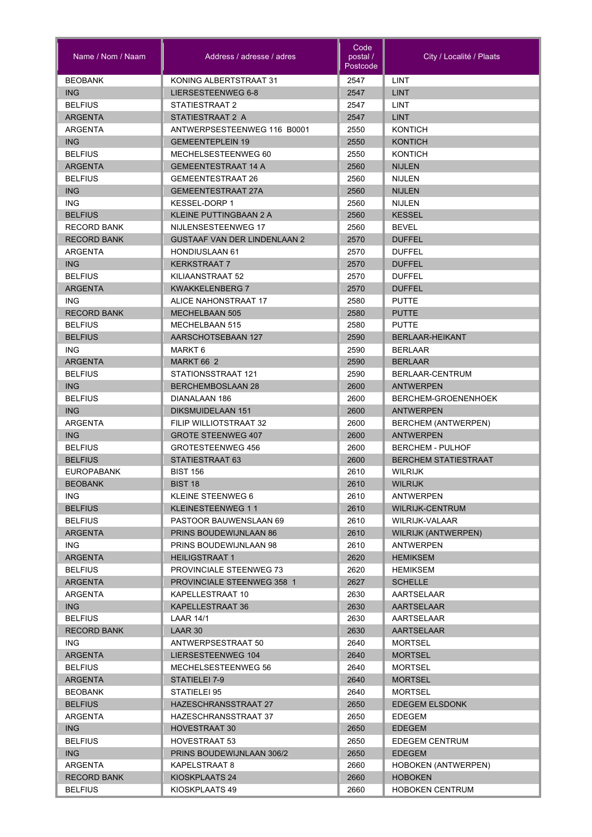| Name / Nom / Naam                | Address / adresse / adres                             | Code<br>postal /<br>Postcode | City / Localité / Plaats                    |
|----------------------------------|-------------------------------------------------------|------------------------------|---------------------------------------------|
| <b>BEOBANK</b>                   | KONING ALBERTSTRAAT 31                                | 2547                         | <b>LINT</b>                                 |
| <b>ING</b>                       | LIERSESTEENWEG 6-8                                    | 2547                         | <b>LINT</b>                                 |
| <b>BELFIUS</b>                   | STATIESTRAAT 2                                        | 2547                         | LINT                                        |
| <b>ARGENTA</b>                   | STATIESTRAAT 2 A                                      | 2547                         | <b>LINT</b>                                 |
| ARGENTA                          | ANTWERPSESTEENWEG 116 B0001                           | 2550                         | <b>KONTICH</b>                              |
| <b>ING</b>                       | <b>GEMEENTEPLEIN 19</b>                               | 2550                         | <b>KONTICH</b>                              |
| <b>BELFIUS</b>                   | MECHELSESTEENWEG 60                                   | 2550                         | KONTICH                                     |
| <b>ARGENTA</b>                   | <b>GEMEENTESTRAAT 14 A</b>                            | 2560                         | <b>NIJLEN</b>                               |
| <b>BELFIUS</b>                   | <b>GEMEENTESTRAAT 26</b>                              | 2560                         | <b>NIJLEN</b>                               |
| <b>ING</b>                       | <b>GEMEENTESTRAAT 27A</b>                             | 2560                         | <b>NIJLEN</b>                               |
| <b>ING</b>                       | <b>KESSEL-DORP 1</b>                                  | 2560                         | <b>NIJLEN</b>                               |
| <b>BELFIUS</b>                   | <b>KLEINE PUTTINGBAAN 2 A</b>                         | 2560                         | <b>KESSEL</b>                               |
| <b>RECORD BANK</b>               | NIJLENSESTEENWEG 17                                   | 2560                         | <b>BEVEL</b>                                |
| <b>RECORD BANK</b>               | <b>GUSTAAF VAN DER LINDENLAAN 2</b>                   | 2570                         | <b>DUFFEL</b>                               |
| ARGENTA                          | <b>HONDIUSLAAN 61</b>                                 | 2570                         | <b>DUFFEL</b>                               |
| <b>ING</b>                       | <b>KERKSTRAAT 7</b>                                   | 2570                         | <b>DUFFEL</b>                               |
| <b>BELFIUS</b>                   | KILIAANSTRAAT 52                                      | 2570                         | <b>DUFFEL</b>                               |
| <b>ARGENTA</b>                   | <b>KWAKKELENBERG 7</b>                                | 2570                         | <b>DUFFEL</b>                               |
| ING.                             | ALICE NAHONSTRAAT 17                                  | 2580                         | <b>PUTTE</b>                                |
| <b>RECORD BANK</b>               | <b>MECHELBAAN 505</b>                                 | 2580                         | <b>PUTTE</b>                                |
| <b>BELFIUS</b>                   | <b>MECHELBAAN 515</b>                                 | 2580                         | <b>PUTTE</b>                                |
| <b>BELFIUS</b>                   | AARSCHOTSEBAAN 127                                    | 2590                         | <b>BERLAAR-HEIKANT</b>                      |
| ING.                             | MARKT 6                                               | 2590                         | <b>BERLAAR</b>                              |
| <b>ARGENTA</b>                   | MARKT 66 2                                            | 2590                         | <b>BERLAAR</b>                              |
| <b>BELFIUS</b>                   | STATIONSSTRAAT 121                                    | 2590                         | BERLAAR-CENTRUM                             |
| <b>ING</b>                       | <b>BERCHEMBOSLAAN 28</b>                              | 2600                         | <b>ANTWERPEN</b>                            |
| <b>BELFIUS</b>                   | DIANALAAN 186                                         | 2600                         | BERCHEM-GROENENHOEK                         |
| <b>ING</b>                       | DIKSMUIDELAAN 151                                     | 2600                         | <b>ANTWERPEN</b>                            |
| <b>ARGENTA</b>                   | FILIP WILLIOTSTRAAT 32                                | 2600                         | BERCHEM (ANTWERPEN)                         |
| <b>ING</b>                       | <b>GROTE STEENWEG 407</b><br><b>GROTESTEENWEG 456</b> | 2600                         | <b>ANTWERPEN</b><br><b>BERCHEM - PULHOF</b> |
| <b>BELFIUS</b><br><b>BELFIUS</b> | STATIESTRAAT 63                                       | 2600<br>2600                 | <b>BERCHEM STATIESTRAAT</b>                 |
| <b>EUROPABANK</b>                | <b>BIST 156</b>                                       | 2610                         | <b>WILRIJK</b>                              |
| <b>BEOBANK</b>                   | <b>BIST 18</b>                                        | 2610                         | <b>WILRIJK</b>                              |
| ING.                             | KLEINE STEENWEG 6                                     | 2610                         | ANTWERPEN                                   |
| <b>BELFIUS</b>                   | KLEINESTEENWEG 11                                     | 2610                         | <b>WILRIJK-CENTRUM</b>                      |
| <b>BELFIUS</b>                   | PASTOOR BAUWENSLAAN 69                                | 2610                         | WILRIJK-VALAAR                              |
| <b>ARGENTA</b>                   | <b>PRINS BOUDEWIJNLAAN 86</b>                         | 2610                         | WILRIJK (ANTWERPEN)                         |
| ING.                             | PRINS BOUDEWIJNLAAN 98                                | 2610                         | ANTWERPEN                                   |
| <b>ARGENTA</b>                   | <b>HEILIGSTRAAT 1</b>                                 | 2620                         | <b>HEMIKSEM</b>                             |
| <b>BELFIUS</b>                   | PROVINCIALE STEENWEG 73                               | 2620                         | HEMIKSEM                                    |
| <b>ARGENTA</b>                   | <b>PROVINCIALE STEENWEG 358 1</b>                     | 2627                         | <b>SCHELLE</b>                              |
| ARGENTA                          | KAPELLESTRAAT 10                                      | 2630                         | AARTSELAAR                                  |
| ING                              | KAPELLESTRAAT 36                                      | 2630                         | <b>AARTSELAAR</b>                           |
| <b>BELFIUS</b>                   | LAAR 14/1                                             | 2630                         | AARTSELAAR                                  |
| <b>RECORD BANK</b>               | LAAR 30                                               | 2630                         | <b>AARTSELAAR</b>                           |
| ING.                             | ANTWERPSESTRAAT 50                                    | 2640                         | <b>MORTSEL</b>                              |
| <b>ARGENTA</b>                   | LIERSESTEENWEG 104                                    | 2640                         | <b>MORTSEL</b>                              |
| <b>BELFIUS</b>                   | MECHELSESTEENWEG 56                                   | 2640                         | <b>MORTSEL</b>                              |
| <b>ARGENTA</b>                   | STATIELEI 7-9                                         | 2640                         | <b>MORTSEL</b>                              |
| <b>BEOBANK</b>                   | STATIELEI 95                                          | 2640                         | <b>MORTSEL</b>                              |
| <b>BELFIUS</b>                   | HAZESCHRANSSTRAAT 27                                  | 2650                         | <b>EDEGEM ELSDONK</b>                       |
| ARGENTA                          | HAZESCHRANSSTRAAT 37                                  | 2650                         | EDEGEM                                      |
| ING.                             | <b>HOVESTRAAT 30</b>                                  | 2650                         | <b>EDEGEM</b>                               |
| <b>BELFIUS</b>                   | <b>HOVESTRAAT 53</b>                                  | 2650                         | EDEGEM CENTRUM                              |
| ING                              | PRINS BOUDEWIJNLAAN 306/2                             | 2650                         | <b>EDEGEM</b>                               |
| ARGENTA                          | KAPELSTRAAT 8                                         | 2660                         | <b>HOBOKEN (ANTWERPEN)</b>                  |
| <b>RECORD BANK</b>               | KIOSKPLAATS 24                                        | 2660                         | <b>HOBOKEN</b>                              |
| <b>BELFIUS</b>                   | KIOSKPLAATS 49                                        | 2660                         | <b>HOBOKEN CENTRUM</b>                      |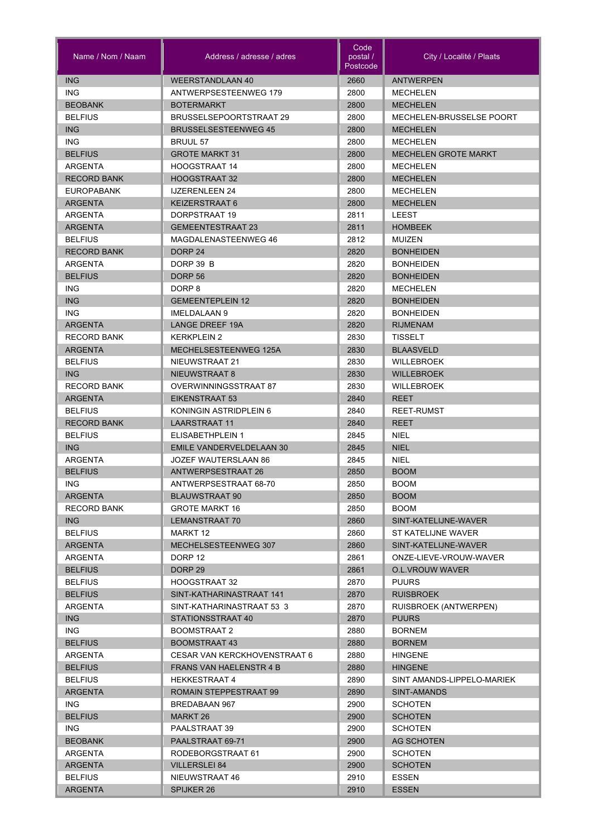| <b>ING</b><br><b>WEERSTANDLAAN 40</b><br>2660<br><b>ANTWERPEN</b><br><b>ING</b><br>ANTWERPSESTEENWEG 179<br>2800<br><b>MECHELEN</b><br><b>BEOBANK</b><br>2800<br><b>BOTERMARKT</b><br><b>MECHELEN</b><br><b>BELFIUS</b><br>2800<br>BRUSSELSEPOORTSTRAAT 29<br>MECHELEN-BRUSSELSE POORT<br><b>ING</b><br>2800<br><b>MECHELEN</b><br><b>BRUSSELSESTEENWEG 45</b><br><b>ING</b><br>2800<br><b>BRUUL 57</b><br><b>MECHELEN</b><br><b>BELFIUS</b><br><b>GROTE MARKT 31</b><br>2800<br><b>MECHELEN GROTE MARKT</b><br><b>HOOGSTRAAT 14</b><br>2800<br>ARGENTA<br><b>MECHELEN</b><br><b>HOOGSTRAAT 32</b><br>2800<br><b>RECORD BANK</b><br><b>MECHELEN</b><br><b>EUROPABANK</b><br><b>IJZERENLEEN 24</b><br>2800<br><b>MECHELEN</b><br>2800<br><b>ARGENTA</b><br>KEIZERSTRAAT 6<br><b>MECHELEN</b><br>DORPSTRAAT 19<br>ARGENTA<br>2811<br>LEEST<br>2811<br><b>ARGENTA</b><br><b>GEMEENTESTRAAT 23</b><br><b>HOMBEEK</b><br><b>BELFIUS</b><br>MAGDALENASTEENWEG 46<br>2812<br><b>MUIZEN</b><br><b>RECORD BANK</b><br>DORP <sub>24</sub><br>2820<br><b>BONHEIDEN</b><br><b>ARGENTA</b><br>DORP 39 B<br>2820<br><b>BONHEIDEN</b><br><b>BELFIUS</b><br><b>DORP 56</b><br>2820<br><b>BONHEIDEN</b><br><b>ING</b><br>DORP <sub>8</sub><br>2820<br><b>MECHELEN</b><br><b>ING</b><br><b>GEMEENTEPLEIN 12</b><br>2820<br><b>BONHEIDEN</b><br><b>ING</b><br>IMELDALAAN 9<br>2820<br><b>BONHEIDEN</b><br><b>ARGENTA</b><br><b>LANGE DREEF 19A</b><br>2820<br><b>RIJMENAM</b><br><b>RECORD BANK</b><br><b>KERKPLEIN 2</b><br>2830<br><b>TISSELT</b><br><b>ARGENTA</b><br>MECHELSESTEENWEG 125A<br>2830<br><b>BLAASVELD</b><br><b>BELFIUS</b><br>NIEUWSTRAAT 21<br>2830<br>WILLEBROEK<br><b>ING</b><br>NIEUWSTRAAT 8<br>2830<br><b>WILLEBROEK</b><br><b>RECORD BANK</b><br>OVERWINNINGSSTRAAT 87<br>2830<br><b>WILLEBROEK</b><br><b>ARGENTA</b><br>EIKENSTRAAT 53<br>2840<br><b>REET</b><br><b>BELFIUS</b><br>KONINGIN ASTRIDPLEIN 6<br>2840<br><b>REET-RUMST</b><br><b>RECORD BANK</b><br><b>LAARSTRAAT 11</b><br>2840<br><b>REET</b><br><b>NIEL</b><br><b>BELFIUS</b><br>ELISABETHPLEIN 1<br>2845<br><b>ING</b><br><b>EMILE VANDERVELDELAAN 30</b><br>2845<br><b>NIEL</b><br><b>ARGENTA</b><br><b>NIEL</b><br>JOZEF WAUTERSLAAN 86<br>2845<br><b>BELFIUS</b><br><b>ANTWERPSESTRAAT 26</b><br>2850<br><b>BOOM</b><br>2850<br>ING.<br>ANTWERPSESTRAAT 68-70<br><b>BOOM</b><br><b>BLAUWSTRAAT 90</b><br>2850<br>ARGENTA<br><b>BOOM</b><br><b>RECORD BANK</b><br><b>GROTE MARKT 16</b><br>2850<br><b>BOOM</b><br>ING<br>2860<br>SINT-KATELIJNE-WAVER<br>LEMANSTRAAT 70<br><b>BELFIUS</b><br>MARKT 12<br>2860<br>ST KATELIJNE WAVER<br>MECHELSESTEENWEG 307<br>2860<br><b>ARGENTA</b><br>SINT-KATELIJNE-WAVER<br>2861<br>ARGENTA<br>DORP 12<br>ONZE-LIEVE-VROUW-WAVER<br><b>BELFIUS</b><br>DORP 29<br>2861<br><b>O.L.VROUW WAVER</b><br><b>BELFIUS</b><br>2870<br><b>HOOGSTRAAT 32</b><br><b>PUURS</b><br><b>BELFIUS</b><br>SINT-KATHARINASTRAAT 141<br>2870<br><b>RUISBROEK</b><br>2870<br>ARGENTA<br>SINT-KATHARINASTRAAT 53 3<br>RUISBROEK (ANTWERPEN)<br>2870<br><b>ING</b><br>STATIONSSTRAAT 40<br><b>PUURS</b><br>ING.<br><b>BOOMSTRAAT 2</b><br>2880<br><b>BORNEM</b><br>2880<br><b>BELFIUS</b><br><b>BOOMSTRAAT 43</b><br><b>BORNEM</b><br>2880<br>ARGENTA<br>CESAR VAN KERCKHOVENSTRAAT 6<br><b>HINGENE</b><br><b>BELFIUS</b><br><b>FRANS VAN HAELENSTR 4 B</b><br>2880<br><b>HINGENE</b><br><b>BELFIUS</b><br><b>HEKKESTRAAT 4</b><br>2890<br>SINT AMANDS-LIPPELO-MARIEK<br><b>ARGENTA</b><br>ROMAIN STEPPESTRAAT 99<br>2890<br>SINT-AMANDS<br>ING.<br>BREDABAAN 967<br>2900<br><b>SCHOTEN</b><br><b>BELFIUS</b><br>MARKT 26<br>2900<br><b>SCHOTEN</b><br>ING.<br>PAALSTRAAT 39<br>2900<br><b>SCHOTEN</b><br><b>BEOBANK</b><br>PAALSTRAAT 69-71<br>2900<br><b>AG SCHOTEN</b><br>2900<br>ARGENTA<br>RODEBORGSTRAAT 61<br><b>SCHOTEN</b><br><b>VILLERSLEI 84</b><br>2900<br><b>SCHOTEN</b><br><b>ARGENTA</b><br>2910<br><b>ESSEN</b><br><b>BELFIUS</b><br>NIEUWSTRAAT 46<br>2910<br><b>ARGENTA</b><br>SPIJKER 26<br><b>ESSEN</b> | Name / Nom / Naam | Address / adresse / adres | Code<br>postal /<br>Postcode | City / Localité / Plaats |
|-------------------------------------------------------------------------------------------------------------------------------------------------------------------------------------------------------------------------------------------------------------------------------------------------------------------------------------------------------------------------------------------------------------------------------------------------------------------------------------------------------------------------------------------------------------------------------------------------------------------------------------------------------------------------------------------------------------------------------------------------------------------------------------------------------------------------------------------------------------------------------------------------------------------------------------------------------------------------------------------------------------------------------------------------------------------------------------------------------------------------------------------------------------------------------------------------------------------------------------------------------------------------------------------------------------------------------------------------------------------------------------------------------------------------------------------------------------------------------------------------------------------------------------------------------------------------------------------------------------------------------------------------------------------------------------------------------------------------------------------------------------------------------------------------------------------------------------------------------------------------------------------------------------------------------------------------------------------------------------------------------------------------------------------------------------------------------------------------------------------------------------------------------------------------------------------------------------------------------------------------------------------------------------------------------------------------------------------------------------------------------------------------------------------------------------------------------------------------------------------------------------------------------------------------------------------------------------------------------------------------------------------------------------------------------------------------------------------------------------------------------------------------------------------------------------------------------------------------------------------------------------------------------------------------------------------------------------------------------------------------------------------------------------------------------------------------------------------------------------------------------------------------------------------------------------------------------------------------------------------------------------------------------------------------------------------------------------------------------------------------------------------------------------------------------------------------------------------------------------------------------------------------------------------------------------------------------------------------------------------------------------------------------------------------------------------------------------------------------------------------------------------------------------------------------------------------------------------------------------------------------------------------------------------------------------------------------------------------------------------------------------------|-------------------|---------------------------|------------------------------|--------------------------|
|                                                                                                                                                                                                                                                                                                                                                                                                                                                                                                                                                                                                                                                                                                                                                                                                                                                                                                                                                                                                                                                                                                                                                                                                                                                                                                                                                                                                                                                                                                                                                                                                                                                                                                                                                                                                                                                                                                                                                                                                                                                                                                                                                                                                                                                                                                                                                                                                                                                                                                                                                                                                                                                                                                                                                                                                                                                                                                                                                                                                                                                                                                                                                                                                                                                                                                                                                                                                                                                                                                                                                                                                                                                                                                                                                                                                                                                                                                                                                                                                                   |                   |                           |                              |                          |
|                                                                                                                                                                                                                                                                                                                                                                                                                                                                                                                                                                                                                                                                                                                                                                                                                                                                                                                                                                                                                                                                                                                                                                                                                                                                                                                                                                                                                                                                                                                                                                                                                                                                                                                                                                                                                                                                                                                                                                                                                                                                                                                                                                                                                                                                                                                                                                                                                                                                                                                                                                                                                                                                                                                                                                                                                                                                                                                                                                                                                                                                                                                                                                                                                                                                                                                                                                                                                                                                                                                                                                                                                                                                                                                                                                                                                                                                                                                                                                                                                   |                   |                           |                              |                          |
|                                                                                                                                                                                                                                                                                                                                                                                                                                                                                                                                                                                                                                                                                                                                                                                                                                                                                                                                                                                                                                                                                                                                                                                                                                                                                                                                                                                                                                                                                                                                                                                                                                                                                                                                                                                                                                                                                                                                                                                                                                                                                                                                                                                                                                                                                                                                                                                                                                                                                                                                                                                                                                                                                                                                                                                                                                                                                                                                                                                                                                                                                                                                                                                                                                                                                                                                                                                                                                                                                                                                                                                                                                                                                                                                                                                                                                                                                                                                                                                                                   |                   |                           |                              |                          |
|                                                                                                                                                                                                                                                                                                                                                                                                                                                                                                                                                                                                                                                                                                                                                                                                                                                                                                                                                                                                                                                                                                                                                                                                                                                                                                                                                                                                                                                                                                                                                                                                                                                                                                                                                                                                                                                                                                                                                                                                                                                                                                                                                                                                                                                                                                                                                                                                                                                                                                                                                                                                                                                                                                                                                                                                                                                                                                                                                                                                                                                                                                                                                                                                                                                                                                                                                                                                                                                                                                                                                                                                                                                                                                                                                                                                                                                                                                                                                                                                                   |                   |                           |                              |                          |
|                                                                                                                                                                                                                                                                                                                                                                                                                                                                                                                                                                                                                                                                                                                                                                                                                                                                                                                                                                                                                                                                                                                                                                                                                                                                                                                                                                                                                                                                                                                                                                                                                                                                                                                                                                                                                                                                                                                                                                                                                                                                                                                                                                                                                                                                                                                                                                                                                                                                                                                                                                                                                                                                                                                                                                                                                                                                                                                                                                                                                                                                                                                                                                                                                                                                                                                                                                                                                                                                                                                                                                                                                                                                                                                                                                                                                                                                                                                                                                                                                   |                   |                           |                              |                          |
|                                                                                                                                                                                                                                                                                                                                                                                                                                                                                                                                                                                                                                                                                                                                                                                                                                                                                                                                                                                                                                                                                                                                                                                                                                                                                                                                                                                                                                                                                                                                                                                                                                                                                                                                                                                                                                                                                                                                                                                                                                                                                                                                                                                                                                                                                                                                                                                                                                                                                                                                                                                                                                                                                                                                                                                                                                                                                                                                                                                                                                                                                                                                                                                                                                                                                                                                                                                                                                                                                                                                                                                                                                                                                                                                                                                                                                                                                                                                                                                                                   |                   |                           |                              |                          |
|                                                                                                                                                                                                                                                                                                                                                                                                                                                                                                                                                                                                                                                                                                                                                                                                                                                                                                                                                                                                                                                                                                                                                                                                                                                                                                                                                                                                                                                                                                                                                                                                                                                                                                                                                                                                                                                                                                                                                                                                                                                                                                                                                                                                                                                                                                                                                                                                                                                                                                                                                                                                                                                                                                                                                                                                                                                                                                                                                                                                                                                                                                                                                                                                                                                                                                                                                                                                                                                                                                                                                                                                                                                                                                                                                                                                                                                                                                                                                                                                                   |                   |                           |                              |                          |
|                                                                                                                                                                                                                                                                                                                                                                                                                                                                                                                                                                                                                                                                                                                                                                                                                                                                                                                                                                                                                                                                                                                                                                                                                                                                                                                                                                                                                                                                                                                                                                                                                                                                                                                                                                                                                                                                                                                                                                                                                                                                                                                                                                                                                                                                                                                                                                                                                                                                                                                                                                                                                                                                                                                                                                                                                                                                                                                                                                                                                                                                                                                                                                                                                                                                                                                                                                                                                                                                                                                                                                                                                                                                                                                                                                                                                                                                                                                                                                                                                   |                   |                           |                              |                          |
|                                                                                                                                                                                                                                                                                                                                                                                                                                                                                                                                                                                                                                                                                                                                                                                                                                                                                                                                                                                                                                                                                                                                                                                                                                                                                                                                                                                                                                                                                                                                                                                                                                                                                                                                                                                                                                                                                                                                                                                                                                                                                                                                                                                                                                                                                                                                                                                                                                                                                                                                                                                                                                                                                                                                                                                                                                                                                                                                                                                                                                                                                                                                                                                                                                                                                                                                                                                                                                                                                                                                                                                                                                                                                                                                                                                                                                                                                                                                                                                                                   |                   |                           |                              |                          |
|                                                                                                                                                                                                                                                                                                                                                                                                                                                                                                                                                                                                                                                                                                                                                                                                                                                                                                                                                                                                                                                                                                                                                                                                                                                                                                                                                                                                                                                                                                                                                                                                                                                                                                                                                                                                                                                                                                                                                                                                                                                                                                                                                                                                                                                                                                                                                                                                                                                                                                                                                                                                                                                                                                                                                                                                                                                                                                                                                                                                                                                                                                                                                                                                                                                                                                                                                                                                                                                                                                                                                                                                                                                                                                                                                                                                                                                                                                                                                                                                                   |                   |                           |                              |                          |
|                                                                                                                                                                                                                                                                                                                                                                                                                                                                                                                                                                                                                                                                                                                                                                                                                                                                                                                                                                                                                                                                                                                                                                                                                                                                                                                                                                                                                                                                                                                                                                                                                                                                                                                                                                                                                                                                                                                                                                                                                                                                                                                                                                                                                                                                                                                                                                                                                                                                                                                                                                                                                                                                                                                                                                                                                                                                                                                                                                                                                                                                                                                                                                                                                                                                                                                                                                                                                                                                                                                                                                                                                                                                                                                                                                                                                                                                                                                                                                                                                   |                   |                           |                              |                          |
|                                                                                                                                                                                                                                                                                                                                                                                                                                                                                                                                                                                                                                                                                                                                                                                                                                                                                                                                                                                                                                                                                                                                                                                                                                                                                                                                                                                                                                                                                                                                                                                                                                                                                                                                                                                                                                                                                                                                                                                                                                                                                                                                                                                                                                                                                                                                                                                                                                                                                                                                                                                                                                                                                                                                                                                                                                                                                                                                                                                                                                                                                                                                                                                                                                                                                                                                                                                                                                                                                                                                                                                                                                                                                                                                                                                                                                                                                                                                                                                                                   |                   |                           |                              |                          |
|                                                                                                                                                                                                                                                                                                                                                                                                                                                                                                                                                                                                                                                                                                                                                                                                                                                                                                                                                                                                                                                                                                                                                                                                                                                                                                                                                                                                                                                                                                                                                                                                                                                                                                                                                                                                                                                                                                                                                                                                                                                                                                                                                                                                                                                                                                                                                                                                                                                                                                                                                                                                                                                                                                                                                                                                                                                                                                                                                                                                                                                                                                                                                                                                                                                                                                                                                                                                                                                                                                                                                                                                                                                                                                                                                                                                                                                                                                                                                                                                                   |                   |                           |                              |                          |
|                                                                                                                                                                                                                                                                                                                                                                                                                                                                                                                                                                                                                                                                                                                                                                                                                                                                                                                                                                                                                                                                                                                                                                                                                                                                                                                                                                                                                                                                                                                                                                                                                                                                                                                                                                                                                                                                                                                                                                                                                                                                                                                                                                                                                                                                                                                                                                                                                                                                                                                                                                                                                                                                                                                                                                                                                                                                                                                                                                                                                                                                                                                                                                                                                                                                                                                                                                                                                                                                                                                                                                                                                                                                                                                                                                                                                                                                                                                                                                                                                   |                   |                           |                              |                          |
|                                                                                                                                                                                                                                                                                                                                                                                                                                                                                                                                                                                                                                                                                                                                                                                                                                                                                                                                                                                                                                                                                                                                                                                                                                                                                                                                                                                                                                                                                                                                                                                                                                                                                                                                                                                                                                                                                                                                                                                                                                                                                                                                                                                                                                                                                                                                                                                                                                                                                                                                                                                                                                                                                                                                                                                                                                                                                                                                                                                                                                                                                                                                                                                                                                                                                                                                                                                                                                                                                                                                                                                                                                                                                                                                                                                                                                                                                                                                                                                                                   |                   |                           |                              |                          |
|                                                                                                                                                                                                                                                                                                                                                                                                                                                                                                                                                                                                                                                                                                                                                                                                                                                                                                                                                                                                                                                                                                                                                                                                                                                                                                                                                                                                                                                                                                                                                                                                                                                                                                                                                                                                                                                                                                                                                                                                                                                                                                                                                                                                                                                                                                                                                                                                                                                                                                                                                                                                                                                                                                                                                                                                                                                                                                                                                                                                                                                                                                                                                                                                                                                                                                                                                                                                                                                                                                                                                                                                                                                                                                                                                                                                                                                                                                                                                                                                                   |                   |                           |                              |                          |
|                                                                                                                                                                                                                                                                                                                                                                                                                                                                                                                                                                                                                                                                                                                                                                                                                                                                                                                                                                                                                                                                                                                                                                                                                                                                                                                                                                                                                                                                                                                                                                                                                                                                                                                                                                                                                                                                                                                                                                                                                                                                                                                                                                                                                                                                                                                                                                                                                                                                                                                                                                                                                                                                                                                                                                                                                                                                                                                                                                                                                                                                                                                                                                                                                                                                                                                                                                                                                                                                                                                                                                                                                                                                                                                                                                                                                                                                                                                                                                                                                   |                   |                           |                              |                          |
|                                                                                                                                                                                                                                                                                                                                                                                                                                                                                                                                                                                                                                                                                                                                                                                                                                                                                                                                                                                                                                                                                                                                                                                                                                                                                                                                                                                                                                                                                                                                                                                                                                                                                                                                                                                                                                                                                                                                                                                                                                                                                                                                                                                                                                                                                                                                                                                                                                                                                                                                                                                                                                                                                                                                                                                                                                                                                                                                                                                                                                                                                                                                                                                                                                                                                                                                                                                                                                                                                                                                                                                                                                                                                                                                                                                                                                                                                                                                                                                                                   |                   |                           |                              |                          |
|                                                                                                                                                                                                                                                                                                                                                                                                                                                                                                                                                                                                                                                                                                                                                                                                                                                                                                                                                                                                                                                                                                                                                                                                                                                                                                                                                                                                                                                                                                                                                                                                                                                                                                                                                                                                                                                                                                                                                                                                                                                                                                                                                                                                                                                                                                                                                                                                                                                                                                                                                                                                                                                                                                                                                                                                                                                                                                                                                                                                                                                                                                                                                                                                                                                                                                                                                                                                                                                                                                                                                                                                                                                                                                                                                                                                                                                                                                                                                                                                                   |                   |                           |                              |                          |
|                                                                                                                                                                                                                                                                                                                                                                                                                                                                                                                                                                                                                                                                                                                                                                                                                                                                                                                                                                                                                                                                                                                                                                                                                                                                                                                                                                                                                                                                                                                                                                                                                                                                                                                                                                                                                                                                                                                                                                                                                                                                                                                                                                                                                                                                                                                                                                                                                                                                                                                                                                                                                                                                                                                                                                                                                                                                                                                                                                                                                                                                                                                                                                                                                                                                                                                                                                                                                                                                                                                                                                                                                                                                                                                                                                                                                                                                                                                                                                                                                   |                   |                           |                              |                          |
|                                                                                                                                                                                                                                                                                                                                                                                                                                                                                                                                                                                                                                                                                                                                                                                                                                                                                                                                                                                                                                                                                                                                                                                                                                                                                                                                                                                                                                                                                                                                                                                                                                                                                                                                                                                                                                                                                                                                                                                                                                                                                                                                                                                                                                                                                                                                                                                                                                                                                                                                                                                                                                                                                                                                                                                                                                                                                                                                                                                                                                                                                                                                                                                                                                                                                                                                                                                                                                                                                                                                                                                                                                                                                                                                                                                                                                                                                                                                                                                                                   |                   |                           |                              |                          |
|                                                                                                                                                                                                                                                                                                                                                                                                                                                                                                                                                                                                                                                                                                                                                                                                                                                                                                                                                                                                                                                                                                                                                                                                                                                                                                                                                                                                                                                                                                                                                                                                                                                                                                                                                                                                                                                                                                                                                                                                                                                                                                                                                                                                                                                                                                                                                                                                                                                                                                                                                                                                                                                                                                                                                                                                                                                                                                                                                                                                                                                                                                                                                                                                                                                                                                                                                                                                                                                                                                                                                                                                                                                                                                                                                                                                                                                                                                                                                                                                                   |                   |                           |                              |                          |
|                                                                                                                                                                                                                                                                                                                                                                                                                                                                                                                                                                                                                                                                                                                                                                                                                                                                                                                                                                                                                                                                                                                                                                                                                                                                                                                                                                                                                                                                                                                                                                                                                                                                                                                                                                                                                                                                                                                                                                                                                                                                                                                                                                                                                                                                                                                                                                                                                                                                                                                                                                                                                                                                                                                                                                                                                                                                                                                                                                                                                                                                                                                                                                                                                                                                                                                                                                                                                                                                                                                                                                                                                                                                                                                                                                                                                                                                                                                                                                                                                   |                   |                           |                              |                          |
|                                                                                                                                                                                                                                                                                                                                                                                                                                                                                                                                                                                                                                                                                                                                                                                                                                                                                                                                                                                                                                                                                                                                                                                                                                                                                                                                                                                                                                                                                                                                                                                                                                                                                                                                                                                                                                                                                                                                                                                                                                                                                                                                                                                                                                                                                                                                                                                                                                                                                                                                                                                                                                                                                                                                                                                                                                                                                                                                                                                                                                                                                                                                                                                                                                                                                                                                                                                                                                                                                                                                                                                                                                                                                                                                                                                                                                                                                                                                                                                                                   |                   |                           |                              |                          |
|                                                                                                                                                                                                                                                                                                                                                                                                                                                                                                                                                                                                                                                                                                                                                                                                                                                                                                                                                                                                                                                                                                                                                                                                                                                                                                                                                                                                                                                                                                                                                                                                                                                                                                                                                                                                                                                                                                                                                                                                                                                                                                                                                                                                                                                                                                                                                                                                                                                                                                                                                                                                                                                                                                                                                                                                                                                                                                                                                                                                                                                                                                                                                                                                                                                                                                                                                                                                                                                                                                                                                                                                                                                                                                                                                                                                                                                                                                                                                                                                                   |                   |                           |                              |                          |
|                                                                                                                                                                                                                                                                                                                                                                                                                                                                                                                                                                                                                                                                                                                                                                                                                                                                                                                                                                                                                                                                                                                                                                                                                                                                                                                                                                                                                                                                                                                                                                                                                                                                                                                                                                                                                                                                                                                                                                                                                                                                                                                                                                                                                                                                                                                                                                                                                                                                                                                                                                                                                                                                                                                                                                                                                                                                                                                                                                                                                                                                                                                                                                                                                                                                                                                                                                                                                                                                                                                                                                                                                                                                                                                                                                                                                                                                                                                                                                                                                   |                   |                           |                              |                          |
|                                                                                                                                                                                                                                                                                                                                                                                                                                                                                                                                                                                                                                                                                                                                                                                                                                                                                                                                                                                                                                                                                                                                                                                                                                                                                                                                                                                                                                                                                                                                                                                                                                                                                                                                                                                                                                                                                                                                                                                                                                                                                                                                                                                                                                                                                                                                                                                                                                                                                                                                                                                                                                                                                                                                                                                                                                                                                                                                                                                                                                                                                                                                                                                                                                                                                                                                                                                                                                                                                                                                                                                                                                                                                                                                                                                                                                                                                                                                                                                                                   |                   |                           |                              |                          |
|                                                                                                                                                                                                                                                                                                                                                                                                                                                                                                                                                                                                                                                                                                                                                                                                                                                                                                                                                                                                                                                                                                                                                                                                                                                                                                                                                                                                                                                                                                                                                                                                                                                                                                                                                                                                                                                                                                                                                                                                                                                                                                                                                                                                                                                                                                                                                                                                                                                                                                                                                                                                                                                                                                                                                                                                                                                                                                                                                                                                                                                                                                                                                                                                                                                                                                                                                                                                                                                                                                                                                                                                                                                                                                                                                                                                                                                                                                                                                                                                                   |                   |                           |                              |                          |
|                                                                                                                                                                                                                                                                                                                                                                                                                                                                                                                                                                                                                                                                                                                                                                                                                                                                                                                                                                                                                                                                                                                                                                                                                                                                                                                                                                                                                                                                                                                                                                                                                                                                                                                                                                                                                                                                                                                                                                                                                                                                                                                                                                                                                                                                                                                                                                                                                                                                                                                                                                                                                                                                                                                                                                                                                                                                                                                                                                                                                                                                                                                                                                                                                                                                                                                                                                                                                                                                                                                                                                                                                                                                                                                                                                                                                                                                                                                                                                                                                   |                   |                           |                              |                          |
|                                                                                                                                                                                                                                                                                                                                                                                                                                                                                                                                                                                                                                                                                                                                                                                                                                                                                                                                                                                                                                                                                                                                                                                                                                                                                                                                                                                                                                                                                                                                                                                                                                                                                                                                                                                                                                                                                                                                                                                                                                                                                                                                                                                                                                                                                                                                                                                                                                                                                                                                                                                                                                                                                                                                                                                                                                                                                                                                                                                                                                                                                                                                                                                                                                                                                                                                                                                                                                                                                                                                                                                                                                                                                                                                                                                                                                                                                                                                                                                                                   |                   |                           |                              |                          |
|                                                                                                                                                                                                                                                                                                                                                                                                                                                                                                                                                                                                                                                                                                                                                                                                                                                                                                                                                                                                                                                                                                                                                                                                                                                                                                                                                                                                                                                                                                                                                                                                                                                                                                                                                                                                                                                                                                                                                                                                                                                                                                                                                                                                                                                                                                                                                                                                                                                                                                                                                                                                                                                                                                                                                                                                                                                                                                                                                                                                                                                                                                                                                                                                                                                                                                                                                                                                                                                                                                                                                                                                                                                                                                                                                                                                                                                                                                                                                                                                                   |                   |                           |                              |                          |
|                                                                                                                                                                                                                                                                                                                                                                                                                                                                                                                                                                                                                                                                                                                                                                                                                                                                                                                                                                                                                                                                                                                                                                                                                                                                                                                                                                                                                                                                                                                                                                                                                                                                                                                                                                                                                                                                                                                                                                                                                                                                                                                                                                                                                                                                                                                                                                                                                                                                                                                                                                                                                                                                                                                                                                                                                                                                                                                                                                                                                                                                                                                                                                                                                                                                                                                                                                                                                                                                                                                                                                                                                                                                                                                                                                                                                                                                                                                                                                                                                   |                   |                           |                              |                          |
|                                                                                                                                                                                                                                                                                                                                                                                                                                                                                                                                                                                                                                                                                                                                                                                                                                                                                                                                                                                                                                                                                                                                                                                                                                                                                                                                                                                                                                                                                                                                                                                                                                                                                                                                                                                                                                                                                                                                                                                                                                                                                                                                                                                                                                                                                                                                                                                                                                                                                                                                                                                                                                                                                                                                                                                                                                                                                                                                                                                                                                                                                                                                                                                                                                                                                                                                                                                                                                                                                                                                                                                                                                                                                                                                                                                                                                                                                                                                                                                                                   |                   |                           |                              |                          |
|                                                                                                                                                                                                                                                                                                                                                                                                                                                                                                                                                                                                                                                                                                                                                                                                                                                                                                                                                                                                                                                                                                                                                                                                                                                                                                                                                                                                                                                                                                                                                                                                                                                                                                                                                                                                                                                                                                                                                                                                                                                                                                                                                                                                                                                                                                                                                                                                                                                                                                                                                                                                                                                                                                                                                                                                                                                                                                                                                                                                                                                                                                                                                                                                                                                                                                                                                                                                                                                                                                                                                                                                                                                                                                                                                                                                                                                                                                                                                                                                                   |                   |                           |                              |                          |
|                                                                                                                                                                                                                                                                                                                                                                                                                                                                                                                                                                                                                                                                                                                                                                                                                                                                                                                                                                                                                                                                                                                                                                                                                                                                                                                                                                                                                                                                                                                                                                                                                                                                                                                                                                                                                                                                                                                                                                                                                                                                                                                                                                                                                                                                                                                                                                                                                                                                                                                                                                                                                                                                                                                                                                                                                                                                                                                                                                                                                                                                                                                                                                                                                                                                                                                                                                                                                                                                                                                                                                                                                                                                                                                                                                                                                                                                                                                                                                                                                   |                   |                           |                              |                          |
|                                                                                                                                                                                                                                                                                                                                                                                                                                                                                                                                                                                                                                                                                                                                                                                                                                                                                                                                                                                                                                                                                                                                                                                                                                                                                                                                                                                                                                                                                                                                                                                                                                                                                                                                                                                                                                                                                                                                                                                                                                                                                                                                                                                                                                                                                                                                                                                                                                                                                                                                                                                                                                                                                                                                                                                                                                                                                                                                                                                                                                                                                                                                                                                                                                                                                                                                                                                                                                                                                                                                                                                                                                                                                                                                                                                                                                                                                                                                                                                                                   |                   |                           |                              |                          |
|                                                                                                                                                                                                                                                                                                                                                                                                                                                                                                                                                                                                                                                                                                                                                                                                                                                                                                                                                                                                                                                                                                                                                                                                                                                                                                                                                                                                                                                                                                                                                                                                                                                                                                                                                                                                                                                                                                                                                                                                                                                                                                                                                                                                                                                                                                                                                                                                                                                                                                                                                                                                                                                                                                                                                                                                                                                                                                                                                                                                                                                                                                                                                                                                                                                                                                                                                                                                                                                                                                                                                                                                                                                                                                                                                                                                                                                                                                                                                                                                                   |                   |                           |                              |                          |
|                                                                                                                                                                                                                                                                                                                                                                                                                                                                                                                                                                                                                                                                                                                                                                                                                                                                                                                                                                                                                                                                                                                                                                                                                                                                                                                                                                                                                                                                                                                                                                                                                                                                                                                                                                                                                                                                                                                                                                                                                                                                                                                                                                                                                                                                                                                                                                                                                                                                                                                                                                                                                                                                                                                                                                                                                                                                                                                                                                                                                                                                                                                                                                                                                                                                                                                                                                                                                                                                                                                                                                                                                                                                                                                                                                                                                                                                                                                                                                                                                   |                   |                           |                              |                          |
|                                                                                                                                                                                                                                                                                                                                                                                                                                                                                                                                                                                                                                                                                                                                                                                                                                                                                                                                                                                                                                                                                                                                                                                                                                                                                                                                                                                                                                                                                                                                                                                                                                                                                                                                                                                                                                                                                                                                                                                                                                                                                                                                                                                                                                                                                                                                                                                                                                                                                                                                                                                                                                                                                                                                                                                                                                                                                                                                                                                                                                                                                                                                                                                                                                                                                                                                                                                                                                                                                                                                                                                                                                                                                                                                                                                                                                                                                                                                                                                                                   |                   |                           |                              |                          |
|                                                                                                                                                                                                                                                                                                                                                                                                                                                                                                                                                                                                                                                                                                                                                                                                                                                                                                                                                                                                                                                                                                                                                                                                                                                                                                                                                                                                                                                                                                                                                                                                                                                                                                                                                                                                                                                                                                                                                                                                                                                                                                                                                                                                                                                                                                                                                                                                                                                                                                                                                                                                                                                                                                                                                                                                                                                                                                                                                                                                                                                                                                                                                                                                                                                                                                                                                                                                                                                                                                                                                                                                                                                                                                                                                                                                                                                                                                                                                                                                                   |                   |                           |                              |                          |
|                                                                                                                                                                                                                                                                                                                                                                                                                                                                                                                                                                                                                                                                                                                                                                                                                                                                                                                                                                                                                                                                                                                                                                                                                                                                                                                                                                                                                                                                                                                                                                                                                                                                                                                                                                                                                                                                                                                                                                                                                                                                                                                                                                                                                                                                                                                                                                                                                                                                                                                                                                                                                                                                                                                                                                                                                                                                                                                                                                                                                                                                                                                                                                                                                                                                                                                                                                                                                                                                                                                                                                                                                                                                                                                                                                                                                                                                                                                                                                                                                   |                   |                           |                              |                          |
|                                                                                                                                                                                                                                                                                                                                                                                                                                                                                                                                                                                                                                                                                                                                                                                                                                                                                                                                                                                                                                                                                                                                                                                                                                                                                                                                                                                                                                                                                                                                                                                                                                                                                                                                                                                                                                                                                                                                                                                                                                                                                                                                                                                                                                                                                                                                                                                                                                                                                                                                                                                                                                                                                                                                                                                                                                                                                                                                                                                                                                                                                                                                                                                                                                                                                                                                                                                                                                                                                                                                                                                                                                                                                                                                                                                                                                                                                                                                                                                                                   |                   |                           |                              |                          |
|                                                                                                                                                                                                                                                                                                                                                                                                                                                                                                                                                                                                                                                                                                                                                                                                                                                                                                                                                                                                                                                                                                                                                                                                                                                                                                                                                                                                                                                                                                                                                                                                                                                                                                                                                                                                                                                                                                                                                                                                                                                                                                                                                                                                                                                                                                                                                                                                                                                                                                                                                                                                                                                                                                                                                                                                                                                                                                                                                                                                                                                                                                                                                                                                                                                                                                                                                                                                                                                                                                                                                                                                                                                                                                                                                                                                                                                                                                                                                                                                                   |                   |                           |                              |                          |
|                                                                                                                                                                                                                                                                                                                                                                                                                                                                                                                                                                                                                                                                                                                                                                                                                                                                                                                                                                                                                                                                                                                                                                                                                                                                                                                                                                                                                                                                                                                                                                                                                                                                                                                                                                                                                                                                                                                                                                                                                                                                                                                                                                                                                                                                                                                                                                                                                                                                                                                                                                                                                                                                                                                                                                                                                                                                                                                                                                                                                                                                                                                                                                                                                                                                                                                                                                                                                                                                                                                                                                                                                                                                                                                                                                                                                                                                                                                                                                                                                   |                   |                           |                              |                          |
|                                                                                                                                                                                                                                                                                                                                                                                                                                                                                                                                                                                                                                                                                                                                                                                                                                                                                                                                                                                                                                                                                                                                                                                                                                                                                                                                                                                                                                                                                                                                                                                                                                                                                                                                                                                                                                                                                                                                                                                                                                                                                                                                                                                                                                                                                                                                                                                                                                                                                                                                                                                                                                                                                                                                                                                                                                                                                                                                                                                                                                                                                                                                                                                                                                                                                                                                                                                                                                                                                                                                                                                                                                                                                                                                                                                                                                                                                                                                                                                                                   |                   |                           |                              |                          |
|                                                                                                                                                                                                                                                                                                                                                                                                                                                                                                                                                                                                                                                                                                                                                                                                                                                                                                                                                                                                                                                                                                                                                                                                                                                                                                                                                                                                                                                                                                                                                                                                                                                                                                                                                                                                                                                                                                                                                                                                                                                                                                                                                                                                                                                                                                                                                                                                                                                                                                                                                                                                                                                                                                                                                                                                                                                                                                                                                                                                                                                                                                                                                                                                                                                                                                                                                                                                                                                                                                                                                                                                                                                                                                                                                                                                                                                                                                                                                                                                                   |                   |                           |                              |                          |
|                                                                                                                                                                                                                                                                                                                                                                                                                                                                                                                                                                                                                                                                                                                                                                                                                                                                                                                                                                                                                                                                                                                                                                                                                                                                                                                                                                                                                                                                                                                                                                                                                                                                                                                                                                                                                                                                                                                                                                                                                                                                                                                                                                                                                                                                                                                                                                                                                                                                                                                                                                                                                                                                                                                                                                                                                                                                                                                                                                                                                                                                                                                                                                                                                                                                                                                                                                                                                                                                                                                                                                                                                                                                                                                                                                                                                                                                                                                                                                                                                   |                   |                           |                              |                          |
|                                                                                                                                                                                                                                                                                                                                                                                                                                                                                                                                                                                                                                                                                                                                                                                                                                                                                                                                                                                                                                                                                                                                                                                                                                                                                                                                                                                                                                                                                                                                                                                                                                                                                                                                                                                                                                                                                                                                                                                                                                                                                                                                                                                                                                                                                                                                                                                                                                                                                                                                                                                                                                                                                                                                                                                                                                                                                                                                                                                                                                                                                                                                                                                                                                                                                                                                                                                                                                                                                                                                                                                                                                                                                                                                                                                                                                                                                                                                                                                                                   |                   |                           |                              |                          |
|                                                                                                                                                                                                                                                                                                                                                                                                                                                                                                                                                                                                                                                                                                                                                                                                                                                                                                                                                                                                                                                                                                                                                                                                                                                                                                                                                                                                                                                                                                                                                                                                                                                                                                                                                                                                                                                                                                                                                                                                                                                                                                                                                                                                                                                                                                                                                                                                                                                                                                                                                                                                                                                                                                                                                                                                                                                                                                                                                                                                                                                                                                                                                                                                                                                                                                                                                                                                                                                                                                                                                                                                                                                                                                                                                                                                                                                                                                                                                                                                                   |                   |                           |                              |                          |
|                                                                                                                                                                                                                                                                                                                                                                                                                                                                                                                                                                                                                                                                                                                                                                                                                                                                                                                                                                                                                                                                                                                                                                                                                                                                                                                                                                                                                                                                                                                                                                                                                                                                                                                                                                                                                                                                                                                                                                                                                                                                                                                                                                                                                                                                                                                                                                                                                                                                                                                                                                                                                                                                                                                                                                                                                                                                                                                                                                                                                                                                                                                                                                                                                                                                                                                                                                                                                                                                                                                                                                                                                                                                                                                                                                                                                                                                                                                                                                                                                   |                   |                           |                              |                          |
|                                                                                                                                                                                                                                                                                                                                                                                                                                                                                                                                                                                                                                                                                                                                                                                                                                                                                                                                                                                                                                                                                                                                                                                                                                                                                                                                                                                                                                                                                                                                                                                                                                                                                                                                                                                                                                                                                                                                                                                                                                                                                                                                                                                                                                                                                                                                                                                                                                                                                                                                                                                                                                                                                                                                                                                                                                                                                                                                                                                                                                                                                                                                                                                                                                                                                                                                                                                                                                                                                                                                                                                                                                                                                                                                                                                                                                                                                                                                                                                                                   |                   |                           |                              |                          |
|                                                                                                                                                                                                                                                                                                                                                                                                                                                                                                                                                                                                                                                                                                                                                                                                                                                                                                                                                                                                                                                                                                                                                                                                                                                                                                                                                                                                                                                                                                                                                                                                                                                                                                                                                                                                                                                                                                                                                                                                                                                                                                                                                                                                                                                                                                                                                                                                                                                                                                                                                                                                                                                                                                                                                                                                                                                                                                                                                                                                                                                                                                                                                                                                                                                                                                                                                                                                                                                                                                                                                                                                                                                                                                                                                                                                                                                                                                                                                                                                                   |                   |                           |                              |                          |
|                                                                                                                                                                                                                                                                                                                                                                                                                                                                                                                                                                                                                                                                                                                                                                                                                                                                                                                                                                                                                                                                                                                                                                                                                                                                                                                                                                                                                                                                                                                                                                                                                                                                                                                                                                                                                                                                                                                                                                                                                                                                                                                                                                                                                                                                                                                                                                                                                                                                                                                                                                                                                                                                                                                                                                                                                                                                                                                                                                                                                                                                                                                                                                                                                                                                                                                                                                                                                                                                                                                                                                                                                                                                                                                                                                                                                                                                                                                                                                                                                   |                   |                           |                              |                          |
|                                                                                                                                                                                                                                                                                                                                                                                                                                                                                                                                                                                                                                                                                                                                                                                                                                                                                                                                                                                                                                                                                                                                                                                                                                                                                                                                                                                                                                                                                                                                                                                                                                                                                                                                                                                                                                                                                                                                                                                                                                                                                                                                                                                                                                                                                                                                                                                                                                                                                                                                                                                                                                                                                                                                                                                                                                                                                                                                                                                                                                                                                                                                                                                                                                                                                                                                                                                                                                                                                                                                                                                                                                                                                                                                                                                                                                                                                                                                                                                                                   |                   |                           |                              |                          |
|                                                                                                                                                                                                                                                                                                                                                                                                                                                                                                                                                                                                                                                                                                                                                                                                                                                                                                                                                                                                                                                                                                                                                                                                                                                                                                                                                                                                                                                                                                                                                                                                                                                                                                                                                                                                                                                                                                                                                                                                                                                                                                                                                                                                                                                                                                                                                                                                                                                                                                                                                                                                                                                                                                                                                                                                                                                                                                                                                                                                                                                                                                                                                                                                                                                                                                                                                                                                                                                                                                                                                                                                                                                                                                                                                                                                                                                                                                                                                                                                                   |                   |                           |                              |                          |
|                                                                                                                                                                                                                                                                                                                                                                                                                                                                                                                                                                                                                                                                                                                                                                                                                                                                                                                                                                                                                                                                                                                                                                                                                                                                                                                                                                                                                                                                                                                                                                                                                                                                                                                                                                                                                                                                                                                                                                                                                                                                                                                                                                                                                                                                                                                                                                                                                                                                                                                                                                                                                                                                                                                                                                                                                                                                                                                                                                                                                                                                                                                                                                                                                                                                                                                                                                                                                                                                                                                                                                                                                                                                                                                                                                                                                                                                                                                                                                                                                   |                   |                           |                              |                          |
|                                                                                                                                                                                                                                                                                                                                                                                                                                                                                                                                                                                                                                                                                                                                                                                                                                                                                                                                                                                                                                                                                                                                                                                                                                                                                                                                                                                                                                                                                                                                                                                                                                                                                                                                                                                                                                                                                                                                                                                                                                                                                                                                                                                                                                                                                                                                                                                                                                                                                                                                                                                                                                                                                                                                                                                                                                                                                                                                                                                                                                                                                                                                                                                                                                                                                                                                                                                                                                                                                                                                                                                                                                                                                                                                                                                                                                                                                                                                                                                                                   |                   |                           |                              |                          |
|                                                                                                                                                                                                                                                                                                                                                                                                                                                                                                                                                                                                                                                                                                                                                                                                                                                                                                                                                                                                                                                                                                                                                                                                                                                                                                                                                                                                                                                                                                                                                                                                                                                                                                                                                                                                                                                                                                                                                                                                                                                                                                                                                                                                                                                                                                                                                                                                                                                                                                                                                                                                                                                                                                                                                                                                                                                                                                                                                                                                                                                                                                                                                                                                                                                                                                                                                                                                                                                                                                                                                                                                                                                                                                                                                                                                                                                                                                                                                                                                                   |                   |                           |                              |                          |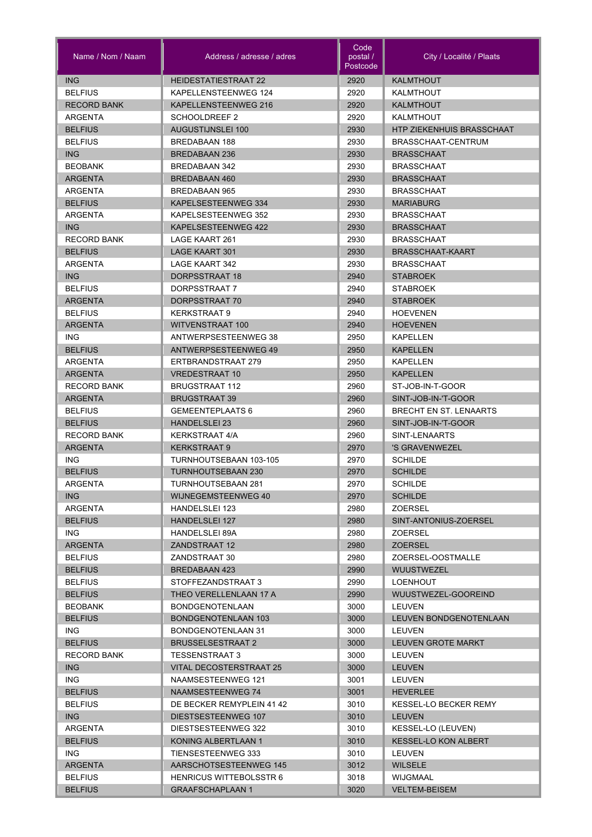| Name / Nom / Naam                | Address / adresse / adres                    | Code<br>postal /<br>Postcode | City / Localité / Plaats         |
|----------------------------------|----------------------------------------------|------------------------------|----------------------------------|
| <b>ING</b>                       | <b>HEIDESTATIESTRAAT 22</b>                  | 2920                         | <b>KALMTHOUT</b>                 |
| <b>BELFIUS</b>                   | KAPELLENSTEENWEG 124                         | 2920                         | <b>KALMTHOUT</b>                 |
| <b>RECORD BANK</b>               | KAPELLENSTEENWEG 216                         | 2920                         | <b>KALMTHOUT</b>                 |
| ARGENTA                          | SCHOOLDREEF 2                                | 2920                         | KALMTHOUT                        |
| <b>BELFIUS</b>                   | <b>AUGUSTIJNSLEI 100</b>                     | 2930                         | <b>HTP ZIEKENHUIS BRASSCHAAT</b> |
| <b>BELFIUS</b>                   | <b>BREDABAAN 188</b>                         | 2930                         | BRASSCHAAT-CENTRUM               |
| <b>ING</b>                       | <b>BREDABAAN 236</b>                         | 2930                         | <b>BRASSCHAAT</b>                |
| <b>BEOBANK</b>                   | <b>BREDABAAN 342</b>                         | 2930                         | <b>BRASSCHAAT</b>                |
| <b>ARGENTA</b>                   | <b>BREDABAAN 460</b>                         | 2930                         | <b>BRASSCHAAT</b>                |
| ARGENTA                          | BREDABAAN 965                                | 2930                         | <b>BRASSCHAAT</b>                |
| <b>BELFIUS</b>                   | KAPELSESTEENWEG 334                          | 2930                         | <b>MARIABURG</b>                 |
| ARGENTA                          | KAPELSESTEENWEG 352                          | 2930                         | <b>BRASSCHAAT</b>                |
| <b>ING</b>                       | KAPELSESTEENWEG 422                          | 2930                         | <b>BRASSCHAAT</b>                |
| <b>RECORD BANK</b>               | LAGE KAART 261                               | 2930                         | <b>BRASSCHAAT</b>                |
| <b>BELFIUS</b>                   | <b>LAGE KAART 301</b>                        | 2930                         | BRASSCHAAT-KAART                 |
| ARGENTA                          | LAGE KAART 342                               | 2930                         | <b>BRASSCHAAT</b>                |
| ING                              | DORPSSTRAAT 18                               | 2940                         | <b>STABROEK</b>                  |
| <b>BELFIUS</b>                   | DORPSSTRAAT 7                                | 2940                         | <b>STABROEK</b>                  |
| <b>ARGENTA</b>                   | DORPSSTRAAT 70                               | 2940                         | <b>STABROEK</b>                  |
| <b>BELFIUS</b>                   | <b>KERKSTRAAT 9</b>                          | 2940                         | <b>HOEVENEN</b>                  |
| <b>ARGENTA</b>                   | <b>WITVENSTRAAT 100</b>                      | 2940                         | <b>HOEVENEN</b>                  |
| ING.                             | ANTWERPSESTEENWEG 38                         | 2950                         | KAPELLEN                         |
| <b>BELFIUS</b>                   | ANTWERPSESTEENWEG 49                         | 2950                         | <b>KAPELLEN</b>                  |
| ARGENTA                          | ERTBRANDSTRAAT 279                           | 2950                         | <b>KAPELLEN</b>                  |
| <b>ARGENTA</b>                   | <b>VREDESTRAAT 10</b>                        | 2950                         | <b>KAPELLEN</b>                  |
| <b>RECORD BANK</b>               | <b>BRUGSTRAAT 112</b>                        | 2960                         | ST-JOB-IN-T-GOOR                 |
| <b>ARGENTA</b>                   | <b>BRUGSTRAAT 39</b>                         | 2960                         | SINT-JOB-IN-'T-GOOR              |
| <b>BELFIUS</b>                   | <b>GEMEENTEPLAATS 6</b>                      | 2960                         | BRECHT EN ST. LENAARTS           |
| <b>BELFIUS</b>                   | <b>HANDELSLEI 23</b>                         | 2960                         | SINT-JOB-IN-'T-GOOR              |
| <b>RECORD BANK</b>               | <b>KERKSTRAAT 4/A</b>                        | 2960                         | SINT-LENAARTS                    |
| <b>ARGENTA</b>                   | <b>KERKSTRAAT 9</b>                          | 2970                         | 'S GRAVENWEZEL                   |
| <b>ING</b>                       | TURNHOUTSEBAAN 103-105                       | 2970                         | <b>SCHILDE</b>                   |
| <b>BELFIUS</b>                   | <b>TURNHOUTSEBAAN 230</b>                    | 2970                         | <b>SCHILDE</b>                   |
| <b>ARGENTA</b>                   | <b>TURNHOUTSEBAAN 281</b>                    | 2970                         | <b>SCHILDE</b>                   |
| ING                              | WIJNEGEMSTEENWEG 40                          | 2970                         | <b>SCHILDE</b>                   |
| ARGENTA                          | <b>HANDELSLEI 123</b>                        | 2980                         | ZOERSEL                          |
| <b>BELFIUS</b>                   | HANDELSLEI 127                               | 2980                         | SINT-ANTONIUS-ZOERSEL            |
| ING.                             | <b>HANDELSLEI 89A</b>                        | 2980                         | ZOERSEL                          |
| <b>ARGENTA</b>                   | ZANDSTRAAT 12                                | 2980                         | ZOERSEL                          |
| <b>BELFIUS</b>                   | ZANDSTRAAT 30                                | 2980                         | ZOERSEL-OOSTMALLE                |
| <b>BELFIUS</b>                   | BREDABAAN 423                                | 2990                         | <b>WUUSTWEZEL</b>                |
| <b>BELFIUS</b>                   | STOFFEZANDSTRAAT 3<br>THEO VERELLENLAAN 17 A | 2990                         | LOENHOUT<br>WUUSTWEZEL-GOOREIND  |
| <b>BELFIUS</b><br><b>BEOBANK</b> | <b>BONDGENOTENLAAN</b>                       | 2990<br>3000                 | LEUVEN                           |
| <b>BELFIUS</b>                   | <b>BONDGENOTENLAAN 103</b>                   | 3000                         | LEUVEN BONDGENOTENLAAN           |
| ING.                             | BONDGENOTENLAAN 31                           | 3000                         | LEUVEN                           |
| <b>BELFIUS</b>                   | <b>BRUSSELSESTRAAT 2</b>                     | 3000                         | <b>LEUVEN GROTE MARKT</b>        |
| <b>RECORD BANK</b>               | TESSENSTRAAT 3                               | 3000                         | LEUVEN                           |
| ING                              | <b>VITAL DECOSTERSTRAAT 25</b>               | 3000                         | <b>LEUVEN</b>                    |
| ING.                             | NAAMSESTEENWEG 121                           | 3001                         | LEUVEN                           |
| <b>BELFIUS</b>                   | NAAMSESTEENWEG 74                            | 3001                         | <b>HEVERLEE</b>                  |
| <b>BELFIUS</b>                   | DE BECKER REMYPLEIN 41 42                    | 3010                         | <b>KESSEL-LO BECKER REMY</b>     |
| ING                              | DIESTSESTEENWEG 107                          | 3010                         | <b>LEUVEN</b>                    |
| <b>ARGENTA</b>                   | DIESTSESTEENWEG 322                          | 3010                         | KESSEL-LO (LEUVEN)               |
| <b>BELFIUS</b>                   | KONING ALBERTLAAN 1                          | 3010                         | KESSEL-LO KON ALBERT             |
| ING.                             | TIENSESTEENWEG 333                           | 3010                         | LEUVEN                           |
| <b>ARGENTA</b>                   | AARSCHOTSESTEENWEG 145                       | 3012                         | <b>WILSELE</b>                   |
| <b>BELFIUS</b>                   | <b>HENRICUS WITTEBOLSSTR 6</b>               | 3018                         | WIJGMAAL                         |
| <b>BELFIUS</b>                   | <b>GRAAFSCHAPLAAN 1</b>                      | 3020                         | <b>VELTEM-BEISEM</b>             |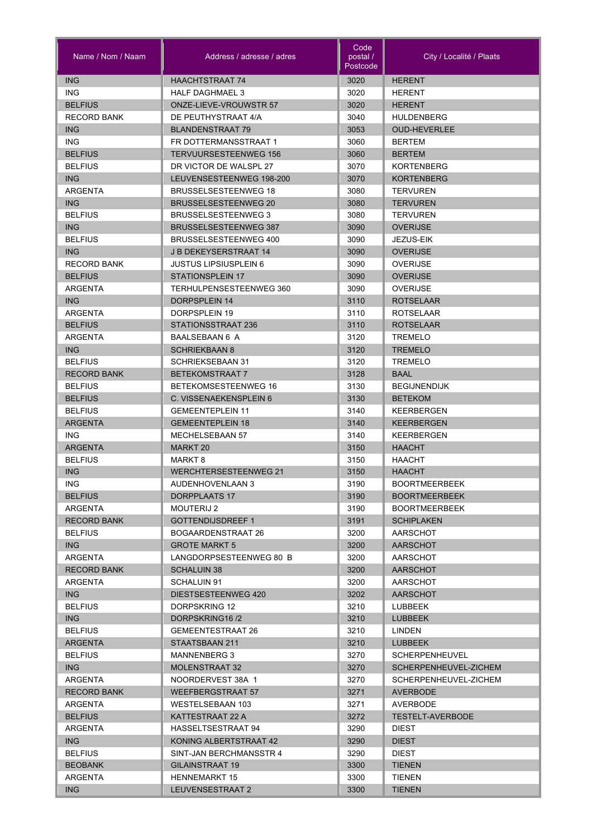| Name / Nom / Naam     | Address / adresse / adres             | Code<br>postal /<br>Postcode | City / Localité / Plaats                       |
|-----------------------|---------------------------------------|------------------------------|------------------------------------------------|
| <b>ING</b>            | <b>HAACHTSTRAAT 74</b>                | 3020                         | <b>HERENT</b>                                  |
| <b>ING</b>            | <b>HALF DAGHMAEL 3</b>                | 3020                         | <b>HERENT</b>                                  |
| <b>BELFIUS</b>        | <b>ONZE-LIEVE-VROUWSTR 57</b>         | 3020                         | <b>HERENT</b>                                  |
| <b>RECORD BANK</b>    | DE PEUTHYSTRAAT 4/A                   | 3040                         | <b>HULDENBERG</b>                              |
| <b>ING</b>            | <b>BLANDENSTRAAT 79</b>               | 3053                         | <b>OUD-HEVERLEE</b>                            |
| <b>ING</b>            | FR DOTTERMANSSTRAAT 1                 | 3060                         | <b>BERTEM</b>                                  |
| <b>BELFIUS</b>        | <b>TERVUURSESTEENWEG 156</b>          | 3060                         | <b>BERTEM</b>                                  |
| <b>BELFIUS</b>        | DR VICTOR DE WALSPL 27                | 3070                         | <b>KORTENBERG</b>                              |
| <b>ING</b>            | LEUVENSESTEENWEG 198-200              | 3070                         | <b>KORTENBERG</b>                              |
| ARGENTA               | <b>BRUSSELSESTEENWEG 18</b>           | 3080                         | <b>TERVUREN</b>                                |
| <b>ING</b>            | <b>BRUSSELSESTEENWEG 20</b>           | 3080                         | <b>TERVUREN</b>                                |
| <b>BELFIUS</b>        | <b>BRUSSELSESTEENWEG 3</b>            | 3080                         | <b>TERVUREN</b>                                |
| ING                   | <b>BRUSSELSESTEENWEG 387</b>          | 3090                         | <b>OVERIJSE</b>                                |
| <b>BELFIUS</b>        | BRUSSELSESTEENWEG 400                 | 3090                         | JEZUS-EIK                                      |
| <b>ING</b>            | <b>J B DEKEYSERSTRAAT 14</b>          | 3090                         | <b>OVERIJSE</b>                                |
| <b>RECORD BANK</b>    | <b>JUSTUS LIPSIUSPLEIN 6</b>          | 3090                         | <b>OVERIJSE</b>                                |
| <b>BELFIUS</b>        | <b>STATIONSPLEIN 17</b>               | 3090                         | <b>OVERIJSE</b>                                |
| <b>ARGENTA</b>        | TERHULPENSESTEENWEG 360               | 3090                         | <b>OVERIJSE</b>                                |
| <b>ING</b>            | DORPSPLEIN 14                         | 3110                         | <b>ROTSELAAR</b>                               |
| ARGENTA               | DORPSPLEIN 19                         | 3110                         | <b>ROTSELAAR</b>                               |
| <b>BELFIUS</b>        | STATIONSSTRAAT 236                    | 3110                         | <b>ROTSELAAR</b>                               |
| ARGENTA               | BAALSEBAAN 6 A                        | 3120                         | <b>TREMELO</b>                                 |
| ING                   | <b>SCHRIEKBAAN 8</b>                  | 3120                         | <b>TREMELO</b>                                 |
| <b>BELFIUS</b>        | <b>SCHRIEKSEBAAN 31</b>               | 3120                         | <b>TREMELO</b>                                 |
| <b>RECORD BANK</b>    | <b>BETEKOMSTRAAT 7</b>                | 3128                         | <b>BAAL</b>                                    |
| <b>BELFIUS</b>        | BETEKOMSESTEENWEG 16                  | 3130                         | <b>BEGIJNENDIJK</b>                            |
| <b>BELFIUS</b>        | C. VISSENAEKENSPLEIN 6                | 3130                         | <b>BETEKOM</b>                                 |
| <b>BELFIUS</b>        | <b>GEMEENTEPLEIN 11</b>               | 3140                         | KEERBERGEN                                     |
| <b>ARGENTA</b>        | <b>GEMEENTEPLEIN 18</b>               | 3140                         | <b>KEERBERGEN</b>                              |
| <b>ING</b>            | <b>MECHELSEBAAN 57</b>                | 3140                         | <b>KEERBERGEN</b>                              |
| <b>ARGENTA</b>        | MARKT <sub>20</sub>                   | 3150                         | <b>HAACHT</b>                                  |
| <b>BELFIUS</b>        | MARKT <sub>8</sub>                    | 3150                         | <b>HAACHT</b>                                  |
| <b>ING</b>            | <b>WERCHTERSESTEENWEG 21</b>          | 3150                         | <b>HAACHT</b>                                  |
| ING.                  | AUDENHOVENLAAN 3                      | 3190                         | <b>BOORTMEERBEEK</b>                           |
| <b>BELFIUS</b>        | DORPPLAATS 17                         | 3190                         | <b>BOORTMEERBEEK</b>                           |
| ARGENTA               | <b>MOUTERIJ 2</b>                     | 3190                         | <b>BOORTMEERBEEK</b>                           |
| <b>RECORD BANK</b>    | <b>GOTTENDIJSDREEF 1</b>              | 3191                         | <b>SCHIPLAKEN</b>                              |
| <b>BELFIUS</b>        | BOGAARDENSTRAAT 26                    | 3200                         | AARSCHOT                                       |
| ING                   | <b>GROTE MARKT 5</b>                  | 3200                         | AARSCHOT                                       |
| ARGENTA               | LANGDORPSESTEENWEG 80 B               | 3200                         | AARSCHOT                                       |
| <b>RECORD BANK</b>    | <b>SCHALUIN 38</b>                    | 3200                         | AARSCHOT                                       |
| ARGENTA               | SCHALUIN 91                           | 3200                         | AARSCHOT                                       |
| <b>ING</b>            | DIESTSESTEENWEG 420                   | 3202                         | <b>AARSCHOT</b>                                |
| <b>BELFIUS</b>        | DORPSKRING 12                         | 3210                         | LUBBEEK                                        |
| <b>ING</b>            | DORPSKRING16/2                        | 3210                         | <b>LUBBEEK</b>                                 |
| <b>BELFIUS</b>        | <b>GEMEENTESTRAAT 26</b>              | 3210                         | LINDEN                                         |
| <b>ARGENTA</b>        | STAATSBAAN 211                        | 3210                         | <b>LUBBEEK</b>                                 |
| <b>BELFIUS</b><br>ING | MANNENBERG 3<br><b>MOLENSTRAAT 32</b> | 3270<br>3270                 | <b>SCHERPENHEUVEL</b><br>SCHERPENHEUVEL-ZICHEM |
| ARGENTA               | NOORDERVEST 38A 1                     | 3270                         |                                                |
| <b>RECORD BANK</b>    | <b>WEEFBERGSTRAAT 57</b>              | 3271                         | SCHERPENHEUVEL-ZICHEM<br><b>AVERBODE</b>       |
| <b>ARGENTA</b>        | <b>WESTELSEBAAN 103</b>               | 3271                         | AVERBODE                                       |
| <b>BELFIUS</b>        | KATTESTRAAT 22 A                      | 3272                         | <b>TESTELT-AVERBODE</b>                        |
| ARGENTA               | HASSELTSESTRAAT 94                    | 3290                         | <b>DIEST</b>                                   |
| ING                   | KONING ALBERTSTRAAT 42                | 3290                         | <b>DIEST</b>                                   |
| <b>BELFIUS</b>        | SINT-JAN BERCHMANSSTR 4               | 3290                         | <b>DIEST</b>                                   |
| <b>BEOBANK</b>        | GILAINSTRAAT 19                       | 3300                         | <b>TIENEN</b>                                  |
| ARGENTA               | <b>HENNEMARKT 15</b>                  | 3300                         | <b>TIENEN</b>                                  |
| ING                   | LEUVENSESTRAAT 2                      | 3300                         |                                                |
|                       |                                       |                              | <b>TIENEN</b>                                  |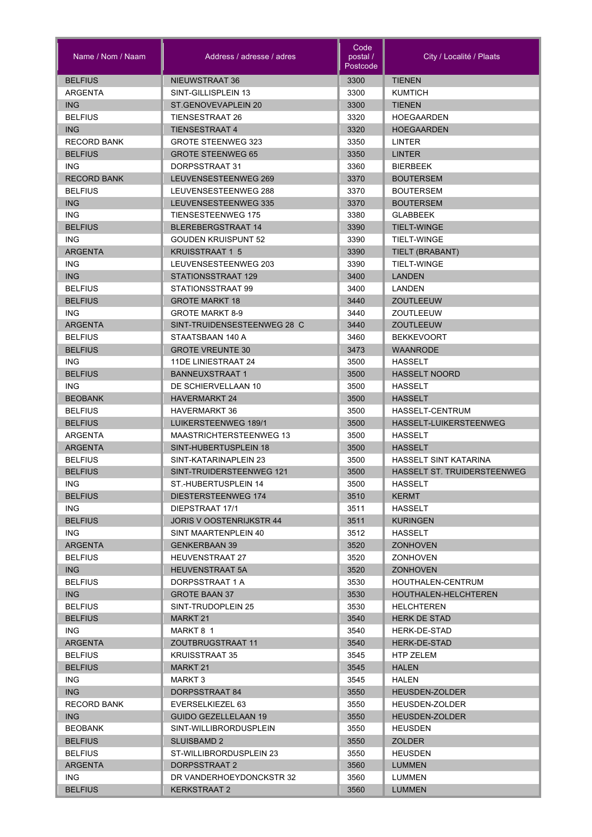| Name / Nom / Naam  | Address / adresse / adres       | Code<br>postal /<br>Postcode | City / Localité / Plaats           |
|--------------------|---------------------------------|------------------------------|------------------------------------|
| <b>BELFIUS</b>     | NIEUWSTRAAT 36                  | 3300                         | <b>TIENEN</b>                      |
| <b>ARGENTA</b>     | SINT-GILLISPLEIN 13             | 3300                         | <b>KUMTICH</b>                     |
| <b>ING</b>         | ST.GENOVEVAPLEIN 20             | 3300                         | <b>TIENEN</b>                      |
| <b>BELFIUS</b>     | <b>TIENSESTRAAT 26</b>          | 3320                         | <b>HOEGAARDEN</b>                  |
| <b>ING</b>         | <b>TIENSESTRAAT 4</b>           | 3320                         | <b>HOEGAARDEN</b>                  |
| <b>RECORD BANK</b> | <b>GROTE STEENWEG 323</b>       | 3350                         | <b>LINTER</b>                      |
| <b>BELFIUS</b>     | <b>GROTE STEENWEG 65</b>        | 3350                         | <b>LINTER</b>                      |
| <b>ING</b>         | DORPSSTRAAT 31                  | 3360                         | <b>BIERBEEK</b>                    |
| <b>RECORD BANK</b> | LEUVENSESTEENWEG 269            | 3370                         | <b>BOUTERSEM</b>                   |
| <b>BELFIUS</b>     | LEUVENSESTEENWEG 288            | 3370                         | <b>BOUTERSEM</b>                   |
| <b>ING</b>         | LEUVENSESTEENWEG 335            | 3370                         | <b>BOUTERSEM</b>                   |
| <b>ING</b>         | <b>TIENSESTEENWEG 175</b>       | 3380                         | <b>GLABBEEK</b>                    |
| <b>BELFIUS</b>     | <b>BLEREBERGSTRAAT 14</b>       | 3390                         | <b>TIELT-WINGE</b>                 |
| <b>ING</b>         | <b>GOUDEN KRUISPUNT 52</b>      | 3390                         | TIELT-WINGE                        |
| <b>ARGENTA</b>     | <b>KRUISSTRAAT 1 5</b>          | 3390                         | TIELT (BRABANT)                    |
| <b>ING</b>         | LEUVENSESTEENWEG 203            | 3390                         | TIELT-WINGE                        |
| <b>ING</b>         | STATIONSSTRAAT 129              | 3400                         | <b>LANDEN</b>                      |
| <b>BELFIUS</b>     | STATIONSSTRAAT 99               | 3400                         | LANDEN                             |
| <b>BELFIUS</b>     | <b>GROTE MARKT 18</b>           | 3440                         | <b>ZOUTLEEUW</b>                   |
| ING.               | <b>GROTE MARKT 8-9</b>          | 3440                         | ZOUTLEEUW                          |
| <b>ARGENTA</b>     | SINT-TRUIDENSESTEENWEG 28 C     | 3440                         | <b>ZOUTLEEUW</b>                   |
| <b>BELFIUS</b>     | STAATSBAAN 140 A                | 3460                         | <b>BEKKEVOORT</b>                  |
| <b>BELFIUS</b>     | <b>GROTE VREUNTE 30</b>         | 3473                         | WAANRODE                           |
|                    |                                 |                              |                                    |
| ING.               | 11DE LINIESTRAAT 24             | 3500                         | <b>HASSELT</b>                     |
| <b>BELFIUS</b>     | <b>BANNEUXSTRAAT 1</b>          | 3500                         | <b>HASSELT NOORD</b>               |
| <b>ING</b>         | DE SCHIERVELLAAN 10             | 3500                         | <b>HASSELT</b>                     |
| <b>BEOBANK</b>     | <b>HAVERMARKT 24</b>            | 3500                         | <b>HASSELT</b>                     |
| <b>BELFIUS</b>     | <b>HAVERMARKT 36</b>            | 3500                         | HASSELT-CENTRUM                    |
| <b>BELFIUS</b>     | LUIKERSTEENWEG 189/1            | 3500                         | HASSELT-LUIKERSTEENWEG             |
| <b>ARGENTA</b>     | <b>MAASTRICHTERSTEENWEG 13</b>  | 3500                         | <b>HASSELT</b>                     |
| <b>ARGENTA</b>     | SINT-HUBERTUSPLEIN 18           | 3500                         | <b>HASSELT</b>                     |
| <b>BELFIUS</b>     | SINT-KATARINAPLEIN 23           | 3500                         | <b>HASSELT SINT KATARINA</b>       |
| <b>BELFIUS</b>     | SINT-TRUIDERSTEENWEG 121        | 3500                         | <b>HASSELT ST. TRUIDERSTEENWEG</b> |
| ING.               | ST.-HUBERTUSPLEIN 14            | 3500                         | HASSELT                            |
| <b>BELFIUS</b>     | DIESTERSTEENWEG 174             | 3510                         | <b>KERMT</b>                       |
| ING.               | DIEPSTRAAT 17/1                 | 3511                         | <b>HASSELT</b>                     |
| <b>BELFIUS</b>     | <b>JORIS V OOSTENRIJKSTR 44</b> | 3511                         | <b>KURINGEN</b>                    |
| ING.               | SINT MAARTENPLEIN 40            | 3512                         | HASSELT                            |
| <b>ARGENTA</b>     | <b>GENKERBAAN 39</b>            | 3520                         | <b>ZONHOVEN</b>                    |
| <b>BELFIUS</b>     | <b>HEUVENSTRAAT 27</b>          | 3520                         | <b>ZONHOVEN</b>                    |
| <b>ING</b>         | <b>HEUVENSTRAAT 5A</b>          | 3520                         | <b>ZONHOVEN</b>                    |
| <b>BELFIUS</b>     | DORPSSTRAAT 1 A                 | 3530                         | HOUTHALEN-CENTRUM                  |
| <b>ING</b>         | <b>GROTE BAAN 37</b>            | 3530                         | HOUTHALEN-HELCHTEREN               |
| <b>BELFIUS</b>     | SINT-TRUDOPLEIN 25              | 3530                         | <b>HELCHTEREN</b>                  |
| <b>BELFIUS</b>     | MARKT 21                        | 3540                         | <b>HERK DE STAD</b>                |
| ING.               | MARKT 8 1                       | 3540                         | HERK-DE-STAD                       |
| <b>ARGENTA</b>     | ZOUTBRUGSTRAAT 11               | 3540                         | <b>HERK-DE-STAD</b>                |
| <b>BELFIUS</b>     | <b>KRUISSTRAAT 35</b>           | 3545                         | HTP ZELEM                          |
| <b>BELFIUS</b>     | <b>MARKT 21</b>                 | 3545                         | <b>HALEN</b>                       |
| ING.               | MARKT 3                         | 3545                         | HALEN                              |
| ING                | DORPSSTRAAT 84                  | 3550                         | <b>HEUSDEN-ZOLDER</b>              |
| <b>RECORD BANK</b> | EVERSELKIEZEL 63                | 3550                         | <b>HEUSDEN-ZOLDER</b>              |
| ING                | <b>GUIDO GEZELLELAAN 19</b>     | 3550                         | <b>HEUSDEN-ZOLDER</b>              |
| <b>BEOBANK</b>     | SINT-WILLIBRORDUSPLEIN          | 3550                         | <b>HEUSDEN</b>                     |
| <b>BELFIUS</b>     | SLUISBAMD 2                     | 3550                         | <b>ZOLDER</b>                      |
| <b>BELFIUS</b>     | ST-WILLIBRORDUSPLEIN 23         | 3550                         | <b>HEUSDEN</b>                     |
| <b>ARGENTA</b>     | DORPSSTRAAT 2                   | 3560                         | <b>LUMMEN</b>                      |
| ING.               | DR VANDERHOEYDONCKSTR 32        | 3560                         | LUMMEN                             |
| <b>BELFIUS</b>     | KERKSTRAAT 2                    | 3560                         | <b>LUMMEN</b>                      |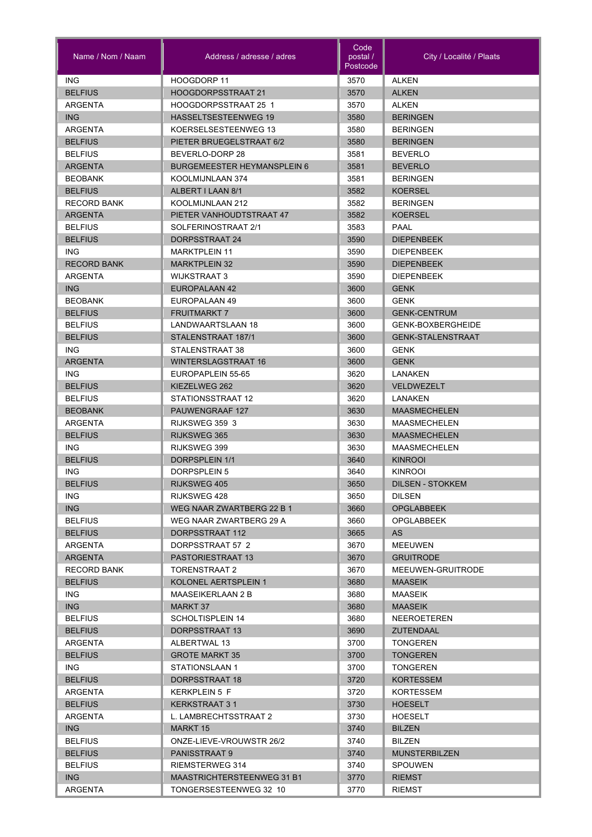| Name / Nom / Naam  | Address / adresse / adres          | Code<br>postal /<br>Postcode | City / Localité / Plaats |
|--------------------|------------------------------------|------------------------------|--------------------------|
| <b>ING</b>         | HOOGDORP 11                        | 3570                         | <b>ALKEN</b>             |
| <b>BELFIUS</b>     | <b>HOOGDORPSSTRAAT 21</b>          | 3570                         | <b>ALKEN</b>             |
| ARGENTA            | HOOGDORPSSTRAAT 25 1               | 3570                         | <b>ALKEN</b>             |
| <b>ING</b>         | <b>HASSELTSESTEENWEG 19</b>        | 3580                         | <b>BERINGEN</b>          |
| <b>ARGENTA</b>     | KOERSELSESTEENWEG 13               | 3580                         | <b>BERINGEN</b>          |
| <b>BELFIUS</b>     | PIETER BRUEGELSTRAAT 6/2           | 3580                         | <b>BERINGEN</b>          |
| <b>BELFIUS</b>     | BEVERLO-DORP 28                    | 3581                         | <b>BEVERLO</b>           |
| <b>ARGENTA</b>     | <b>BURGEMEESTER HEYMANSPLEIN 6</b> | 3581                         | <b>BEVERLO</b>           |
| <b>BEOBANK</b>     | KOOLMIJNLAAN 374                   | 3581                         | <b>BERINGEN</b>          |
| <b>BELFIUS</b>     | ALBERT I LAAN 8/1                  | 3582                         | <b>KOERSEL</b>           |
| <b>RECORD BANK</b> | KOOLMIJNLAAN 212                   | 3582                         | <b>BERINGEN</b>          |
| ARGENTA            | PIETER VANHOUDTSTRAAT 47           | 3582                         | <b>KOERSEL</b>           |
| <b>BELFIUS</b>     | SOLFERINOSTRAAT 2/1                | 3583                         | <b>PAAL</b>              |
| <b>BELFIUS</b>     | DORPSSTRAAT 24                     | 3590                         | <b>DIEPENBEEK</b>        |
| <b>ING</b>         | <b>MARKTPLEIN 11</b>               | 3590                         | <b>DIEPENBEEK</b>        |
| <b>RECORD BANK</b> | <b>MARKTPLEIN 32</b>               | 3590                         | <b>DIEPENBEEK</b>        |
| ARGENTA            | <b>WIJKSTRAAT 3</b>                | 3590                         | <b>DIEPENBEEK</b>        |
| <b>ING</b>         | EUROPALAAN 42                      | 3600                         | <b>GENK</b>              |
| <b>BEOBANK</b>     | EUROPALAAN 49                      | 3600                         | <b>GENK</b>              |
| <b>BELFIUS</b>     | <b>FRUITMARKT 7</b>                | 3600                         | <b>GENK-CENTRUM</b>      |
| <b>BELFIUS</b>     | LANDWAARTSLAAN 18                  | 3600                         | GENK-BOXBERGHEIDE        |
|                    |                                    |                              | <b>GENK-STALENSTRAAT</b> |
| <b>BELFIUS</b>     | STALENSTRAAT 187/1                 | 3600                         |                          |
| ING.               | STALENSTRAAT 38                    | 3600                         | <b>GENK</b>              |
| <b>ARGENTA</b>     | <b>WINTERSLAGSTRAAT 16</b>         | 3600                         | <b>GENK</b>              |
| ING.               | EUROPAPLEIN 55-65                  | 3620                         | LANAKEN                  |
| <b>BELFIUS</b>     | KIEZELWEG 262                      | 3620                         | <b>VELDWEZELT</b>        |
| <b>BELFIUS</b>     | STATIONSSTRAAT 12                  | 3620                         | LANAKEN                  |
| <b>BEOBANK</b>     | PAUWENGRAAF 127                    | 3630                         | <b>MAASMECHELEN</b>      |
| ARGENTA            | RIJKSWEG 359 3                     | 3630                         | <b>MAASMECHELEN</b>      |
| <b>BELFIUS</b>     | RIJKSWEG 365                       | 3630                         | <b>MAASMECHELEN</b>      |
| <b>ING</b>         | RIJKSWEG 399                       | 3630                         | <b>MAASMECHELEN</b>      |
| <b>BELFIUS</b>     | DORPSPLEIN 1/1                     | 3640                         | <b>KINROOI</b>           |
| <b>ING</b>         | <b>DORPSPLEIN 5</b>                | 3640                         | <b>KINROOI</b>           |
| <b>BELFIUS</b>     | RIJKSWEG 405                       | 3650                         | <b>DILSEN - STOKKEM</b>  |
| ING.               | RIJKSWEG 428                       | 3650                         | <b>DILSEN</b>            |
| ING                | WEG NAAR ZWARTBERG 22 B 1          | 3660                         | <b>OPGLABBEEK</b>        |
| <b>BELFIUS</b>     | WEG NAAR ZWARTBERG 29 A            | 3660                         | <b>OPGLABBEEK</b>        |
| <b>BELFIUS</b>     | DORPSSTRAAT 112                    | 3665                         | AS.                      |
| ARGENTA            | DORPSSTRAAT 57 2                   | 3670                         | <b>MEEUWEN</b>           |
| <b>ARGENTA</b>     | <b>PASTORIESTRAAT 13</b>           | 3670                         | <b>GRUITRODE</b>         |
| <b>RECORD BANK</b> | TORENSTRAAT 2                      | 3670                         | MEEUWEN-GRUITRODE        |
| <b>BELFIUS</b>     | KOLONEL AERTSPLEIN 1               | 3680                         | <b>MAASEIK</b>           |
| ING.               | <b>MAASEIKERLAAN 2 B</b>           | 3680                         | MAASEIK                  |
| ING                | MARKT 37                           | 3680                         | <b>MAASEIK</b>           |
| <b>BELFIUS</b>     | SCHOLTISPLEIN 14                   | 3680                         | <b>NEEROETEREN</b>       |
| <b>BELFIUS</b>     | DORPSSTRAAT 13                     | 3690                         | <b>ZUTENDAAL</b>         |
| ARGENTA            | ALBERTWAL 13                       | 3700                         | <b>TONGEREN</b>          |
| <b>BELFIUS</b>     | <b>GROTE MARKT 35</b>              | 3700                         | <b>TONGEREN</b>          |
| ING.               | STATIONSLAAN 1                     | 3700                         | <b>TONGEREN</b>          |
| <b>BELFIUS</b>     | DORPSSTRAAT 18                     | 3720                         | <b>KORTESSEM</b>         |
| ARGENTA            | KERKPLEIN 5 F                      | 3720                         | KORTESSEM                |
| <b>BELFIUS</b>     | <b>KERKSTRAAT 31</b>               | 3730                         | <b>HOESELT</b>           |
| ARGENTA            | L. LAMBRECHTSSTRAAT 2              | 3730                         | <b>HOESELT</b>           |
| ING                | <b>MARKT 15</b>                    | 3740                         | <b>BILZEN</b>            |
| <b>BELFIUS</b>     | ONZE-LIEVE-VROUWSTR 26/2           | 3740                         | BILZEN                   |
| <b>BELFIUS</b>     | PANISSTRAAT 9                      | 3740                         | <b>MUNSTERBILZEN</b>     |
| <b>BELFIUS</b>     | RIEMSTERWEG 314                    | 3740                         | <b>SPOUWEN</b>           |
| ING                | <b>MAASTRICHTERSTEENWEG 31 B1</b>  | 3770                         | <b>RIEMST</b>            |
| ARGENTA            | TONGERSESTEENWEG 32 10             | 3770                         | <b>RIEMST</b>            |
|                    |                                    |                              |                          |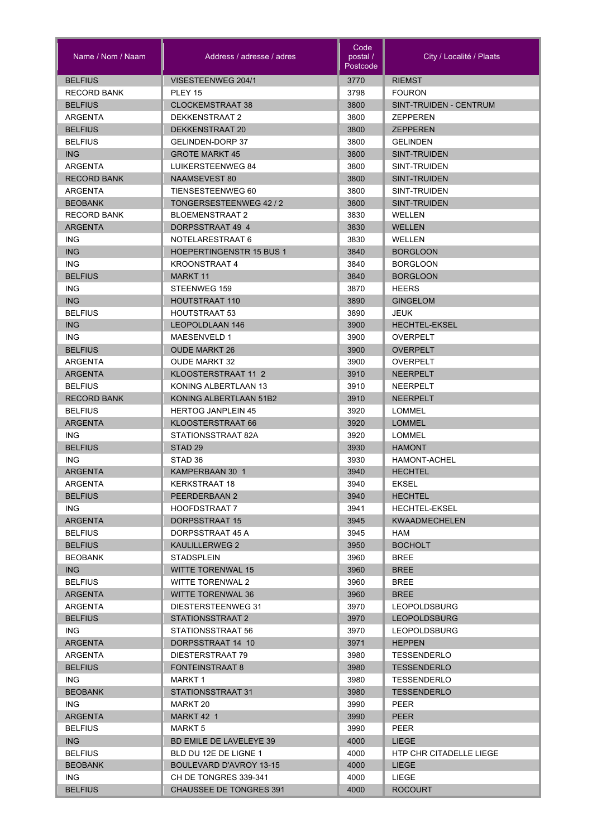| VISESTEENWEG 204/1<br><b>BELFIUS</b><br>3770<br><b>RIEMST</b><br><b>RECORD BANK</b><br>3798<br>PLEY 15<br><b>FOURON</b><br><b>BELFIUS</b><br><b>CLOCKEMSTRAAT 38</b><br>3800<br>SINT-TRUIDEN - CENTRUM<br>DEKKENSTRAAT 2<br>3800<br><b>ZEPPEREN</b><br>ARGENTA<br><b>BELFIUS</b><br>DEKKENSTRAAT 20<br>3800<br><b>ZEPPEREN</b><br>3800<br><b>BELFIUS</b><br>GELINDEN-DORP 37<br><b>GELINDEN</b><br><b>ING</b><br><b>GROTE MARKT 45</b><br>3800<br><b>SINT-TRUIDEN</b><br><b>ARGENTA</b><br>3800<br>LUIKERSTEENWEG 84<br>SINT-TRUIDEN<br><b>RECORD BANK</b><br><b>NAAMSEVEST 80</b><br>3800<br>SINT-TRUIDEN<br><b>ARGENTA</b><br>TIENSESTEENWEG 60<br>3800<br>SINT-TRUIDEN<br>TONGERSESTEENWEG 42 / 2<br>3800<br><b>BEOBANK</b><br>SINT-TRUIDEN<br><b>RECORD BANK</b><br><b>BLOEMENSTRAAT 2</b><br>3830<br><b>WELLEN</b><br>3830<br><b>ARGENTA</b><br>DORPSSTRAAT 49 4<br><b>WELLEN</b><br><b>ING</b><br>NOTELARESTRAAT 6<br>3830<br><b>WELLEN</b><br><b>ING</b><br><b>HOEPERTINGENSTR 15 BUS 1</b><br>3840<br><b>BORGLOON</b><br><b>ING</b><br><b>KROONSTRAAT 4</b><br>3840<br><b>BORGLOON</b><br><b>BELFIUS</b><br><b>MARKT 11</b><br>3840<br><b>BORGLOON</b><br><b>ING</b><br>STEENWEG 159<br>3870<br><b>HEERS</b><br><b>ING</b><br>3890<br><b>HOUTSTRAAT 110</b><br><b>GINGELOM</b><br><b>BELFIUS</b><br><b>HOUTSTRAAT 53</b><br>3890<br><b>JEUK</b><br><b>ING</b><br>LEOPOLDLAAN 146<br>3900<br><b>HECHTEL-EKSEL</b><br><b>ING</b><br>MAESENVELD 1<br>3900<br>OVERPELT<br>3900<br><b>BELFIUS</b><br><b>OUDE MARKT 26</b><br><b>OVERPELT</b><br>3900<br>ARGENTA<br><b>OUDE MARKT 32</b><br>OVERPELT<br><b>ARGENTA</b><br>KLOOSTERSTRAAT 11 2<br>3910<br><b>NEERPELT</b><br><b>BELFIUS</b><br>KONING ALBERTLAAN 13<br>3910<br><b>NEERPELT</b><br><b>RECORD BANK</b><br>KONING ALBERTLAAN 51B2<br>3910<br><b>NEERPELT</b><br>3920<br><b>BELFIUS</b><br><b>HERTOG JANPLEIN 45</b><br>LOMMEL<br><b>ARGENTA</b><br>KLOOSTERSTRAAT 66<br>3920<br><b>LOMMEL</b><br><b>ING</b><br>STATIONSSTRAAT 82A<br>3920<br><b>LOMMEL</b><br><b>BELFIUS</b><br>3930<br>STAD <sub>29</sub><br><b>HAMONT</b><br><b>ING</b><br>STAD 36<br>3930<br><b>HAMONT-ACHEL</b><br><b>ARGENTA</b><br>KAMPERBAAN 30 1<br>3940<br><b>HECHTEL</b><br>3940<br><b>EKSEL</b><br>ARGENTA<br><b>KERKSTRAAT 18</b><br>3940<br><b>BELFIUS</b><br>PEERDERBAAN 2<br><b>HECHTEL</b><br>ING.<br>HOOFDSTRAAT 7<br>3941<br><b>HECHTEL-EKSEL</b><br><b>ARGENTA</b><br>DORPSSTRAAT 15<br>3945<br><b>KWAADMECHELEN</b><br><b>BELFIUS</b><br>DORPSSTRAAT 45 A<br>3945<br>HAM<br><b>BELFIUS</b><br>KAULILLERWEG 2<br>3950<br><b>BOCHOLT</b><br><b>BEOBANK</b><br><b>STADSPLEIN</b><br>3960<br><b>BREE</b><br>ING.<br><b>WITTE TORENWAL 15</b><br>3960<br><b>BREE</b><br><b>BELFIUS</b><br>WITTE TORENWAL 2<br>3960<br><b>BREE</b><br><b>WITTE TORENWAL 36</b><br>3960<br><b>ARGENTA</b><br><b>BREE</b><br>DIESTERSTEENWEG 31<br>3970<br>ARGENTA<br><b>LEOPOLDSBURG</b><br><b>BELFIUS</b><br>STATIONSSTRAAT 2<br>3970<br><b>LEOPOLDSBURG</b><br>3970<br>ING.<br>STATIONSSTRAAT 56<br><b>LEOPOLDSBURG</b><br><b>ARGENTA</b><br>DORPSSTRAAT 14 10<br>3971<br><b>HEPPEN</b><br>3980<br>ARGENTA<br>DIESTERSTRAAT 79<br>TESSENDERLO<br><b>BELFIUS</b><br><b>FONTEINSTRAAT 8</b><br>3980<br><b>TESSENDERLO</b><br>3980<br>ING.<br>MARKT 1<br>TESSENDERLO<br><b>BEOBANK</b><br>STATIONSSTRAAT 31<br>3980<br><b>TESSENDERLO</b><br>ING.<br>3990<br>PEER<br>MARKT 20<br><b>ARGENTA</b><br>MARKT 42 1<br>3990<br><b>PEER</b><br><b>BELFIUS</b><br>3990<br>PEER<br><b>MARKT 5</b><br>ING<br><b>BD EMILE DE LAVELEYE 39</b><br>4000<br><b>LIEGE</b><br><b>BELFIUS</b><br>4000<br>HTP CHR CITADELLE LIEGE<br>BLD DU 12E DE LIGNE 1<br><b>BEOBANK</b><br>BOULEVARD D'AVROY 13-15<br>4000<br><b>LIEGE</b><br>ING.<br>CH DE TONGRES 339-341<br>4000<br>LIEGE<br><b>BELFIUS</b><br><b>CHAUSSEE DE TONGRES 391</b><br>4000<br><b>ROCOURT</b> | Name / Nom / Naam | Address / adresse / adres | Code<br>postal /<br>Postcode | City / Localité / Plaats |
|------------------------------------------------------------------------------------------------------------------------------------------------------------------------------------------------------------------------------------------------------------------------------------------------------------------------------------------------------------------------------------------------------------------------------------------------------------------------------------------------------------------------------------------------------------------------------------------------------------------------------------------------------------------------------------------------------------------------------------------------------------------------------------------------------------------------------------------------------------------------------------------------------------------------------------------------------------------------------------------------------------------------------------------------------------------------------------------------------------------------------------------------------------------------------------------------------------------------------------------------------------------------------------------------------------------------------------------------------------------------------------------------------------------------------------------------------------------------------------------------------------------------------------------------------------------------------------------------------------------------------------------------------------------------------------------------------------------------------------------------------------------------------------------------------------------------------------------------------------------------------------------------------------------------------------------------------------------------------------------------------------------------------------------------------------------------------------------------------------------------------------------------------------------------------------------------------------------------------------------------------------------------------------------------------------------------------------------------------------------------------------------------------------------------------------------------------------------------------------------------------------------------------------------------------------------------------------------------------------------------------------------------------------------------------------------------------------------------------------------------------------------------------------------------------------------------------------------------------------------------------------------------------------------------------------------------------------------------------------------------------------------------------------------------------------------------------------------------------------------------------------------------------------------------------------------------------------------------------------------------------------------------------------------------------------------------------------------------------------------------------------------------------------------------------------------------------------------------------------------------------------------------------------------------------------------------------------------------------------------------------------------------------------------------------------------------------------------------------------------------------------------------------------------------------------------------------------------------------------------------|-------------------|---------------------------|------------------------------|--------------------------|
|                                                                                                                                                                                                                                                                                                                                                                                                                                                                                                                                                                                                                                                                                                                                                                                                                                                                                                                                                                                                                                                                                                                                                                                                                                                                                                                                                                                                                                                                                                                                                                                                                                                                                                                                                                                                                                                                                                                                                                                                                                                                                                                                                                                                                                                                                                                                                                                                                                                                                                                                                                                                                                                                                                                                                                                                                                                                                                                                                                                                                                                                                                                                                                                                                                                                                                                                                                                                                                                                                                                                                                                                                                                                                                                                                                                                                                                                        |                   |                           |                              |                          |
|                                                                                                                                                                                                                                                                                                                                                                                                                                                                                                                                                                                                                                                                                                                                                                                                                                                                                                                                                                                                                                                                                                                                                                                                                                                                                                                                                                                                                                                                                                                                                                                                                                                                                                                                                                                                                                                                                                                                                                                                                                                                                                                                                                                                                                                                                                                                                                                                                                                                                                                                                                                                                                                                                                                                                                                                                                                                                                                                                                                                                                                                                                                                                                                                                                                                                                                                                                                                                                                                                                                                                                                                                                                                                                                                                                                                                                                                        |                   |                           |                              |                          |
|                                                                                                                                                                                                                                                                                                                                                                                                                                                                                                                                                                                                                                                                                                                                                                                                                                                                                                                                                                                                                                                                                                                                                                                                                                                                                                                                                                                                                                                                                                                                                                                                                                                                                                                                                                                                                                                                                                                                                                                                                                                                                                                                                                                                                                                                                                                                                                                                                                                                                                                                                                                                                                                                                                                                                                                                                                                                                                                                                                                                                                                                                                                                                                                                                                                                                                                                                                                                                                                                                                                                                                                                                                                                                                                                                                                                                                                                        |                   |                           |                              |                          |
|                                                                                                                                                                                                                                                                                                                                                                                                                                                                                                                                                                                                                                                                                                                                                                                                                                                                                                                                                                                                                                                                                                                                                                                                                                                                                                                                                                                                                                                                                                                                                                                                                                                                                                                                                                                                                                                                                                                                                                                                                                                                                                                                                                                                                                                                                                                                                                                                                                                                                                                                                                                                                                                                                                                                                                                                                                                                                                                                                                                                                                                                                                                                                                                                                                                                                                                                                                                                                                                                                                                                                                                                                                                                                                                                                                                                                                                                        |                   |                           |                              |                          |
|                                                                                                                                                                                                                                                                                                                                                                                                                                                                                                                                                                                                                                                                                                                                                                                                                                                                                                                                                                                                                                                                                                                                                                                                                                                                                                                                                                                                                                                                                                                                                                                                                                                                                                                                                                                                                                                                                                                                                                                                                                                                                                                                                                                                                                                                                                                                                                                                                                                                                                                                                                                                                                                                                                                                                                                                                                                                                                                                                                                                                                                                                                                                                                                                                                                                                                                                                                                                                                                                                                                                                                                                                                                                                                                                                                                                                                                                        |                   |                           |                              |                          |
|                                                                                                                                                                                                                                                                                                                                                                                                                                                                                                                                                                                                                                                                                                                                                                                                                                                                                                                                                                                                                                                                                                                                                                                                                                                                                                                                                                                                                                                                                                                                                                                                                                                                                                                                                                                                                                                                                                                                                                                                                                                                                                                                                                                                                                                                                                                                                                                                                                                                                                                                                                                                                                                                                                                                                                                                                                                                                                                                                                                                                                                                                                                                                                                                                                                                                                                                                                                                                                                                                                                                                                                                                                                                                                                                                                                                                                                                        |                   |                           |                              |                          |
|                                                                                                                                                                                                                                                                                                                                                                                                                                                                                                                                                                                                                                                                                                                                                                                                                                                                                                                                                                                                                                                                                                                                                                                                                                                                                                                                                                                                                                                                                                                                                                                                                                                                                                                                                                                                                                                                                                                                                                                                                                                                                                                                                                                                                                                                                                                                                                                                                                                                                                                                                                                                                                                                                                                                                                                                                                                                                                                                                                                                                                                                                                                                                                                                                                                                                                                                                                                                                                                                                                                                                                                                                                                                                                                                                                                                                                                                        |                   |                           |                              |                          |
|                                                                                                                                                                                                                                                                                                                                                                                                                                                                                                                                                                                                                                                                                                                                                                                                                                                                                                                                                                                                                                                                                                                                                                                                                                                                                                                                                                                                                                                                                                                                                                                                                                                                                                                                                                                                                                                                                                                                                                                                                                                                                                                                                                                                                                                                                                                                                                                                                                                                                                                                                                                                                                                                                                                                                                                                                                                                                                                                                                                                                                                                                                                                                                                                                                                                                                                                                                                                                                                                                                                                                                                                                                                                                                                                                                                                                                                                        |                   |                           |                              |                          |
|                                                                                                                                                                                                                                                                                                                                                                                                                                                                                                                                                                                                                                                                                                                                                                                                                                                                                                                                                                                                                                                                                                                                                                                                                                                                                                                                                                                                                                                                                                                                                                                                                                                                                                                                                                                                                                                                                                                                                                                                                                                                                                                                                                                                                                                                                                                                                                                                                                                                                                                                                                                                                                                                                                                                                                                                                                                                                                                                                                                                                                                                                                                                                                                                                                                                                                                                                                                                                                                                                                                                                                                                                                                                                                                                                                                                                                                                        |                   |                           |                              |                          |
|                                                                                                                                                                                                                                                                                                                                                                                                                                                                                                                                                                                                                                                                                                                                                                                                                                                                                                                                                                                                                                                                                                                                                                                                                                                                                                                                                                                                                                                                                                                                                                                                                                                                                                                                                                                                                                                                                                                                                                                                                                                                                                                                                                                                                                                                                                                                                                                                                                                                                                                                                                                                                                                                                                                                                                                                                                                                                                                                                                                                                                                                                                                                                                                                                                                                                                                                                                                                                                                                                                                                                                                                                                                                                                                                                                                                                                                                        |                   |                           |                              |                          |
|                                                                                                                                                                                                                                                                                                                                                                                                                                                                                                                                                                                                                                                                                                                                                                                                                                                                                                                                                                                                                                                                                                                                                                                                                                                                                                                                                                                                                                                                                                                                                                                                                                                                                                                                                                                                                                                                                                                                                                                                                                                                                                                                                                                                                                                                                                                                                                                                                                                                                                                                                                                                                                                                                                                                                                                                                                                                                                                                                                                                                                                                                                                                                                                                                                                                                                                                                                                                                                                                                                                                                                                                                                                                                                                                                                                                                                                                        |                   |                           |                              |                          |
|                                                                                                                                                                                                                                                                                                                                                                                                                                                                                                                                                                                                                                                                                                                                                                                                                                                                                                                                                                                                                                                                                                                                                                                                                                                                                                                                                                                                                                                                                                                                                                                                                                                                                                                                                                                                                                                                                                                                                                                                                                                                                                                                                                                                                                                                                                                                                                                                                                                                                                                                                                                                                                                                                                                                                                                                                                                                                                                                                                                                                                                                                                                                                                                                                                                                                                                                                                                                                                                                                                                                                                                                                                                                                                                                                                                                                                                                        |                   |                           |                              |                          |
|                                                                                                                                                                                                                                                                                                                                                                                                                                                                                                                                                                                                                                                                                                                                                                                                                                                                                                                                                                                                                                                                                                                                                                                                                                                                                                                                                                                                                                                                                                                                                                                                                                                                                                                                                                                                                                                                                                                                                                                                                                                                                                                                                                                                                                                                                                                                                                                                                                                                                                                                                                                                                                                                                                                                                                                                                                                                                                                                                                                                                                                                                                                                                                                                                                                                                                                                                                                                                                                                                                                                                                                                                                                                                                                                                                                                                                                                        |                   |                           |                              |                          |
|                                                                                                                                                                                                                                                                                                                                                                                                                                                                                                                                                                                                                                                                                                                                                                                                                                                                                                                                                                                                                                                                                                                                                                                                                                                                                                                                                                                                                                                                                                                                                                                                                                                                                                                                                                                                                                                                                                                                                                                                                                                                                                                                                                                                                                                                                                                                                                                                                                                                                                                                                                                                                                                                                                                                                                                                                                                                                                                                                                                                                                                                                                                                                                                                                                                                                                                                                                                                                                                                                                                                                                                                                                                                                                                                                                                                                                                                        |                   |                           |                              |                          |
|                                                                                                                                                                                                                                                                                                                                                                                                                                                                                                                                                                                                                                                                                                                                                                                                                                                                                                                                                                                                                                                                                                                                                                                                                                                                                                                                                                                                                                                                                                                                                                                                                                                                                                                                                                                                                                                                                                                                                                                                                                                                                                                                                                                                                                                                                                                                                                                                                                                                                                                                                                                                                                                                                                                                                                                                                                                                                                                                                                                                                                                                                                                                                                                                                                                                                                                                                                                                                                                                                                                                                                                                                                                                                                                                                                                                                                                                        |                   |                           |                              |                          |
|                                                                                                                                                                                                                                                                                                                                                                                                                                                                                                                                                                                                                                                                                                                                                                                                                                                                                                                                                                                                                                                                                                                                                                                                                                                                                                                                                                                                                                                                                                                                                                                                                                                                                                                                                                                                                                                                                                                                                                                                                                                                                                                                                                                                                                                                                                                                                                                                                                                                                                                                                                                                                                                                                                                                                                                                                                                                                                                                                                                                                                                                                                                                                                                                                                                                                                                                                                                                                                                                                                                                                                                                                                                                                                                                                                                                                                                                        |                   |                           |                              |                          |
|                                                                                                                                                                                                                                                                                                                                                                                                                                                                                                                                                                                                                                                                                                                                                                                                                                                                                                                                                                                                                                                                                                                                                                                                                                                                                                                                                                                                                                                                                                                                                                                                                                                                                                                                                                                                                                                                                                                                                                                                                                                                                                                                                                                                                                                                                                                                                                                                                                                                                                                                                                                                                                                                                                                                                                                                                                                                                                                                                                                                                                                                                                                                                                                                                                                                                                                                                                                                                                                                                                                                                                                                                                                                                                                                                                                                                                                                        |                   |                           |                              |                          |
|                                                                                                                                                                                                                                                                                                                                                                                                                                                                                                                                                                                                                                                                                                                                                                                                                                                                                                                                                                                                                                                                                                                                                                                                                                                                                                                                                                                                                                                                                                                                                                                                                                                                                                                                                                                                                                                                                                                                                                                                                                                                                                                                                                                                                                                                                                                                                                                                                                                                                                                                                                                                                                                                                                                                                                                                                                                                                                                                                                                                                                                                                                                                                                                                                                                                                                                                                                                                                                                                                                                                                                                                                                                                                                                                                                                                                                                                        |                   |                           |                              |                          |
|                                                                                                                                                                                                                                                                                                                                                                                                                                                                                                                                                                                                                                                                                                                                                                                                                                                                                                                                                                                                                                                                                                                                                                                                                                                                                                                                                                                                                                                                                                                                                                                                                                                                                                                                                                                                                                                                                                                                                                                                                                                                                                                                                                                                                                                                                                                                                                                                                                                                                                                                                                                                                                                                                                                                                                                                                                                                                                                                                                                                                                                                                                                                                                                                                                                                                                                                                                                                                                                                                                                                                                                                                                                                                                                                                                                                                                                                        |                   |                           |                              |                          |
|                                                                                                                                                                                                                                                                                                                                                                                                                                                                                                                                                                                                                                                                                                                                                                                                                                                                                                                                                                                                                                                                                                                                                                                                                                                                                                                                                                                                                                                                                                                                                                                                                                                                                                                                                                                                                                                                                                                                                                                                                                                                                                                                                                                                                                                                                                                                                                                                                                                                                                                                                                                                                                                                                                                                                                                                                                                                                                                                                                                                                                                                                                                                                                                                                                                                                                                                                                                                                                                                                                                                                                                                                                                                                                                                                                                                                                                                        |                   |                           |                              |                          |
|                                                                                                                                                                                                                                                                                                                                                                                                                                                                                                                                                                                                                                                                                                                                                                                                                                                                                                                                                                                                                                                                                                                                                                                                                                                                                                                                                                                                                                                                                                                                                                                                                                                                                                                                                                                                                                                                                                                                                                                                                                                                                                                                                                                                                                                                                                                                                                                                                                                                                                                                                                                                                                                                                                                                                                                                                                                                                                                                                                                                                                                                                                                                                                                                                                                                                                                                                                                                                                                                                                                                                                                                                                                                                                                                                                                                                                                                        |                   |                           |                              |                          |
|                                                                                                                                                                                                                                                                                                                                                                                                                                                                                                                                                                                                                                                                                                                                                                                                                                                                                                                                                                                                                                                                                                                                                                                                                                                                                                                                                                                                                                                                                                                                                                                                                                                                                                                                                                                                                                                                                                                                                                                                                                                                                                                                                                                                                                                                                                                                                                                                                                                                                                                                                                                                                                                                                                                                                                                                                                                                                                                                                                                                                                                                                                                                                                                                                                                                                                                                                                                                                                                                                                                                                                                                                                                                                                                                                                                                                                                                        |                   |                           |                              |                          |
|                                                                                                                                                                                                                                                                                                                                                                                                                                                                                                                                                                                                                                                                                                                                                                                                                                                                                                                                                                                                                                                                                                                                                                                                                                                                                                                                                                                                                                                                                                                                                                                                                                                                                                                                                                                                                                                                                                                                                                                                                                                                                                                                                                                                                                                                                                                                                                                                                                                                                                                                                                                                                                                                                                                                                                                                                                                                                                                                                                                                                                                                                                                                                                                                                                                                                                                                                                                                                                                                                                                                                                                                                                                                                                                                                                                                                                                                        |                   |                           |                              |                          |
|                                                                                                                                                                                                                                                                                                                                                                                                                                                                                                                                                                                                                                                                                                                                                                                                                                                                                                                                                                                                                                                                                                                                                                                                                                                                                                                                                                                                                                                                                                                                                                                                                                                                                                                                                                                                                                                                                                                                                                                                                                                                                                                                                                                                                                                                                                                                                                                                                                                                                                                                                                                                                                                                                                                                                                                                                                                                                                                                                                                                                                                                                                                                                                                                                                                                                                                                                                                                                                                                                                                                                                                                                                                                                                                                                                                                                                                                        |                   |                           |                              |                          |
|                                                                                                                                                                                                                                                                                                                                                                                                                                                                                                                                                                                                                                                                                                                                                                                                                                                                                                                                                                                                                                                                                                                                                                                                                                                                                                                                                                                                                                                                                                                                                                                                                                                                                                                                                                                                                                                                                                                                                                                                                                                                                                                                                                                                                                                                                                                                                                                                                                                                                                                                                                                                                                                                                                                                                                                                                                                                                                                                                                                                                                                                                                                                                                                                                                                                                                                                                                                                                                                                                                                                                                                                                                                                                                                                                                                                                                                                        |                   |                           |                              |                          |
|                                                                                                                                                                                                                                                                                                                                                                                                                                                                                                                                                                                                                                                                                                                                                                                                                                                                                                                                                                                                                                                                                                                                                                                                                                                                                                                                                                                                                                                                                                                                                                                                                                                                                                                                                                                                                                                                                                                                                                                                                                                                                                                                                                                                                                                                                                                                                                                                                                                                                                                                                                                                                                                                                                                                                                                                                                                                                                                                                                                                                                                                                                                                                                                                                                                                                                                                                                                                                                                                                                                                                                                                                                                                                                                                                                                                                                                                        |                   |                           |                              |                          |
|                                                                                                                                                                                                                                                                                                                                                                                                                                                                                                                                                                                                                                                                                                                                                                                                                                                                                                                                                                                                                                                                                                                                                                                                                                                                                                                                                                                                                                                                                                                                                                                                                                                                                                                                                                                                                                                                                                                                                                                                                                                                                                                                                                                                                                                                                                                                                                                                                                                                                                                                                                                                                                                                                                                                                                                                                                                                                                                                                                                                                                                                                                                                                                                                                                                                                                                                                                                                                                                                                                                                                                                                                                                                                                                                                                                                                                                                        |                   |                           |                              |                          |
|                                                                                                                                                                                                                                                                                                                                                                                                                                                                                                                                                                                                                                                                                                                                                                                                                                                                                                                                                                                                                                                                                                                                                                                                                                                                                                                                                                                                                                                                                                                                                                                                                                                                                                                                                                                                                                                                                                                                                                                                                                                                                                                                                                                                                                                                                                                                                                                                                                                                                                                                                                                                                                                                                                                                                                                                                                                                                                                                                                                                                                                                                                                                                                                                                                                                                                                                                                                                                                                                                                                                                                                                                                                                                                                                                                                                                                                                        |                   |                           |                              |                          |
|                                                                                                                                                                                                                                                                                                                                                                                                                                                                                                                                                                                                                                                                                                                                                                                                                                                                                                                                                                                                                                                                                                                                                                                                                                                                                                                                                                                                                                                                                                                                                                                                                                                                                                                                                                                                                                                                                                                                                                                                                                                                                                                                                                                                                                                                                                                                                                                                                                                                                                                                                                                                                                                                                                                                                                                                                                                                                                                                                                                                                                                                                                                                                                                                                                                                                                                                                                                                                                                                                                                                                                                                                                                                                                                                                                                                                                                                        |                   |                           |                              |                          |
|                                                                                                                                                                                                                                                                                                                                                                                                                                                                                                                                                                                                                                                                                                                                                                                                                                                                                                                                                                                                                                                                                                                                                                                                                                                                                                                                                                                                                                                                                                                                                                                                                                                                                                                                                                                                                                                                                                                                                                                                                                                                                                                                                                                                                                                                                                                                                                                                                                                                                                                                                                                                                                                                                                                                                                                                                                                                                                                                                                                                                                                                                                                                                                                                                                                                                                                                                                                                                                                                                                                                                                                                                                                                                                                                                                                                                                                                        |                   |                           |                              |                          |
|                                                                                                                                                                                                                                                                                                                                                                                                                                                                                                                                                                                                                                                                                                                                                                                                                                                                                                                                                                                                                                                                                                                                                                                                                                                                                                                                                                                                                                                                                                                                                                                                                                                                                                                                                                                                                                                                                                                                                                                                                                                                                                                                                                                                                                                                                                                                                                                                                                                                                                                                                                                                                                                                                                                                                                                                                                                                                                                                                                                                                                                                                                                                                                                                                                                                                                                                                                                                                                                                                                                                                                                                                                                                                                                                                                                                                                                                        |                   |                           |                              |                          |
|                                                                                                                                                                                                                                                                                                                                                                                                                                                                                                                                                                                                                                                                                                                                                                                                                                                                                                                                                                                                                                                                                                                                                                                                                                                                                                                                                                                                                                                                                                                                                                                                                                                                                                                                                                                                                                                                                                                                                                                                                                                                                                                                                                                                                                                                                                                                                                                                                                                                                                                                                                                                                                                                                                                                                                                                                                                                                                                                                                                                                                                                                                                                                                                                                                                                                                                                                                                                                                                                                                                                                                                                                                                                                                                                                                                                                                                                        |                   |                           |                              |                          |
|                                                                                                                                                                                                                                                                                                                                                                                                                                                                                                                                                                                                                                                                                                                                                                                                                                                                                                                                                                                                                                                                                                                                                                                                                                                                                                                                                                                                                                                                                                                                                                                                                                                                                                                                                                                                                                                                                                                                                                                                                                                                                                                                                                                                                                                                                                                                                                                                                                                                                                                                                                                                                                                                                                                                                                                                                                                                                                                                                                                                                                                                                                                                                                                                                                                                                                                                                                                                                                                                                                                                                                                                                                                                                                                                                                                                                                                                        |                   |                           |                              |                          |
|                                                                                                                                                                                                                                                                                                                                                                                                                                                                                                                                                                                                                                                                                                                                                                                                                                                                                                                                                                                                                                                                                                                                                                                                                                                                                                                                                                                                                                                                                                                                                                                                                                                                                                                                                                                                                                                                                                                                                                                                                                                                                                                                                                                                                                                                                                                                                                                                                                                                                                                                                                                                                                                                                                                                                                                                                                                                                                                                                                                                                                                                                                                                                                                                                                                                                                                                                                                                                                                                                                                                                                                                                                                                                                                                                                                                                                                                        |                   |                           |                              |                          |
|                                                                                                                                                                                                                                                                                                                                                                                                                                                                                                                                                                                                                                                                                                                                                                                                                                                                                                                                                                                                                                                                                                                                                                                                                                                                                                                                                                                                                                                                                                                                                                                                                                                                                                                                                                                                                                                                                                                                                                                                                                                                                                                                                                                                                                                                                                                                                                                                                                                                                                                                                                                                                                                                                                                                                                                                                                                                                                                                                                                                                                                                                                                                                                                                                                                                                                                                                                                                                                                                                                                                                                                                                                                                                                                                                                                                                                                                        |                   |                           |                              |                          |
|                                                                                                                                                                                                                                                                                                                                                                                                                                                                                                                                                                                                                                                                                                                                                                                                                                                                                                                                                                                                                                                                                                                                                                                                                                                                                                                                                                                                                                                                                                                                                                                                                                                                                                                                                                                                                                                                                                                                                                                                                                                                                                                                                                                                                                                                                                                                                                                                                                                                                                                                                                                                                                                                                                                                                                                                                                                                                                                                                                                                                                                                                                                                                                                                                                                                                                                                                                                                                                                                                                                                                                                                                                                                                                                                                                                                                                                                        |                   |                           |                              |                          |
|                                                                                                                                                                                                                                                                                                                                                                                                                                                                                                                                                                                                                                                                                                                                                                                                                                                                                                                                                                                                                                                                                                                                                                                                                                                                                                                                                                                                                                                                                                                                                                                                                                                                                                                                                                                                                                                                                                                                                                                                                                                                                                                                                                                                                                                                                                                                                                                                                                                                                                                                                                                                                                                                                                                                                                                                                                                                                                                                                                                                                                                                                                                                                                                                                                                                                                                                                                                                                                                                                                                                                                                                                                                                                                                                                                                                                                                                        |                   |                           |                              |                          |
|                                                                                                                                                                                                                                                                                                                                                                                                                                                                                                                                                                                                                                                                                                                                                                                                                                                                                                                                                                                                                                                                                                                                                                                                                                                                                                                                                                                                                                                                                                                                                                                                                                                                                                                                                                                                                                                                                                                                                                                                                                                                                                                                                                                                                                                                                                                                                                                                                                                                                                                                                                                                                                                                                                                                                                                                                                                                                                                                                                                                                                                                                                                                                                                                                                                                                                                                                                                                                                                                                                                                                                                                                                                                                                                                                                                                                                                                        |                   |                           |                              |                          |
|                                                                                                                                                                                                                                                                                                                                                                                                                                                                                                                                                                                                                                                                                                                                                                                                                                                                                                                                                                                                                                                                                                                                                                                                                                                                                                                                                                                                                                                                                                                                                                                                                                                                                                                                                                                                                                                                                                                                                                                                                                                                                                                                                                                                                                                                                                                                                                                                                                                                                                                                                                                                                                                                                                                                                                                                                                                                                                                                                                                                                                                                                                                                                                                                                                                                                                                                                                                                                                                                                                                                                                                                                                                                                                                                                                                                                                                                        |                   |                           |                              |                          |
|                                                                                                                                                                                                                                                                                                                                                                                                                                                                                                                                                                                                                                                                                                                                                                                                                                                                                                                                                                                                                                                                                                                                                                                                                                                                                                                                                                                                                                                                                                                                                                                                                                                                                                                                                                                                                                                                                                                                                                                                                                                                                                                                                                                                                                                                                                                                                                                                                                                                                                                                                                                                                                                                                                                                                                                                                                                                                                                                                                                                                                                                                                                                                                                                                                                                                                                                                                                                                                                                                                                                                                                                                                                                                                                                                                                                                                                                        |                   |                           |                              |                          |
|                                                                                                                                                                                                                                                                                                                                                                                                                                                                                                                                                                                                                                                                                                                                                                                                                                                                                                                                                                                                                                                                                                                                                                                                                                                                                                                                                                                                                                                                                                                                                                                                                                                                                                                                                                                                                                                                                                                                                                                                                                                                                                                                                                                                                                                                                                                                                                                                                                                                                                                                                                                                                                                                                                                                                                                                                                                                                                                                                                                                                                                                                                                                                                                                                                                                                                                                                                                                                                                                                                                                                                                                                                                                                                                                                                                                                                                                        |                   |                           |                              |                          |
|                                                                                                                                                                                                                                                                                                                                                                                                                                                                                                                                                                                                                                                                                                                                                                                                                                                                                                                                                                                                                                                                                                                                                                                                                                                                                                                                                                                                                                                                                                                                                                                                                                                                                                                                                                                                                                                                                                                                                                                                                                                                                                                                                                                                                                                                                                                                                                                                                                                                                                                                                                                                                                                                                                                                                                                                                                                                                                                                                                                                                                                                                                                                                                                                                                                                                                                                                                                                                                                                                                                                                                                                                                                                                                                                                                                                                                                                        |                   |                           |                              |                          |
|                                                                                                                                                                                                                                                                                                                                                                                                                                                                                                                                                                                                                                                                                                                                                                                                                                                                                                                                                                                                                                                                                                                                                                                                                                                                                                                                                                                                                                                                                                                                                                                                                                                                                                                                                                                                                                                                                                                                                                                                                                                                                                                                                                                                                                                                                                                                                                                                                                                                                                                                                                                                                                                                                                                                                                                                                                                                                                                                                                                                                                                                                                                                                                                                                                                                                                                                                                                                                                                                                                                                                                                                                                                                                                                                                                                                                                                                        |                   |                           |                              |                          |
|                                                                                                                                                                                                                                                                                                                                                                                                                                                                                                                                                                                                                                                                                                                                                                                                                                                                                                                                                                                                                                                                                                                                                                                                                                                                                                                                                                                                                                                                                                                                                                                                                                                                                                                                                                                                                                                                                                                                                                                                                                                                                                                                                                                                                                                                                                                                                                                                                                                                                                                                                                                                                                                                                                                                                                                                                                                                                                                                                                                                                                                                                                                                                                                                                                                                                                                                                                                                                                                                                                                                                                                                                                                                                                                                                                                                                                                                        |                   |                           |                              |                          |
|                                                                                                                                                                                                                                                                                                                                                                                                                                                                                                                                                                                                                                                                                                                                                                                                                                                                                                                                                                                                                                                                                                                                                                                                                                                                                                                                                                                                                                                                                                                                                                                                                                                                                                                                                                                                                                                                                                                                                                                                                                                                                                                                                                                                                                                                                                                                                                                                                                                                                                                                                                                                                                                                                                                                                                                                                                                                                                                                                                                                                                                                                                                                                                                                                                                                                                                                                                                                                                                                                                                                                                                                                                                                                                                                                                                                                                                                        |                   |                           |                              |                          |
|                                                                                                                                                                                                                                                                                                                                                                                                                                                                                                                                                                                                                                                                                                                                                                                                                                                                                                                                                                                                                                                                                                                                                                                                                                                                                                                                                                                                                                                                                                                                                                                                                                                                                                                                                                                                                                                                                                                                                                                                                                                                                                                                                                                                                                                                                                                                                                                                                                                                                                                                                                                                                                                                                                                                                                                                                                                                                                                                                                                                                                                                                                                                                                                                                                                                                                                                                                                                                                                                                                                                                                                                                                                                                                                                                                                                                                                                        |                   |                           |                              |                          |
|                                                                                                                                                                                                                                                                                                                                                                                                                                                                                                                                                                                                                                                                                                                                                                                                                                                                                                                                                                                                                                                                                                                                                                                                                                                                                                                                                                                                                                                                                                                                                                                                                                                                                                                                                                                                                                                                                                                                                                                                                                                                                                                                                                                                                                                                                                                                                                                                                                                                                                                                                                                                                                                                                                                                                                                                                                                                                                                                                                                                                                                                                                                                                                                                                                                                                                                                                                                                                                                                                                                                                                                                                                                                                                                                                                                                                                                                        |                   |                           |                              |                          |
|                                                                                                                                                                                                                                                                                                                                                                                                                                                                                                                                                                                                                                                                                                                                                                                                                                                                                                                                                                                                                                                                                                                                                                                                                                                                                                                                                                                                                                                                                                                                                                                                                                                                                                                                                                                                                                                                                                                                                                                                                                                                                                                                                                                                                                                                                                                                                                                                                                                                                                                                                                                                                                                                                                                                                                                                                                                                                                                                                                                                                                                                                                                                                                                                                                                                                                                                                                                                                                                                                                                                                                                                                                                                                                                                                                                                                                                                        |                   |                           |                              |                          |
|                                                                                                                                                                                                                                                                                                                                                                                                                                                                                                                                                                                                                                                                                                                                                                                                                                                                                                                                                                                                                                                                                                                                                                                                                                                                                                                                                                                                                                                                                                                                                                                                                                                                                                                                                                                                                                                                                                                                                                                                                                                                                                                                                                                                                                                                                                                                                                                                                                                                                                                                                                                                                                                                                                                                                                                                                                                                                                                                                                                                                                                                                                                                                                                                                                                                                                                                                                                                                                                                                                                                                                                                                                                                                                                                                                                                                                                                        |                   |                           |                              |                          |
|                                                                                                                                                                                                                                                                                                                                                                                                                                                                                                                                                                                                                                                                                                                                                                                                                                                                                                                                                                                                                                                                                                                                                                                                                                                                                                                                                                                                                                                                                                                                                                                                                                                                                                                                                                                                                                                                                                                                                                                                                                                                                                                                                                                                                                                                                                                                                                                                                                                                                                                                                                                                                                                                                                                                                                                                                                                                                                                                                                                                                                                                                                                                                                                                                                                                                                                                                                                                                                                                                                                                                                                                                                                                                                                                                                                                                                                                        |                   |                           |                              |                          |
|                                                                                                                                                                                                                                                                                                                                                                                                                                                                                                                                                                                                                                                                                                                                                                                                                                                                                                                                                                                                                                                                                                                                                                                                                                                                                                                                                                                                                                                                                                                                                                                                                                                                                                                                                                                                                                                                                                                                                                                                                                                                                                                                                                                                                                                                                                                                                                                                                                                                                                                                                                                                                                                                                                                                                                                                                                                                                                                                                                                                                                                                                                                                                                                                                                                                                                                                                                                                                                                                                                                                                                                                                                                                                                                                                                                                                                                                        |                   |                           |                              |                          |
|                                                                                                                                                                                                                                                                                                                                                                                                                                                                                                                                                                                                                                                                                                                                                                                                                                                                                                                                                                                                                                                                                                                                                                                                                                                                                                                                                                                                                                                                                                                                                                                                                                                                                                                                                                                                                                                                                                                                                                                                                                                                                                                                                                                                                                                                                                                                                                                                                                                                                                                                                                                                                                                                                                                                                                                                                                                                                                                                                                                                                                                                                                                                                                                                                                                                                                                                                                                                                                                                                                                                                                                                                                                                                                                                                                                                                                                                        |                   |                           |                              |                          |
|                                                                                                                                                                                                                                                                                                                                                                                                                                                                                                                                                                                                                                                                                                                                                                                                                                                                                                                                                                                                                                                                                                                                                                                                                                                                                                                                                                                                                                                                                                                                                                                                                                                                                                                                                                                                                                                                                                                                                                                                                                                                                                                                                                                                                                                                                                                                                                                                                                                                                                                                                                                                                                                                                                                                                                                                                                                                                                                                                                                                                                                                                                                                                                                                                                                                                                                                                                                                                                                                                                                                                                                                                                                                                                                                                                                                                                                                        |                   |                           |                              |                          |
|                                                                                                                                                                                                                                                                                                                                                                                                                                                                                                                                                                                                                                                                                                                                                                                                                                                                                                                                                                                                                                                                                                                                                                                                                                                                                                                                                                                                                                                                                                                                                                                                                                                                                                                                                                                                                                                                                                                                                                                                                                                                                                                                                                                                                                                                                                                                                                                                                                                                                                                                                                                                                                                                                                                                                                                                                                                                                                                                                                                                                                                                                                                                                                                                                                                                                                                                                                                                                                                                                                                                                                                                                                                                                                                                                                                                                                                                        |                   |                           |                              |                          |
|                                                                                                                                                                                                                                                                                                                                                                                                                                                                                                                                                                                                                                                                                                                                                                                                                                                                                                                                                                                                                                                                                                                                                                                                                                                                                                                                                                                                                                                                                                                                                                                                                                                                                                                                                                                                                                                                                                                                                                                                                                                                                                                                                                                                                                                                                                                                                                                                                                                                                                                                                                                                                                                                                                                                                                                                                                                                                                                                                                                                                                                                                                                                                                                                                                                                                                                                                                                                                                                                                                                                                                                                                                                                                                                                                                                                                                                                        |                   |                           |                              |                          |
|                                                                                                                                                                                                                                                                                                                                                                                                                                                                                                                                                                                                                                                                                                                                                                                                                                                                                                                                                                                                                                                                                                                                                                                                                                                                                                                                                                                                                                                                                                                                                                                                                                                                                                                                                                                                                                                                                                                                                                                                                                                                                                                                                                                                                                                                                                                                                                                                                                                                                                                                                                                                                                                                                                                                                                                                                                                                                                                                                                                                                                                                                                                                                                                                                                                                                                                                                                                                                                                                                                                                                                                                                                                                                                                                                                                                                                                                        |                   |                           |                              |                          |
|                                                                                                                                                                                                                                                                                                                                                                                                                                                                                                                                                                                                                                                                                                                                                                                                                                                                                                                                                                                                                                                                                                                                                                                                                                                                                                                                                                                                                                                                                                                                                                                                                                                                                                                                                                                                                                                                                                                                                                                                                                                                                                                                                                                                                                                                                                                                                                                                                                                                                                                                                                                                                                                                                                                                                                                                                                                                                                                                                                                                                                                                                                                                                                                                                                                                                                                                                                                                                                                                                                                                                                                                                                                                                                                                                                                                                                                                        |                   |                           |                              |                          |
|                                                                                                                                                                                                                                                                                                                                                                                                                                                                                                                                                                                                                                                                                                                                                                                                                                                                                                                                                                                                                                                                                                                                                                                                                                                                                                                                                                                                                                                                                                                                                                                                                                                                                                                                                                                                                                                                                                                                                                                                                                                                                                                                                                                                                                                                                                                                                                                                                                                                                                                                                                                                                                                                                                                                                                                                                                                                                                                                                                                                                                                                                                                                                                                                                                                                                                                                                                                                                                                                                                                                                                                                                                                                                                                                                                                                                                                                        |                   |                           |                              |                          |
|                                                                                                                                                                                                                                                                                                                                                                                                                                                                                                                                                                                                                                                                                                                                                                                                                                                                                                                                                                                                                                                                                                                                                                                                                                                                                                                                                                                                                                                                                                                                                                                                                                                                                                                                                                                                                                                                                                                                                                                                                                                                                                                                                                                                                                                                                                                                                                                                                                                                                                                                                                                                                                                                                                                                                                                                                                                                                                                                                                                                                                                                                                                                                                                                                                                                                                                                                                                                                                                                                                                                                                                                                                                                                                                                                                                                                                                                        |                   |                           |                              |                          |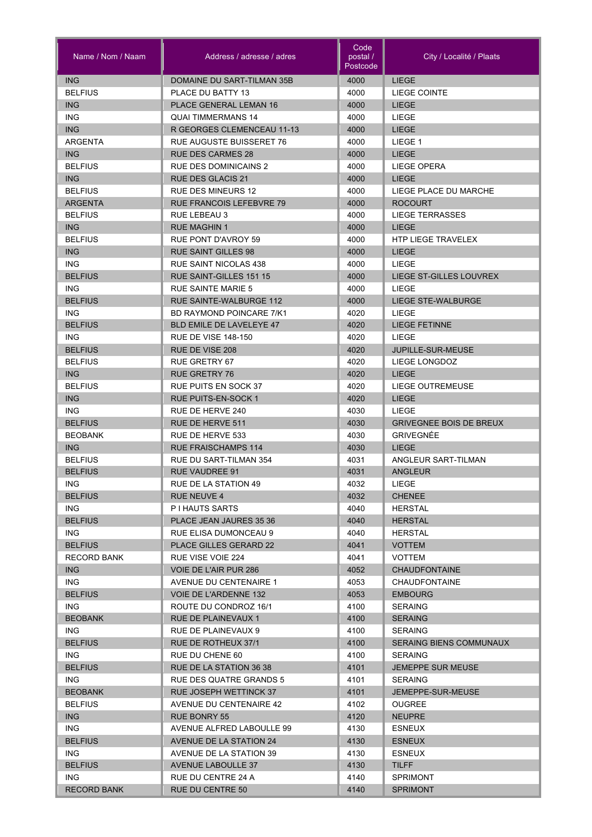| Name / Nom / Naam  | Address / adresse / adres                            | Code<br>postal /<br>Postcode | City / Localité / Plaats       |
|--------------------|------------------------------------------------------|------------------------------|--------------------------------|
| <b>ING</b>         | DOMAINE DU SART-TILMAN 35B                           | 4000                         | LIEGE                          |
| <b>BELFIUS</b>     | PLACE DU BATTY 13                                    | 4000                         | LIEGE COINTE                   |
| <b>ING</b>         | PLACE GENERAL LEMAN 16                               | 4000                         | <b>LIEGE</b>                   |
| <b>ING</b>         | <b>QUAI TIMMERMANS 14</b>                            | 4000                         | LIEGE                          |
| <b>ING</b>         | R GEORGES CLEMENCEAU 11-13                           | 4000                         | <b>LIEGE</b>                   |
| <b>ARGENTA</b>     | <b>RUE AUGUSTE BUISSERET 76</b>                      | 4000                         | LIEGE 1                        |
| <b>ING</b>         | <b>RUE DES CARMES 28</b>                             | 4000                         | <b>LIEGE</b>                   |
| <b>BELFIUS</b>     | <b>RUE DES DOMINICAINS 2</b>                         | 4000                         | <b>LIEGE OPERA</b>             |
| <b>ING</b>         | <b>RUE DES GLACIS 21</b>                             | 4000                         | <b>LIEGE</b>                   |
| <b>BELFIUS</b>     | <b>RUE DES MINEURS 12</b>                            | 4000                         | LIEGE PLACE DU MARCHE          |
| <b>ARGENTA</b>     | <b>RUE FRANCOIS LEFEBVRE 79</b>                      | 4000                         | <b>ROCOURT</b>                 |
| <b>BELFIUS</b>     | <b>RUE LEBEAU 3</b>                                  | 4000                         | LIEGE TERRASSES                |
| ING                | <b>RUE MAGHIN 1</b>                                  | 4000                         | <b>LIEGE</b>                   |
| <b>BELFIUS</b>     | RUE PONT D'AVROY 59                                  | 4000                         | <b>HTP LIEGE TRAVELEX</b>      |
| <b>ING</b>         | <b>RUE SAINT GILLES 98</b>                           | 4000                         | <b>LIEGE</b>                   |
| <b>ING</b>         | <b>RUE SAINT NICOLAS 438</b>                         | 4000                         | LIEGE                          |
| <b>BELFIUS</b>     | <b>RUE SAINT-GILLES 151 15</b>                       | 4000                         | LIEGE ST-GILLES LOUVREX        |
| ING.               | <b>RUE SAINTE MARIE 5</b>                            | 4000                         | LIEGE                          |
| <b>BELFIUS</b>     | RUE SAINTE-WALBURGE 112                              | 4000                         | <b>LIEGE STE-WALBURGE</b>      |
| ING.               | <b>BD RAYMOND POINCARE 7/K1</b>                      | 4020                         | LIEGE                          |
| <b>BELFIUS</b>     | <b>BLD EMILE DE LAVELEYE 47</b>                      | 4020                         | <b>LIEGE FETINNE</b>           |
| ING.               | <b>RUE DE VISE 148-150</b>                           | 4020                         | LIEGE                          |
| <b>BELFIUS</b>     | RUE DE VISE 208                                      | 4020                         | JUPILLE-SUR-MEUSE              |
| <b>BELFIUS</b>     | <b>RUE GRETRY 67</b>                                 | 4020                         | LIEGE LONGDOZ                  |
| <b>ING</b>         | <b>RUE GRETRY 76</b>                                 | 4020                         | <b>LIEGE</b>                   |
| <b>BELFIUS</b>     | RUE PUITS EN SOCK 37                                 | 4020                         | LIEGE OUTREMEUSE               |
| <b>ING</b>         | <b>RUE PUITS-EN-SOCK 1</b>                           | 4020                         | <b>LIEGE</b>                   |
| <b>ING</b>         | RUE DE HERVE 240                                     | 4030                         | LIEGE                          |
| <b>BELFIUS</b>     | RUE DE HERVE 511                                     | 4030                         | <b>GRIVEGNEE BOIS DE BREUX</b> |
| <b>BEOBANK</b>     | RUE DE HERVE 533                                     | 4030                         | <b>GRIVEGNÉE</b>               |
| <b>ING</b>         | <b>RUE FRAISCHAMPS 114</b>                           | 4030                         | <b>LIEGE</b>                   |
| <b>BELFIUS</b>     | RUE DU SART-TILMAN 354                               | 4031                         | ANGLEUR SART-TILMAN            |
| <b>BELFIUS</b>     | <b>RUE VAUDREE 91</b>                                | 4031                         | <b>ANGLEUR</b>                 |
| ING.               | RUE DE LA STATION 49                                 | 4032                         | LIEGE                          |
| <b>BELFIUS</b>     | <b>RUE NEUVE 4</b>                                   | 4032                         | <b>CHENEE</b>                  |
| ING.               | P I HAUTS SARTS                                      | 4040                         | <b>HERSTAL</b>                 |
| <b>BELFIUS</b>     | PLACE JEAN JAURES 35 36                              | 4040                         | <b>HERSTAL</b>                 |
| ING.               | RUE ELISA DUMONCEAU 9                                | 4040                         | <b>HERSTAL</b>                 |
| <b>BELFIUS</b>     | <b>PLACE GILLES GERARD 22</b>                        | 4041                         | <b>VOTTEM</b>                  |
| <b>RECORD BANK</b> | RUE VISE VOIE 224                                    | 4041                         | <b>VOTTEM</b>                  |
| <b>ING</b>         | VOIE DE L'AIR PUR 286                                | 4052                         | <b>CHAUDFONTAINE</b>           |
| ING.               | AVENUE DU CENTENAIRE 1                               | 4053                         | <b>CHAUDFONTAINE</b>           |
| <b>BELFIUS</b>     | <b>VOIE DE L'ARDENNE 132</b>                         | 4053                         | <b>EMBOURG</b>                 |
| ING.               | ROUTE DU CONDROZ 16/1                                | 4100                         | <b>SERAING</b>                 |
| <b>BEOBANK</b>     | RUE DE PLAINEVAUX 1                                  | 4100                         | <b>SERAING</b>                 |
| ING.               | RUE DE PLAINEVAUX 9                                  | 4100                         | <b>SERAING</b>                 |
| <b>BELFIUS</b>     | RUE DE ROTHEUX 37/1                                  | 4100                         | SERAING BIENS COMMUNAUX        |
| ING.               | RUE DU CHENE 60                                      | 4100                         | <b>SERAING</b>                 |
| <b>BELFIUS</b>     | RUE DE LA STATION 36 38                              | 4101                         | <b>JEMEPPE SUR MEUSE</b>       |
| ING.               | RUE DES QUATRE GRANDS 5                              | 4101                         | <b>SERAING</b>                 |
| <b>BEOBANK</b>     | RUE JOSEPH WETTINCK 37                               | 4101                         | JEMEPPE-SUR-MEUSE              |
| <b>BELFIUS</b>     | AVENUE DU CENTENAIRE 42                              | 4102                         | <b>OUGREE</b>                  |
| <b>ING</b>         | RUE BONRY 55                                         | 4120                         | <b>NEUPRE</b>                  |
| ING.               | AVENUE ALFRED LABOULLE 99                            | 4130                         | <b>ESNEUX</b>                  |
| <b>BELFIUS</b>     | AVENUE DE LA STATION 24                              | 4130                         | <b>ESNEUX</b>                  |
| ING.               |                                                      |                              |                                |
| <b>BELFIUS</b>     | AVENUE DE LA STATION 39<br><b>AVENUE LABOULLE 37</b> | 4130<br>4130                 | <b>ESNEUX</b><br><b>TILFF</b>  |
| ING.               | RUE DU CENTRE 24 A                                   | 4140                         | <b>SPRIMONT</b>                |
| <b>RECORD BANK</b> | RUE DU CENTRE 50                                     | 4140                         | <b>SPRIMONT</b>                |
|                    |                                                      |                              |                                |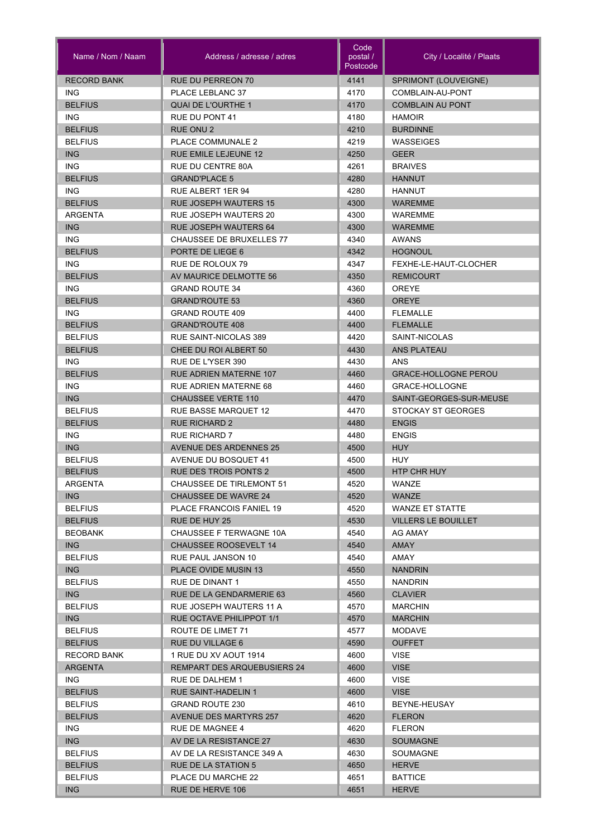| Name / Nom / Naam      | Address / adresse / adres                  | Code<br>postal /<br>Postcode | City / Localité / Plaats         |
|------------------------|--------------------------------------------|------------------------------|----------------------------------|
| <b>RECORD BANK</b>     | <b>RUE DU PERREON 70</b>                   | 4141                         | SPRIMONT (LOUVEIGNE)             |
| ING.                   | PLACE LEBLANC 37                           | 4170                         | COMBLAIN-AU-PONT                 |
| <b>BELFIUS</b>         | <b>QUAI DE L'OURTHE 1</b>                  | 4170                         | <b>COMBLAIN AU PONT</b>          |
| ING.                   | <b>RUE DU PONT 41</b>                      | 4180                         | <b>HAMOIR</b>                    |
| <b>BELFIUS</b>         | <b>RUE ONU 2</b>                           | 4210                         | <b>BURDINNE</b>                  |
| <b>BELFIUS</b>         | <b>PLACE COMMUNALE 2</b>                   | 4219                         | <b>WASSEIGES</b>                 |
| ING                    | <b>RUE EMILE LEJEUNE 12</b>                | 4250                         | <b>GEER</b>                      |
| <b>ING</b>             | RUE DU CENTRE 80A                          | 4261                         | <b>BRAIVES</b>                   |
| <b>BELFIUS</b>         | <b>GRAND'PLACE 5</b>                       | 4280                         | <b>HANNUT</b>                    |
| ING.                   | <b>RUE ALBERT 1ER 94</b>                   | 4280                         | <b>HANNUT</b>                    |
| <b>BELFIUS</b>         | <b>RUE JOSEPH WAUTERS 15</b>               | 4300                         | <b>WAREMME</b>                   |
| <b>ARGENTA</b>         | <b>RUE JOSEPH WAUTERS 20</b>               | 4300                         | <b>WAREMME</b>                   |
| <b>ING</b>             | <b>RUE JOSEPH WAUTERS 64</b>               | 4300                         | <b>WAREMME</b>                   |
| ING.                   | <b>CHAUSSEE DE BRUXELLES 77</b>            | 4340                         | <b>AWANS</b>                     |
| <b>BELFIUS</b>         | PORTE DE LIEGE 6                           | 4342                         | <b>HOGNOUL</b>                   |
| ING.                   | RUE DE ROLOUX 79                           | 4347                         | FEXHE-LE-HAUT-CLOCHER            |
| <b>BELFIUS</b>         | AV MAURICE DELMOTTE 56                     | 4350                         | <b>REMICOURT</b>                 |
| ING.                   | <b>GRAND ROUTE 34</b>                      | 4360                         | <b>OREYE</b>                     |
| <b>BELFIUS</b>         | <b>GRAND'ROUTE 53</b>                      | 4360                         | <b>OREYE</b>                     |
| ING.                   | <b>GRAND ROUTE 409</b>                     | 4400                         | <b>FLEMALLE</b>                  |
| <b>BELFIUS</b>         | <b>GRAND'ROUTE 408</b>                     | 4400                         | <b>FLEMALLE</b>                  |
| <b>BELFIUS</b>         | <b>RUE SAINT-NICOLAS 389</b>               | 4420                         | SAINT-NICOLAS                    |
| <b>BELFIUS</b>         | CHEE DU ROI ALBERT 50<br>RUE DE L'YSER 390 | 4430<br>4430                 | <b>ANS PLATEAU</b><br><b>ANS</b> |
| ING.<br><b>BELFIUS</b> | <b>RUE ADRIEN MATERNE 107</b>              | 4460                         | <b>GRACE-HOLLOGNE PEROU</b>      |
| <b>ING</b>             | <b>RUE ADRIEN MATERNE 68</b>               | 4460                         | GRACE-HOLLOGNE                   |
| <b>ING</b>             | <b>CHAUSSEE VERTE 110</b>                  | 4470                         | SAINT-GEORGES-SUR-MEUSE          |
| <b>BELFIUS</b>         | RUE BASSE MARQUET 12                       | 4470                         | STOCKAY ST GEORGES               |
| <b>BELFIUS</b>         | <b>RUE RICHARD 2</b>                       | 4480                         | <b>ENGIS</b>                     |
| <b>ING</b>             | <b>RUE RICHARD 7</b>                       | 4480                         | <b>ENGIS</b>                     |
| <b>ING</b>             | <b>AVENUE DES ARDENNES 25</b>              | 4500                         | <b>HUY</b>                       |
| <b>BELFIUS</b>         | AVENUE DU BOSQUET 41                       | 4500                         | <b>HUY</b>                       |
| <b>BELFIUS</b>         | <b>RUE DES TROIS PONTS 2</b>               | 4500                         | <b>HTP CHR HUY</b>               |
| ARGENTA                | CHAUSSEE DE TIRLEMONT 51                   | 4520                         | WANZE                            |
| ING                    | <b>CHAUSSEE DE WAVRE 24</b>                | 4520                         | <b>WANZE</b>                     |
| <b>BELFIUS</b>         | PLACE FRANCOIS FANIEL 19                   | 4520                         | WANZE ET STATTE                  |
| <b>BELFIUS</b>         | RUE DE HUY 25                              | 4530                         | <b>VILLERS LE BOUILLET</b>       |
| <b>BEOBANK</b>         | CHAUSSEE F TERWAGNE 10A                    | 4540                         | AG AMAY                          |
| ING                    | <b>CHAUSSEE ROOSEVELT 14</b>               | 4540                         | AMAY                             |
| <b>BELFIUS</b>         | RUE PAUL JANSON 10                         | 4540                         | AMAY                             |
| <b>ING</b>             | PLACE OVIDE MUSIN 13                       | 4550                         | <b>NANDRIN</b>                   |
| <b>BELFIUS</b>         | RUE DE DINANT 1                            | 4550                         | <b>NANDRIN</b>                   |
| ING                    | RUE DE LA GENDARMERIE 63                   | 4560                         | <b>CLAVIER</b>                   |
| <b>BELFIUS</b>         | RUE JOSEPH WAUTERS 11 A                    | 4570                         | <b>MARCHIN</b>                   |
| ING                    | RUE OCTAVE PHILIPPOT 1/1                   | 4570                         | <b>MARCHIN</b>                   |
| <b>BELFIUS</b>         | ROUTE DE LIMET 71                          | 4577                         | <b>MODAVE</b>                    |
| <b>BELFIUS</b>         | <b>RUE DU VILLAGE 6</b>                    | 4590                         | <b>OUFFET</b>                    |
| RECORD BANK            | 1 RUE DU XV AOUT 1914                      | 4600                         | <b>VISE</b>                      |
| <b>ARGENTA</b>         | <b>REMPART DES ARQUEBUSIERS 24</b>         | 4600                         | <b>VISE</b>                      |
| ING.                   | RUE DE DALHEM 1                            | 4600                         | <b>VISE</b>                      |
| <b>BELFIUS</b>         | <b>RUE SAINT-HADELIN 1</b>                 | 4600                         | <b>VISE</b>                      |
| <b>BELFIUS</b>         | <b>GRAND ROUTE 230</b>                     | 4610                         | BEYNE-HEUSAY                     |
| <b>BELFIUS</b>         | <b>AVENUE DES MARTYRS 257</b>              | 4620                         | <b>FLERON</b>                    |
| ING.                   | RUE DE MAGNEE 4                            | 4620                         | <b>FLERON</b>                    |
| ING                    | AV DE LA RESISTANCE 27                     | 4630                         | <b>SOUMAGNE</b>                  |
| <b>BELFIUS</b>         | AV DE LA RESISTANCE 349 A                  | 4630                         | SOUMAGNE                         |
| <b>BELFIUS</b>         | RUE DE LA STATION 5                        | 4650                         | <b>HERVE</b>                     |
| <b>BELFIUS</b>         | PLACE DU MARCHE 22                         | 4651                         | <b>BATTICE</b>                   |
| <b>ING</b>             | RUE DE HERVE 106                           | 4651                         | <b>HERVE</b>                     |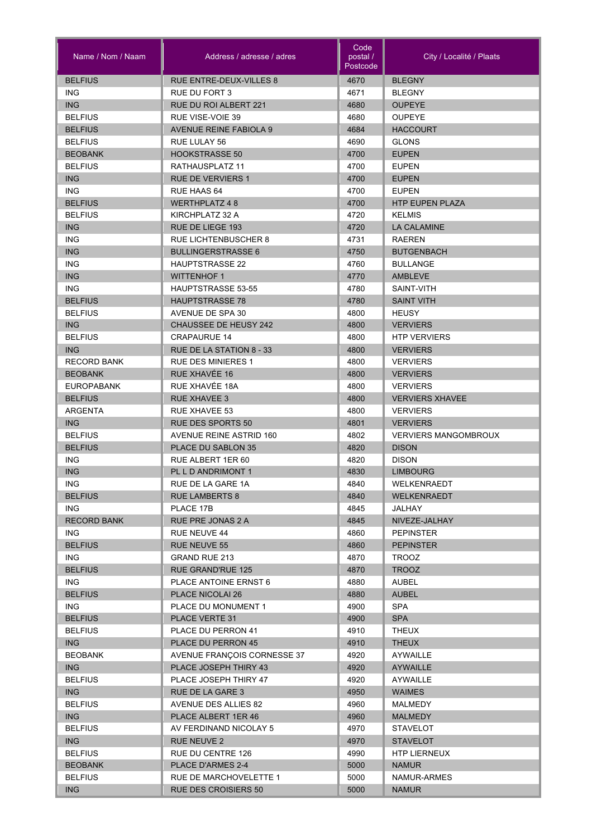| Name / Nom / Naam     | Address / adresse / adres      | Code<br>postal /<br>Postcode | City / Localité / Plaats     |
|-----------------------|--------------------------------|------------------------------|------------------------------|
| <b>BELFIUS</b>        | <b>RUE ENTRE-DEUX-VILLES 8</b> | 4670                         | <b>BLEGNY</b>                |
| <b>ING</b>            | <b>RUE DU FORT 3</b>           | 4671                         | <b>BLEGNY</b>                |
| <b>ING</b>            | RUE DU ROI ALBERT 221          | 4680                         | <b>OUPEYE</b>                |
| <b>BELFIUS</b>        | <b>RUE VISE-VOIE 39</b>        | 4680                         | <b>OUPEYE</b>                |
| <b>BELFIUS</b>        | <b>AVENUE REINE FABIOLA 9</b>  | 4684                         | <b>HACCOURT</b>              |
| <b>BELFIUS</b>        | RUE LULAY 56                   | 4690                         | <b>GLONS</b>                 |
| <b>BEOBANK</b>        | <b>HOOKSTRASSE 50</b>          | 4700                         | <b>EUPEN</b>                 |
| <b>BELFIUS</b>        | RATHAUSPLATZ 11                | 4700                         | <b>EUPEN</b>                 |
| <b>ING</b>            | <b>RUE DE VERVIERS 1</b>       | 4700                         | <b>EUPEN</b>                 |
| <b>ING</b>            | RUE HAAS 64                    | 4700                         | <b>EUPEN</b>                 |
| <b>BELFIUS</b>        | <b>WERTHPLATZ 48</b>           | 4700                         | <b>HTP EUPEN PLAZA</b>       |
| <b>BELFIUS</b>        | KIRCHPLATZ 32 A                | 4720                         | <b>KELMIS</b>                |
| <b>ING</b>            | RUE DE LIEGE 193               | 4720                         | <b>LA CALAMINE</b>           |
| <b>ING</b>            | <b>RUE LICHTENBUSCHER 8</b>    | 4731                         | <b>RAEREN</b>                |
| <b>ING</b>            | <b>BULLINGERSTRASSE 6</b>      | 4750                         | <b>BUTGENBACH</b>            |
| <b>ING</b>            | <b>HAUPTSTRASSE 22</b>         | 4760                         | <b>BULLANGE</b>              |
| <b>ING</b>            | <b>WITTENHOF 1</b>             | 4770                         | AMBLEVE                      |
| <b>ING</b>            | <b>HAUPTSTRASSE 53-55</b>      | 4780                         | SAINT-VITH                   |
| <b>BELFIUS</b>        | <b>HAUPTSTRASSE 78</b>         | 4780                         | <b>SAINT VITH</b>            |
| <b>BELFIUS</b>        | AVENUE DE SPA 30               | 4800                         | <b>HEUSY</b>                 |
| <b>ING</b>            | <b>CHAUSSEE DE HEUSY 242</b>   | 4800                         | <b>VERVIERS</b>              |
| <b>BELFIUS</b>        | <b>CRAPAURUE 14</b>            | 4800                         | <b>HTP VERVIERS</b>          |
| <b>ING</b>            | RUE DE LA STATION 8 - 33       | 4800                         | <b>VERVIERS</b>              |
| <b>RECORD BANK</b>    | <b>RUE DES MINIERES 1</b>      | 4800                         | <b>VERVIERS</b>              |
| <b>BEOBANK</b>        | RUE XHAVÉE 16                  | 4800                         | <b>VERVIERS</b>              |
| <b>EUROPABANK</b>     | RUE XHAVÉE 18A                 | 4800                         | <b>VERVIERS</b>              |
| <b>BELFIUS</b>        | <b>RUE XHAVEE 3</b>            | 4800                         | <b>VERVIERS XHAVEE</b>       |
| ARGENTA               | <b>RUE XHAVEE 53</b>           | 4800                         | <b>VERVIERS</b>              |
| <b>ING</b>            | <b>RUE DES SPORTS 50</b>       | 4801                         | <b>VERVIERS</b>              |
| <b>BELFIUS</b>        | <b>AVENUE REINE ASTRID 160</b> | 4802                         | <b>VERVIERS MANGOMBROUX</b>  |
| <b>BELFIUS</b>        | PLACE DU SABLON 35             | 4820                         | <b>DISON</b>                 |
| <b>ING</b>            | RUE ALBERT 1ER 60              | 4820                         | <b>DISON</b>                 |
| <b>ING</b>            | PL L D ANDRIMONT 1             | 4830                         | <b>LIMBOURG</b>              |
| <b>ING</b>            | RUE DE LA GARE 1A              | 4840                         | WELKENRAEDT                  |
| <b>BELFIUS</b>        | <b>RUE LAMBERTS 8</b>          | 4840                         | <b>WELKENRAEDT</b>           |
| ING.                  | PLACE 17B                      | 4845                         | JALHAY                       |
| <b>RECORD BANK</b>    | RUE PRE JONAS 2 A              | 4845                         | NIVEZE-JALHAY                |
| ING.                  | RUE NEUVE 44                   | 4860                         | <b>PEPINSTER</b>             |
| <b>BELFIUS</b>        | <b>RUE NEUVE 55</b>            | 4860                         | <b>PEPINSTER</b>             |
| ING.                  | GRAND RUE 213                  |                              |                              |
| <b>BELFIUS</b>        | RUE GRAND'RUE 125              | 4870<br>4870                 | <b>TROOZ</b><br><b>TROOZ</b> |
| ING                   | PLACE ANTOINE ERNST 6          | 4880                         | AUBEL                        |
| <b>BELFIUS</b>        | <b>PLACE NICOLAI 26</b>        | 4880                         | <b>AUBEL</b>                 |
| <b>ING</b>            | PLACE DU MONUMENT 1            | 4900                         | <b>SPA</b>                   |
| <b>BELFIUS</b>        | PLACE VERTE 31                 | 4900                         | <b>SPA</b>                   |
|                       |                                | 4910                         |                              |
| <b>BELFIUS</b>        | PLACE DU PERRON 41             |                              | <b>THEUX</b>                 |
| ING<br><b>BEOBANK</b> | PLACE DU PERRON 45             | 4910                         | <b>THEUX</b>                 |
|                       | AVENUE FRANÇOIS CORNESSE 37    | 4920                         | AYWAILLE                     |
| ING                   | PLACE JOSEPH THIRY 43          | 4920                         | <b>AYWAILLE</b>              |
| <b>BELFIUS</b>        | PLACE JOSEPH THIRY 47          | 4920                         | AYWAILLE                     |
| <b>ING</b>            | RUE DE LA GARE 3               | 4950                         | <b>WAIMES</b>                |
| <b>BELFIUS</b>        | AVENUE DES ALLIES 82           | 4960                         | MALMEDY                      |
| <b>ING</b>            | PLACE ALBERT 1ER 46            | 4960                         | <b>MALMEDY</b>               |
| <b>BELFIUS</b>        | AV FERDINAND NICOLAY 5         | 4970                         | <b>STAVELOT</b>              |
| <b>ING</b>            | RUE NEUVE 2                    | 4970                         | <b>STAVELOT</b>              |
| <b>BELFIUS</b>        | RUE DU CENTRE 126              | 4990                         | <b>HTP LIERNEUX</b>          |
| <b>BEOBANK</b>        | PLACE D'ARMES 2-4              | 5000                         | <b>NAMUR</b>                 |
| <b>BELFIUS</b>        | RUE DE MARCHOVELETTE 1         | 5000                         | NAMUR-ARMES                  |
| <b>ING</b>            | <b>RUE DES CROISIERS 50</b>    | 5000                         | <b>NAMUR</b>                 |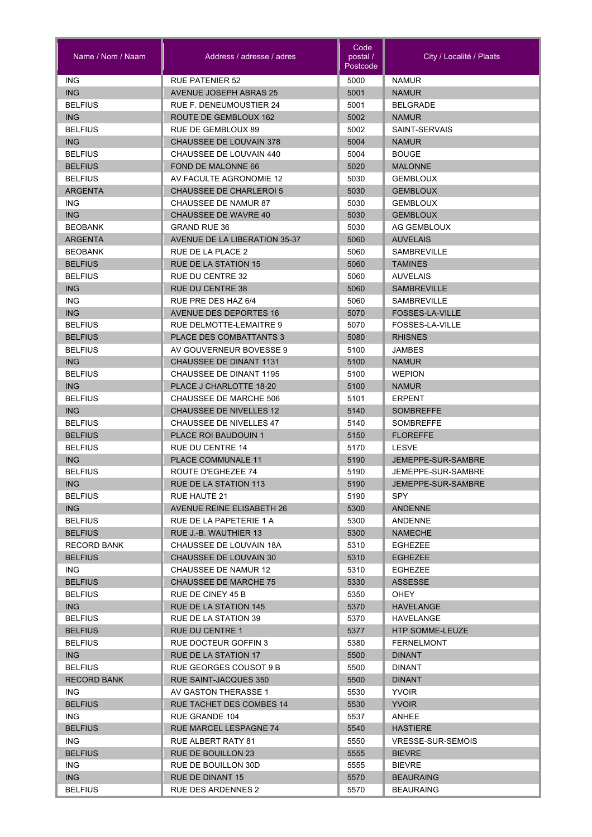| Name / Nom / Naam      | Address / adresse / adres                            | Code<br>postal /<br>Postcode | City / Localité / Plaats         |
|------------------------|------------------------------------------------------|------------------------------|----------------------------------|
| <b>ING</b>             | <b>RUE PATENIER 52</b>                               | 5000                         | <b>NAMUR</b>                     |
| <b>ING</b>             | <b>AVENUE JOSEPH ABRAS 25</b>                        | 5001                         | <b>NAMUR</b>                     |
| <b>BELFIUS</b>         | RUE F. DENEUMOUSTIER 24                              | 5001                         | <b>BELGRADE</b>                  |
| <b>ING</b>             | ROUTE DE GEMBLOUX 162                                | 5002                         | <b>NAMUR</b>                     |
| <b>BELFIUS</b>         | RUE DE GEMBLOUX 89                                   | 5002                         | SAINT-SERVAIS                    |
| <b>ING</b>             | <b>CHAUSSEE DE LOUVAIN 378</b>                       | 5004                         | <b>NAMUR</b>                     |
| <b>BELFIUS</b>         | CHAUSSEE DE LOUVAIN 440                              | 5004                         | <b>BOUGE</b>                     |
| <b>BELFIUS</b>         | FOND DE MALONNE 66                                   | 5020                         | <b>MALONNE</b>                   |
| <b>BELFIUS</b>         | AV FACULTE AGRONOMIE 12                              | 5030                         | <b>GEMBLOUX</b>                  |
| <b>ARGENTA</b>         | <b>CHAUSSEE DE CHARLEROI 5</b>                       | 5030                         | <b>GEMBLOUX</b>                  |
| <b>ING</b>             | CHAUSSEE DE NAMUR 87                                 | 5030                         | <b>GEMBLOUX</b>                  |
| <b>ING</b>             | <b>CHAUSSEE DE WAVRE 40</b>                          | 5030                         | <b>GEMBLOUX</b>                  |
| <b>BEOBANK</b>         | <b>GRAND RUE 36</b>                                  | 5030                         | AG GEMBLOUX                      |
| <b>ARGENTA</b>         | <b>AVENUE DE LA LIBERATION 35-37</b>                 | 5060                         | <b>AUVELAIS</b>                  |
| <b>BEOBANK</b>         | RUE DE LA PLACE 2                                    | 5060                         | <b>SAMBREVILLE</b>               |
| <b>BELFIUS</b>         | <b>RUE DE LA STATION 15</b>                          | 5060                         | <b>TAMINES</b>                   |
| <b>BELFIUS</b>         | RUE DU CENTRE 32                                     | 5060                         | <b>AUVELAIS</b>                  |
| <b>ING</b>             | <b>RUE DU CENTRE 38</b>                              | 5060                         | <b>SAMBREVILLE</b>               |
| <b>ING</b>             | RUE PRE DES HAZ 6/4                                  | 5060                         | <b>SAMBREVILLE</b>               |
| <b>ING</b>             | <b>AVENUE DES DEPORTES 16</b>                        | 5070                         | <b>FOSSES-LA-VILLE</b>           |
| <b>BELFIUS</b>         | RUE DELMOTTE-LEMAITRE 9                              | 5070                         | FOSSES-LA-VILLE                  |
| <b>BELFIUS</b>         | PLACE DES COMBATTANTS 3                              | 5080                         | <b>RHISNES</b>                   |
| <b>BELFIUS</b>         | AV GOUVERNEUR BOVESSE 9                              | 5100                         | <b>JAMBES</b>                    |
| ING                    | <b>CHAUSSEE DE DINANT 1131</b>                       | 5100                         | <b>NAMUR</b>                     |
| <b>BELFIUS</b>         | <b>CHAUSSEE DE DINANT 1195</b>                       | 5100                         | <b>WEPION</b>                    |
| ING                    | PLACE J CHARLOTTE 18-20                              | 5100                         | <b>NAMUR</b>                     |
| <b>BELFIUS</b>         | <b>CHAUSSEE DE MARCHE 506</b>                        | 5101                         | <b>ERPENT</b>                    |
| <b>ING</b>             | <b>CHAUSSEE DE NIVELLES 12</b>                       | 5140                         | <b>SOMBREFFE</b>                 |
| <b>BELFIUS</b>         | CHAUSSEE DE NIVELLES 47                              | 5140                         | <b>SOMBREFFE</b>                 |
| <b>BELFIUS</b>         | PLACE ROI BAUDOUIN 1                                 | 5150                         | <b>FLOREFFE</b>                  |
| <b>BELFIUS</b>         | <b>RUE DU CENTRE 14</b>                              | 5170                         | <b>LESVE</b>                     |
| <b>ING</b>             | <b>PLACE COMMUNALE 11</b>                            | 5190                         | JEMEPPE-SUR-SAMBRE               |
| <b>BELFIUS</b>         | ROUTE D'EGHEZEE 74                                   | 5190                         | JEMEPPE-SUR-SAMBRE               |
| ING                    | RUE DE LA STATION 113                                | 5190                         | JEMEPPE-SUR-SAMBRE               |
| <b>BELFIUS</b>         | RUE HAUTE 21                                         | 5190                         | SPY                              |
| <b>ING</b>             | <b>AVENUE REINE ELISABETH 26</b>                     | 5300                         | <b>ANDENNE</b>                   |
| <b>BELFIUS</b>         | RUE DE LA PAPETERIE 1 A                              | 5300                         | ANDENNE                          |
| <b>BELFIUS</b>         | RUE J.-B. WAUTHIER 13                                | 5300                         | <b>NAMECHE</b>                   |
| <b>RECORD BANK</b>     | CHAUSSEE DE LOUVAIN 18A                              | 5310                         | <b>EGHEZEE</b>                   |
| <b>BELFIUS</b>         | <b>CHAUSSEE DE LOUVAIN 30</b>                        | 5310                         | <b>EGHEZEE</b>                   |
| ING.<br><b>BELFIUS</b> | CHAUSSEE DE NAMUR 12<br><b>CHAUSSEE DE MARCHE 75</b> | 5310                         | <b>EGHEZEE</b><br><b>ASSESSE</b> |
| <b>BELFIUS</b>         | RUE DE CINEY 45 B                                    | 5330<br>5350                 | <b>OHEY</b>                      |
| <b>ING</b>             | <b>RUE DE LA STATION 145</b>                         | 5370                         | <b>HAVELANGE</b>                 |
| <b>BELFIUS</b>         | RUE DE LA STATION 39                                 | 5370                         | HAVELANGE                        |
| <b>BELFIUS</b>         | <b>RUE DU CENTRE 1</b>                               | 5377                         | <b>HTP SOMME-LEUZE</b>           |
| <b>BELFIUS</b>         | RUE DOCTEUR GOFFIN 3                                 | 5380                         | <b>FERNELMONT</b>                |
| ING                    | <b>RUE DE LA STATION 17</b>                          | 5500                         | <b>DINANT</b>                    |
| <b>BELFIUS</b>         | RUE GEORGES COUSOT 9 B                               | 5500                         | <b>DINANT</b>                    |
| <b>RECORD BANK</b>     | <b>RUE SAINT-JACQUES 350</b>                         | 5500                         | <b>DINANT</b>                    |
| ING.                   | AV GASTON THERASSE 1                                 | 5530                         | <b>YVOIR</b>                     |
| <b>BELFIUS</b>         | <b>RUE TACHET DES COMBES 14</b>                      | 5530                         | <b>YVOIR</b>                     |
| ING.                   | RUE GRANDE 104                                       | 5537                         | ANHEE                            |
| <b>BELFIUS</b>         | <b>RUE MARCEL LESPAGNE 74</b>                        | 5540                         | <b>HASTIERE</b>                  |
| ING.                   | RUE ALBERT RATY 81                                   | 5550                         | VRESSE-SUR-SEMOIS                |
| <b>BELFIUS</b>         | RUE DE BOUILLON 23                                   | 5555                         | <b>BIEVRE</b>                    |
| ING.                   | RUE DE BOUILLON 30D                                  | 5555                         | <b>BIEVRE</b>                    |
| ING                    | <b>RUE DE DINANT 15</b>                              | 5570                         | <b>BEAURAING</b>                 |
| <b>BELFIUS</b>         | <b>RUE DES ARDENNES 2</b>                            | 5570                         | <b>BEAURAING</b>                 |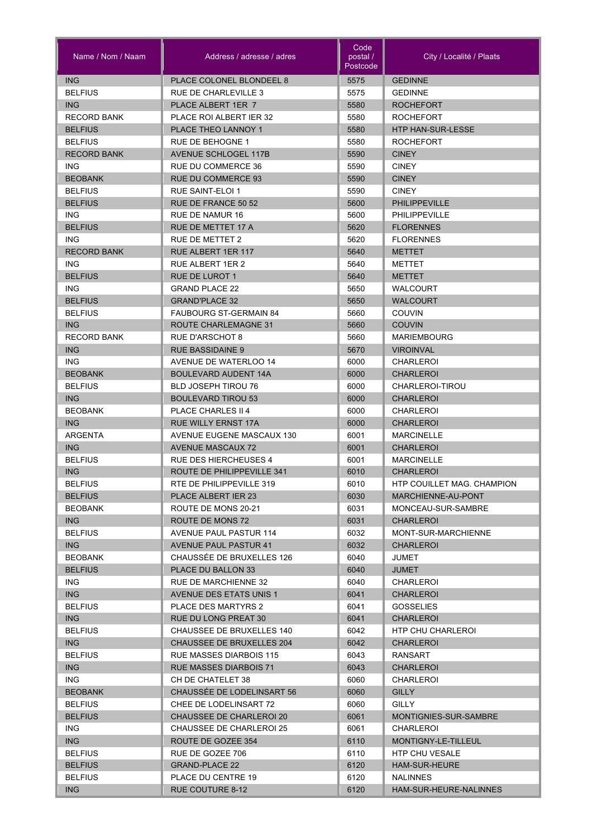| Name / Nom / Naam            | Address / adresse / adres                             | Code<br>postal /<br>Postcode | City / Localité / Plaats                |
|------------------------------|-------------------------------------------------------|------------------------------|-----------------------------------------|
| <b>ING</b>                   | PLACE COLONEL BLONDEEL 8                              | 5575                         | <b>GEDINNE</b>                          |
| <b>BELFIUS</b>               | RUE DE CHARLEVILLE 3                                  | 5575                         | <b>GEDINNE</b>                          |
| <b>ING</b>                   | PLACE ALBERT 1ER 7                                    | 5580                         | <b>ROCHEFORT</b>                        |
| <b>RECORD BANK</b>           | PLACE ROI ALBERT IER 32                               | 5580                         | <b>ROCHEFORT</b>                        |
| <b>BELFIUS</b>               | PLACE THEO LANNOY 1                                   | 5580                         | <b>HTP HAN-SUR-LESSE</b>                |
| <b>BELFIUS</b>               | <b>RUE DE BEHOGNE 1</b>                               | 5580                         | <b>ROCHEFORT</b>                        |
| <b>RECORD BANK</b>           | <b>AVENUE SCHLOGEL 117B</b>                           | 5590                         | <b>CINEY</b>                            |
| <b>ING</b>                   | RUE DU COMMERCE 36                                    | 5590                         | <b>CINEY</b>                            |
| <b>BEOBANK</b>               | <b>RUE DU COMMERCE 93</b>                             | 5590                         | <b>CINEY</b>                            |
| <b>BELFIUS</b>               | RUE SAINT-ELOI 1                                      | 5590                         | <b>CINEY</b>                            |
| <b>BELFIUS</b>               | <b>RUE DE FRANCE 50 52</b>                            | 5600                         | <b>PHILIPPEVILLE</b>                    |
| <b>ING</b>                   | RUE DE NAMUR 16                                       | 5600                         | <b>PHILIPPEVILLE</b>                    |
| <b>BELFIUS</b>               | RUE DE METTET 17 A                                    | 5620                         | <b>FLORENNES</b>                        |
| <b>ING</b>                   | <b>RUE DE METTET 2</b>                                | 5620                         | <b>FLORENNES</b>                        |
| <b>RECORD BANK</b>           | RUE ALBERT 1ER 117                                    | 5640                         | METTET                                  |
| <b>ING</b>                   | RUE ALBERT 1ER 2                                      | 5640                         | METTET                                  |
| <b>BELFIUS</b>               | <b>RUE DE LUROT 1</b>                                 | 5640                         | <b>METTET</b>                           |
| <b>ING</b><br><b>BELFIUS</b> | <b>GRAND PLACE 22</b>                                 | 5650                         | <b>WALCOURT</b>                         |
|                              | <b>GRAND'PLACE 32</b>                                 | 5650                         | <b>WALCOURT</b>                         |
| <b>BELFIUS</b><br>ING        | <b>FAUBOURG ST-GERMAIN 84</b><br>ROUTE CHARLEMAGNE 31 | 5660<br>5660                 | COUVIN<br><b>COUVIN</b>                 |
| <b>RECORD BANK</b>           | RUE D'ARSCHOT 8                                       | 5660                         | <b>MARIEMBOURG</b>                      |
| <b>ING</b>                   | <b>RUE BASSIDAINE 9</b>                               | 5670                         | <b>VIROINVAL</b>                        |
| <b>ING</b>                   | AVENUE DE WATERLOO 14                                 | 6000                         | CHARLEROI                               |
| <b>BEOBANK</b>               | <b>BOULEVARD AUDENT 14A</b>                           | 6000                         | <b>CHARLEROI</b>                        |
| <b>BELFIUS</b>               | <b>BLD JOSEPH TIROU 76</b>                            | 6000                         | CHARLEROI-TIROU                         |
| <b>ING</b>                   | <b>BOULEVARD TIROU 53</b>                             | 6000                         | <b>CHARLEROI</b>                        |
| <b>BEOBANK</b>               | PLACE CHARLES II 4                                    | 6000                         | CHARLEROI                               |
| <b>ING</b>                   | <b>RUE WILLY ERNST 17A</b>                            | 6000                         | <b>CHARLEROI</b>                        |
| ARGENTA                      | AVENUE EUGENE MASCAUX 130                             | 6001                         | <b>MARCINELLE</b>                       |
| <b>ING</b>                   | <b>AVENUE MASCAUX 72</b>                              | 6001                         | <b>CHARLEROI</b>                        |
| <b>BELFIUS</b>               | <b>RUE DES HIERCHEUSES 4</b>                          | 6001                         | <b>MARCINELLE</b>                       |
| <b>ING</b>                   | ROUTE DE PHILIPPEVILLE 341                            | 6010                         | <b>CHARLEROI</b>                        |
| <b>BELFIUS</b>               | RTE DE PHILIPPEVILLE 319                              | 6010                         | <b>HTP COUILLET MAG. CHAMPION</b>       |
| <b>BELFIUS</b>               | PLACE ALBERT IER 23                                   | 6030                         | MARCHIENNE-AU-PONT                      |
| <b>BEOBANK</b>               | ROUTE DE MONS 20-21                                   | 6031                         | MONCEAU-SUR-SAMBRE                      |
| ING                          | ROUTE DE MONS 72                                      | 6031                         | <b>CHARLEROI</b>                        |
| <b>BELFIUS</b>               | AVENUE PAUL PASTUR 114                                | 6032                         | MONT-SUR-MARCHIENNE                     |
| ING                          | <b>AVENUE PAUL PASTUR 41</b>                          | 6032                         | <b>CHARLEROI</b>                        |
| <b>BEOBANK</b>               | CHAUSSEE DE BRUXELLES 126                             | 6040                         | JUMET                                   |
| <b>BELFIUS</b>               | PLACE DU BALLON 33                                    | 6040                         | <b>JUMET</b>                            |
| ING.                         | <b>RUE DE MARCHIENNE 32</b>                           | 6040                         | CHARLEROI                               |
| <b>ING</b>                   | <b>AVENUE DES ETATS UNIS 1</b>                        | 6041                         | <b>CHARLEROI</b>                        |
| <b>BELFIUS</b>               | <b>PLACE DES MARTYRS 2</b>                            | 6041                         | <b>GOSSELIES</b>                        |
| <b>ING</b>                   | <b>RUE DU LONG PREAT 30</b>                           | 6041                         | <b>CHARLEROI</b>                        |
| <b>BELFIUS</b>               | CHAUSSEE DE BRUXELLES 140                             | 6042                         | HTP CHU CHARLEROI                       |
| ING                          | CHAUSSEE DE BRUXELLES 204                             | 6042                         | <b>CHARLEROI</b>                        |
| <b>BELFIUS</b>               | RUE MASSES DIARBOIS 115                               | 6043                         | RANSART                                 |
| <b>ING</b>                   | <b>RUE MASSES DIARBOIS 71</b>                         | 6043                         | <b>CHARLEROI</b>                        |
| ING.                         | CH DE CHATELET 38                                     | 6060                         | CHARLEROI                               |
| <b>BEOBANK</b>               | CHAUSSÉE DE LODELINSART 56                            | 6060                         | <b>GILLY</b>                            |
| <b>BELFIUS</b>               | CHEE DE LODELINSART 72                                | 6060                         | <b>GILLY</b>                            |
| <b>BELFIUS</b>               | CHAUSSEE DE CHARLEROI 20                              | 6061                         | MONTIGNIES-SUR-SAMBRE                   |
| ING.                         | CHAUSSEE DE CHARLEROI 25                              | 6061                         | CHARLEROI                               |
| ING                          | ROUTE DE GOZEE 354                                    | 6110                         | MONTIGNY-LE-TILLEUL                     |
| <b>BELFIUS</b>               | RUE DE GOZEE 706                                      | 6110                         | HTP CHU VESALE                          |
| <b>BELFIUS</b>               | <b>GRAND-PLACE 22</b>                                 | 6120<br>6120                 | <b>HAM-SUR-HEURE</b><br><b>NALINNES</b> |
| <b>BELFIUS</b>               | PLACE DU CENTRE 19                                    |                              |                                         |
| ING                          | RUE COUTURE 8-12                                      | 6120                         | HAM-SUR-HEURE-NALINNES                  |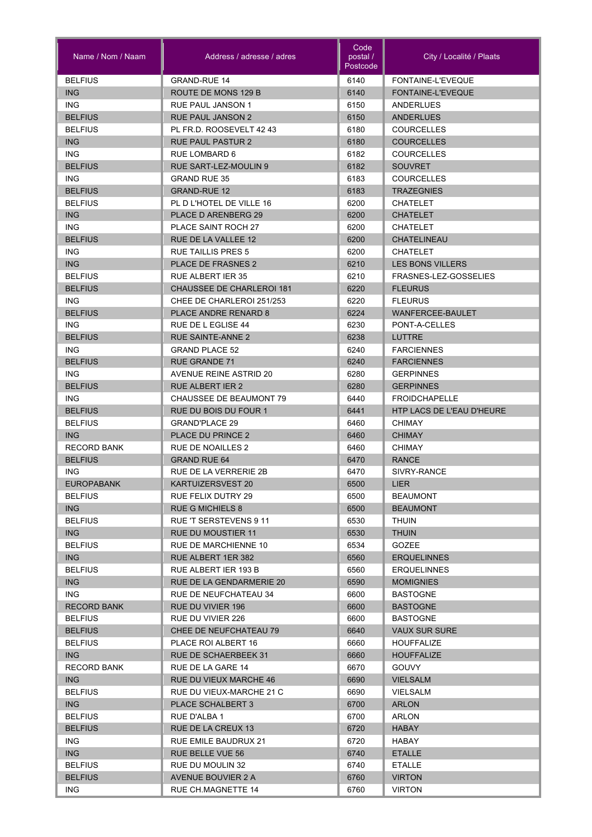| Name / Nom / Naam               | Address / adresse / adres                         | Code<br>postal /<br>Postcode | City / Localité / Plaats        |
|---------------------------------|---------------------------------------------------|------------------------------|---------------------------------|
| <b>BELFIUS</b>                  | <b>GRAND-RUE 14</b>                               | 6140                         | FONTAINE-L'EVEQUE               |
| <b>ING</b>                      | ROUTE DE MONS 129 B                               | 6140                         | FONTAINE-L'EVEQUE               |
| <b>ING</b>                      | <b>RUE PAUL JANSON 1</b>                          | 6150                         | <b>ANDERLUES</b>                |
| <b>BELFIUS</b>                  | <b>RUE PAUL JANSON 2</b>                          | 6150                         | <b>ANDERLUES</b>                |
| <b>BELFIUS</b>                  | PL FR.D. ROOSEVELT 42 43                          | 6180                         | <b>COURCELLES</b>               |
| <b>ING</b>                      | <b>RUE PAUL PASTUR 2</b>                          | 6180                         | <b>COURCELLES</b>               |
| <b>ING</b>                      | RUE LOMBARD 6                                     | 6182                         | <b>COURCELLES</b>               |
| <b>BELFIUS</b>                  | RUE SART-LEZ-MOULIN 9                             | 6182                         | <b>SOUVRET</b>                  |
| <b>ING</b>                      | <b>GRAND RUE 35</b>                               | 6183                         | <b>COURCELLES</b>               |
| <b>BELFIUS</b>                  | <b>GRAND-RUE 12</b>                               | 6183                         | <b>TRAZEGNIES</b>               |
| <b>BELFIUS</b>                  | PL D L'HOTEL DE VILLE 16                          | 6200                         | <b>CHATELET</b>                 |
| <b>ING</b>                      | PLACE D ARENBERG 29                               | 6200                         | <b>CHATELET</b>                 |
| <b>ING</b>                      | <b>PLACE SAINT ROCH 27</b>                        | 6200                         | <b>CHATELET</b>                 |
| <b>BELFIUS</b>                  | RUE DE LA VALLEE 12                               | 6200                         | <b>CHATELINEAU</b>              |
| <b>ING</b>                      | <b>RUE TAILLIS PRES 5</b>                         | 6200                         | <b>CHATELET</b>                 |
| <b>ING</b>                      | <b>PLACE DE FRASNES 2</b>                         | 6210                         | <b>LES BONS VILLERS</b>         |
| <b>BELFIUS</b>                  | <b>RUE ALBERT JER 35</b>                          | 6210                         | FRASNES-LEZ-GOSSELIES           |
| <b>BELFIUS</b>                  | <b>CHAUSSEE DE CHARLEROI 181</b>                  | 6220                         | <b>FLEURUS</b>                  |
| ING.                            | CHEE DE CHARLEROI 251/253                         | 6220                         | <b>FLEURUS</b>                  |
| <b>BELFIUS</b>                  | PLACE ANDRE RENARD 8                              | 6224                         | WANFERCEE-BAULET                |
| ING.                            | RUE DE L EGLISE 44                                | 6230                         | PONT-A-CELLES                   |
| <b>BELFIUS</b>                  | <b>RUE SAINTE-ANNE 2</b>                          | 6238                         | LUTTRE                          |
| ING.                            | <b>GRAND PLACE 52</b>                             | 6240                         | <b>FARCIENNES</b>               |
| <b>BELFIUS</b>                  | <b>RUE GRANDE 71</b>                              | 6240                         | <b>FARCIENNES</b>               |
| ING.                            | <b>AVENUE REINE ASTRID 20</b>                     | 6280                         | <b>GERPINNES</b>                |
| <b>BELFIUS</b>                  | <b>RUE ALBERT IER 2</b>                           | 6280                         | <b>GERPINNES</b>                |
| <b>ING</b>                      | <b>CHAUSSEE DE BEAUMONT 79</b>                    | 6440                         | <b>FROIDCHAPELLE</b>            |
| <b>BELFIUS</b>                  | RUE DU BOIS DU FOUR 1                             | 6441                         | HTP LACS DE L'EAU D'HEURE       |
| <b>BELFIUS</b>                  | <b>GRAND'PLACE 29</b>                             | 6460                         | <b>CHIMAY</b>                   |
| <b>ING</b>                      | PLACE DU PRINCE 2                                 | 6460                         | <b>CHIMAY</b>                   |
| <b>RECORD BANK</b>              | <b>RUE DE NOAILLES 2</b>                          | 6460                         | <b>CHIMAY</b>                   |
| <b>BELFIUS</b>                  | <b>GRAND RUE 64</b>                               | 6470                         | <b>RANCE</b>                    |
| <b>ING</b><br><b>EUROPABANK</b> | RUE DE LA VERRERIE 2B                             | 6470                         | SIVRY-RANCE                     |
|                                 | KARTUIZERSVEST 20                                 | 6500                         | LIER                            |
| <b>BELFIUS</b>                  | RUE FELIX DUTRY 29                                | 6500                         | <b>BEAUMONT</b>                 |
| ING<br><b>BELFIUS</b>           | <b>RUE G MICHIELS 8</b><br>RUE 'T SERSTEVENS 9 11 | 6500<br>6530                 | <b>BEAUMONT</b><br><b>THUIN</b> |
| ING                             | <b>RUE DU MOUSTIER 11</b>                         | 6530                         | <b>THUIN</b>                    |
| <b>BELFIUS</b>                  | RUE DE MARCHIENNE 10                              | 6534                         | GOZEE                           |
| <b>ING</b>                      | RUE ALBERT 1ER 382                                | 6560                         | <b>ERQUELINNES</b>              |
| <b>BELFIUS</b>                  | RUE ALBERT IER 193 B                              | 6560                         | <b>ERQUELINNES</b>              |
| <b>ING</b>                      | RUE DE LA GENDARMERIE 20                          | 6590                         | <b>MOMIGNIES</b>                |
| ING.                            | RUE DE NEUFCHATEAU 34                             | 6600                         | <b>BASTOGNE</b>                 |
| <b>RECORD BANK</b>              | RUE DU VIVIER 196                                 | 6600                         | <b>BASTOGNE</b>                 |
| <b>BELFIUS</b>                  | RUE DU VIVIER 226                                 | 6600                         | <b>BASTOGNE</b>                 |
| <b>BELFIUS</b>                  | CHEE DE NEUFCHATEAU 79                            | 6640                         | <b>VAUX SUR SURE</b>            |
| <b>BELFIUS</b>                  | PLACE ROI ALBERT 16                               | 6660                         | <b>HOUFFALIZE</b>               |
| ING                             | <b>RUE DE SCHAERBEEK 31</b>                       | 6660                         | <b>HOUFFALIZE</b>               |
| <b>RECORD BANK</b>              | RUE DE LA GARE 14                                 | 6670                         | <b>GOUVY</b>                    |
| ING                             | RUE DU VIEUX MARCHE 46                            | 6690                         | <b>VIELSALM</b>                 |
| <b>BELFIUS</b>                  | RUE DU VIEUX-MARCHE 21 C                          | 6690                         | <b>VIELSALM</b>                 |
| <b>ING</b>                      | PLACE SCHALBERT 3                                 | 6700                         | <b>ARLON</b>                    |
| <b>BELFIUS</b>                  | RUE D'ALBA 1                                      | 6700                         | <b>ARLON</b>                    |
| <b>BELFIUS</b>                  | RUE DE LA CREUX 13                                | 6720                         | <b>HABAY</b>                    |
| ING.                            | RUE EMILE BAUDRUX 21                              | 6720                         | HABAY                           |
| ING                             | <b>RUE BELLE VUE 56</b>                           | 6740                         | <b>ETALLE</b>                   |
| <b>BELFIUS</b>                  | RUE DU MOULIN 32                                  | 6740                         | <b>ETALLE</b>                   |
| <b>BELFIUS</b>                  | AVENUE BOUVIER 2 A                                | 6760                         | <b>VIRTON</b>                   |
| ING.                            | RUE CH.MAGNETTE 14                                | 6760                         | <b>VIRTON</b>                   |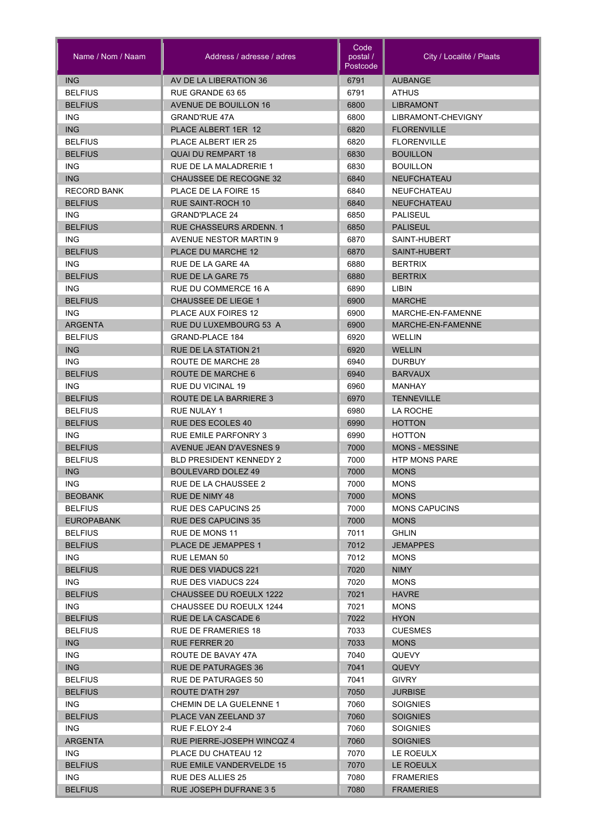| Name / Nom / Naam  | Address / adresse / adres       | Code<br>postal /<br>Postcode | City / Localité / Plaats |
|--------------------|---------------------------------|------------------------------|--------------------------|
| <b>ING</b>         | AV DE LA LIBERATION 36          | 6791                         | <b>AUBANGE</b>           |
| <b>BELFIUS</b>     | RUE GRANDE 63 65                | 6791                         | <b>ATHUS</b>             |
| <b>BELFIUS</b>     | <b>AVENUE DE BOUILLON 16</b>    | 6800                         | <b>LIBRAMONT</b>         |
| <b>ING</b>         | <b>GRAND'RUE 47A</b>            | 6800                         | LIBRAMONT-CHEVIGNY       |
| <b>ING</b>         | PLACE ALBERT 1ER 12             | 6820                         | <b>FLORENVILLE</b>       |
| <b>BELFIUS</b>     | <b>PLACE ALBERT IER 25</b>      | 6820                         | <b>FLORENVILLE</b>       |
| <b>BELFIUS</b>     | <b>QUAI DU REMPART 18</b>       | 6830                         | <b>BOUILLON</b>          |
| <b>ING</b>         | RUE DE LA MALADRERIE 1          | 6830                         | <b>BOUILLON</b>          |
| <b>ING</b>         | <b>CHAUSSEE DE RECOGNE 32</b>   | 6840                         | <b>NEUFCHATEAU</b>       |
| <b>RECORD BANK</b> | PLACE DE LA FOIRE 15            | 6840                         | <b>NEUFCHATEAU</b>       |
| <b>BELFIUS</b>     | <b>RUE SAINT-ROCH 10</b>        | 6840                         | <b>NEUFCHATEAU</b>       |
| <b>ING</b>         | <b>GRAND'PLACE 24</b>           | 6850                         | <b>PALISEUL</b>          |
| <b>BELFIUS</b>     | <b>RUE CHASSEURS ARDENN. 1</b>  | 6850                         | <b>PALISEUL</b>          |
| <b>ING</b>         | <b>AVENUE NESTOR MARTIN 9</b>   | 6870                         | SAINT-HUBERT             |
| <b>BELFIUS</b>     | PLACE DU MARCHE 12              | 6870                         | SAINT-HUBERT             |
| <b>ING</b>         | RUE DE LA GARE 4A               | 6880                         | <b>BERTRIX</b>           |
| <b>BELFIUS</b>     | RUE DE LA GARE 75               | 6880                         | <b>BERTRIX</b>           |
| <b>ING</b>         | RUE DU COMMERCE 16 A            | 6890                         | <b>LIBIN</b>             |
| <b>BELFIUS</b>     | <b>CHAUSSEE DE LIEGE 1</b>      | 6900                         | <b>MARCHE</b>            |
| ING.               | <b>PLACE AUX FOIRES 12</b>      | 6900                         | MARCHE-EN-FAMENNE        |
| <b>ARGENTA</b>     | RUE DU LUXEMBOURG 53 A          | 6900                         | MARCHE-EN-FAMENNE        |
| <b>BELFIUS</b>     | GRAND-PLACE 184                 | 6920                         | <b>WELLIN</b>            |
| <b>ING</b>         | <b>RUE DE LA STATION 21</b>     | 6920                         | <b>WELLIN</b>            |
| <b>ING</b>         | ROUTE DE MARCHE 28              | 6940                         | <b>DURBUY</b>            |
| <b>BELFIUS</b>     | ROUTE DE MARCHE 6               | 6940                         | <b>BARVAUX</b>           |
| <b>ING</b>         | RUE DU VICINAL 19               | 6960                         | MANHAY                   |
| <b>BELFIUS</b>     | ROUTE DE LA BARRIERE 3          | 6970                         | <b>TENNEVILLE</b>        |
| <b>BELFIUS</b>     | RUE NULAY 1                     | 6980                         | LA ROCHE                 |
| <b>BELFIUS</b>     | <b>RUE DES ECOLES 40</b>        | 6990                         | <b>HOTTON</b>            |
| <b>ING</b>         | RUE EMILE PARFONRY 3            | 6990                         | <b>HOTTON</b>            |
| <b>BELFIUS</b>     | <b>AVENUE JEAN D'AVESNES 9</b>  | 7000                         | <b>MONS - MESSINE</b>    |
| <b>BELFIUS</b>     | <b>BLD PRESIDENT KENNEDY 2</b>  | 7000                         | <b>HTP MONS PARE</b>     |
| <b>ING</b>         | <b>BOULEVARD DOLEZ 49</b>       | 7000                         | <b>MONS</b>              |
| <b>ING</b>         | RUE DE LA CHAUSSEE 2            | 7000                         | <b>MONS</b>              |
| <b>BEOBANK</b>     | RUE DE NIMY 48                  | 7000                         | <b>MONS</b>              |
| <b>BELFIUS</b>     | <b>RUE DES CAPUCINS 25</b>      | 7000                         | <b>MONS CAPUCINS</b>     |
| <b>EUROPABANK</b>  | <b>RUE DES CAPUCINS 35</b>      | 7000                         | <b>MONS</b>              |
| <b>BELFIUS</b>     | RUE DE MONS 11                  | 7011                         | <b>GHLIN</b>             |
| <b>BELFIUS</b>     | <b>PLACE DE JEMAPPES 1</b>      | 7012                         | <b>JEMAPPES</b>          |
| ING.               | RUE LEMAN 50                    | 7012                         | <b>MONS</b>              |
| <b>BELFIUS</b>     | <b>RUE DES VIADUCS 221</b>      | 7020                         | <b>NIMY</b>              |
| ING.               | RUE DES VIADUCS 224             | 7020                         | <b>MONS</b>              |
| <b>BELFIUS</b>     | <b>CHAUSSEE DU ROEULX 1222</b>  | 7021                         | <b>HAVRE</b>             |
| <b>ING</b>         | CHAUSSEE DU ROEULX 1244         | 7021                         | <b>MONS</b>              |
| <b>BELFIUS</b>     | RUE DE LA CASCADE 6             | 7022                         | <b>HYON</b>              |
| <b>BELFIUS</b>     | RUE DE FRAMERIES 18             | 7033                         | <b>CUESMES</b>           |
| <b>ING</b>         | <b>RUE FERRER 20</b>            | 7033                         | <b>MONS</b>              |
| ING.               | ROUTE DE BAVAY 47A              | 7040                         | <b>QUEVY</b>             |
| <b>ING</b>         | <b>RUE DE PATURAGES 36</b>      | 7041                         | <b>QUEVY</b>             |
| <b>BELFIUS</b>     | <b>RUE DE PATURAGES 50</b>      | 7041                         | <b>GIVRY</b>             |
| <b>BELFIUS</b>     | ROUTE D'ATH 297                 | 7050                         | <b>JURBISE</b>           |
| ING.               | CHEMIN DE LA GUELENNE 1         | 7060                         | <b>SOIGNIES</b>          |
| <b>BELFIUS</b>     | PLACE VAN ZEELAND 37            | 7060                         | <b>SOIGNIES</b>          |
| ING.               | RUE F ELOY 2-4                  | 7060                         | <b>SOIGNIES</b>          |
| <b>ARGENTA</b>     | RUE PIERRE-JOSEPH WINCQZ 4      | 7060                         | <b>SOIGNIES</b>          |
| ING.               | PLACE DU CHATEAU 12             | 7070                         | LE ROEULX                |
| <b>BELFIUS</b>     | <b>RUE EMILE VANDERVELDE 15</b> | 7070                         | LE ROEULX                |
| ING.               | RUE DES ALLIES 25               | 7080                         | <b>FRAMERIES</b>         |
| <b>BELFIUS</b>     | RUE JOSEPH DUFRANE 3 5          | 7080                         | <b>FRAMERIES</b>         |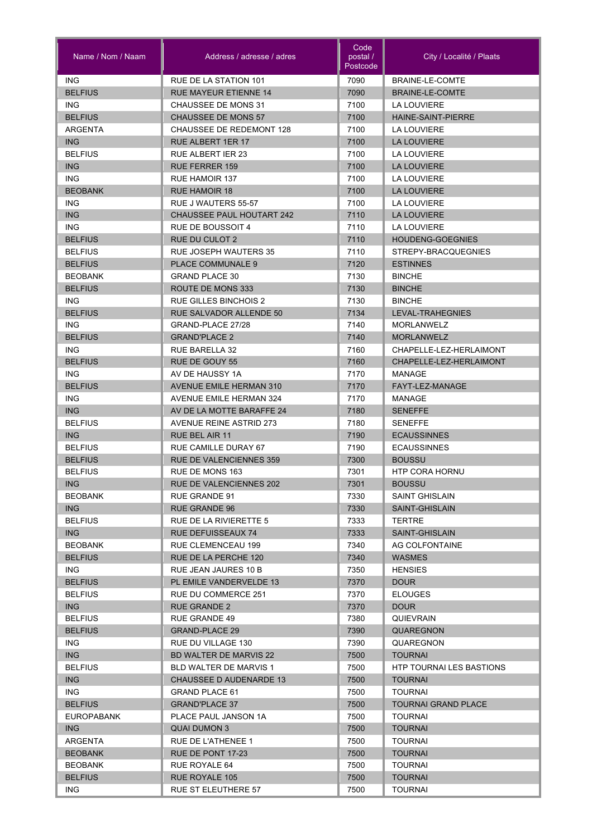| Name / Nom / Naam     | Address / adresse / adres                  | Code<br>postal /<br>Postcode | City / Localité / Plaats               |
|-----------------------|--------------------------------------------|------------------------------|----------------------------------------|
| <b>ING</b>            | <b>RUE DE LA STATION 101</b>               | 7090                         | BRAINE-LE-COMTE                        |
| <b>BELFIUS</b>        | <b>RUE MAYEUR ETIENNE 14</b>               | 7090                         | <b>BRAINE-LE-COMTE</b>                 |
| <b>ING</b>            | CHAUSSEE DE MONS 31                        | 7100                         | <b>LA LOUVIERE</b>                     |
| <b>BELFIUS</b>        | <b>CHAUSSEE DE MONS 57</b>                 | 7100                         | <b>HAINE-SAINT-PIERRE</b>              |
| ARGENTA               | <b>CHAUSSEE DE REDEMONT 128</b>            | 7100                         | LA LOUVIERE                            |
| <b>ING</b>            | <b>RUE ALBERT 1ER 17</b>                   | 7100                         | <b>LA LOUVIERE</b>                     |
| <b>BELFIUS</b>        | <b>RUE ALBERT IER 23</b>                   | 7100                         | LA LOUVIERE                            |
| <b>ING</b>            | <b>RUE FERRER 159</b>                      | 7100                         | <b>LA LOUVIERE</b>                     |
| <b>ING</b>            | <b>RUE HAMOIR 137</b>                      | 7100                         | <b>LA LOUVIERE</b>                     |
| <b>BEOBANK</b>        | <b>RUE HAMOIR 18</b>                       | 7100                         | <b>LA LOUVIERE</b>                     |
| <b>ING</b>            | RUE J WAUTERS 55-57                        | 7100                         | <b>LA LOUVIERE</b>                     |
| <b>ING</b>            | <b>CHAUSSEE PAUL HOUTART 242</b>           | 7110                         | <b>LA LOUVIERE</b>                     |
| <b>ING</b>            | <b>RUE DE BOUSSOIT 4</b>                   | 7110                         | <b>LA LOUVIERE</b>                     |
| <b>BELFIUS</b>        | <b>RUE DU CULOT 2</b>                      | 7110                         | <b>HOUDENG-GOEGNIES</b>                |
| <b>BELFIUS</b>        | <b>RUE JOSEPH WAUTERS 35</b>               | 7110                         | STREPY-BRACQUEGNIES                    |
| <b>BELFIUS</b>        | <b>PLACE COMMUNALE 9</b>                   | 7120                         | <b>ESTINNES</b>                        |
| <b>BEOBANK</b>        | <b>GRAND PLACE 30</b>                      | 7130                         | <b>BINCHE</b>                          |
| <b>BELFIUS</b>        | ROUTE DE MONS 333                          | 7130                         | <b>BINCHE</b>                          |
| ING.                  | <b>RUE GILLES BINCHOIS 2</b>               | 7130                         | <b>BINCHE</b>                          |
| <b>BELFIUS</b>        | <b>RUE SALVADOR ALLENDE 50</b>             | 7134                         | LEVAL-TRAHEGNIES                       |
| ING.                  | GRAND-PLACE 27/28                          | 7140                         | <b>MORLANWELZ</b>                      |
| <b>BELFIUS</b>        | <b>GRAND'PLACE 2</b>                       | 7140                         | <b>MORLANWELZ</b>                      |
| <b>ING</b>            | <b>RUE BARELLA 32</b>                      | 7160                         | CHAPELLE-LEZ-HERLAIMONT                |
| <b>BELFIUS</b>        | <b>RUE DE GOUY 55</b>                      | 7160                         | CHAPELLE-LEZ-HERLAIMONT                |
| ING.                  | AV DE HAUSSY 1A                            | 7170                         | <b>MANAGE</b>                          |
| <b>BELFIUS</b>        | <b>AVENUE EMILE HERMAN 310</b>             | 7170                         | FAYT-LEZ-MANAGE                        |
| <b>ING</b>            | <b>AVENUE EMILE HERMAN 324</b>             | 7170                         | <b>MANAGE</b>                          |
| <b>ING</b>            | AV DE LA MOTTE BARAFFE 24                  | 7180                         | <b>SENEFFE</b>                         |
| <b>BELFIUS</b>        | <b>AVENUE REINE ASTRID 273</b>             | 7180                         | <b>SENEFFE</b>                         |
| <b>ING</b>            | <b>RUE BEL AIR 11</b>                      | 7190                         | <b>ECAUSSINNES</b>                     |
| <b>BELFIUS</b>        | <b>RUE CAMILLE DURAY 67</b>                | 7190                         | <b>ECAUSSINNES</b>                     |
| <b>BELFIUS</b>        | <b>RUE DE VALENCIENNES 359</b>             | 7300                         | <b>BOUSSU</b>                          |
| <b>BELFIUS</b><br>ING | RUE DE MONS 163<br>RUE DE VALENCIENNES 202 | 7301<br>7301                 | <b>HTP CORA HORNU</b><br><b>BOUSSU</b> |
| <b>BEOBANK</b>        | <b>RUE GRANDE 91</b>                       | 7330                         | <b>SAINT GHISLAIN</b>                  |
| ING                   | <b>RUE GRANDE 96</b>                       | 7330                         | <b>SAINT-GHISLAIN</b>                  |
| <b>BELFIUS</b>        | RUE DE LA RIVIERETTE 5                     | 7333                         | <b>TERTRE</b>                          |
| ING                   | <b>RUE DEFUISSEAUX 74</b>                  | 7333                         | <b>SAINT-GHISLAIN</b>                  |
| <b>BEOBANK</b>        | RUE CLEMENCEAU 199                         | 7340                         | AG COLFONTAINE                         |
| <b>BELFIUS</b>        | RUE DE LA PERCHE 120                       | 7340                         | WASMES                                 |
| ING.                  | RUE JEAN JAURES 10 B                       | 7350                         | <b>HENSIES</b>                         |
| <b>BELFIUS</b>        | PL EMILE VANDERVELDE 13                    | 7370                         | <b>DOUR</b>                            |
| <b>BELFIUS</b>        | <b>RUE DU COMMERCE 251</b>                 | 7370                         | <b>ELOUGES</b>                         |
| <b>ING</b>            | <b>RUE GRANDE 2</b>                        | 7370                         | <b>DOUR</b>                            |
| <b>BELFIUS</b>        | RUE GRANDE 49                              | 7380                         | <b>QUIEVRAIN</b>                       |
| <b>BELFIUS</b>        | <b>GRAND-PLACE 29</b>                      | 7390                         | <b>QUAREGNON</b>                       |
| ING.                  | RUE DU VILLAGE 130                         | 7390                         | QUAREGNON                              |
| ING                   | <b>BD WALTER DE MARVIS 22</b>              | 7500                         | <b>TOURNAI</b>                         |
| <b>BELFIUS</b>        | <b>BLD WALTER DE MARVIS 1</b>              | 7500                         | HTP TOURNAI LES BASTIONS               |
| <b>ING</b>            | <b>CHAUSSEE D AUDENARDE 13</b>             | 7500                         | <b>TOURNAI</b>                         |
| ING.                  | <b>GRAND PLACE 61</b>                      | 7500                         | <b>TOURNAI</b>                         |
| <b>BELFIUS</b>        | <b>GRAND'PLACE 37</b>                      | 7500                         | <b>TOURNAI GRAND PLACE</b>             |
| <b>EUROPABANK</b>     | PLACE PAUL JANSON 1A                       | 7500                         | <b>TOURNAI</b>                         |
| ING                   | <b>QUAI DUMON 3</b>                        | 7500                         | <b>TOURNAI</b>                         |
| ARGENTA               | RUE DE L'ATHENEE 1                         | 7500                         | <b>TOURNAI</b>                         |
| <b>BEOBANK</b>        | RUE DE PONT 17-23                          | 7500                         | <b>TOURNAI</b>                         |
| <b>BEOBANK</b>        | RUE ROYALE 64                              | 7500                         | <b>TOURNAI</b>                         |
| <b>BELFIUS</b>        | RUE ROYALE 105                             | 7500                         | <b>TOURNAI</b>                         |
| ING.                  | RUE ST ELEUTHERE 57                        | 7500                         | <b>TOURNAI</b>                         |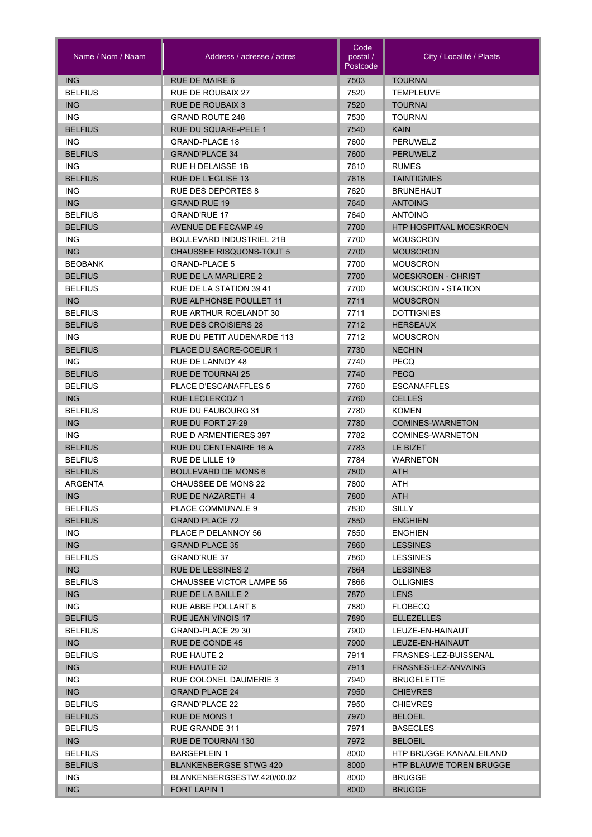| Name / Nom / Naam            | Address / adresse / adres       | Code<br>postal /<br>Postcode | City / Localité / Plaats                  |
|------------------------------|---------------------------------|------------------------------|-------------------------------------------|
| <b>ING</b>                   | <b>RUE DE MAIRE 6</b>           | 7503                         | <b>TOURNAI</b>                            |
| <b>BELFIUS</b>               | RUE DE ROUBAIX 27               | 7520                         | <b>TEMPLEUVE</b>                          |
| <b>ING</b>                   | <b>RUE DE ROUBAIX 3</b>         | 7520                         | <b>TOURNAI</b>                            |
| ING                          | <b>GRAND ROUTE 248</b>          | 7530                         | <b>TOURNAI</b>                            |
| <b>BELFIUS</b>               | RUE DU SQUARE-PELE 1            | 7540                         | <b>KAIN</b>                               |
| <b>ING</b>                   | <b>GRAND-PLACE 18</b>           | 7600                         | <b>PERUWELZ</b>                           |
| <b>BELFIUS</b>               | <b>GRAND'PLACE 34</b>           | 7600                         | <b>PERUWELZ</b>                           |
| <b>ING</b>                   | RUE H DELAISSE 1B               | 7610                         | <b>RUMES</b>                              |
| <b>BELFIUS</b>               | RUE DE L'EGLISE 13              | 7618                         | <b>TAINTIGNIES</b>                        |
| <b>ING</b>                   | <b>RUE DES DEPORTES 8</b>       | 7620                         | <b>BRUNEHAUT</b>                          |
| ING                          | <b>GRAND RUE 19</b>             | 7640                         | <b>ANTOING</b>                            |
| <b>BELFIUS</b>               | <b>GRAND'RUE 17</b>             | 7640                         | <b>ANTOING</b>                            |
| <b>BELFIUS</b>               | <b>AVENUE DE FECAMP 49</b>      | 7700                         | <b>HTP HOSPITAAL MOESKROEN</b>            |
| ING                          | BOULEVARD INDUSTRIEL 21B        | 7700                         | <b>MOUSCRON</b>                           |
| <b>ING</b>                   | <b>CHAUSSEE RISQUONS-TOUT 5</b> | 7700                         | <b>MOUSCRON</b>                           |
| <b>BEOBANK</b>               | <b>GRAND-PLACE 5</b>            | 7700                         | <b>MOUSCRON</b>                           |
| <b>BELFIUS</b>               | <b>RUE DE LA MARLIERE 2</b>     | 7700                         | <b>MOESKROEN - CHRIST</b>                 |
| <b>BELFIUS</b>               | RUE DE LA STATION 39 41         | 7700                         | <b>MOUSCRON - STATION</b>                 |
| ING                          | RUE ALPHONSE POULLET 11         | 7711                         | <b>MOUSCRON</b>                           |
| <b>BELFIUS</b>               | RUE ARTHUR ROELANDT 30          | 7711                         | <b>DOTTIGNIES</b>                         |
| <b>BELFIUS</b>               | <b>RUE DES CROISIERS 28</b>     | 7712                         | <b>HERSEAUX</b>                           |
| ING                          | RUE DU PETIT AUDENARDE 113      | 7712                         | <b>MOUSCRON</b>                           |
| <b>BELFIUS</b>               | PLACE DU SACRE-COEUR 1          | 7730                         | <b>NECHIN</b>                             |
| ING.                         | RUE DE LANNOY 48                | 7740                         | PECQ                                      |
| <b>BELFIUS</b>               | <b>RUE DE TOURNAI 25</b>        | 7740                         | <b>PECQ</b>                               |
| <b>BELFIUS</b>               | <b>PLACE D'ESCANAFFLES 5</b>    | 7760                         | <b>ESCANAFFLES</b>                        |
| ING                          | <b>RUE LECLERCQZ 1</b>          | 7760                         | <b>CELLES</b>                             |
| <b>BELFIUS</b>               | RUE DU FAUBOURG 31              | 7780                         | <b>KOMEN</b>                              |
| ING                          | RUE DU FORT 27-29               | 7780                         | <b>COMINES-WARNETON</b>                   |
| <b>ING</b>                   | <b>RUE D ARMENTIERES 397</b>    | 7782                         | <b>COMINES-WARNETON</b>                   |
| <b>BELFIUS</b>               | RUE DU CENTENAIRE 16 A          | 7783                         | LE BIZET                                  |
| <b>BELFIUS</b>               | RUE DE LILLE 19                 | 7784                         | <b>WARNETON</b>                           |
| <b>BELFIUS</b>               | <b>BOULEVARD DE MONS 6</b>      | 7800                         | ATH                                       |
| ARGENTA                      | CHAUSSEE DE MONS 22             | 7800                         | ATH                                       |
| ING.                         | RUE DE NAZARETH 4               | 7800                         | ATH                                       |
| <b>BELFIUS</b>               | PLACE COMMUNALE 9               | 7830                         | SILLY                                     |
| <b>BELFIUS</b>               | <b>GRAND PLACE 72</b>           | 7850                         | <b>ENGHIEN</b>                            |
| ING.                         | PLACE P DELANNOY 56             | 7850                         | <b>ENGHIEN</b>                            |
| ING                          | <b>GRAND PLACE 35</b>           | 7860                         | <b>LESSINES</b>                           |
| <b>BELFIUS</b>               | <b>GRAND'RUE 37</b>             | 7860                         | <b>LESSINES</b>                           |
| <b>ING</b>                   | RUE DE LESSINES 2               | 7864                         | <b>LESSINES</b>                           |
| <b>BELFIUS</b>               | <b>CHAUSSEE VICTOR LAMPE 55</b> | 7866                         | <b>OLLIGNIES</b>                          |
| <b>ING</b>                   | RUE DE LA BAILLE 2              | 7870                         | <b>LENS</b>                               |
| ING.                         | RUE ABBE POLLART 6              | 7880                         | <b>FLOBECQ</b>                            |
| <b>BELFIUS</b>               | RUE JEAN VINOIS 17              | 7890                         | <b>ELLEZELLES</b>                         |
| <b>BELFIUS</b>               | GRAND-PLACE 29 30               | 7900<br>7900                 | LEUZE-EN-HAINAUT                          |
| <b>ING</b><br><b>BELFIUS</b> | RUE DE CONDE 45<br>RUE HAUTE 2  | 7911                         | LEUZE-EN-HAINAUT<br>FRASNES-LEZ-BUISSENAL |
| <b>ING</b>                   | RUE HAUTE 32                    | 7911                         | FRASNES-LEZ-ANVAING                       |
| ING.                         | <b>RUE COLONEL DAUMERIE 3</b>   | 7940                         | <b>BRUGELETTE</b>                         |
| <b>ING</b>                   | <b>GRAND PLACE 24</b>           | 7950                         | <b>CHIEVRES</b>                           |
| <b>BELFIUS</b>               | <b>GRAND'PLACE 22</b>           | 7950                         | <b>CHIEVRES</b>                           |
| <b>BELFIUS</b>               | RUE DE MONS 1                   | 7970                         | <b>BELOEIL</b>                            |
| <b>BELFIUS</b>               | RUE GRANDE 311                  | 7971                         | <b>BASECLES</b>                           |
| ING                          | RUE DE TOURNAI 130              | 7972                         | <b>BELOEIL</b>                            |
| <b>BELFIUS</b>               | <b>BARGEPLEIN 1</b>             | 8000                         | HTP BRUGGE KANAALEILAND                   |
| <b>BELFIUS</b>               | <b>BLANKENBERGSE STWG 420</b>   | 8000                         | <b>HTP BLAUWE TOREN BRUGGE</b>            |
| <b>ING</b>                   | BLANKENBERGSESTW.420/00.02      | 8000                         | <b>BRUGGE</b>                             |
| <b>ING</b>                   | <b>FORT LAPIN 1</b>             | 8000                         | <b>BRUGGE</b>                             |
|                              |                                 |                              |                                           |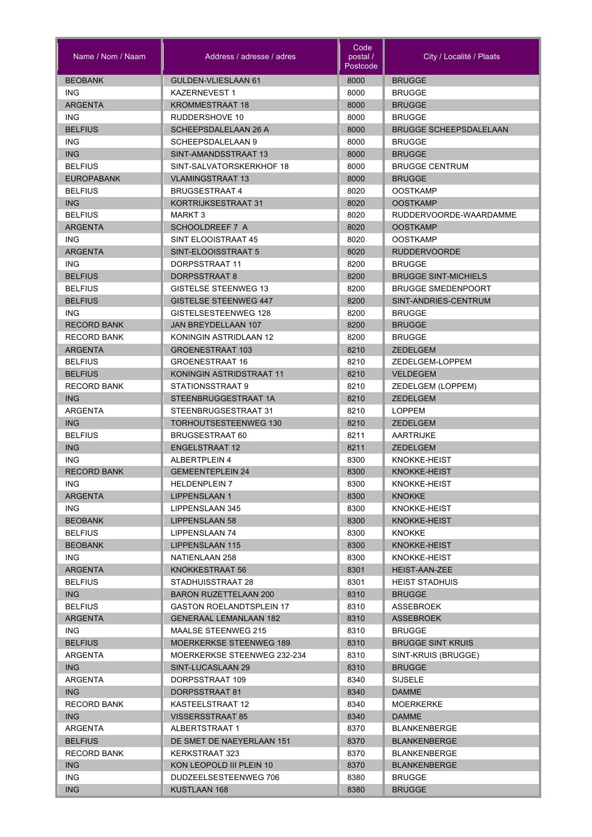| Name / Nom / Naam      | Address / adresse / adres        | Code<br>postal /<br>Postcode | City / Localité / Plaats      |
|------------------------|----------------------------------|------------------------------|-------------------------------|
| <b>BEOBANK</b>         | GULDEN-VLIESLAAN 61              | 8000                         | <b>BRUGGE</b>                 |
| <b>ING</b>             | <b>KAZERNEVEST1</b>              | 8000                         | <b>BRUGGE</b>                 |
| <b>ARGENTA</b>         | <b>KROMMESTRAAT 18</b>           | 8000                         | <b>BRUGGE</b>                 |
| <b>ING</b>             | RUDDERSHOVE 10                   | 8000                         | <b>BRUGGE</b>                 |
| <b>BELFIUS</b>         | <b>SCHEEPSDALELAAN 26 A</b>      | 8000                         | <b>BRUGGE SCHEEPSDALELAAN</b> |
| <b>ING</b>             | <b>SCHEEPSDALELAAN 9</b>         | 8000                         | <b>BRUGGE</b>                 |
| <b>ING</b>             | SINT-AMANDSSTRAAT 13             | 8000                         | <b>BRUGGE</b>                 |
| <b>BELFIUS</b>         | SINT-SALVATORSKERKHOF 18         | 8000                         | <b>BRUGGE CENTRUM</b>         |
| <b>EUROPABANK</b>      | <b>VLAMINGSTRAAT 13</b>          | 8000                         | <b>BRUGGE</b>                 |
| <b>BELFIUS</b>         | <b>BRUGSESTRAAT 4</b>            | 8020                         | <b>OOSTKAMP</b>               |
| ING                    | KORTRIJKSESTRAAT 31              | 8020                         | <b>OOSTKAMP</b>               |
| <b>BELFIUS</b>         | <b>MARKT 3</b>                   | 8020                         | RUDDERVOORDE-WAARDAMME        |
| <b>ARGENTA</b>         | <b>SCHOOLDREEF 7 A</b>           | 8020                         | <b>OOSTKAMP</b>               |
| <b>ING</b>             | SINT ELOOISTRAAT 45              | 8020                         | <b>OOSTKAMP</b>               |
| <b>ARGENTA</b>         | SINT-ELOOISSTRAAT 5              | 8020                         | <b>RUDDERVOORDE</b>           |
| <b>ING</b>             | DORPSSTRAAT 11                   | 8200                         | <b>BRUGGE</b>                 |
| <b>BELFIUS</b>         | DORPSSTRAAT 8                    | 8200                         | <b>BRUGGE SINT-MICHIELS</b>   |
| <b>BELFIUS</b>         | <b>GISTELSE STEENWEG 13</b>      | 8200                         | <b>BRUGGE SMEDENPOORT</b>     |
| <b>BELFIUS</b>         | <b>GISTELSE STEENWEG 447</b>     | 8200                         | SINT-ANDRIES-CENTRUM          |
| ING.                   | GISTELSESTEENWEG 128             | 8200                         | <b>BRUGGE</b>                 |
| <b>RECORD BANK</b>     | <b>JAN BREYDELLAAN 107</b>       | 8200                         | <b>BRUGGE</b>                 |
| <b>RECORD BANK</b>     | KONINGIN ASTRIDLAAN 12           | 8200                         | <b>BRUGGE</b>                 |
| <b>ARGENTA</b>         | <b>GROENESTRAAT 103</b>          | 8210                         | <b>ZEDELGEM</b>               |
| <b>BELFIUS</b>         | <b>GROENESTRAAT 16</b>           | 8210                         | ZEDELGEM-LOPPEM               |
| <b>BELFIUS</b>         | KONINGIN ASTRIDSTRAAT 11         | 8210                         | <b>VELDEGEM</b>               |
| <b>RECORD BANK</b>     | STATIONSSTRAAT 9                 | 8210                         | ZEDELGEM (LOPPEM)             |
| <b>ING</b>             | STEENBRUGGESTRAAT 1A             | 8210                         | <b>ZEDELGEM</b>               |
| <b>ARGENTA</b>         | STEENBRUGSESTRAAT 31             | 8210                         | <b>LOPPEM</b>                 |
| <b>ING</b>             | <b>TORHOUTSESTEENWEG 130</b>     | 8210                         | <b>ZEDELGEM</b>               |
| <b>BELFIUS</b>         | <b>BRUGSESTRAAT 60</b>           | 8211                         | <b>AARTRIJKE</b>              |
| <b>ING</b>             | <b>ENGELSTRAAT 12</b>            | 8211                         | <b>ZEDELGEM</b>               |
| <b>ING</b>             | <b>ALBERTPLEIN 4</b>             | 8300                         | KNOKKE-HEIST                  |
| <b>RECORD BANK</b>     | <b>GEMEENTEPLEIN 24</b>          | 8300                         | <b>KNOKKE-HEIST</b>           |
| ING.                   | <b>HELDENPLEIN 7</b>             | 8300                         | KNOKKE-HEIST                  |
| <b>ARGENTA</b>         | <b>LIPPENSLAAN 1</b>             | 8300                         | <b>KNOKKE</b>                 |
| ING.<br><b>BEOBANK</b> | LIPPENSLAAN 345                  | 8300<br>8300                 | KNOKKE-HEIST<br>KNOKKE-HEIST  |
| <b>BELFIUS</b>         | LIPPENSLAAN 58<br>LIPPENSLAAN 74 |                              | <b>KNOKKE</b>                 |
| <b>BEOBANK</b>         | LIPPENSLAAN 115                  | 8300<br>8300                 | KNOKKE-HEIST                  |
| ING.                   | NATIENLAAN 258                   | 8300                         | KNOKKE-HEIST                  |
| <b>ARGENTA</b>         | KNOKKESTRAAT 56                  | 8301                         | <b>HEIST-AAN-ZEE</b>          |
| <b>BELFIUS</b>         | STADHUISSTRAAT 28                | 8301                         | <b>HEIST STADHUIS</b>         |
| <b>ING</b>             | <b>BARON RUZETTELAAN 200</b>     | 8310                         | <b>BRUGGE</b>                 |
| <b>BELFIUS</b>         | <b>GASTON ROELANDTSPLEIN 17</b>  | 8310                         | ASSEBROEK                     |
| <b>ARGENTA</b>         | <b>GENERAAL LEMANLAAN 182</b>    | 8310                         | <b>ASSEBROEK</b>              |
| ING.                   | <b>MAALSE STEENWEG 215</b>       | 8310                         | <b>BRUGGE</b>                 |
| <b>BELFIUS</b>         | <b>MOERKERKSE STEENWEG 189</b>   | 8310                         | <b>BRUGGE SINT KRUIS</b>      |
| ARGENTA                | MOERKERKSE STEENWEG 232-234      | 8310                         | SINT-KRUIS (BRUGGE)           |
| <b>ING</b>             | SINT-LUCASLAAN 29                | 8310                         | <b>BRUGGE</b>                 |
| ARGENTA                | DORPSSTRAAT 109                  | 8340                         | <b>SIJSELE</b>                |
| ING                    | DORPSSTRAAT 81                   | 8340                         | <b>DAMME</b>                  |
| <b>RECORD BANK</b>     | KASTEELSTRAAT 12                 | 8340                         | <b>MOERKERKE</b>              |
| ING                    | <b>VISSERSSTRAAT 85</b>          | 8340                         | <b>DAMME</b>                  |
| ARGENTA                | ALBERTSTRAAT 1                   | 8370                         | <b>BLANKENBERGE</b>           |
| <b>BELFIUS</b>         | DE SMET DE NAEYERLAAN 151        | 8370                         | <b>BLANKENBERGE</b>           |
| <b>RECORD BANK</b>     | KERKSTRAAT 323                   | 8370                         | <b>BLANKENBERGE</b>           |
| ING                    | KON LEOPOLD III PLEIN 10         | 8370                         | <b>BLANKENBERGE</b>           |
| ING.                   | DUDZEELSESTEENWEG 706            | 8380                         | <b>BRUGGE</b>                 |
| ING                    | KUSTLAAN 168                     | 8380                         | <b>BRUGGE</b>                 |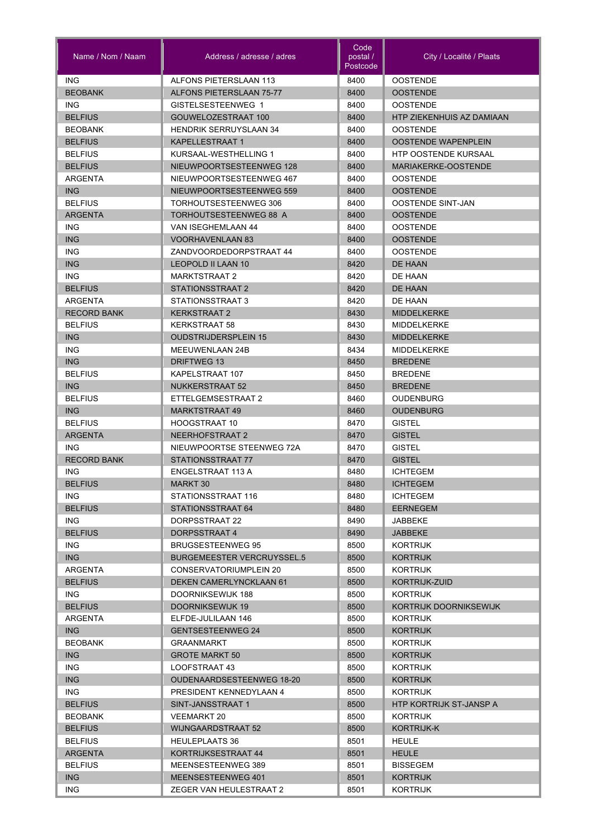| <b>ING</b><br>ALFONS PIETERSLAAN 113<br><b>OOSTENDE</b><br>8400<br><b>BEOBANK</b><br><b>ALFONS PIETERSLAAN 75-77</b><br>8400<br><b>OOSTENDE</b><br>8400<br>ING.<br>GISTELSESTEENWEG 1<br><b>OOSTENDE</b><br><b>BELFIUS</b><br>GOUWELOZESTRAAT 100<br>8400<br>HTP ZIEKENHUIS AZ DAMIAAN<br><b>BEOBANK</b><br><b>HENDRIK SERRUYSLAAN 34</b><br>8400<br><b>OOSTENDE</b><br><b>BELFIUS</b><br><b>KAPELLESTRAAT 1</b><br>8400<br><b>OOSTENDE WAPENPLEIN</b><br><b>BELFIUS</b><br>KURSAAL-WESTHELLING 1<br>8400<br><b>HTP OOSTENDE KURSAAL</b><br><b>BELFIUS</b><br>NIEUWPOORTSESTEENWEG 128<br>8400<br>MARIAKERKE-OOSTENDE<br>NIEUWPOORTSESTEENWEG 467<br>8400<br><b>OOSTENDE</b><br>ARGENTA<br><b>ING</b><br>NIEUWPOORTSESTEENWEG 559<br>8400<br><b>OOSTENDE</b><br><b>OOSTENDE SINT-JAN</b><br><b>BELFIUS</b><br>TORHOUTSESTEENWEG 306<br>8400<br><b>ARGENTA</b><br>TORHOUTSESTEENWEG 88 A<br>8400<br><b>OOSTENDE</b><br><b>ING</b><br>VAN ISEGHEMLAAN 44<br>8400<br><b>OOSTENDE</b><br><b>ING</b><br><b>VOORHAVENLAAN 83</b><br>8400<br><b>OOSTENDE</b><br><b>ING</b><br>ZANDVOORDEDORPSTRAAT 44<br><b>OOSTENDE</b><br>8400<br><b>ING</b><br><b>LEOPOLD II LAAN 10</b><br>DE HAAN<br>8420<br>ING.<br><b>MARKTSTRAAT 2</b><br>8420<br>DE HAAN<br><b>BELFIUS</b><br>STATIONSSTRAAT 2<br>8420<br><b>DE HAAN</b><br>STATIONSSTRAAT 3<br>ARGENTA<br>8420<br>DE HAAN<br><b>RECORD BANK</b><br><b>KERKSTRAAT 2</b><br>8430<br><b>MIDDELKERKE</b><br>8430<br><b>BELFIUS</b><br><b>KERKSTRAAT 58</b><br><b>MIDDELKERKE</b><br><b>ING</b><br><b>OUDSTRIJDERSPLEIN 15</b><br>8430<br><b>MIDDELKERKE</b><br><b>ING</b><br><b>MEEUWENLAAN 24B</b><br>8434<br><b>MIDDELKERKE</b><br><b>ING</b><br><b>DRIFTWEG 13</b><br>8450<br><b>BREDENE</b><br><b>BELFIUS</b><br>8450<br>KAPELSTRAAT 107<br><b>BREDENE</b><br><b>ING</b><br><b>NUKKERSTRAAT 52</b><br>8450<br><b>BREDENE</b><br><b>BELFIUS</b><br>ETTELGEMSESTRAAT 2<br>8460<br><b>OUDENBURG</b><br><b>ING</b><br><b>MARKTSTRAAT 49</b><br>8460<br><b>OUDENBURG</b><br><b>BELFIUS</b><br><b>HOOGSTRAAT 10</b><br>8470<br><b>GISTEL</b><br><b>ARGENTA</b><br>NEERHOFSTRAAT 2<br>8470<br><b>GISTEL</b><br><b>ING</b><br>NIEUWPOORTSE STEENWEG 72A<br>8470<br><b>GISTEL</b><br><b>RECORD BANK</b><br>STATIONSSTRAAT 77<br>8470<br><b>GISTEL</b><br>ENGELSTRAAT 113 A<br>8480<br><b>ICHTEGEM</b><br>ING<br><b>BELFIUS</b><br>8480<br><b>MARKT 30</b><br><b>ICHTEGEM</b><br>ING.<br>STATIONSSTRAAT 116<br>8480<br><b>ICHTEGEM</b><br><b>BELFIUS</b><br>STATIONSSTRAAT 64<br>8480<br><b>EERNEGEM</b><br>ING.<br>DORPSSTRAAT 22<br>8490<br>JABBEKE<br><b>BELFIUS</b><br>8490<br>DORPSSTRAAT 4<br><b>JABBEKE</b><br>ING.<br><b>BRUGSESTEENWEG 95</b><br>8500<br>KORTRIJK<br>ING<br>8500<br><b>BURGEMEESTER VERCRUYSSEL.5</b><br><b>KORTRIJK</b><br>8500<br>ARGENTA<br>CONSERVATORIUMPLEIN 20<br>KORTRIJK<br><b>BELFIUS</b><br>DEKEN CAMERLYNCKLAAN 61<br>8500<br>KORTRIJK-ZUID<br>8500<br>ING.<br>DOORNIKSEWIJK 188<br><b>KORTRIJK</b><br><b>BELFIUS</b><br>DOORNIKSEWIJK 19<br>8500<br>KORTRIJK DOORNIKSEWIJK<br>8500<br>ARGENTA<br>ELFDE-JULILAAN 146<br>KORTRIJK<br>ING<br><b>GENTSESTEENWEG 24</b><br>8500<br><b>KORTRIJK</b><br><b>BEOBANK</b><br>8500<br><b>GRAANMARKT</b><br>KORTRIJK<br>ING<br><b>GROTE MARKT 50</b><br>8500<br><b>KORTRIJK</b><br>ING.<br>8500<br>LOOFSTRAAT 43<br>KORTRIJK<br><b>ING</b><br><b>OUDENAARDSESTEENWEG 18-20</b><br>8500<br><b>KORTRIJK</b><br>ING.<br>PRESIDENT KENNEDYLAAN 4<br>8500<br>KORTRIJK<br><b>BELFIUS</b><br>SINT-JANSSTRAAT 1<br>8500<br><b>HTP KORTRIJK ST-JANSP A</b><br>8500<br><b>BEOBANK</b><br><b>VEEMARKT 20</b><br>KORTRIJK<br><b>BELFIUS</b><br><b>WIJNGAARDSTRAAT 52</b><br>8500<br>KORTRIJK-K<br><b>BELFIUS</b><br><b>HEULEPLAATS 36</b><br>8501<br><b>HEULE</b><br>KORTRIJKSESTRAAT 44<br>8501<br><b>HEULE</b><br>ARGENTA<br>8501<br><b>BELFIUS</b><br>MEENSESTEENWEG 389<br><b>BISSEGEM</b><br>ING<br>8501<br>MEENSESTEENWEG 401<br><b>KORTRIJK</b><br>ZEGER VAN HEULESTRAAT 2 | Name / Nom / Naam | Address / adresse / adres | Code<br>postal /<br>Postcode | City / Localité / Plaats |
|--------------------------------------------------------------------------------------------------------------------------------------------------------------------------------------------------------------------------------------------------------------------------------------------------------------------------------------------------------------------------------------------------------------------------------------------------------------------------------------------------------------------------------------------------------------------------------------------------------------------------------------------------------------------------------------------------------------------------------------------------------------------------------------------------------------------------------------------------------------------------------------------------------------------------------------------------------------------------------------------------------------------------------------------------------------------------------------------------------------------------------------------------------------------------------------------------------------------------------------------------------------------------------------------------------------------------------------------------------------------------------------------------------------------------------------------------------------------------------------------------------------------------------------------------------------------------------------------------------------------------------------------------------------------------------------------------------------------------------------------------------------------------------------------------------------------------------------------------------------------------------------------------------------------------------------------------------------------------------------------------------------------------------------------------------------------------------------------------------------------------------------------------------------------------------------------------------------------------------------------------------------------------------------------------------------------------------------------------------------------------------------------------------------------------------------------------------------------------------------------------------------------------------------------------------------------------------------------------------------------------------------------------------------------------------------------------------------------------------------------------------------------------------------------------------------------------------------------------------------------------------------------------------------------------------------------------------------------------------------------------------------------------------------------------------------------------------------------------------------------------------------------------------------------------------------------------------------------------------------------------------------------------------------------------------------------------------------------------------------------------------------------------------------------------------------------------------------------------------------------------------------------------------------------------------------------------------------------------------------------------------------------------------------------------------------------------------------------------------------------------------------------------------------------------------------------------------------------------------------------------------------------------------------------------------------------------------------------------|-------------------|---------------------------|------------------------------|--------------------------|
|                                                                                                                                                                                                                                                                                                                                                                                                                                                                                                                                                                                                                                                                                                                                                                                                                                                                                                                                                                                                                                                                                                                                                                                                                                                                                                                                                                                                                                                                                                                                                                                                                                                                                                                                                                                                                                                                                                                                                                                                                                                                                                                                                                                                                                                                                                                                                                                                                                                                                                                                                                                                                                                                                                                                                                                                                                                                                                                                                                                                                                                                                                                                                                                                                                                                                                                                                                                                                                                                                                                                                                                                                                                                                                                                                                                                                                                                                                                                                                          |                   |                           |                              |                          |
|                                                                                                                                                                                                                                                                                                                                                                                                                                                                                                                                                                                                                                                                                                                                                                                                                                                                                                                                                                                                                                                                                                                                                                                                                                                                                                                                                                                                                                                                                                                                                                                                                                                                                                                                                                                                                                                                                                                                                                                                                                                                                                                                                                                                                                                                                                                                                                                                                                                                                                                                                                                                                                                                                                                                                                                                                                                                                                                                                                                                                                                                                                                                                                                                                                                                                                                                                                                                                                                                                                                                                                                                                                                                                                                                                                                                                                                                                                                                                                          |                   |                           |                              |                          |
|                                                                                                                                                                                                                                                                                                                                                                                                                                                                                                                                                                                                                                                                                                                                                                                                                                                                                                                                                                                                                                                                                                                                                                                                                                                                                                                                                                                                                                                                                                                                                                                                                                                                                                                                                                                                                                                                                                                                                                                                                                                                                                                                                                                                                                                                                                                                                                                                                                                                                                                                                                                                                                                                                                                                                                                                                                                                                                                                                                                                                                                                                                                                                                                                                                                                                                                                                                                                                                                                                                                                                                                                                                                                                                                                                                                                                                                                                                                                                                          |                   |                           |                              |                          |
|                                                                                                                                                                                                                                                                                                                                                                                                                                                                                                                                                                                                                                                                                                                                                                                                                                                                                                                                                                                                                                                                                                                                                                                                                                                                                                                                                                                                                                                                                                                                                                                                                                                                                                                                                                                                                                                                                                                                                                                                                                                                                                                                                                                                                                                                                                                                                                                                                                                                                                                                                                                                                                                                                                                                                                                                                                                                                                                                                                                                                                                                                                                                                                                                                                                                                                                                                                                                                                                                                                                                                                                                                                                                                                                                                                                                                                                                                                                                                                          |                   |                           |                              |                          |
|                                                                                                                                                                                                                                                                                                                                                                                                                                                                                                                                                                                                                                                                                                                                                                                                                                                                                                                                                                                                                                                                                                                                                                                                                                                                                                                                                                                                                                                                                                                                                                                                                                                                                                                                                                                                                                                                                                                                                                                                                                                                                                                                                                                                                                                                                                                                                                                                                                                                                                                                                                                                                                                                                                                                                                                                                                                                                                                                                                                                                                                                                                                                                                                                                                                                                                                                                                                                                                                                                                                                                                                                                                                                                                                                                                                                                                                                                                                                                                          |                   |                           |                              |                          |
|                                                                                                                                                                                                                                                                                                                                                                                                                                                                                                                                                                                                                                                                                                                                                                                                                                                                                                                                                                                                                                                                                                                                                                                                                                                                                                                                                                                                                                                                                                                                                                                                                                                                                                                                                                                                                                                                                                                                                                                                                                                                                                                                                                                                                                                                                                                                                                                                                                                                                                                                                                                                                                                                                                                                                                                                                                                                                                                                                                                                                                                                                                                                                                                                                                                                                                                                                                                                                                                                                                                                                                                                                                                                                                                                                                                                                                                                                                                                                                          |                   |                           |                              |                          |
|                                                                                                                                                                                                                                                                                                                                                                                                                                                                                                                                                                                                                                                                                                                                                                                                                                                                                                                                                                                                                                                                                                                                                                                                                                                                                                                                                                                                                                                                                                                                                                                                                                                                                                                                                                                                                                                                                                                                                                                                                                                                                                                                                                                                                                                                                                                                                                                                                                                                                                                                                                                                                                                                                                                                                                                                                                                                                                                                                                                                                                                                                                                                                                                                                                                                                                                                                                                                                                                                                                                                                                                                                                                                                                                                                                                                                                                                                                                                                                          |                   |                           |                              |                          |
|                                                                                                                                                                                                                                                                                                                                                                                                                                                                                                                                                                                                                                                                                                                                                                                                                                                                                                                                                                                                                                                                                                                                                                                                                                                                                                                                                                                                                                                                                                                                                                                                                                                                                                                                                                                                                                                                                                                                                                                                                                                                                                                                                                                                                                                                                                                                                                                                                                                                                                                                                                                                                                                                                                                                                                                                                                                                                                                                                                                                                                                                                                                                                                                                                                                                                                                                                                                                                                                                                                                                                                                                                                                                                                                                                                                                                                                                                                                                                                          |                   |                           |                              |                          |
|                                                                                                                                                                                                                                                                                                                                                                                                                                                                                                                                                                                                                                                                                                                                                                                                                                                                                                                                                                                                                                                                                                                                                                                                                                                                                                                                                                                                                                                                                                                                                                                                                                                                                                                                                                                                                                                                                                                                                                                                                                                                                                                                                                                                                                                                                                                                                                                                                                                                                                                                                                                                                                                                                                                                                                                                                                                                                                                                                                                                                                                                                                                                                                                                                                                                                                                                                                                                                                                                                                                                                                                                                                                                                                                                                                                                                                                                                                                                                                          |                   |                           |                              |                          |
|                                                                                                                                                                                                                                                                                                                                                                                                                                                                                                                                                                                                                                                                                                                                                                                                                                                                                                                                                                                                                                                                                                                                                                                                                                                                                                                                                                                                                                                                                                                                                                                                                                                                                                                                                                                                                                                                                                                                                                                                                                                                                                                                                                                                                                                                                                                                                                                                                                                                                                                                                                                                                                                                                                                                                                                                                                                                                                                                                                                                                                                                                                                                                                                                                                                                                                                                                                                                                                                                                                                                                                                                                                                                                                                                                                                                                                                                                                                                                                          |                   |                           |                              |                          |
|                                                                                                                                                                                                                                                                                                                                                                                                                                                                                                                                                                                                                                                                                                                                                                                                                                                                                                                                                                                                                                                                                                                                                                                                                                                                                                                                                                                                                                                                                                                                                                                                                                                                                                                                                                                                                                                                                                                                                                                                                                                                                                                                                                                                                                                                                                                                                                                                                                                                                                                                                                                                                                                                                                                                                                                                                                                                                                                                                                                                                                                                                                                                                                                                                                                                                                                                                                                                                                                                                                                                                                                                                                                                                                                                                                                                                                                                                                                                                                          |                   |                           |                              |                          |
|                                                                                                                                                                                                                                                                                                                                                                                                                                                                                                                                                                                                                                                                                                                                                                                                                                                                                                                                                                                                                                                                                                                                                                                                                                                                                                                                                                                                                                                                                                                                                                                                                                                                                                                                                                                                                                                                                                                                                                                                                                                                                                                                                                                                                                                                                                                                                                                                                                                                                                                                                                                                                                                                                                                                                                                                                                                                                                                                                                                                                                                                                                                                                                                                                                                                                                                                                                                                                                                                                                                                                                                                                                                                                                                                                                                                                                                                                                                                                                          |                   |                           |                              |                          |
|                                                                                                                                                                                                                                                                                                                                                                                                                                                                                                                                                                                                                                                                                                                                                                                                                                                                                                                                                                                                                                                                                                                                                                                                                                                                                                                                                                                                                                                                                                                                                                                                                                                                                                                                                                                                                                                                                                                                                                                                                                                                                                                                                                                                                                                                                                                                                                                                                                                                                                                                                                                                                                                                                                                                                                                                                                                                                                                                                                                                                                                                                                                                                                                                                                                                                                                                                                                                                                                                                                                                                                                                                                                                                                                                                                                                                                                                                                                                                                          |                   |                           |                              |                          |
|                                                                                                                                                                                                                                                                                                                                                                                                                                                                                                                                                                                                                                                                                                                                                                                                                                                                                                                                                                                                                                                                                                                                                                                                                                                                                                                                                                                                                                                                                                                                                                                                                                                                                                                                                                                                                                                                                                                                                                                                                                                                                                                                                                                                                                                                                                                                                                                                                                                                                                                                                                                                                                                                                                                                                                                                                                                                                                                                                                                                                                                                                                                                                                                                                                                                                                                                                                                                                                                                                                                                                                                                                                                                                                                                                                                                                                                                                                                                                                          |                   |                           |                              |                          |
|                                                                                                                                                                                                                                                                                                                                                                                                                                                                                                                                                                                                                                                                                                                                                                                                                                                                                                                                                                                                                                                                                                                                                                                                                                                                                                                                                                                                                                                                                                                                                                                                                                                                                                                                                                                                                                                                                                                                                                                                                                                                                                                                                                                                                                                                                                                                                                                                                                                                                                                                                                                                                                                                                                                                                                                                                                                                                                                                                                                                                                                                                                                                                                                                                                                                                                                                                                                                                                                                                                                                                                                                                                                                                                                                                                                                                                                                                                                                                                          |                   |                           |                              |                          |
|                                                                                                                                                                                                                                                                                                                                                                                                                                                                                                                                                                                                                                                                                                                                                                                                                                                                                                                                                                                                                                                                                                                                                                                                                                                                                                                                                                                                                                                                                                                                                                                                                                                                                                                                                                                                                                                                                                                                                                                                                                                                                                                                                                                                                                                                                                                                                                                                                                                                                                                                                                                                                                                                                                                                                                                                                                                                                                                                                                                                                                                                                                                                                                                                                                                                                                                                                                                                                                                                                                                                                                                                                                                                                                                                                                                                                                                                                                                                                                          |                   |                           |                              |                          |
|                                                                                                                                                                                                                                                                                                                                                                                                                                                                                                                                                                                                                                                                                                                                                                                                                                                                                                                                                                                                                                                                                                                                                                                                                                                                                                                                                                                                                                                                                                                                                                                                                                                                                                                                                                                                                                                                                                                                                                                                                                                                                                                                                                                                                                                                                                                                                                                                                                                                                                                                                                                                                                                                                                                                                                                                                                                                                                                                                                                                                                                                                                                                                                                                                                                                                                                                                                                                                                                                                                                                                                                                                                                                                                                                                                                                                                                                                                                                                                          |                   |                           |                              |                          |
|                                                                                                                                                                                                                                                                                                                                                                                                                                                                                                                                                                                                                                                                                                                                                                                                                                                                                                                                                                                                                                                                                                                                                                                                                                                                                                                                                                                                                                                                                                                                                                                                                                                                                                                                                                                                                                                                                                                                                                                                                                                                                                                                                                                                                                                                                                                                                                                                                                                                                                                                                                                                                                                                                                                                                                                                                                                                                                                                                                                                                                                                                                                                                                                                                                                                                                                                                                                                                                                                                                                                                                                                                                                                                                                                                                                                                                                                                                                                                                          |                   |                           |                              |                          |
|                                                                                                                                                                                                                                                                                                                                                                                                                                                                                                                                                                                                                                                                                                                                                                                                                                                                                                                                                                                                                                                                                                                                                                                                                                                                                                                                                                                                                                                                                                                                                                                                                                                                                                                                                                                                                                                                                                                                                                                                                                                                                                                                                                                                                                                                                                                                                                                                                                                                                                                                                                                                                                                                                                                                                                                                                                                                                                                                                                                                                                                                                                                                                                                                                                                                                                                                                                                                                                                                                                                                                                                                                                                                                                                                                                                                                                                                                                                                                                          |                   |                           |                              |                          |
|                                                                                                                                                                                                                                                                                                                                                                                                                                                                                                                                                                                                                                                                                                                                                                                                                                                                                                                                                                                                                                                                                                                                                                                                                                                                                                                                                                                                                                                                                                                                                                                                                                                                                                                                                                                                                                                                                                                                                                                                                                                                                                                                                                                                                                                                                                                                                                                                                                                                                                                                                                                                                                                                                                                                                                                                                                                                                                                                                                                                                                                                                                                                                                                                                                                                                                                                                                                                                                                                                                                                                                                                                                                                                                                                                                                                                                                                                                                                                                          |                   |                           |                              |                          |
|                                                                                                                                                                                                                                                                                                                                                                                                                                                                                                                                                                                                                                                                                                                                                                                                                                                                                                                                                                                                                                                                                                                                                                                                                                                                                                                                                                                                                                                                                                                                                                                                                                                                                                                                                                                                                                                                                                                                                                                                                                                                                                                                                                                                                                                                                                                                                                                                                                                                                                                                                                                                                                                                                                                                                                                                                                                                                                                                                                                                                                                                                                                                                                                                                                                                                                                                                                                                                                                                                                                                                                                                                                                                                                                                                                                                                                                                                                                                                                          |                   |                           |                              |                          |
|                                                                                                                                                                                                                                                                                                                                                                                                                                                                                                                                                                                                                                                                                                                                                                                                                                                                                                                                                                                                                                                                                                                                                                                                                                                                                                                                                                                                                                                                                                                                                                                                                                                                                                                                                                                                                                                                                                                                                                                                                                                                                                                                                                                                                                                                                                                                                                                                                                                                                                                                                                                                                                                                                                                                                                                                                                                                                                                                                                                                                                                                                                                                                                                                                                                                                                                                                                                                                                                                                                                                                                                                                                                                                                                                                                                                                                                                                                                                                                          |                   |                           |                              |                          |
|                                                                                                                                                                                                                                                                                                                                                                                                                                                                                                                                                                                                                                                                                                                                                                                                                                                                                                                                                                                                                                                                                                                                                                                                                                                                                                                                                                                                                                                                                                                                                                                                                                                                                                                                                                                                                                                                                                                                                                                                                                                                                                                                                                                                                                                                                                                                                                                                                                                                                                                                                                                                                                                                                                                                                                                                                                                                                                                                                                                                                                                                                                                                                                                                                                                                                                                                                                                                                                                                                                                                                                                                                                                                                                                                                                                                                                                                                                                                                                          |                   |                           |                              |                          |
|                                                                                                                                                                                                                                                                                                                                                                                                                                                                                                                                                                                                                                                                                                                                                                                                                                                                                                                                                                                                                                                                                                                                                                                                                                                                                                                                                                                                                                                                                                                                                                                                                                                                                                                                                                                                                                                                                                                                                                                                                                                                                                                                                                                                                                                                                                                                                                                                                                                                                                                                                                                                                                                                                                                                                                                                                                                                                                                                                                                                                                                                                                                                                                                                                                                                                                                                                                                                                                                                                                                                                                                                                                                                                                                                                                                                                                                                                                                                                                          |                   |                           |                              |                          |
|                                                                                                                                                                                                                                                                                                                                                                                                                                                                                                                                                                                                                                                                                                                                                                                                                                                                                                                                                                                                                                                                                                                                                                                                                                                                                                                                                                                                                                                                                                                                                                                                                                                                                                                                                                                                                                                                                                                                                                                                                                                                                                                                                                                                                                                                                                                                                                                                                                                                                                                                                                                                                                                                                                                                                                                                                                                                                                                                                                                                                                                                                                                                                                                                                                                                                                                                                                                                                                                                                                                                                                                                                                                                                                                                                                                                                                                                                                                                                                          |                   |                           |                              |                          |
|                                                                                                                                                                                                                                                                                                                                                                                                                                                                                                                                                                                                                                                                                                                                                                                                                                                                                                                                                                                                                                                                                                                                                                                                                                                                                                                                                                                                                                                                                                                                                                                                                                                                                                                                                                                                                                                                                                                                                                                                                                                                                                                                                                                                                                                                                                                                                                                                                                                                                                                                                                                                                                                                                                                                                                                                                                                                                                                                                                                                                                                                                                                                                                                                                                                                                                                                                                                                                                                                                                                                                                                                                                                                                                                                                                                                                                                                                                                                                                          |                   |                           |                              |                          |
|                                                                                                                                                                                                                                                                                                                                                                                                                                                                                                                                                                                                                                                                                                                                                                                                                                                                                                                                                                                                                                                                                                                                                                                                                                                                                                                                                                                                                                                                                                                                                                                                                                                                                                                                                                                                                                                                                                                                                                                                                                                                                                                                                                                                                                                                                                                                                                                                                                                                                                                                                                                                                                                                                                                                                                                                                                                                                                                                                                                                                                                                                                                                                                                                                                                                                                                                                                                                                                                                                                                                                                                                                                                                                                                                                                                                                                                                                                                                                                          |                   |                           |                              |                          |
|                                                                                                                                                                                                                                                                                                                                                                                                                                                                                                                                                                                                                                                                                                                                                                                                                                                                                                                                                                                                                                                                                                                                                                                                                                                                                                                                                                                                                                                                                                                                                                                                                                                                                                                                                                                                                                                                                                                                                                                                                                                                                                                                                                                                                                                                                                                                                                                                                                                                                                                                                                                                                                                                                                                                                                                                                                                                                                                                                                                                                                                                                                                                                                                                                                                                                                                                                                                                                                                                                                                                                                                                                                                                                                                                                                                                                                                                                                                                                                          |                   |                           |                              |                          |
|                                                                                                                                                                                                                                                                                                                                                                                                                                                                                                                                                                                                                                                                                                                                                                                                                                                                                                                                                                                                                                                                                                                                                                                                                                                                                                                                                                                                                                                                                                                                                                                                                                                                                                                                                                                                                                                                                                                                                                                                                                                                                                                                                                                                                                                                                                                                                                                                                                                                                                                                                                                                                                                                                                                                                                                                                                                                                                                                                                                                                                                                                                                                                                                                                                                                                                                                                                                                                                                                                                                                                                                                                                                                                                                                                                                                                                                                                                                                                                          |                   |                           |                              |                          |
|                                                                                                                                                                                                                                                                                                                                                                                                                                                                                                                                                                                                                                                                                                                                                                                                                                                                                                                                                                                                                                                                                                                                                                                                                                                                                                                                                                                                                                                                                                                                                                                                                                                                                                                                                                                                                                                                                                                                                                                                                                                                                                                                                                                                                                                                                                                                                                                                                                                                                                                                                                                                                                                                                                                                                                                                                                                                                                                                                                                                                                                                                                                                                                                                                                                                                                                                                                                                                                                                                                                                                                                                                                                                                                                                                                                                                                                                                                                                                                          |                   |                           |                              |                          |
|                                                                                                                                                                                                                                                                                                                                                                                                                                                                                                                                                                                                                                                                                                                                                                                                                                                                                                                                                                                                                                                                                                                                                                                                                                                                                                                                                                                                                                                                                                                                                                                                                                                                                                                                                                                                                                                                                                                                                                                                                                                                                                                                                                                                                                                                                                                                                                                                                                                                                                                                                                                                                                                                                                                                                                                                                                                                                                                                                                                                                                                                                                                                                                                                                                                                                                                                                                                                                                                                                                                                                                                                                                                                                                                                                                                                                                                                                                                                                                          |                   |                           |                              |                          |
|                                                                                                                                                                                                                                                                                                                                                                                                                                                                                                                                                                                                                                                                                                                                                                                                                                                                                                                                                                                                                                                                                                                                                                                                                                                                                                                                                                                                                                                                                                                                                                                                                                                                                                                                                                                                                                                                                                                                                                                                                                                                                                                                                                                                                                                                                                                                                                                                                                                                                                                                                                                                                                                                                                                                                                                                                                                                                                                                                                                                                                                                                                                                                                                                                                                                                                                                                                                                                                                                                                                                                                                                                                                                                                                                                                                                                                                                                                                                                                          |                   |                           |                              |                          |
|                                                                                                                                                                                                                                                                                                                                                                                                                                                                                                                                                                                                                                                                                                                                                                                                                                                                                                                                                                                                                                                                                                                                                                                                                                                                                                                                                                                                                                                                                                                                                                                                                                                                                                                                                                                                                                                                                                                                                                                                                                                                                                                                                                                                                                                                                                                                                                                                                                                                                                                                                                                                                                                                                                                                                                                                                                                                                                                                                                                                                                                                                                                                                                                                                                                                                                                                                                                                                                                                                                                                                                                                                                                                                                                                                                                                                                                                                                                                                                          |                   |                           |                              |                          |
|                                                                                                                                                                                                                                                                                                                                                                                                                                                                                                                                                                                                                                                                                                                                                                                                                                                                                                                                                                                                                                                                                                                                                                                                                                                                                                                                                                                                                                                                                                                                                                                                                                                                                                                                                                                                                                                                                                                                                                                                                                                                                                                                                                                                                                                                                                                                                                                                                                                                                                                                                                                                                                                                                                                                                                                                                                                                                                                                                                                                                                                                                                                                                                                                                                                                                                                                                                                                                                                                                                                                                                                                                                                                                                                                                                                                                                                                                                                                                                          |                   |                           |                              |                          |
|                                                                                                                                                                                                                                                                                                                                                                                                                                                                                                                                                                                                                                                                                                                                                                                                                                                                                                                                                                                                                                                                                                                                                                                                                                                                                                                                                                                                                                                                                                                                                                                                                                                                                                                                                                                                                                                                                                                                                                                                                                                                                                                                                                                                                                                                                                                                                                                                                                                                                                                                                                                                                                                                                                                                                                                                                                                                                                                                                                                                                                                                                                                                                                                                                                                                                                                                                                                                                                                                                                                                                                                                                                                                                                                                                                                                                                                                                                                                                                          |                   |                           |                              |                          |
|                                                                                                                                                                                                                                                                                                                                                                                                                                                                                                                                                                                                                                                                                                                                                                                                                                                                                                                                                                                                                                                                                                                                                                                                                                                                                                                                                                                                                                                                                                                                                                                                                                                                                                                                                                                                                                                                                                                                                                                                                                                                                                                                                                                                                                                                                                                                                                                                                                                                                                                                                                                                                                                                                                                                                                                                                                                                                                                                                                                                                                                                                                                                                                                                                                                                                                                                                                                                                                                                                                                                                                                                                                                                                                                                                                                                                                                                                                                                                                          |                   |                           |                              |                          |
|                                                                                                                                                                                                                                                                                                                                                                                                                                                                                                                                                                                                                                                                                                                                                                                                                                                                                                                                                                                                                                                                                                                                                                                                                                                                                                                                                                                                                                                                                                                                                                                                                                                                                                                                                                                                                                                                                                                                                                                                                                                                                                                                                                                                                                                                                                                                                                                                                                                                                                                                                                                                                                                                                                                                                                                                                                                                                                                                                                                                                                                                                                                                                                                                                                                                                                                                                                                                                                                                                                                                                                                                                                                                                                                                                                                                                                                                                                                                                                          |                   |                           |                              |                          |
|                                                                                                                                                                                                                                                                                                                                                                                                                                                                                                                                                                                                                                                                                                                                                                                                                                                                                                                                                                                                                                                                                                                                                                                                                                                                                                                                                                                                                                                                                                                                                                                                                                                                                                                                                                                                                                                                                                                                                                                                                                                                                                                                                                                                                                                                                                                                                                                                                                                                                                                                                                                                                                                                                                                                                                                                                                                                                                                                                                                                                                                                                                                                                                                                                                                                                                                                                                                                                                                                                                                                                                                                                                                                                                                                                                                                                                                                                                                                                                          |                   |                           |                              |                          |
|                                                                                                                                                                                                                                                                                                                                                                                                                                                                                                                                                                                                                                                                                                                                                                                                                                                                                                                                                                                                                                                                                                                                                                                                                                                                                                                                                                                                                                                                                                                                                                                                                                                                                                                                                                                                                                                                                                                                                                                                                                                                                                                                                                                                                                                                                                                                                                                                                                                                                                                                                                                                                                                                                                                                                                                                                                                                                                                                                                                                                                                                                                                                                                                                                                                                                                                                                                                                                                                                                                                                                                                                                                                                                                                                                                                                                                                                                                                                                                          |                   |                           |                              |                          |
|                                                                                                                                                                                                                                                                                                                                                                                                                                                                                                                                                                                                                                                                                                                                                                                                                                                                                                                                                                                                                                                                                                                                                                                                                                                                                                                                                                                                                                                                                                                                                                                                                                                                                                                                                                                                                                                                                                                                                                                                                                                                                                                                                                                                                                                                                                                                                                                                                                                                                                                                                                                                                                                                                                                                                                                                                                                                                                                                                                                                                                                                                                                                                                                                                                                                                                                                                                                                                                                                                                                                                                                                                                                                                                                                                                                                                                                                                                                                                                          |                   |                           |                              |                          |
|                                                                                                                                                                                                                                                                                                                                                                                                                                                                                                                                                                                                                                                                                                                                                                                                                                                                                                                                                                                                                                                                                                                                                                                                                                                                                                                                                                                                                                                                                                                                                                                                                                                                                                                                                                                                                                                                                                                                                                                                                                                                                                                                                                                                                                                                                                                                                                                                                                                                                                                                                                                                                                                                                                                                                                                                                                                                                                                                                                                                                                                                                                                                                                                                                                                                                                                                                                                                                                                                                                                                                                                                                                                                                                                                                                                                                                                                                                                                                                          |                   |                           |                              |                          |
|                                                                                                                                                                                                                                                                                                                                                                                                                                                                                                                                                                                                                                                                                                                                                                                                                                                                                                                                                                                                                                                                                                                                                                                                                                                                                                                                                                                                                                                                                                                                                                                                                                                                                                                                                                                                                                                                                                                                                                                                                                                                                                                                                                                                                                                                                                                                                                                                                                                                                                                                                                                                                                                                                                                                                                                                                                                                                                                                                                                                                                                                                                                                                                                                                                                                                                                                                                                                                                                                                                                                                                                                                                                                                                                                                                                                                                                                                                                                                                          |                   |                           |                              |                          |
|                                                                                                                                                                                                                                                                                                                                                                                                                                                                                                                                                                                                                                                                                                                                                                                                                                                                                                                                                                                                                                                                                                                                                                                                                                                                                                                                                                                                                                                                                                                                                                                                                                                                                                                                                                                                                                                                                                                                                                                                                                                                                                                                                                                                                                                                                                                                                                                                                                                                                                                                                                                                                                                                                                                                                                                                                                                                                                                                                                                                                                                                                                                                                                                                                                                                                                                                                                                                                                                                                                                                                                                                                                                                                                                                                                                                                                                                                                                                                                          |                   |                           |                              |                          |
|                                                                                                                                                                                                                                                                                                                                                                                                                                                                                                                                                                                                                                                                                                                                                                                                                                                                                                                                                                                                                                                                                                                                                                                                                                                                                                                                                                                                                                                                                                                                                                                                                                                                                                                                                                                                                                                                                                                                                                                                                                                                                                                                                                                                                                                                                                                                                                                                                                                                                                                                                                                                                                                                                                                                                                                                                                                                                                                                                                                                                                                                                                                                                                                                                                                                                                                                                                                                                                                                                                                                                                                                                                                                                                                                                                                                                                                                                                                                                                          |                   |                           |                              |                          |
|                                                                                                                                                                                                                                                                                                                                                                                                                                                                                                                                                                                                                                                                                                                                                                                                                                                                                                                                                                                                                                                                                                                                                                                                                                                                                                                                                                                                                                                                                                                                                                                                                                                                                                                                                                                                                                                                                                                                                                                                                                                                                                                                                                                                                                                                                                                                                                                                                                                                                                                                                                                                                                                                                                                                                                                                                                                                                                                                                                                                                                                                                                                                                                                                                                                                                                                                                                                                                                                                                                                                                                                                                                                                                                                                                                                                                                                                                                                                                                          |                   |                           |                              |                          |
|                                                                                                                                                                                                                                                                                                                                                                                                                                                                                                                                                                                                                                                                                                                                                                                                                                                                                                                                                                                                                                                                                                                                                                                                                                                                                                                                                                                                                                                                                                                                                                                                                                                                                                                                                                                                                                                                                                                                                                                                                                                                                                                                                                                                                                                                                                                                                                                                                                                                                                                                                                                                                                                                                                                                                                                                                                                                                                                                                                                                                                                                                                                                                                                                                                                                                                                                                                                                                                                                                                                                                                                                                                                                                                                                                                                                                                                                                                                                                                          |                   |                           |                              |                          |
|                                                                                                                                                                                                                                                                                                                                                                                                                                                                                                                                                                                                                                                                                                                                                                                                                                                                                                                                                                                                                                                                                                                                                                                                                                                                                                                                                                                                                                                                                                                                                                                                                                                                                                                                                                                                                                                                                                                                                                                                                                                                                                                                                                                                                                                                                                                                                                                                                                                                                                                                                                                                                                                                                                                                                                                                                                                                                                                                                                                                                                                                                                                                                                                                                                                                                                                                                                                                                                                                                                                                                                                                                                                                                                                                                                                                                                                                                                                                                                          |                   |                           |                              |                          |
|                                                                                                                                                                                                                                                                                                                                                                                                                                                                                                                                                                                                                                                                                                                                                                                                                                                                                                                                                                                                                                                                                                                                                                                                                                                                                                                                                                                                                                                                                                                                                                                                                                                                                                                                                                                                                                                                                                                                                                                                                                                                                                                                                                                                                                                                                                                                                                                                                                                                                                                                                                                                                                                                                                                                                                                                                                                                                                                                                                                                                                                                                                                                                                                                                                                                                                                                                                                                                                                                                                                                                                                                                                                                                                                                                                                                                                                                                                                                                                          |                   |                           |                              |                          |
|                                                                                                                                                                                                                                                                                                                                                                                                                                                                                                                                                                                                                                                                                                                                                                                                                                                                                                                                                                                                                                                                                                                                                                                                                                                                                                                                                                                                                                                                                                                                                                                                                                                                                                                                                                                                                                                                                                                                                                                                                                                                                                                                                                                                                                                                                                                                                                                                                                                                                                                                                                                                                                                                                                                                                                                                                                                                                                                                                                                                                                                                                                                                                                                                                                                                                                                                                                                                                                                                                                                                                                                                                                                                                                                                                                                                                                                                                                                                                                          |                   |                           |                              |                          |
|                                                                                                                                                                                                                                                                                                                                                                                                                                                                                                                                                                                                                                                                                                                                                                                                                                                                                                                                                                                                                                                                                                                                                                                                                                                                                                                                                                                                                                                                                                                                                                                                                                                                                                                                                                                                                                                                                                                                                                                                                                                                                                                                                                                                                                                                                                                                                                                                                                                                                                                                                                                                                                                                                                                                                                                                                                                                                                                                                                                                                                                                                                                                                                                                                                                                                                                                                                                                                                                                                                                                                                                                                                                                                                                                                                                                                                                                                                                                                                          |                   |                           |                              |                          |
|                                                                                                                                                                                                                                                                                                                                                                                                                                                                                                                                                                                                                                                                                                                                                                                                                                                                                                                                                                                                                                                                                                                                                                                                                                                                                                                                                                                                                                                                                                                                                                                                                                                                                                                                                                                                                                                                                                                                                                                                                                                                                                                                                                                                                                                                                                                                                                                                                                                                                                                                                                                                                                                                                                                                                                                                                                                                                                                                                                                                                                                                                                                                                                                                                                                                                                                                                                                                                                                                                                                                                                                                                                                                                                                                                                                                                                                                                                                                                                          |                   |                           |                              |                          |
|                                                                                                                                                                                                                                                                                                                                                                                                                                                                                                                                                                                                                                                                                                                                                                                                                                                                                                                                                                                                                                                                                                                                                                                                                                                                                                                                                                                                                                                                                                                                                                                                                                                                                                                                                                                                                                                                                                                                                                                                                                                                                                                                                                                                                                                                                                                                                                                                                                                                                                                                                                                                                                                                                                                                                                                                                                                                                                                                                                                                                                                                                                                                                                                                                                                                                                                                                                                                                                                                                                                                                                                                                                                                                                                                                                                                                                                                                                                                                                          |                   |                           |                              |                          |
|                                                                                                                                                                                                                                                                                                                                                                                                                                                                                                                                                                                                                                                                                                                                                                                                                                                                                                                                                                                                                                                                                                                                                                                                                                                                                                                                                                                                                                                                                                                                                                                                                                                                                                                                                                                                                                                                                                                                                                                                                                                                                                                                                                                                                                                                                                                                                                                                                                                                                                                                                                                                                                                                                                                                                                                                                                                                                                                                                                                                                                                                                                                                                                                                                                                                                                                                                                                                                                                                                                                                                                                                                                                                                                                                                                                                                                                                                                                                                                          |                   |                           |                              |                          |
|                                                                                                                                                                                                                                                                                                                                                                                                                                                                                                                                                                                                                                                                                                                                                                                                                                                                                                                                                                                                                                                                                                                                                                                                                                                                                                                                                                                                                                                                                                                                                                                                                                                                                                                                                                                                                                                                                                                                                                                                                                                                                                                                                                                                                                                                                                                                                                                                                                                                                                                                                                                                                                                                                                                                                                                                                                                                                                                                                                                                                                                                                                                                                                                                                                                                                                                                                                                                                                                                                                                                                                                                                                                                                                                                                                                                                                                                                                                                                                          |                   |                           |                              |                          |
|                                                                                                                                                                                                                                                                                                                                                                                                                                                                                                                                                                                                                                                                                                                                                                                                                                                                                                                                                                                                                                                                                                                                                                                                                                                                                                                                                                                                                                                                                                                                                                                                                                                                                                                                                                                                                                                                                                                                                                                                                                                                                                                                                                                                                                                                                                                                                                                                                                                                                                                                                                                                                                                                                                                                                                                                                                                                                                                                                                                                                                                                                                                                                                                                                                                                                                                                                                                                                                                                                                                                                                                                                                                                                                                                                                                                                                                                                                                                                                          |                   |                           |                              |                          |
|                                                                                                                                                                                                                                                                                                                                                                                                                                                                                                                                                                                                                                                                                                                                                                                                                                                                                                                                                                                                                                                                                                                                                                                                                                                                                                                                                                                                                                                                                                                                                                                                                                                                                                                                                                                                                                                                                                                                                                                                                                                                                                                                                                                                                                                                                                                                                                                                                                                                                                                                                                                                                                                                                                                                                                                                                                                                                                                                                                                                                                                                                                                                                                                                                                                                                                                                                                                                                                                                                                                                                                                                                                                                                                                                                                                                                                                                                                                                                                          |                   |                           |                              |                          |
|                                                                                                                                                                                                                                                                                                                                                                                                                                                                                                                                                                                                                                                                                                                                                                                                                                                                                                                                                                                                                                                                                                                                                                                                                                                                                                                                                                                                                                                                                                                                                                                                                                                                                                                                                                                                                                                                                                                                                                                                                                                                                                                                                                                                                                                                                                                                                                                                                                                                                                                                                                                                                                                                                                                                                                                                                                                                                                                                                                                                                                                                                                                                                                                                                                                                                                                                                                                                                                                                                                                                                                                                                                                                                                                                                                                                                                                                                                                                                                          | <b>ING</b>        |                           | 8501                         | KORTRIJK                 |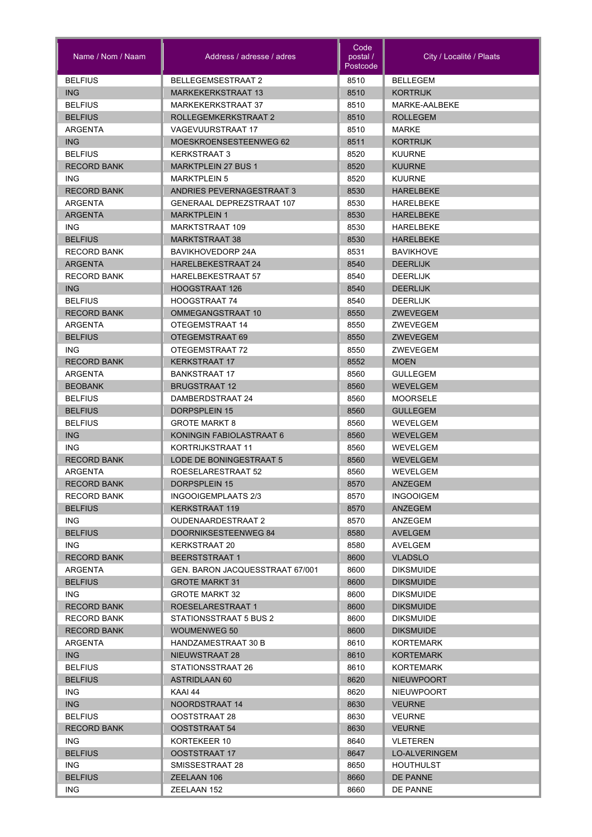| Name / Nom / Naam      | Address / adresse / adres            | Code<br>postal /<br>Postcode | City / Localité / Plaats                |
|------------------------|--------------------------------------|------------------------------|-----------------------------------------|
| <b>BELFIUS</b>         | <b>BELLEGEMSESTRAAT 2</b>            | 8510                         | <b>BELLEGEM</b>                         |
| <b>ING</b>             | <b>MARKEKERKSTRAAT 13</b>            | 8510                         | <b>KORTRIJK</b>                         |
| <b>BELFIUS</b>         | <b>MARKEKERKSTRAAT 37</b>            | 8510                         | MARKE-AALBEKE                           |
| <b>BELFIUS</b>         | ROLLEGEMKERKSTRAAT 2                 | 8510                         | <b>ROLLEGEM</b>                         |
| ARGENTA                | <b>VAGEVUURSTRAAT 17</b>             | 8510                         | <b>MARKE</b>                            |
| <b>ING</b>             | MOESKROENSESTEENWEG 62               | 8511                         | <b>KORTRIJK</b>                         |
| <b>BELFIUS</b>         | <b>KERKSTRAAT 3</b>                  | 8520                         | <b>KUURNE</b>                           |
| <b>RECORD BANK</b>     | <b>MARKTPLEIN 27 BUS 1</b>           | 8520                         | <b>KUURNE</b>                           |
| <b>ING</b>             | <b>MARKTPLEIN 5</b>                  | 8520                         | <b>KUURNE</b>                           |
| <b>RECORD BANK</b>     | ANDRIES PEVERNAGESTRAAT 3            | 8530                         | <b>HARELBEKE</b>                        |
| ARGENTA                | <b>GENERAAL DEPREZSTRAAT 107</b>     | 8530                         | <b>HARELBEKE</b>                        |
| <b>ARGENTA</b>         | <b>MARKTPLEIN 1</b>                  | 8530                         | <b>HARELBEKE</b>                        |
| <b>ING</b>             | MARKTSTRAAT 109                      | 8530                         | <b>HARELBEKE</b>                        |
| <b>BELFIUS</b>         | <b>MARKTSTRAAT 38</b>                | 8530                         | <b>HARELBEKE</b>                        |
| <b>RECORD BANK</b>     | <b>BAVIKHOVEDORP 24A</b>             | 8531                         | <b>BAVIKHOVE</b>                        |
| <b>ARGENTA</b>         | <b>HARELBEKESTRAAT 24</b>            | 8540                         | <b>DEERLIJK</b>                         |
| <b>RECORD BANK</b>     | <b>HARELBEKESTRAAT 57</b>            | 8540                         | <b>DEERLIJK</b>                         |
| ING                    | <b>HOOGSTRAAT 126</b>                | 8540                         | <b>DEERLIJK</b>                         |
| <b>BELFIUS</b>         | HOOGSTRAAT 74                        | 8540                         | <b>DEERLIJK</b>                         |
| <b>RECORD BANK</b>     | OMMEGANGSTRAAT 10                    | 8550                         | <b>ZWEVEGEM</b>                         |
| ARGENTA                | OTEGEMSTRAAT 14                      | 8550                         | ZWEVEGEM                                |
| <b>BELFIUS</b><br>ING. | OTEGEMSTRAAT 69<br>OTEGEMSTRAAT 72   | 8550                         | ZWEVEGEM<br>ZWEVEGEM                    |
| <b>RECORD BANK</b>     | <b>KERKSTRAAT 17</b>                 | 8550<br>8552                 | <b>MOEN</b>                             |
| ARGENTA                | <b>BANKSTRAAT 17</b>                 | 8560                         | <b>GULLEGEM</b>                         |
| <b>BEOBANK</b>         | <b>BRUGSTRAAT 12</b>                 | 8560                         | <b>WEVELGEM</b>                         |
| <b>BELFIUS</b>         | DAMBERDSTRAAT 24                     | 8560                         | <b>MOORSELE</b>                         |
| <b>BELFIUS</b>         | <b>DORPSPLEIN 15</b>                 | 8560                         | <b>GULLEGEM</b>                         |
| <b>BELFIUS</b>         | <b>GROTE MARKT 8</b>                 | 8560                         | WEVELGEM                                |
| <b>ING</b>             | KONINGIN FABIOLASTRAAT 6             | 8560                         | <b>WEVELGEM</b>                         |
| <b>ING</b>             | KORTRIJKSTRAAT 11                    | 8560                         | WEVELGEM                                |
| <b>RECORD BANK</b>     | LODE DE BONINGESTRAAT 5              | 8560                         | <b>WEVELGEM</b>                         |
| ARGENTA                | ROESELARESTRAAT 52                   | 8560                         | WEVELGEM                                |
| <b>RECORD BANK</b>     | DORPSPLEIN 15                        | 8570                         | ANZEGEM                                 |
| <b>RECORD BANK</b>     | INGOOIGEMPLAATS 2/3                  | 8570                         | <b>INGOOIGEM</b>                        |
| <b>BELFIUS</b>         | <b>KERKSTRAAT 119</b>                | 8570                         | ANZEGEM                                 |
| ING.                   | <b>OUDENAARDESTRAAT 2</b>            | 8570                         | ANZEGEM                                 |
| <b>BELFIUS</b>         | DOORNIKSESTEENWEG 84                 | 8580                         | AVELGEM                                 |
| ING.                   | KERKSTRAAT 20                        | 8580                         | AVELGEM                                 |
| <b>RECORD BANK</b>     | <b>BEERSTSTRAAT 1</b>                | 8600                         | <b>VLADSLO</b>                          |
| ARGENTA                | GEN. BARON JACQUESSTRAAT 67/001      | 8600                         | <b>DIKSMUIDE</b>                        |
| <b>BELFIUS</b>         | <b>GROTE MARKT 31</b>                | 8600                         | <b>DIKSMUIDE</b>                        |
| ING.                   | <b>GROTE MARKT 32</b>                | 8600                         | <b>DIKSMUIDE</b>                        |
| <b>RECORD BANK</b>     | ROESELARESTRAAT 1                    | 8600                         | <b>DIKSMUIDE</b>                        |
| <b>RECORD BANK</b>     | STATIONSSTRAAT 5 BUS 2               | 8600                         | <b>DIKSMUIDE</b>                        |
| <b>RECORD BANK</b>     | <b>WOUMENWEG 50</b>                  | 8600                         | <b>DIKSMUIDE</b>                        |
| ARGENTA                | HANDZAMESTRAAT 30 B                  | 8610                         | KORTEMARK                               |
| <b>ING</b>             | NIEUWSTRAAT 28                       | 8610                         | <b>KORTEMARK</b>                        |
| <b>BELFIUS</b>         | STATIONSSTRAAT 26                    | 8610                         | KORTEMARK                               |
| <b>BELFIUS</b>         | <b>ASTRIDLAAN 60</b>                 | 8620                         | <b>NIEUWPOORT</b>                       |
| ING.                   | KAAI 44                              | 8620                         | <b>NIEUWPOORT</b>                       |
| ING<br><b>BELFIUS</b>  | NOORDSTRAAT 14                       | 8630<br>8630                 | <b>VEURNE</b>                           |
|                        | OOSTSTRAAT 28                        |                              | <b>VEURNE</b>                           |
| <b>RECORD BANK</b>     | OOSTSTRAAT 54                        | 8630                         | <b>VEURNE</b>                           |
| ING.<br><b>BELFIUS</b> | KORTEKEER 10<br><b>OOSTSTRAAT 17</b> | 8640<br>8647                 | <b>VLETEREN</b><br><b>LO-ALVERINGEM</b> |
| ING.                   | SMISSESTRAAT 28                      |                              | <b>HOUTHULST</b>                        |
| <b>BELFIUS</b>         | ZEELAAN 106                          | 8650<br>8660                 | <b>DE PANNE</b>                         |
| ING.                   | ZEELAAN 152                          | 8660                         | DE PANNE                                |
|                        |                                      |                              |                                         |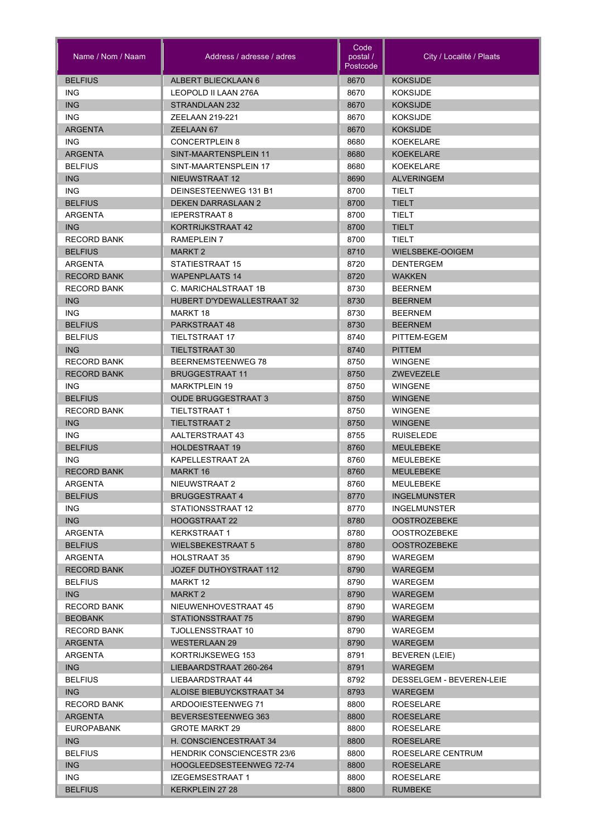| Name / Nom / Naam  | Address / adresse / adres         | Code<br>postal /<br>Postcode | City / Localité / Plaats |
|--------------------|-----------------------------------|------------------------------|--------------------------|
| <b>BELFIUS</b>     | ALBERT BLIECKLAAN 6               | 8670                         | <b>KOKSIJDE</b>          |
| <b>ING</b>         | LEOPOLD II LAAN 276A              | 8670                         | <b>KOKSIJDE</b>          |
| <b>ING</b>         | STRANDLAAN 232                    | 8670                         | <b>KOKSIJDE</b>          |
| <b>ING</b>         | ZEELAAN 219-221                   | 8670                         | <b>KOKSIJDE</b>          |
| <b>ARGENTA</b>     | ZEELAAN 67                        | 8670                         | <b>KOKSIJDE</b>          |
| <b>ING</b>         | <b>CONCERTPLEIN 8</b>             | 8680                         | <b>KOEKELARE</b>         |
| <b>ARGENTA</b>     | SINT-MAARTENSPLEIN 11             | 8680                         | <b>KOEKELARE</b>         |
| <b>BELFIUS</b>     | SINT-MAARTENSPLEIN 17             | 8680                         | KOEKELARE                |
| <b>ING</b>         | NIEUWSTRAAT 12                    | 8690                         | <b>ALVERINGEM</b>        |
| <b>ING</b>         | DEINSESTEENWEG 131 B1             | 8700                         | <b>TIELT</b>             |
| <b>BELFIUS</b>     | <b>DEKEN DARRASLAAN 2</b>         | 8700                         | <b>TIELT</b>             |
| <b>ARGENTA</b>     | <b>IEPERSTRAAT 8</b>              | 8700                         | <b>TIELT</b>             |
| <b>ING</b>         | KORTRIJKSTRAAT 42                 | 8700                         | <b>TIELT</b>             |
| <b>RECORD BANK</b> | RAMEPLEIN 7                       | 8700                         | <b>TIELT</b>             |
| <b>BELFIUS</b>     | MARKT 2                           | 8710                         | WIELSBEKE-OOIGEM         |
| <b>ARGENTA</b>     | STATIESTRAAT 15                   | 8720                         | <b>DENTERGEM</b>         |
| <b>RECORD BANK</b> | <b>WAPENPLAATS 14</b>             | 8720                         | <b>WAKKEN</b>            |
| <b>RECORD BANK</b> | C. MARICHALSTRAAT 1B              | 8730                         | <b>BEERNEM</b>           |
| <b>ING</b>         | <b>HUBERT D'YDEWALLESTRAAT 32</b> | 8730                         | <b>BEERNEM</b>           |
| <b>ING</b>         | MARKT 18                          | 8730                         | <b>BEERNEM</b>           |
| <b>BELFIUS</b>     | PARKSTRAAT 48                     | 8730                         | <b>BEERNEM</b>           |
| <b>BELFIUS</b>     | <b>TIELTSTRAAT 17</b>             | 8740                         | PITTEM-EGEM              |
| ING                | <b>TIELTSTRAAT 30</b>             | 8740                         | <b>PITTEM</b>            |
| <b>RECORD BANK</b> | BEERNEMSTEENWEG 78                | 8750                         | <b>WINGENE</b>           |
| <b>RECORD BANK</b> | <b>BRUGGESTRAAT 11</b>            | 8750                         | <b>ZWEVEZELE</b>         |
| <b>ING</b>         | <b>MARKTPLEIN 19</b>              | 8750                         | <b>WINGENE</b>           |
| <b>BELFIUS</b>     | <b>OUDE BRUGGESTRAAT 3</b>        | 8750                         | <b>WINGENE</b>           |
| <b>RECORD BANK</b> | <b>TIELTSTRAAT 1</b>              | 8750                         | <b>WINGENE</b>           |
| <b>ING</b>         | <b>TIELTSTRAAT 2</b>              | 8750                         | <b>WINGENE</b>           |
| <b>ING</b>         | AALTERSTRAAT 43                   | 8755                         | <b>RUISELEDE</b>         |
| <b>BELFIUS</b>     | <b>HOLDESTRAAT 19</b>             | 8760                         | <b>MEULEBEKE</b>         |
| <b>ING</b>         | KAPELLESTRAAT 2A                  | 8760                         | MEULEBEKE                |
| <b>RECORD BANK</b> | <b>MARKT 16</b>                   | 8760                         | <b>MEULEBEKE</b>         |
| ARGENTA            | NIEUWSTRAAT 2                     | 8760                         | MEULEBEKE                |
| <b>BELFIUS</b>     | <b>BRUGGESTRAAT 4</b>             | 8770                         | <b>INGELMUNSTER</b>      |
| ING.               | STATIONSSTRAAT 12                 | 8770                         | <b>INGELMUNSTER</b>      |
| ING                | HOOGSTRAAT 22                     | 8780                         | <b>OOSTROZEBEKE</b>      |
| ARGENTA            | <b>KERKSTRAAT 1</b>               | 8780                         | <b>OOSTROZEBEKE</b>      |
| <b>BELFIUS</b>     | <b>WIELSBEKESTRAAT 5</b>          | 8780                         | <b>OOSTROZEBEKE</b>      |
| ARGENTA            | <b>HOLSTRAAT 35</b>               | 8790                         | WAREGEM                  |
| <b>RECORD BANK</b> | JOZEF DUTHOYSTRAAT 112            | 8790                         | <b>WAREGEM</b>           |
| <b>BELFIUS</b>     | MARKT 12                          | 8790                         | WAREGEM                  |
| ING                | MARKT 2                           | 8790                         | <b>WAREGEM</b>           |
| <b>RECORD BANK</b> | NIEUWENHOVESTRAAT 45              | 8790                         | WAREGEM                  |
| <b>BEOBANK</b>     | STATIONSSTRAAT 75                 | 8790                         | WAREGEM                  |
| <b>RECORD BANK</b> | TJOLLENSSTRAAT 10                 | 8790                         | WAREGEM                  |
| <b>ARGENTA</b>     | <b>WESTERLAAN 29</b>              | 8790                         | <b>WAREGEM</b>           |
| ARGENTA            | KORTRIJKSEWEG 153                 | 8791                         | BEVEREN (LEIE)           |
| ING                | LIEBAARDSTRAAT 260-264            | 8791                         | WAREGEM                  |
| <b>BELFIUS</b>     | LIEBAARDSTRAAT 44                 | 8792                         | DESSELGEM - BEVEREN-LEIE |
| ING                | ALOISE BIEBUYCKSTRAAT 34          | 8793                         | WAREGEM                  |
| <b>RECORD BANK</b> | ARDOOIESTEENWEG 71                | 8800                         | <b>ROESELARE</b>         |
| <b>ARGENTA</b>     | BEVERSESTEENWEG 363               | 8800                         | <b>ROESELARE</b>         |
| <b>EUROPABANK</b>  | <b>GROTE MARKT 29</b>             | 8800                         | ROESELARE                |
| ING                | H. CONSCIENCESTRAAT 34            | 8800                         | <b>ROESELARE</b>         |
| <b>BELFIUS</b>     | <b>HENDRIK CONSCIENCESTR 23/6</b> | 8800                         | ROESELARE CENTRUM        |
| ING                | HOOGLEEDSESTEENWEG 72-74          | 8800                         | <b>ROESELARE</b>         |
| ING.               | IZEGEMSESTRAAT 1                  | 8800                         | ROESELARE                |
| <b>BELFIUS</b>     | KERKPLEIN 27 28                   | 8800                         | RUMBEKE                  |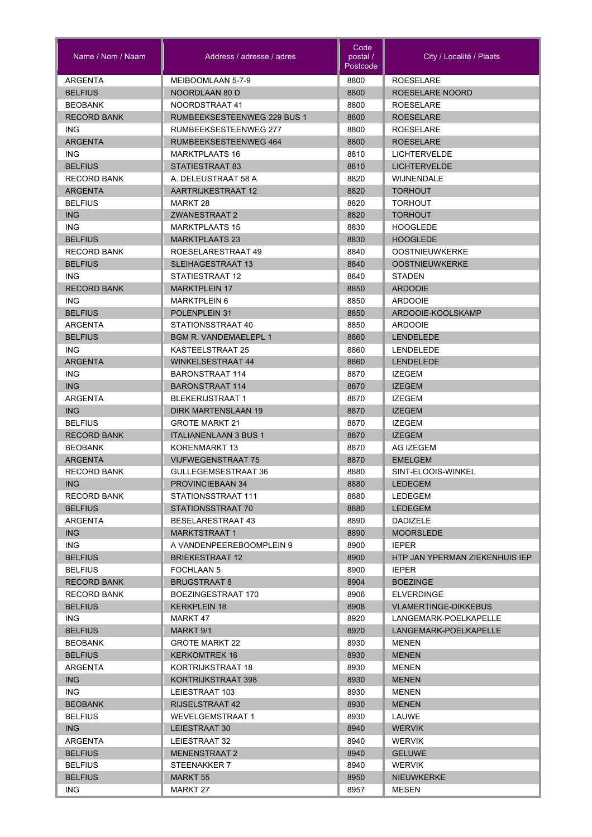| Name / Nom / Naam         | Address / adresse / adres            | Code<br>postal /<br>Postcode | City / Localité / Plaats                       |
|---------------------------|--------------------------------------|------------------------------|------------------------------------------------|
| ARGENTA                   | MEIBOOMLAAN 5-7-9                    | 8800                         | <b>ROESELARE</b>                               |
| <b>BELFIUS</b>            | NOORDLAAN 80 D                       | 8800                         | ROESELARE NOORD                                |
| <b>BEOBANK</b>            | NOORDSTRAAT 41                       | 8800                         | <b>ROESELARE</b>                               |
| <b>RECORD BANK</b>        | RUMBEEKSESTEENWEG 229 BUS 1          | 8800                         | <b>ROESELARE</b>                               |
| ING.                      | RUMBEEKSESTEENWEG 277                | 8800                         | <b>ROESELARE</b>                               |
| <b>ARGENTA</b>            | RUMBEEKSESTEENWEG 464                | 8800                         | <b>ROESELARE</b>                               |
| ING.                      | <b>MARKTPLAATS 16</b>                | 8810                         | <b>LICHTERVELDE</b>                            |
| <b>BELFIUS</b>            | STATIESTRAAT 83                      | 8810                         | <b>LICHTERVELDE</b>                            |
| <b>RECORD BANK</b>        | A. DELEUSTRAAT 58 A                  | 8820                         | <b><i>WIJNENDALE</i></b>                       |
| <b>ARGENTA</b>            | AARTRIJKESTRAAT 12                   | 8820                         | <b>TORHOUT</b>                                 |
| <b>BELFIUS</b>            | MARKT 28                             | 8820                         | <b>TORHOUT</b>                                 |
| <b>ING</b>                | <b>ZWANESTRAAT 2</b>                 | 8820                         | <b>TORHOUT</b>                                 |
| ING.                      | <b>MARKTPLAATS 15</b>                | 8830                         | <b>HOOGLEDE</b>                                |
| <b>BELFIUS</b>            | <b>MARKTPLAATS 23</b>                | 8830                         | <b>HOOGLEDE</b>                                |
| <b>RECORD BANK</b>        | ROESELARESTRAAT 49                   | 8840                         | <b>OOSTNIEUWKERKE</b>                          |
| <b>BELFIUS</b>            | <b>SLEIHAGESTRAAT 13</b>             | 8840                         | <b>OOSTNIEUWKERKE</b>                          |
| ING.                      | STATIESTRAAT 12                      | 8840                         | <b>STADEN</b>                                  |
| <b>RECORD BANK</b>        | <b>MARKTPLEIN 17</b>                 | 8850                         | <b>ARDOOIE</b>                                 |
| ING.<br><b>BELFIUS</b>    | <b>MARKTPLEIN 6</b><br>POLENPLEIN 31 | 8850<br>8850                 | <b>ARDOOIE</b><br>ARDOOIE-KOOLSKAMP            |
| ARGENTA                   | STATIONSSTRAAT 40                    | 8850                         | <b>ARDOOIE</b>                                 |
| <b>BELFIUS</b>            | <b>BGM R. VANDEMAELEPL 1</b>         | 8860                         | <b>LENDELEDE</b>                               |
| ING.                      | KASTEELSTRAAT 25                     | 8860                         | LENDELEDE                                      |
| <b>ARGENTA</b>            | <b>WINKELSESTRAAT 44</b>             | 8860                         | <b>LENDELEDE</b>                               |
| ING.                      | <b>BARONSTRAAT 114</b>               | 8870                         | <b>IZEGEM</b>                                  |
| <b>ING</b>                | <b>BARONSTRAAT 114</b>               | 8870                         | <b>IZEGEM</b>                                  |
| <b>ARGENTA</b>            | <b>BLEKERIJSTRAAT 1</b>              | 8870                         | <b>IZEGEM</b>                                  |
| <b>ING</b>                | <b>DIRK MARTENSLAAN 19</b>           | 8870                         | <b>IZEGEM</b>                                  |
| <b>BELFIUS</b>            | <b>GROTE MARKT 21</b>                | 8870                         | <b>IZEGEM</b>                                  |
| <b>RECORD BANK</b>        | <b>ITALIANENLAAN 3 BUS 1</b>         | 8870                         | <b>IZEGEM</b>                                  |
| <b>BEOBANK</b>            | KORENMARKT 13                        | 8870                         | AG IZEGEM                                      |
| <b>ARGENTA</b>            | <b>VIJFWEGENSTRAAT 75</b>            | 8870                         | <b>EMELGEM</b>                                 |
| <b>RECORD BANK</b>        | GULLEGEMSESTRAAT 36                  | 8880                         | SINT-ELOOIS-WINKEL                             |
| <b>ING</b>                | PROVINCIEBAAN 34                     | 8880                         | <b>LEDEGEM</b>                                 |
| <b>RECORD BANK</b>        | STATIONSSTRAAT 111                   | 8880                         | LEDEGEM                                        |
| <b>BELFIUS</b>            | STATIONSSTRAAT 70                    | 8880                         | <b>LEDEGEM</b>                                 |
| ARGENTA                   | <b>BESELARESTRAAT 43</b>             | 8890                         | <b>DADIZELE</b>                                |
| <b>ING</b>                | <b>MARKTSTRAAT 1</b>                 | 8890                         | <b>MOORSLEDE</b>                               |
| ING.                      | A VANDENPEEREBOOMPLEIN 9             | 8900                         | <b>IEPER</b>                                   |
| <b>BELFIUS</b>            | <b>BRIEKESTRAAT 12</b>               | 8900                         | HTP JAN YPERMAN ZIEKENHUIS IEP                 |
| <b>BELFIUS</b>            | <b>FOCHLAAN 5</b>                    | 8900                         | <b>IEPER</b>                                   |
| <b>RECORD BANK</b>        | <b>BRUGSTRAAT 8</b>                  | 8904                         | <b>BOEZINGE</b>                                |
| <b>RECORD BANK</b>        | BOEZINGESTRAAT 170                   | 8906                         | <b>ELVERDINGE</b>                              |
| <b>BELFIUS</b>            | <b>KERKPLEIN 18</b>                  | 8908                         | <b>VLAMERTINGE-DIKKEBUS</b>                    |
| ING.                      | MARKT 47                             | 8920                         | LANGEMARK-POELKAPELLE<br>LANGEMARK-POELKAPELLE |
| <b>BELFIUS</b><br>BEOBANK | MARKT 9/1<br><b>GROTE MARKT 22</b>   | 8920<br>8930                 | MENEN                                          |
| <b>BELFIUS</b>            | KERKOMTREK 16                        | 8930                         | <b>MENEN</b>                                   |
| ARGENTA                   | KORTRIJKSTRAAT 18                    | 8930                         | <b>MENEN</b>                                   |
| ING                       | KORTRIJKSTRAAT 398                   | 8930                         | <b>MENEN</b>                                   |
| ING.                      | LEIESTRAAT 103                       | 8930                         | <b>MENEN</b>                                   |
| <b>BEOBANK</b>            | <b>RIJSELSTRAAT 42</b>               | 8930                         | <b>MENEN</b>                                   |
| <b>BELFIUS</b>            | <b>WEVELGEMSTRAAT 1</b>              | 8930                         | LAUWE                                          |
| ING                       | LEIESTRAAT 30                        | 8940                         | <b>WERVIK</b>                                  |
| ARGENTA                   | LEIESTRAAT 32                        | 8940                         | <b>WERVIK</b>                                  |
| <b>BELFIUS</b>            | <b>MENENSTRAAT 2</b>                 | 8940                         | <b>GELUWE</b>                                  |
| <b>BELFIUS</b>            | STEENAKKER 7                         | 8940                         | <b>WERVIK</b>                                  |
| <b>BELFIUS</b>            | <b>MARKT 55</b>                      | 8950                         | <b>NIEUWKERKE</b>                              |
| ING.                      | MARKT 27                             | 8957                         | MESEN                                          |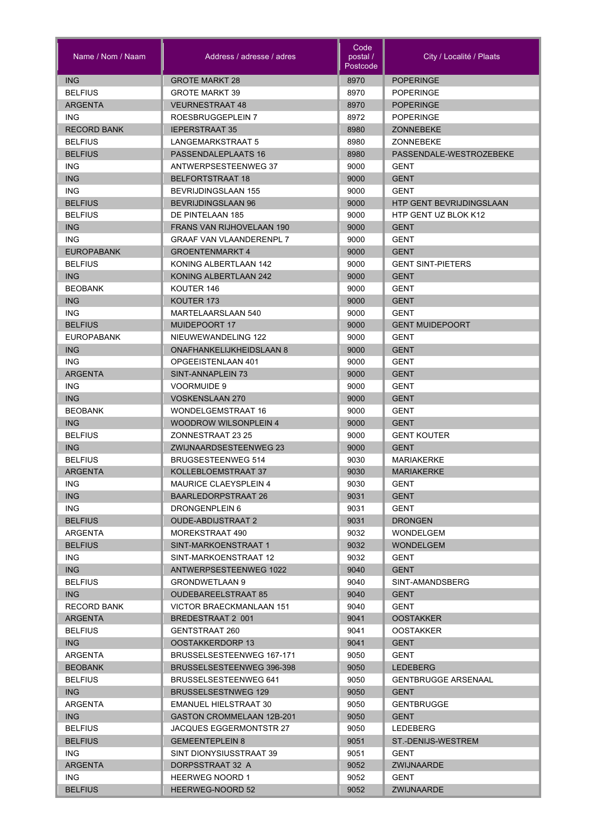| Name / Nom / Naam  | Address / adresse / adres        | Code<br>postal /<br>Postcode | City / Localité / Plaats   |
|--------------------|----------------------------------|------------------------------|----------------------------|
| <b>ING</b>         | <b>GROTE MARKT 28</b>            | 8970                         | <b>POPERINGE</b>           |
| <b>BELFIUS</b>     | <b>GROTE MARKT 39</b>            | 8970                         | <b>POPERINGE</b>           |
| <b>ARGENTA</b>     | <b>VEURNESTRAAT 48</b>           | 8970                         | <b>POPERINGE</b>           |
| <b>ING</b>         | ROESBRUGGEPLEIN 7                | 8972                         | <b>POPERINGE</b>           |
| <b>RECORD BANK</b> | <b>IEPERSTRAAT 35</b>            | 8980                         | <b>ZONNEBEKE</b>           |
| <b>BELFIUS</b>     | LANGEMARKSTRAAT 5                | 8980                         | ZONNEBEKE                  |
| <b>BELFIUS</b>     | PASSENDALEPLAATS 16              | 8980                         | PASSENDALE-WESTROZEBEKE    |
| ING                | ANTWERPSESTEENWEG 37             | 9000                         | GENT                       |
| <b>ING</b>         | BELFORTSTRAAT 18                 | 9000                         | <b>GENT</b>                |
| <b>ING</b>         | <b>BEVRIJDINGSLAAN 155</b>       | 9000                         | <b>GENT</b>                |
| <b>BELFIUS</b>     | <b>BEVRIJDINGSLAAN 96</b>        | 9000                         | HTP GENT BEVRIJDINGSLAAN   |
| <b>BELFIUS</b>     | DE PINTELAAN 185                 | 9000                         | HTP GENT UZ BLOK K12       |
| <b>ING</b>         | FRANS VAN RIJHOVELAAN 190        | 9000                         | <b>GENT</b>                |
| <b>ING</b>         | <b>GRAAF VAN VLAANDERENPL 7</b>  | 9000                         | GENT                       |
| <b>EUROPABANK</b>  | <b>GROENTENMARKT 4</b>           | 9000                         | <b>GENT</b>                |
| <b>BELFIUS</b>     | KONING ALBERTLAAN 142            | 9000                         | <b>GENT SINT-PIETERS</b>   |
| <b>ING</b>         | KONING ALBERTLAAN 242            | 9000                         | <b>GENT</b>                |
| <b>BEOBANK</b>     | KOUTER 146                       | 9000                         | GENT                       |
| <b>ING</b>         | KOUTER 173                       | 9000                         | <b>GENT</b>                |
| ING.               | MARTELAARSLAAN 540               | 9000                         | <b>GENT</b>                |
| <b>BELFIUS</b>     | <b>MUIDEPOORT 17</b>             | 9000                         | <b>GENT MUIDEPOORT</b>     |
| <b>EUROPABANK</b>  | NIEUWEWANDELING 122              | 9000                         | <b>GENT</b>                |
| <b>ING</b>         | <b>ONAFHANKELIJKHEIDSLAAN 8</b>  | 9000                         | <b>GENT</b>                |
| <b>ING</b>         | OPGEEISTENLAAN 401               | 9000                         | <b>GENT</b>                |
| <b>ARGENTA</b>     | SINT-ANNAPLEIN 73                | 9000                         | <b>GENT</b>                |
| <b>ING</b>         |                                  |                              |                            |
|                    | <b>VOORMUIDE 9</b>               | 9000                         | <b>GENT</b>                |
| <b>ING</b>         | <b>VOSKENSLAAN 270</b>           | 9000                         | <b>GENT</b>                |
| <b>BEOBANK</b>     | <b>WONDELGEMSTRAAT 16</b>        | 9000                         | <b>GENT</b>                |
| <b>ING</b>         | <b>WOODROW WILSONPLEIN 4</b>     | 9000                         | <b>GENT</b>                |
| <b>BELFIUS</b>     | ZONNESTRAAT 23 25                | 9000                         | <b>GENT KOUTER</b>         |
| <b>ING</b>         | ZWIJNAARDSESTEENWEG 23           | 9000                         | <b>GENT</b>                |
| <b>BELFIUS</b>     | <b>BRUGSESTEENWEG 514</b>        | 9030                         | <b>MARIAKERKE</b>          |
| <b>ARGENTA</b>     | KOLLEBLOEMSTRAAT 37              | 9030                         | <b>MARIAKERKE</b>          |
| ING                | MAURICE CLAEYSPLEIN 4            | 9030                         | GENT                       |
| ING.               | BAARLEDORPSTRAAT 26              | 9031                         | <b>GENT</b>                |
| ING.               | DRONGENPLEIN 6                   | 9031                         | GENT                       |
| <b>BELFIUS</b>     | <b>OUDE-ABDIJSTRAAT 2</b>        | 9031                         | <b>DRONGEN</b>             |
| ARGENTA            | MOREKSTRAAT 490                  | 9032                         | WONDELGEM                  |
| <b>BELFIUS</b>     | SINT-MARKOENSTRAAT 1             | 9032                         | <b>WONDELGEM</b>           |
| ING.               | SINT-MARKOENSTRAAT 12            | 9032                         | <b>GENT</b>                |
| <b>ING</b>         | ANTWERPSESTEENWEG 1022           | 9040                         | <b>GENT</b>                |
| <b>BELFIUS</b>     | <b>GRONDWETLAAN 9</b>            | 9040                         | SINT-AMANDSBERG            |
| ING                | <b>OUDEBAREELSTRAAT 85</b>       | 9040                         | <b>GENT</b>                |
| <b>RECORD BANK</b> | VICTOR BRAECKMANLAAN 151         | 9040                         | <b>GENT</b>                |
| <b>ARGENTA</b>     | BREDESTRAAT 2 001                | 9041                         | <b>OOSTAKKER</b>           |
| <b>BELFIUS</b>     | GENTSTRAAT 260                   | 9041                         | <b>OOSTAKKER</b>           |
| ING                | OOSTAKKERDORP 13                 | 9041                         | <b>GENT</b>                |
| ARGENTA            | BRUSSELSESTEENWEG 167-171        | 9050                         | GENT                       |
| <b>BEOBANK</b>     | BRUSSELSESTEENWEG 396-398        | 9050                         | <b>LEDEBERG</b>            |
| <b>BELFIUS</b>     | <b>BRUSSELSESTEENWEG 641</b>     | 9050                         | <b>GENTBRUGGE ARSENAAL</b> |
| ING                | <b>BRUSSELSESTNWEG 129</b>       | 9050                         | <b>GENT</b>                |
| ARGENTA            | EMANUEL HIELSTRAAT 30            | 9050                         | <b>GENTBRUGGE</b>          |
| ING                | <b>GASTON CROMMELAAN 12B-201</b> | 9050                         | <b>GENT</b>                |
| <b>BELFIUS</b>     | JACQUES EGGERMONTSTR 27          | 9050                         | LEDEBERG                   |
| <b>BELFIUS</b>     | <b>GEMEENTEPLEIN 8</b>           | 9051                         | ST.-DENIJS-WESTREM         |
| ING.               | SINT DIONYSIUSSTRAAT 39          | 9051                         | <b>GENT</b>                |
| <b>ARGENTA</b>     | DORPSSTRAAT 32 A                 | 9052                         | ZWIJNAARDE                 |
| ING.               | <b>HEERWEG NOORD 1</b>           | 9052                         | GENT                       |
| <b>BELFIUS</b>     | HEERWEG-NOORD 52                 | 9052                         | <b>ZWIJNAARDE</b>          |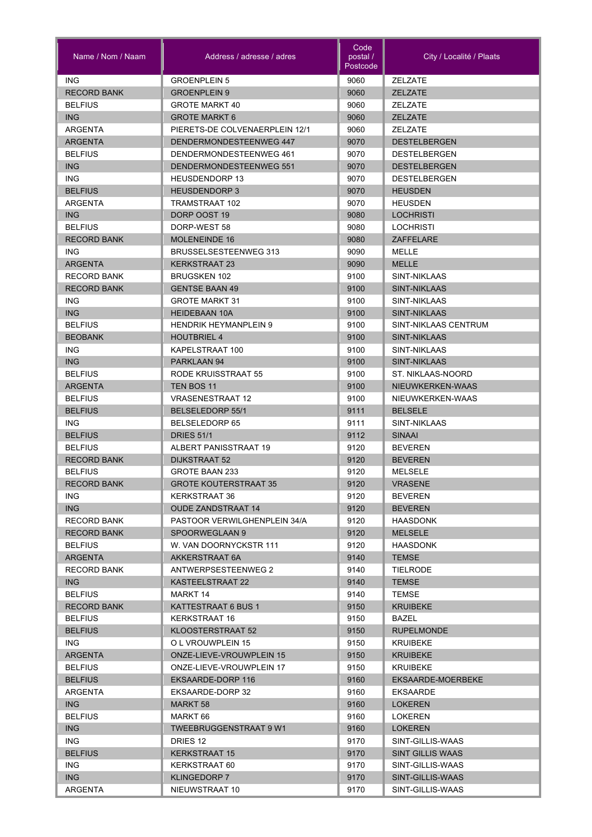| Name / Nom / Naam                | Address / adresse / adres                          | Code<br>postal /<br>Postcode | City / Localité / Plaats           |
|----------------------------------|----------------------------------------------------|------------------------------|------------------------------------|
| <b>ING</b>                       | <b>GROENPLEIN 5</b>                                | 9060                         | <b>ZELZATE</b>                     |
| <b>RECORD BANK</b>               | <b>GROENPLEIN 9</b>                                | 9060                         | <b>ZELZATE</b>                     |
| <b>BELFIUS</b>                   | <b>GROTE MARKT 40</b>                              | 9060                         | <b>ZELZATE</b>                     |
| <b>ING</b>                       | <b>GROTE MARKT 6</b>                               | 9060                         | <b>ZELZATE</b>                     |
| <b>ARGENTA</b>                   | PIERETS-DE COLVENAERPLEIN 12/1                     | 9060                         | <b>ZELZATE</b>                     |
| <b>ARGENTA</b>                   | DENDERMONDESTEENWEG 447                            | 9070                         | <b>DESTELBERGEN</b>                |
| <b>BELFIUS</b>                   | DENDERMONDESTEENWEG 461                            | 9070                         | <b>DESTELBERGEN</b>                |
| <b>ING</b>                       | DENDERMONDESTEENWEG 551                            | 9070                         | <b>DESTELBERGEN</b>                |
| ING.                             | <b>HEUSDENDORP 13</b>                              | 9070                         | <b>DESTELBERGEN</b>                |
| <b>BELFIUS</b>                   | <b>HEUSDENDORP3</b>                                | 9070                         | <b>HEUSDEN</b>                     |
| ARGENTA                          | TRAMSTRAAT 102                                     | 9070                         | <b>HEUSDEN</b>                     |
| ING                              | DORP OOST 19                                       | 9080                         | LOCHRISTI                          |
| <b>BELFIUS</b>                   | DORP-WEST 58                                       | 9080                         | <b>LOCHRISTI</b>                   |
| <b>RECORD BANK</b>               | <b>MOLENEINDE 16</b>                               | 9080                         | <b>ZAFFELARE</b>                   |
| <b>ING</b>                       | <b>BRUSSELSESTEENWEG 313</b>                       | 9090                         | MELLE                              |
| <b>ARGENTA</b>                   | <b>KERKSTRAAT 23</b>                               | 9090                         | <b>MELLE</b>                       |
| <b>RECORD BANK</b>               | <b>BRUGSKEN 102</b>                                | 9100                         | SINT-NIKLAAS                       |
| <b>RECORD BANK</b>               | <b>GENTSE BAAN 49</b>                              | 9100                         | <b>SINT-NIKLAAS</b>                |
| ING.                             | <b>GROTE MARKT 31</b>                              | 9100                         | SINT-NIKLAAS                       |
| ING                              | <b>HEIDEBAAN 10A</b>                               | 9100                         | <b>SINT-NIKLAAS</b>                |
| <b>BELFIUS</b>                   | <b>HENDRIK HEYMANPLEIN 9</b>                       | 9100                         | SINT-NIKLAAS CENTRUM               |
| <b>BEOBANK</b>                   | <b>HOUTBRIEL 4</b>                                 | 9100                         | SINT-NIKLAAS                       |
| <b>ING</b>                       | KAPELSTRAAT 100                                    | 9100                         | SINT-NIKLAAS                       |
| ING                              | PARKLAAN 94                                        | 9100                         | <b>SINT-NIKLAAS</b>                |
| <b>BELFIUS</b>                   | RODE KRUISSTRAAT 55                                | 9100                         | ST. NIKLAAS-NOORD                  |
| <b>ARGENTA</b>                   | TEN BOS 11                                         | 9100                         | NIEUWKERKEN-WAAS                   |
| <b>BELFIUS</b><br><b>BELFIUS</b> | <b>VRASENESTRAAT 12</b><br><b>BELSELEDORP 55/1</b> | 9100<br>9111                 | NIEUWKERKEN-WAAS<br><b>BELSELE</b> |
| <b>ING</b>                       | <b>BELSELEDORP 65</b>                              | 9111                         | SINT-NIKLAAS                       |
| <b>BELFIUS</b>                   | <b>DRIES 51/1</b>                                  | 9112                         | <b>SINAAI</b>                      |
| <b>BELFIUS</b>                   | ALBERT PANISSTRAAT 19                              | 9120                         | <b>BEVEREN</b>                     |
| <b>RECORD BANK</b>               | DIJKSTRAAT 52                                      | 9120                         | <b>BEVEREN</b>                     |
| <b>BELFIUS</b>                   | <b>GROTE BAAN 233</b>                              | 9120                         | <b>MELSELE</b>                     |
| <b>RECORD BANK</b>               | <b>GROTE KOUTERSTRAAT 35</b>                       | 9120                         | <b>VRASENE</b>                     |
| ING                              | KERKSTRAAT 36                                      | 9120                         | <b>BEVEREN</b>                     |
| ING                              | <b>OUDE ZANDSTRAAT 14</b>                          | 9120                         | <b>BEVEREN</b>                     |
| <b>RECORD BANK</b>               | PASTOOR VERWILGHENPLEIN 34/A                       | 9120                         | <b>HAASDONK</b>                    |
| <b>RECORD BANK</b>               | SPOORWEGLAAN 9                                     | 9120                         | <b>MELSELE</b>                     |
| <b>BELFIUS</b>                   | W. VAN DOORNYCKSTR 111                             | 9120                         | <b>HAASDONK</b>                    |
| <b>ARGENTA</b>                   | AKKERSTRAAT 6A                                     | 9140                         | <b>TEMSE</b>                       |
| <b>RECORD BANK</b>               | ANTWERPSESTEENWEG 2                                | 9140                         | <b>TIELRODE</b>                    |
| ING.                             | KASTEELSTRAAT 22                                   | 9140                         | <b>TEMSE</b>                       |
| <b>BELFIUS</b>                   | MARKT 14                                           | 9140                         | <b>TEMSE</b>                       |
| <b>RECORD BANK</b>               | KATTESTRAAT 6 BUS 1                                | 9150                         | <b>KRUIBEKE</b>                    |
| <b>BELFIUS</b>                   | KERKSTRAAT 16                                      | 9150                         | BAZEL                              |
| <b>BELFIUS</b>                   | KLOOSTERSTRAAT 52                                  | 9150                         | <b>RUPELMONDE</b>                  |
| ING.                             | O L VROUWPLEIN 15                                  | 9150                         | <b>KRUIBEKE</b>                    |
| <b>ARGENTA</b>                   | <b>ONZE-LIEVE-VROUWPLEIN 15</b>                    | 9150                         | <b>KRUIBEKE</b>                    |
| <b>BELFIUS</b>                   | ONZE-LIEVE-VROUWPLEIN 17                           | 9150                         | <b>KRUIBEKE</b>                    |
| <b>BELFIUS</b>                   | EKSAARDE-DORP 116                                  | 9160                         | EKSAARDE-MOERBEKE                  |
| ARGENTA                          | EKSAARDE-DORP 32                                   | 9160                         | <b>EKSAARDE</b>                    |
| ING                              | MARKT 58                                           | 9160                         | <b>LOKEREN</b>                     |
| <b>BELFIUS</b>                   | MARKT 66                                           | 9160                         | <b>LOKEREN</b>                     |
| <b>ING</b>                       | <b>TWEEBRUGGENSTRAAT 9 W1</b>                      | 9160                         | <b>LOKEREN</b>                     |
| ING.                             | DRIES 12                                           | 9170                         | SINT-GILLIS-WAAS                   |
| <b>BELFIUS</b>                   | <b>KERKSTRAAT 15</b>                               | 9170                         | <b>SINT GILLIS WAAS</b>            |
| ING.                             | KERKSTRAAT 60                                      | 9170                         | SINT-GILLIS-WAAS                   |
| ING                              | <b>KLINGEDORP 7</b>                                | 9170                         | SINT-GILLIS-WAAS                   |
| ARGENTA                          | NIEUWSTRAAT 10                                     | 9170                         | SINT-GILLIS-WAAS                   |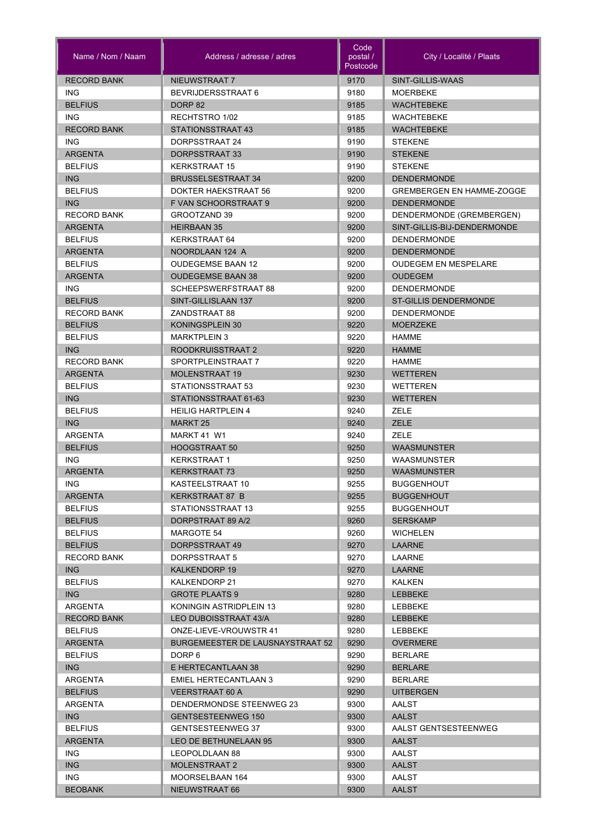| Name / Nom / Naam  | Address / adresse / adres               | Code<br>postal /<br>Postcode | City / Localité / Plaats         |
|--------------------|-----------------------------------------|------------------------------|----------------------------------|
| <b>RECORD BANK</b> | NIEUWSTRAAT 7                           | 9170                         | SINT-GILLIS-WAAS                 |
| <b>ING</b>         | BEVRIJDERSSTRAAT 6                      | 9180                         | <b>MOERBEKE</b>                  |
| <b>BELFIUS</b>     | DORP <sub>82</sub>                      | 9185                         | <b>WACHTEBEKE</b>                |
| <b>ING</b>         | RECHTSTRO 1/02                          | 9185                         | <b>WACHTEBEKE</b>                |
| <b>RECORD BANK</b> | STATIONSSTRAAT 43                       | 9185                         | <b>WACHTEBEKE</b>                |
| <b>ING</b>         | DORPSSTRAAT 24                          | 9190                         | <b>STEKENE</b>                   |
| <b>ARGENTA</b>     | DORPSSTRAAT 33                          | 9190                         | <b>STEKENE</b>                   |
| <b>BELFIUS</b>     | <b>KERKSTRAAT 15</b>                    | 9190                         | <b>STEKENE</b>                   |
| <b>ING</b>         | <b>BRUSSELSESTRAAT 34</b>               | 9200                         | <b>DENDERMONDE</b>               |
| <b>BELFIUS</b>     | DOKTER HAEKSTRAAT 56                    | 9200                         | <b>GREMBERGEN EN HAMME-ZOGGE</b> |
| <b>ING</b>         | F VAN SCHOORSTRAAT 9                    | 9200                         | <b>DENDERMONDE</b>               |
| <b>RECORD BANK</b> | GROOTZAND 39                            | 9200                         | DENDERMONDE (GREMBERGEN)         |
| <b>ARGENTA</b>     | <b>HEIRBAAN 35</b>                      | 9200                         | SINT-GILLIS-BIJ-DENDERMONDE      |
| <b>BELFIUS</b>     | KERKSTRAAT 64                           | 9200                         | <b>DENDERMONDE</b>               |
| <b>ARGENTA</b>     | NOORDLAAN 124 A                         | 9200                         | <b>DENDERMONDE</b>               |
| <b>BELFIUS</b>     | <b>OUDEGEMSE BAAN 12</b>                | 9200                         | <b>OUDEGEM EN MESPELARE</b>      |
| <b>ARGENTA</b>     | <b>OUDEGEMSE BAAN 38</b>                | 9200                         | OUDEGEM                          |
| ING.               | SCHEEPSWERFSTRAAT 88                    | 9200                         | <b>DENDERMONDE</b>               |
| <b>BELFIUS</b>     | SINT-GILLISLAAN 137                     | 9200                         | <b>ST-GILLIS DENDERMONDE</b>     |
| <b>RECORD BANK</b> | ZANDSTRAAT 88                           | 9200                         | <b>DENDERMONDE</b>               |
|                    |                                         |                              | <b>MOERZEKE</b>                  |
| <b>BELFIUS</b>     | KONINGSPLEIN 30                         | 9220                         |                                  |
| <b>BELFIUS</b>     | <b>MARKTPLEIN 3</b>                     | 9220                         | <b>HAMME</b>                     |
| ING                | ROODKRUISSTRAAT 2                       | 9220                         | <b>HAMME</b>                     |
| <b>RECORD BANK</b> | SPORTPLEINSTRAAT 7                      | 9220                         | <b>HAMME</b>                     |
| <b>ARGENTA</b>     | <b>MOLENSTRAAT 19</b>                   | 9230                         | <b>WETTEREN</b>                  |
| <b>BELFIUS</b>     | STATIONSSTRAAT 53                       | 9230                         | WETTEREN                         |
| <b>ING</b>         | STATIONSSTRAAT 61-63                    | 9230                         | <b>WETTEREN</b>                  |
| <b>BELFIUS</b>     | <b>HEILIG HARTPLEIN 4</b>               | 9240                         | ZELE                             |
| <b>ING</b>         | <b>MARKT 25</b>                         | 9240                         | <b>ZELE</b>                      |
| ARGENTA            | MARKT 41 W1                             | 9240                         | <b>ZELE</b>                      |
| <b>BELFIUS</b>     | <b>HOOGSTRAAT 50</b>                    | 9250                         | <b>WAASMUNSTER</b>               |
| <b>ING</b>         | <b>KERKSTRAAT 1</b>                     | 9250                         | <b>WAASMUNSTER</b>               |
| <b>ARGENTA</b>     | <b>KERKSTRAAT 73</b>                    | 9250                         | <b>WAASMUNSTER</b>               |
| ING.               | KASTEELSTRAAT 10                        | 9255                         | <b>BUGGENHOUT</b>                |
| <b>ARGENTA</b>     | KERKSTRAAT 87 B                         | 9255                         | <b>BUGGENHOUT</b>                |
| <b>BELFIUS</b>     | STATIONSSTRAAT 13                       | 9255                         | <b>BUGGENHOUT</b>                |
| <b>BELFIUS</b>     | DORPSTRAAT 89 A/2                       | 9260                         | <b>SERSKAMP</b>                  |
| <b>BELFIUS</b>     | MARGOTE 54                              | 9260                         | <b>WICHELEN</b>                  |
| <b>BELFIUS</b>     | DORPSSTRAAT 49                          | 9270                         | LAARNE                           |
| <b>RECORD BANK</b> | DORPSSTRAAT 5                           | 9270                         | LAARNE                           |
| ING.               | <b>KALKENDORP 19</b>                    | 9270                         | <b>LAARNE</b>                    |
| <b>BELFIUS</b>     | KALKENDORP 21                           | 9270                         | <b>KALKEN</b>                    |
| ING                | <b>GROTE PLAATS 9</b>                   | 9280                         | <b>LEBBEKE</b>                   |
| ARGENTA            | KONINGIN ASTRIDPLEIN 13                 | 9280                         | LEBBEKE                          |
| <b>RECORD BANK</b> | LEO DUBOISSTRAAT 43/A                   | 9280                         | LEBBEKE                          |
| <b>BELFIUS</b>     | ONZE-LIEVE-VROUWSTR 41                  | 9280                         | LEBBEKE                          |
| <b>ARGENTA</b>     | <b>BURGEMEESTER DE LAUSNAYSTRAAT 52</b> | 9290                         | <b>OVERMERE</b>                  |
| <b>BELFIUS</b>     | DORP 6                                  | 9290                         | <b>BERLARE</b>                   |
| ING                | E HERTECANTLAAN 38                      | 9290                         | <b>BERLARE</b>                   |
| ARGENTA            | EMIEL HERTECANTLAAN 3                   | 9290                         | <b>BERLARE</b>                   |
| <b>BELFIUS</b>     | <b>VEERSTRAAT 60 A</b>                  | 9290                         | <b>UITBERGEN</b>                 |
| <b>ARGENTA</b>     | DENDERMONDSE STEENWEG 23                | 9300                         | <b>AALST</b>                     |
| ING                | <b>GENTSESTEENWEG 150</b>               | 9300                         | <b>AALST</b>                     |
| <b>BELFIUS</b>     | <b>GENTSESTEENWEG 37</b>                | 9300                         | AALST GENTSESTEENWEG             |
| <b>ARGENTA</b>     | LEO DE BETHUNELAAN 95                   | 9300                         | <b>AALST</b>                     |
| ING.               | LEOPOLDLAAN 88                          | 9300                         | AALST                            |
| <b>ING</b>         | <b>MOLENSTRAAT 2</b>                    | 9300                         | <b>AALST</b>                     |
| ING.               | MOORSELBAAN 164                         | 9300                         | AALST                            |
| <b>BEOBANK</b>     | NIEUWSTRAAT 66                          | 9300                         | <b>AALST</b>                     |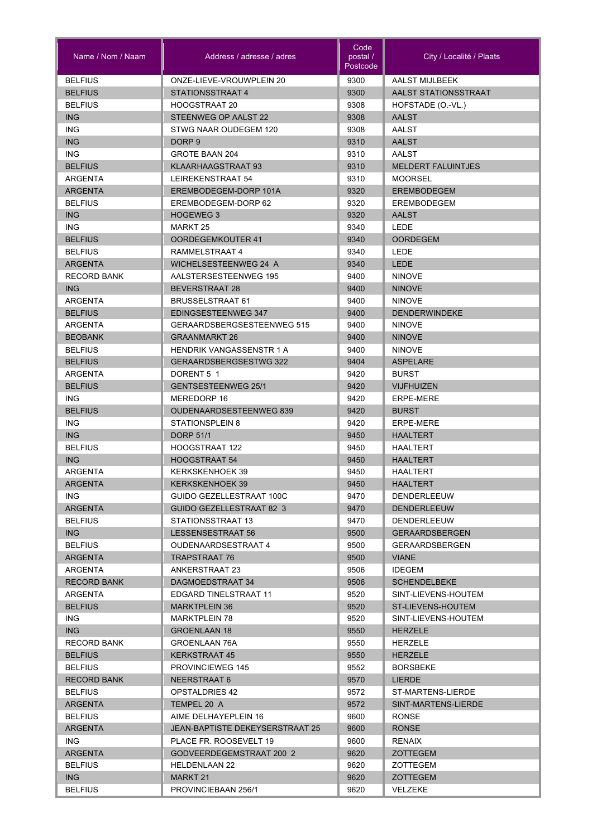| Name / Nom / Naam        | Address / adresse / adres                         | Code<br>postal /<br>Postcode | City / Localité / Plaats  |
|--------------------------|---------------------------------------------------|------------------------------|---------------------------|
| <b>BELFIUS</b>           | ONZE-LIEVE-VROUWPLEIN 20                          | 9300                         | AALST MIJLBEEK            |
| <b>BELFIUS</b>           | STATIONSSTRAAT 4                                  | 9300                         | AALST STATIONSSTRAAT      |
| <b>BELFIUS</b>           | <b>HOOGSTRAAT 20</b>                              | 9308                         | HOFSTADE (O.-VL.)         |
| <b>ING</b>               | STEENWEG OP AALST 22                              | 9308                         | <b>AALST</b>              |
| <b>ING</b>               | STWG NAAR OUDEGEM 120                             | 9308                         | AALST                     |
| <b>ING</b>               | DORP <sub>9</sub>                                 | 9310                         | <b>AALST</b>              |
| <b>ING</b>               | GROTE BAAN 204                                    | 9310                         | AALST                     |
| <b>BELFIUS</b>           | KLAARHAAGSTRAAT 93                                | 9310                         | <b>MELDERT FALUINTJES</b> |
| ARGENTA                  | LEIREKENSTRAAT 54                                 | 9310                         | <b>MOORSEL</b>            |
| <b>ARGENTA</b>           | EREMBODEGEM-DORP 101A                             | 9320                         | <b>EREMBODEGEM</b>        |
| <b>BELFIUS</b>           | EREMBODEGEM-DORP 62                               | 9320                         | <b>EREMBODEGEM</b>        |
| <b>ING</b>               | <b>HOGEWEG 3</b>                                  | 9320                         | <b>AALST</b>              |
| <b>ING</b>               | MARKT 25                                          | 9340                         | LEDE                      |
| <b>BELFIUS</b>           | <b>OORDEGEMKOUTER 41</b>                          | 9340                         | <b>OORDEGEM</b>           |
| <b>BELFIUS</b>           | RAMMELSTRAAT 4                                    | 9340                         | <b>LEDE</b>               |
| <b>ARGENTA</b>           | <b>WICHELSESTEENWEG 24 A</b>                      | 9340                         | <b>LEDE</b>               |
| <b>RECORD BANK</b>       | AALSTERSESTEENWEG 195                             | 9400                         | <b>NINOVE</b>             |
| ING                      | <b>BEVERSTRAAT 28</b>                             | 9400                         | <b>NINOVE</b>             |
| ARGENTA                  | <b>BRUSSELSTRAAT 61</b>                           | 9400                         | <b>NINOVE</b>             |
| <b>BELFIUS</b>           | EDINGSESTEENWEG 347                               | 9400                         | <b>DENDERWINDEKE</b>      |
| ARGENTA                  | GERAARDSBERGSESTEENWEG 515                        | 9400                         | <b>NINOVE</b>             |
| <b>BEOBANK</b>           | <b>GRAANMARKT 26</b>                              | 9400                         | <b>NINOVE</b>             |
| <b>BELFIUS</b>           | <b>HENDRIK VANGASSENSTR 1 A</b>                   | 9400                         | <b>NINOVE</b>             |
| <b>BELFIUS</b>           | <b>GERAARDSBERGSESTWG 322</b>                     | 9404                         | <b>ASPELARE</b>           |
| <b>ARGENTA</b>           | DORENT 5 1                                        | 9420                         | <b>BURST</b>              |
| <b>BELFIUS</b>           | <b>GENTSESTEENWEG 25/1</b>                        | 9420                         | <b>VIJFHUIZEN</b>         |
| <b>ING</b>               | MEREDORP 16                                       | 9420                         | <b>ERPE-MERE</b>          |
| <b>BELFIUS</b>           | <b>OUDENAARDSESTEENWEG 839</b><br>STATIONSPLEIN 8 | 9420                         | <b>BURST</b><br>ERPE-MERE |
| <b>ING</b><br><b>ING</b> | <b>DORP 51/1</b>                                  | 9420<br>9450                 | <b>HAALTERT</b>           |
| <b>BELFIUS</b>           | <b>HOOGSTRAAT 122</b>                             | 9450                         | <b>HAALTERT</b>           |
| <b>ING</b>               | <b>HOOGSTRAAT 54</b>                              | 9450                         | <b>HAALTERT</b>           |
| <b>ARGENTA</b>           | <b>KERKSKENHOEK 39</b>                            | 9450                         | <b>HAALTERT</b>           |
| <b>ARGENTA</b>           | <b>KERKSKENHOEK 39</b>                            | 9450                         | <b>HAALTERT</b>           |
| ING.                     | GUIDO GEZELLESTRAAT 100C                          | 9470                         | DENDERLEEUW               |
| <b>ARGENTA</b>           | <b>GUIDO GEZELLESTRAAT 82 3</b>                   | 9470                         | <b>DENDERLEEUW</b>        |
| <b>BELFIUS</b>           | STATIONSSTRAAT 13                                 | 9470                         | DENDERLEEUW               |
| ING                      | LESSENSESTRAAT 56                                 | 9500                         | <b>GERAARDSBERGEN</b>     |
| <b>BELFIUS</b>           | OUDENAARDSESTRAAT 4                               | 9500                         | <b>GERAARDSBERGEN</b>     |
| <b>ARGENTA</b>           | TRAPSTRAAT 76                                     | 9500                         | <b>VIANE</b>              |
| ARGENTA                  | ANKERSTRAAT 23                                    | 9506                         | <b>IDEGEM</b>             |
| <b>RECORD BANK</b>       | DAGMOEDSTRAAT 34                                  | 9506                         | <b>SCHENDELBEKE</b>       |
| ARGENTA                  | EDGARD TINELSTRAAT 11                             | 9520                         | SINT-LIEVENS-HOUTEM       |
| <b>BELFIUS</b>           | <b>MARKTPLEIN 36</b>                              | 9520                         | ST-LIEVENS-HOUTEM         |
| ING.                     | <b>MARKTPLEIN 78</b>                              | 9520                         | SINT-LIEVENS-HOUTEM       |
| ING                      | <b>GROENLAAN 18</b>                               | 9550                         | <b>HERZELE</b>            |
| <b>RECORD BANK</b>       | GROENLAAN 76A                                     | 9550                         | HERZELE                   |
| <b>BELFIUS</b>           | <b>KERKSTRAAT 45</b>                              | 9550                         | <b>HERZELE</b>            |
| <b>BELFIUS</b>           | <b>PROVINCIEWEG 145</b>                           | 9552                         | <b>BORSBEKE</b>           |
| <b>RECORD BANK</b>       | NEERSTRAAT 6                                      | 9570                         | <b>LIERDE</b>             |
| <b>BELFIUS</b>           | <b>OPSTALDRIES 42</b>                             | 9572                         | ST-MARTENS-LIERDE         |
| <b>ARGENTA</b>           | TEMPEL 20 A                                       | 9572                         | SINT-MARTENS-LIERDE       |
| <b>BELFIUS</b>           | AIME DELHAYEPLEIN 16                              | 9600                         | <b>RONSE</b>              |
| ARGENTA                  | JEAN-BAPTISTE DEKEYSERSTRAAT 25                   | 9600                         | <b>RONSE</b>              |
| ING.                     | PLACE FR. ROOSEVELT 19                            | 9600                         | RENAIX                    |
| <b>ARGENTA</b>           | GODVEERDEGEMSTRAAT 200 2                          | 9620                         | <b>ZOTTEGEM</b>           |
| <b>BELFIUS</b>           | <b>HELDENLAAN 22</b>                              | 9620                         | ZOTTEGEM                  |
| ING                      | MARKT 21                                          | 9620                         | ZOTTEGEM                  |
| <b>BELFIUS</b>           | PROVINCIEBAAN 256/1                               | 9620                         | <b>VELZEKE</b>            |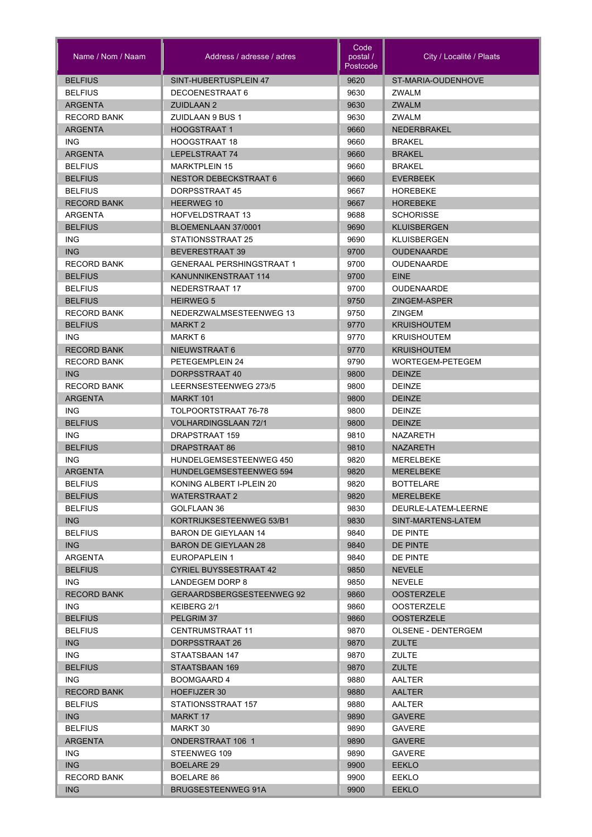| Name / Nom / Naam            | Address / adresse / adres                           | Code<br>postal /<br>Postcode | City / Localité / Plaats       |
|------------------------------|-----------------------------------------------------|------------------------------|--------------------------------|
| <b>BELFIUS</b>               | SINT-HUBERTUSPLEIN 47                               | 9620                         | ST-MARIA-OUDENHOVE             |
| <b>BELFIUS</b>               | DECOENESTRAAT 6                                     | 9630                         | <b>ZWALM</b>                   |
| <b>ARGENTA</b>               | <b>ZUIDLAAN 2</b>                                   | 9630                         | <b>ZWALM</b>                   |
| <b>RECORD BANK</b>           | <b>ZUIDLAAN 9 BUS 1</b>                             | 9630                         | <b>ZWALM</b>                   |
| <b>ARGENTA</b>               | <b>HOOGSTRAAT1</b>                                  | 9660                         | <b>NEDERBRAKEL</b>             |
| <b>ING</b>                   | <b>HOOGSTRAAT 18</b>                                | 9660                         | <b>BRAKEL</b>                  |
| <b>ARGENTA</b>               | LEPELSTRAAT 74                                      | 9660                         | <b>BRAKEL</b>                  |
| <b>BELFIUS</b>               | <b>MARKTPLEIN 15</b>                                | 9660                         | <b>BRAKEL</b>                  |
| <b>BELFIUS</b>               | <b>NESTOR DEBECKSTRAAT 6</b>                        | 9660                         | <b>EVERBEEK</b>                |
| <b>BELFIUS</b>               | DORPSSTRAAT 45                                      | 9667                         | HOREBEKE                       |
| <b>RECORD BANK</b>           | <b>HEERWEG 10</b>                                   | 9667                         | <b>HOREBEKE</b>                |
| ARGENTA                      | <b>HOFVELDSTRAAT 13</b>                             | 9688                         | <b>SCHORISSE</b>               |
| <b>BELFIUS</b>               | BLOEMENLAAN 37/0001                                 | 9690                         | <b>KLUISBERGEN</b>             |
| <b>ING</b>                   | STATIONSSTRAAT 25                                   | 9690                         | <b>KLUISBERGEN</b>             |
| <b>ING</b>                   | <b>BEVERESTRAAT 39</b>                              | 9700                         | <b>OUDENAARDE</b>              |
| <b>RECORD BANK</b>           | <b>GENERAAL PERSHINGSTRAAT 1</b>                    | 9700                         | <b>OUDENAARDE</b>              |
| <b>BELFIUS</b>               | KANUNNIKENSTRAAT 114                                | 9700                         | <b>EINE</b>                    |
| <b>BELFIUS</b>               | NEDERSTRAAT 17                                      | 9700                         | <b>OUDENAARDE</b>              |
| <b>BELFIUS</b>               | <b>HEIRWEG 5</b>                                    | 9750                         | ZINGEM-ASPER                   |
| <b>RECORD BANK</b>           | NEDERZWALMSESTEENWEG 13                             | 9750                         | <b>ZINGEM</b>                  |
| <b>BELFIUS</b>               | <b>MARKT 2</b>                                      | 9770                         | <b>KRUISHOUTEM</b>             |
| <b>ING</b>                   | MARKT 6                                             | 9770                         | <b>KRUISHOUTEM</b>             |
| <b>RECORD BANK</b>           | NIEUWSTRAAT 6                                       | 9770                         | <b>KRUISHOUTEM</b>             |
| <b>RECORD BANK</b>           | PETEGEMPLEIN 24                                     | 9790                         | WORTEGEM-PETEGEM               |
| <b>ING</b>                   | DORPSSTRAAT 40                                      | 9800                         | <b>DEINZE</b>                  |
| <b>RECORD BANK</b>           | LEERNSESTEENWEG 273/5                               | 9800                         | <b>DEINZE</b>                  |
| <b>ARGENTA</b><br><b>ING</b> | <b>MARKT 101</b>                                    | 9800<br>9800                 | <b>DEINZE</b>                  |
| <b>BELFIUS</b>               | TOLPOORTSTRAAT 76-78<br><b>VOLHARDINGSLAAN 72/1</b> | 9800                         | <b>DEINZE</b><br><b>DEINZE</b> |
| <b>ING</b>                   | DRAPSTRAAT 159                                      | 9810                         | <b>NAZARETH</b>                |
| <b>BELFIUS</b>               | DRAPSTRAAT 86                                       | 9810                         | <b>NAZARETH</b>                |
| <b>ING</b>                   | <b>HUNDELGEMSESTEENWEG 450</b>                      | 9820                         | <b>MERELBEKE</b>               |
| <b>ARGENTA</b>               | HUNDELGEMSESTEENWEG 594                             | 9820                         | <b>MERELBEKE</b>               |
| <b>BELFIUS</b>               | KONING ALBERT I-PLEIN 20                            | 9820                         | <b>BOTTELARE</b>               |
| <b>BELFIUS</b>               | WATERSTRAAT 2                                       | 9820                         | <b>MERELBEKE</b>               |
| <b>BELFIUS</b>               | GOLFLAAN 36                                         | 9830                         | DEURLE-LATEM-LEERNE            |
| ING                          | KORTRIJKSESTEENWEG 53/B1                            | 9830                         | SINT-MARTENS-LATEM             |
| <b>BELFIUS</b>               | BARON DE GIEYLAAN 14                                | 9840                         | DE PINTE                       |
| ING                          | BARON DE GIEYLAAN 28                                | 9840                         | <b>DE PINTE</b>                |
| ARGENTA                      | EUROPAPLEIN 1                                       | 9840                         | DE PINTE                       |
| <b>BELFIUS</b>               | <b>CYRIEL BUYSSESTRAAT 42</b>                       | 9850                         | <b>NEVELE</b>                  |
| ING.                         | LANDEGEM DORP 8                                     | 9850                         | NEVELE                         |
| <b>RECORD BANK</b>           | GERAARDSBERGSESTEENWEG 92                           | 9860                         | <b>OOSTERZELE</b>              |
| ING.                         | KEIBERG 2/1                                         | 9860                         | <b>OOSTERZELE</b>              |
| <b>BELFIUS</b>               | PELGRIM 37                                          | 9860                         | <b>OOSTERZELE</b>              |
| <b>BELFIUS</b>               | <b>CENTRUMSTRAAT 11</b>                             | 9870                         | <b>OLSENE - DENTERGEM</b>      |
| <b>ING</b>                   | DORPSSTRAAT 26                                      | 9870                         | <b>ZULTE</b>                   |
| ING.                         | STAATSBAAN 147                                      | 9870                         | ZULTE                          |
| <b>BELFIUS</b>               | STAATSBAAN 169                                      | 9870                         | <b>ZULTE</b>                   |
| ING.                         | <b>BOOMGAARD 4</b>                                  | 9880                         | AALTER                         |
| <b>RECORD BANK</b>           | HOEFIJZER 30                                        | 9880                         | <b>AALTER</b>                  |
| <b>BELFIUS</b>               | STATIONSSTRAAT 157                                  | 9880                         | AALTER                         |
| <b>ING</b>                   | MARKT 17                                            | 9890                         | <b>GAVERE</b>                  |
| <b>BELFIUS</b>               | MARKT 30                                            | 9890                         | <b>GAVERE</b>                  |
| <b>ARGENTA</b>               | <b>ONDERSTRAAT 106 1</b>                            | 9890                         | <b>GAVERE</b>                  |
| ING.                         | STEENWEG 109                                        | 9890                         | <b>GAVERE</b>                  |
| ING<br><b>RECORD BANK</b>    | <b>BOELARE 29</b><br>BOELARE 86                     | 9900<br>9900                 | <b>EEKLO</b><br><b>EEKLO</b>   |
|                              | <b>BRUGSESTEENWEG 91A</b>                           |                              |                                |
| ING                          |                                                     | 9900                         | <b>EEKLO</b>                   |